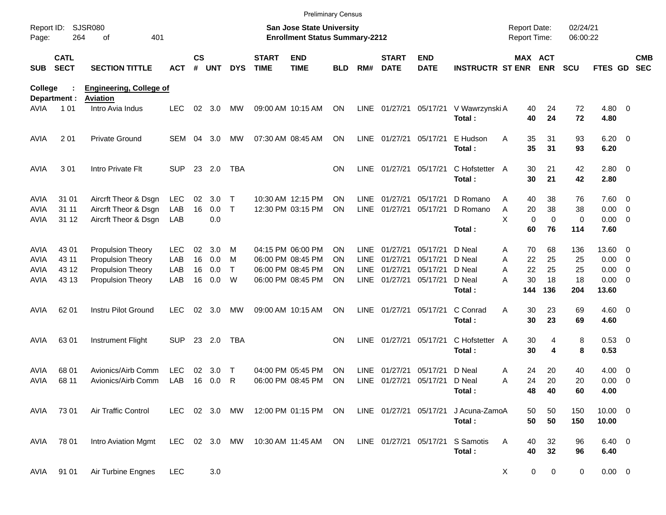|                                           |                            |                                                                      |                          |                    |                   |                   |                             |                                                                           | <b>Preliminary Census</b> |                            |                             |                           |                            |                                            |                      |                      |                               |                                                      |                          |
|-------------------------------------------|----------------------------|----------------------------------------------------------------------|--------------------------|--------------------|-------------------|-------------------|-----------------------------|---------------------------------------------------------------------------|---------------------------|----------------------------|-----------------------------|---------------------------|----------------------------|--------------------------------------------|----------------------|----------------------|-------------------------------|------------------------------------------------------|--------------------------|
| Report ID:<br>Page:                       | 264                        | <b>SJSR080</b><br>401<br>οf                                          |                          |                    |                   |                   |                             | <b>San Jose State University</b><br><b>Enrollment Status Summary-2212</b> |                           |                            |                             |                           |                            | <b>Report Date:</b><br><b>Report Time:</b> |                      | 02/24/21<br>06:00:22 |                               |                                                      |                          |
| <b>SUB</b>                                | <b>CATL</b><br><b>SECT</b> | <b>SECTION TITTLE</b>                                                | <b>ACT</b>               | $\mathsf{cs}$<br># | <b>UNT</b>        | <b>DYS</b>        | <b>START</b><br><b>TIME</b> | <b>END</b><br><b>TIME</b>                                                 | BLD                       | RM#                        | <b>START</b><br><b>DATE</b> | <b>END</b><br><b>DATE</b> | <b>INSTRUCTR ST ENR</b>    | MAX ACT                                    | <b>ENR</b>           | <b>SCU</b>           | FTES GD                       |                                                      | <b>CMB</b><br><b>SEC</b> |
| College                                   |                            | <b>Engineering, College of</b>                                       |                          |                    |                   |                   |                             |                                                                           |                           |                            |                             |                           |                            |                                            |                      |                      |                               |                                                      |                          |
| <b>AVIA</b>                               | Department :<br>101        | <b>Aviation</b><br>Intro Avia Indus                                  | <b>LEC</b>               | 02                 | 3.0               | МW                |                             | 09:00 AM 10:15 AM                                                         | ON                        | LINE                       | 01/27/21                    | 05/17/21                  | V Wawrzynski A<br>Total:   | 40<br>40                                   | 24<br>24             | 72<br>72             | $4.80$ 0<br>4.80              |                                                      |                          |
| <b>AVIA</b>                               | 201                        | <b>Private Ground</b>                                                | SEM                      | 04                 | 3.0               | МW                |                             | 07:30 AM 08:45 AM                                                         | ON                        | LINE                       | 01/27/21                    | 05/17/21                  | E Hudson<br>Total:         | Α<br>35<br>35                              | 31<br>31             | 93<br>93             | $6.20 \quad 0$<br>6.20        |                                                      |                          |
| <b>AVIA</b>                               | 301                        | Intro Private Flt                                                    | <b>SUP</b>               | 23                 | 2.0               | <b>TBA</b>        |                             |                                                                           | <b>ON</b>                 | <b>LINE</b>                | 01/27/21                    | 05/17/21                  | C Hofstetter A<br>Total:   | 30<br>30                                   | 21<br>21             | 42<br>42             | 2.80 0<br>2.80                |                                                      |                          |
| <b>AVIA</b><br><b>AVIA</b><br><b>AVIA</b> | 31 01<br>31 11<br>31 12    | Aircrft Theor & Dsgn<br>Aircrft Theor & Dsgn<br>Aircrft Theor & Dsgn | <b>LEC</b><br>LAB<br>LAB | 02<br>16           | 3.0<br>0.0<br>0.0 | Т<br>$\mathsf{T}$ |                             | 10:30 AM 12:15 PM<br>12:30 PM 03:15 PM                                    | <b>ON</b><br><b>ON</b>    | LINE<br><b>LINE</b>        | 01/27/21<br>01/27/21        | 05/17/21<br>05/17/21      | D Romano<br>D Romano       | Α<br>40<br>20<br>Α<br>X<br>$\mathbf 0$     | 38<br>38<br>$\Omega$ | 76<br>38<br>0        | 7.60 0<br>0.00<br>$0.00 \t 0$ | $\overline{\phantom{0}}$                             |                          |
|                                           |                            |                                                                      |                          |                    |                   |                   |                             |                                                                           |                           |                            |                             |                           | Total:                     | 60                                         | 76                   | 114                  | 7.60                          |                                                      |                          |
| <b>AVIA</b><br>AVIA                       | 43 01<br>43 11             | <b>Propulsion Theory</b><br>Propulsion Theory                        | <b>LEC</b><br>LAB        | 02<br>16           | 3.0<br>0.0        | м<br>M            |                             | 04:15 PM 06:00 PM<br>06:00 PM 08:45 PM                                    | ON<br>ON                  | LINE<br>LINE               | 01/27/21<br>01/27/21        | 05/17/21<br>05/17/21      | D Neal<br>D Neal           | 70<br>A<br>Α<br>22                         | 68<br>25             | 136<br>25            | 13.60 0<br>0.00               | $\overline{\phantom{0}}$                             |                          |
| AVIA<br>AVIA                              | 43 12<br>43 13             | Propulsion Theory<br>Propulsion Theory                               | LAB<br>LAB               | 16<br>16           | 0.0<br>0.0        | T<br>W            |                             | 06:00 PM 08:45 PM<br>06:00 PM 08:45 PM                                    | ON<br>ON                  | <b>LINE</b><br><b>LINE</b> | 01/27/21<br>01/27/21        | 05/17/21<br>05/17/21      | D Neal<br>D Neal<br>Total: | 22<br>Α<br>A<br>30<br>144                  | 25<br>18<br>136      | 25<br>18<br>204      | 0.00<br>$0.00 \t 0$<br>13.60  | $\overline{\mathbf{0}}$                              |                          |
| <b>AVIA</b>                               | 62 01                      | Instru Pilot Ground                                                  | <b>LEC</b>               | 02                 | 3.0               | МW                |                             | 09:00 AM 10:15 AM                                                         | <b>ON</b>                 | <b>LINE</b>                | 01/27/21                    | 05/17/21                  | C Conrad<br>Total:         | Α<br>30<br>30                              | 23<br>23             | 69<br>69             | $4.60 \ 0$<br>4.60            |                                                      |                          |
| <b>AVIA</b>                               | 6301                       | Instrument Flight                                                    | <b>SUP</b>               | 23                 | 2.0               | <b>TBA</b>        |                             |                                                                           | <b>ON</b>                 | <b>LINE</b>                | 01/27/21                    | 05/17/21                  | C Hofstetter A<br>Total:   | 30<br>30                                   | 4<br>4               | 8<br>8               | 0.53 0<br>0.53                |                                                      |                          |
| <b>AVIA</b><br>AVIA                       | 68 01<br>68 11             | Avionics/Airb Comm<br>Avionics/Airb Comm                             | <b>LEC</b><br>LAB        | 02<br>16           | 3.0<br>0.0        | Т<br>R            |                             | 04:00 PM 05:45 PM<br>06:00 PM 08:45 PM                                    | <b>ON</b><br>ON           | LINE<br><b>LINE</b>        | 01/27/21<br>01/27/21        | 05/17/21<br>05/17/21      | D Neal<br>D Neal           | 24<br>Α<br>24<br>Α                         | 20<br>20             | 40<br>20             | 4.00<br>0.00                  | $\overline{\phantom{0}}$<br>$\overline{\phantom{0}}$ |                          |
|                                           |                            |                                                                      |                          |                    |                   |                   |                             |                                                                           |                           |                            |                             |                           | Total:                     | 48                                         | 40                   | 60                   | 4.00                          |                                                      |                          |
| AVIA                                      | 73 01                      | Air Traffic Control                                                  |                          |                    |                   | LEC 02 3.0 MW     |                             | 12:00 PM 01:15 PM ON                                                      |                           |                            | LINE 01/27/21 05/17/21      |                           | J Acuna-ZamoA<br>Total:    | 50<br>50                                   | 50<br>50             | 150<br>150           | $10.00 \t 0$<br>10.00         |                                                      |                          |
| AVIA                                      | 78 01                      | Intro Aviation Mgmt                                                  |                          |                    |                   | LEC 02 3.0 MW     |                             | 10:30 AM 11:45 AM                                                         | ON                        |                            | LINE 01/27/21 05/17/21      |                           | S Samotis<br>Total:        | A<br>40<br>40                              | 32<br>32             | 96<br>96             | $6.40 \quad 0$<br>6.40        |                                                      |                          |
| AVIA                                      | 91 01                      | Air Turbine Engnes                                                   | <b>LEC</b>               |                    | 3.0               |                   |                             |                                                                           |                           |                            |                             |                           |                            | 0<br>X                                     | $\mathbf 0$          | 0                    | $0.00 \t 0$                   |                                                      |                          |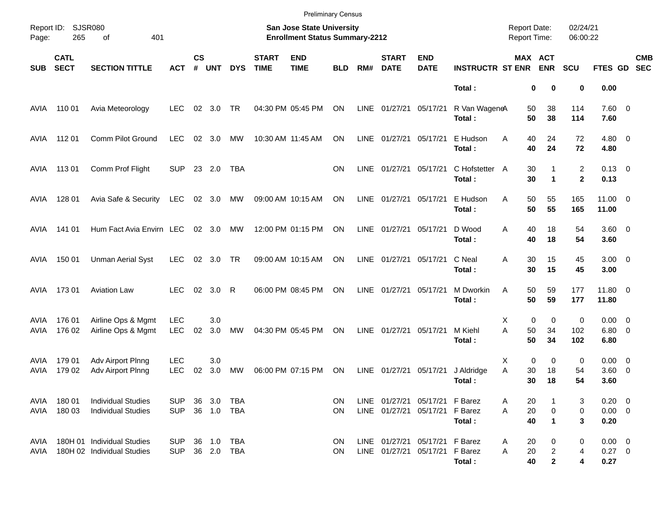|              |                            |                                                          |                          |                    |            |                   |                             | <b>Preliminary Census</b>                                          |                        |             |                             |                                                                  |                          |                                     |                                     |                      |                                   |                          |
|--------------|----------------------------|----------------------------------------------------------|--------------------------|--------------------|------------|-------------------|-----------------------------|--------------------------------------------------------------------|------------------------|-------------|-----------------------------|------------------------------------------------------------------|--------------------------|-------------------------------------|-------------------------------------|----------------------|-----------------------------------|--------------------------|
| Page:        | Report ID: SJSR080<br>265  | 401<br>of                                                |                          |                    |            |                   |                             | San Jose State University<br><b>Enrollment Status Summary-2212</b> |                        |             |                             |                                                                  |                          | <b>Report Date:</b><br>Report Time: |                                     | 02/24/21<br>06:00:22 |                                   |                          |
| <b>SUB</b>   | <b>CATL</b><br><b>SECT</b> | <b>SECTION TITTLE</b>                                    | <b>ACT</b>               | $\mathsf{cs}$<br># | <b>UNT</b> | <b>DYS</b>        | <b>START</b><br><b>TIME</b> | <b>END</b><br><b>TIME</b>                                          | <b>BLD</b>             | RM#         | <b>START</b><br><b>DATE</b> | <b>END</b><br><b>DATE</b>                                        | <b>INSTRUCTR ST ENR</b>  |                                     | MAX ACT<br><b>ENR</b>               | <b>SCU</b>           | FTES GD                           | <b>CMB</b><br><b>SEC</b> |
|              |                            |                                                          |                          |                    |            |                   |                             |                                                                    |                        |             |                             |                                                                  | Total:                   |                                     | 0<br>0                              | 0                    | 0.00                              |                          |
| AVIA         | 110 01                     | Avia Meteorology                                         | <b>LEC</b>               | 02                 | 3.0        | <b>TR</b>         |                             | 04:30 PM 05:45 PM                                                  | ON                     |             | LINE 01/27/21               | 05/17/21                                                         | R Van WageneA<br>Total:  | 50<br>50                            | 38<br>38                            | 114<br>114           | $7.60 \t 0$<br>7.60               |                          |
| AVIA         | 11201                      | Comm Pilot Ground                                        | LEC                      | 02                 | 3.0        | MW                |                             | 10:30 AM 11:45 AM                                                  | ON                     | <b>LINE</b> | 01/27/21                    | 05/17/21                                                         | E Hudson<br>Total:       | Α<br>40<br>40                       | 24<br>24                            | 72<br>72             | $4.80\ 0$<br>4.80                 |                          |
| AVIA         | 11301                      | Comm Prof Flight                                         | <b>SUP</b>               |                    | 23 2.0     | <b>TBA</b>        |                             |                                                                    | <b>ON</b>              | LINE        | 01/27/21                    | 05/17/21                                                         | C Hofstetter A<br>Total: | 30<br>30                            | 1<br>$\mathbf{1}$                   | 2<br>$\mathbf{2}$    | $0.13 \quad 0$<br>0.13            |                          |
| AVIA         | 128 01                     | Avia Safe & Security                                     | LEC                      |                    | 02 3.0     | MW                |                             | 09:00 AM 10:15 AM                                                  | ON                     | LINE        | 01/27/21                    | 05/17/21                                                         | E Hudson<br>Total:       | 50<br>A<br>50                       | 55<br>55                            | 165<br>165           | $11.00 \t 0$<br>11.00             |                          |
| AVIA         | 141 01                     | Hum Fact Avia Envirn LEC                                 |                          |                    | 02 3.0     | MW                |                             | 12:00 PM 01:15 PM                                                  | ON                     | LINE        | 01/27/21                    | 05/17/21                                                         | D Wood<br>Total:         | 40<br>A<br>40                       | 18<br>18                            | 54<br>54             | 3.60 0<br>3.60                    |                          |
| AVIA         | 150 01                     | <b>Unman Aerial Syst</b>                                 | <b>LEC</b>               |                    | 02 3.0 TR  |                   |                             | 09:00 AM 10:15 AM                                                  | ON                     | LINE        | 01/27/21                    | 05/17/21                                                         | C Neal<br>Total:         | 30<br>A<br>30                       | 15<br>15                            | 45<br>45             | $3.00 \ 0$<br>3.00                |                          |
| AVIA         | 17301                      | <b>Aviation Law</b>                                      | <b>LEC</b>               | 02                 | 3.0        | R                 |                             | 06:00 PM 08:45 PM                                                  | ON                     | LINE        | 01/27/21                    | 05/17/21                                                         | M Dworkin<br>Total:      | 50<br>A<br>50                       | 59<br>59                            | 177<br>177           | 11.80 0<br>11.80                  |                          |
| AVIA<br>AVIA | 176 01<br>176 02           | Airline Ops & Mgmt<br>Airline Ops & Mgmt                 | <b>LEC</b><br><b>LEC</b> | 02                 | 3.0<br>3.0 | MW                |                             | 04:30 PM 05:45 PM                                                  | ON                     |             | LINE 01/27/21               | 05/17/21                                                         | M Kiehl<br>Total:        | Х<br>A<br>50<br>50                  | 0<br>0<br>34<br>34                  | 0<br>102<br>102      | $0.00 \t 0$<br>$6.80$ 0<br>6.80   |                          |
| AVIA<br>AVIA | 179 01<br>179 02           | Adv Airport Plnng<br>Adv Airport Plnng                   | <b>LEC</b><br><b>LEC</b> | 02                 | 3.0<br>3.0 | MW                |                             | 06:00 PM 07:15 PM                                                  | ON                     | LINE        | 01/27/21                    | 05/17/21                                                         | J Aldridge<br>Total:     | Х<br>A<br>30<br>30                  | 0<br>0<br>18<br>18                  | 0<br>54<br>54        | $0.00 \t 0$<br>3.60 0<br>3.60     |                          |
| AVIA<br>AVIA | 180 01<br>180 03           | <b>Individual Studies</b><br><b>Individual Studies</b>   | <b>SUP</b><br><b>SUP</b> | 36                 | 3.0        | TBA<br>36 1.0 TBA |                             |                                                                    | <b>ON</b><br><b>ON</b> |             | LINE 01/27/21               | LINE 01/27/21 05/17/21 F Barez<br>05/17/21 F Barez               | Total:                   | 20<br>A<br>20<br>A<br>40            | 0<br>$\blacktriangleleft$           | 3<br>0<br>3          | $0.20 \ 0$<br>$0.00 \t 0$<br>0.20 |                          |
| AVIA<br>AVIA |                            | 180H 01 Individual Studies<br>180H 02 Individual Studies | <b>SUP</b><br><b>SUP</b> |                    | 36 1.0 TBA | 36 2.0 TBA        |                             |                                                                    | <b>ON</b><br><b>ON</b> |             |                             | LINE 01/27/21 05/17/21 F Barez<br>LINE 01/27/21 05/17/21 F Barez | Total:                   | 20<br>A<br>20<br>A<br>40            | 0<br>$\overline{c}$<br>$\mathbf{2}$ | 0<br>4<br>4          | $0.00 \t 0$<br>$0.27$ 0<br>0.27   |                          |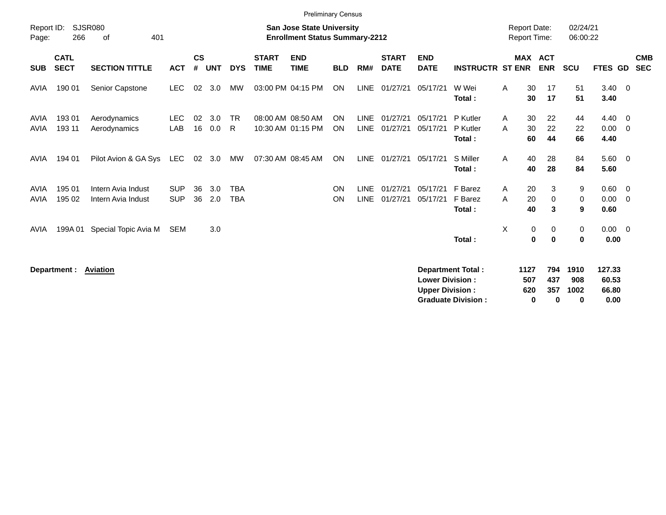|                     |                            |                              |                   |                    |            |                |                             | <b>Preliminary Census</b>                                                 |                        |                            |                             |                                                  |                                                       |              |                                            |                        |                          |                                  |                         |                          |
|---------------------|----------------------------|------------------------------|-------------------|--------------------|------------|----------------|-----------------------------|---------------------------------------------------------------------------|------------------------|----------------------------|-----------------------------|--------------------------------------------------|-------------------------------------------------------|--------------|--------------------------------------------|------------------------|--------------------------|----------------------------------|-------------------------|--------------------------|
| Report ID:<br>Page: | 266                        | <b>SJSR080</b><br>401<br>of  |                   |                    |            |                |                             | <b>San Jose State University</b><br><b>Enrollment Status Summary-2212</b> |                        |                            |                             |                                                  |                                                       |              | <b>Report Date:</b><br><b>Report Time:</b> |                        | 02/24/21<br>06:00:22     |                                  |                         |                          |
| <b>SUB</b>          | <b>CATL</b><br><b>SECT</b> | <b>SECTION TITTLE</b>        | <b>ACT</b>        | $\mathsf{cs}$<br># | <b>UNT</b> | <b>DYS</b>     | <b>START</b><br><b>TIME</b> | <b>END</b><br><b>TIME</b>                                                 | <b>BLD</b>             | RM#                        | <b>START</b><br><b>DATE</b> | <b>END</b><br><b>DATE</b>                        | <b>INSTRUCTR ST ENR</b>                               |              | <b>MAX ACT</b>                             | <b>ENR</b>             | <b>SCU</b>               | <b>FTES</b><br><b>GD</b>         |                         | <b>CMB</b><br><b>SEC</b> |
| AVIA                | 190 01                     | Senior Capstone              | <b>LEC</b>        | 02                 | 3.0        | <b>MW</b>      |                             | 03:00 PM 04:15 PM                                                         | ON                     | <b>LINE</b>                | 01/27/21                    | 05/17/21                                         | W Wei<br>Total:                                       | A            | 30<br>30                                   | 17<br>17               | 51<br>51                 | 3.40<br>3.40                     | $\overline{\mathbf{0}}$ |                          |
| AVIA<br><b>AVIA</b> | 193 01<br>193 11           | Aerodynamics<br>Aerodynamics | <b>LEC</b><br>LAB | 02<br>16           | 3.0<br>0.0 | <b>TR</b><br>R |                             | 08:00 AM 08:50 AM<br>10:30 AM 01:15 PM                                    | <b>ON</b><br><b>ON</b> | <b>LINE</b><br><b>LINE</b> | 01/27/21<br>01/27/21        | 05/17/21<br>05/17/21                             | P Kutler<br>P Kutler<br>Total:                        | A<br>A       | 30<br>30<br>60                             | 22<br>22<br>44         | 44<br>22<br>66           | $4.40 \ 0$<br>0.00<br>4.40       | $\overline{0}$          |                          |
| AVIA                | 194 01                     | Pilot Avion & GA Sys         | LEC               | 02                 | 3.0        | MW             |                             | 07:30 AM 08:45 AM                                                         | <b>ON</b>              | LINE                       | 01/27/21                    | 05/17/21                                         | S Miller<br>Total:                                    | A            | 40<br>40                                   | 28<br>28               | 84<br>84                 | $5.60$ 0<br>5.60                 |                         |                          |
| AVIA                | 195 01                     | Intern Avia Indust           | <b>SUP</b>        | 36                 | 3.0        | <b>TBA</b>     |                             |                                                                           | ON                     | <b>LINE</b>                | 01/27/21                    | 05/17/21                                         | F Barez                                               | $\mathsf{A}$ | 20                                         | 3                      | 9                        | $0.60 \quad 0$                   |                         |                          |
| <b>AVIA</b>         | 195 02                     | Intern Avia Indust           | <b>SUP</b>        | 36                 | 2.0        | <b>TBA</b>     |                             |                                                                           | <b>ON</b>              | <b>LINE</b>                | 01/27/21                    | 05/17/21                                         | F Barez                                               | A            | 20                                         | 0                      | $\mathbf 0$              | 0.00                             | $\overline{0}$          |                          |
|                     |                            |                              |                   |                    |            |                |                             |                                                                           |                        |                            |                             |                                                  | Total:                                                |              | 40                                         | 3                      | 9                        | 0.60                             |                         |                          |
| AVIA                | 199A 01                    | Special Topic Avia M         | SEM               |                    | 3.0        |                |                             |                                                                           |                        |                            |                             |                                                  | Total:                                                | X            | 0<br>0                                     | 0<br>$\bf{0}$          | 0<br>0                   | $0.00 \t 0$<br>0.00              |                         |                          |
|                     | Department :               | <u>Aviation</u>              |                   |                    |            |                |                             |                                                                           |                        |                            |                             | <b>Lower Division:</b><br><b>Upper Division:</b> | <b>Department Total:</b><br><b>Graduate Division:</b> |              | 1127<br>507<br>620<br>0                    | 794<br>437<br>357<br>0 | 1910<br>908<br>1002<br>0 | 127.33<br>60.53<br>66.80<br>0.00 |                         |                          |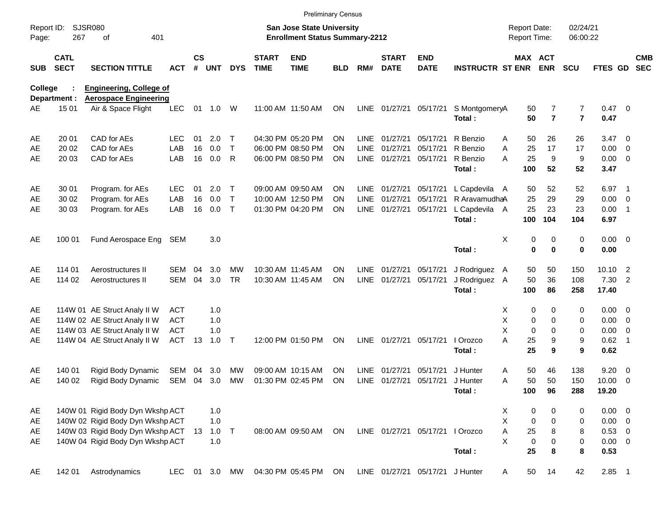|                     |                            |                                                    |            |                |            |              |                             | <b>Preliminary Census</b>                                                 |            |             |                             |                                 |                         |                                     |                     |                                  |                        |                            |                          |
|---------------------|----------------------------|----------------------------------------------------|------------|----------------|------------|--------------|-----------------------------|---------------------------------------------------------------------------|------------|-------------|-----------------------------|---------------------------------|-------------------------|-------------------------------------|---------------------|----------------------------------|------------------------|----------------------------|--------------------------|
| Report ID:<br>Page: | 267                        | <b>SJSR080</b><br>401<br>of                        |            |                |            |              |                             | <b>San Jose State University</b><br><b>Enrollment Status Summary-2212</b> |            |             |                             |                                 |                         | <b>Report Date:</b><br>Report Time: |                     | 02/24/21<br>06:00:22             |                        |                            |                          |
| SUB                 | <b>CATL</b><br><b>SECT</b> | <b>SECTION TITTLE</b>                              | <b>ACT</b> | <b>CS</b><br># | <b>UNT</b> | <b>DYS</b>   | <b>START</b><br><b>TIME</b> | <b>END</b><br><b>TIME</b>                                                 | <b>BLD</b> | RM#         | <b>START</b><br><b>DATE</b> | <b>END</b><br><b>DATE</b>       | <b>INSTRUCTR ST ENR</b> | MAX ACT                             | <b>ENR</b>          | <b>SCU</b>                       | FTES GD                |                            | <b>CMB</b><br><b>SEC</b> |
| <b>College</b>      |                            | <b>Engineering, College of</b>                     |            |                |            |              |                             |                                                                           |            |             |                             |                                 |                         |                                     |                     |                                  |                        |                            |                          |
| AE                  | Department :<br>15 01      | <b>Aerospace Engineering</b><br>Air & Space Flight | <b>LEC</b> | 01             | 1.0        | W            |                             | 11:00 AM 11:50 AM                                                         | <b>ON</b>  |             |                             | LINE 01/27/21 05/17/21          | S MontgomeryA<br>Total: | 50<br>50                            | 7<br>$\overline{7}$ | $\overline{7}$<br>$\overline{7}$ | $0.47 \quad 0$<br>0.47 |                            |                          |
| AE                  | 20 01                      | CAD for AEs                                        | <b>LEC</b> | 01             | 2.0        | Т            |                             | 04:30 PM 05:20 PM                                                         | ΟN         | LINE        | 01/27/21                    | 05/17/21                        | R Benzio                | 50<br>A                             | 26                  | 26                               | $3.47 \quad 0$         |                            |                          |
| AE                  | 20 02                      | CAD for AEs                                        | LAB        | 16             | 0.0        | $\mathsf{T}$ |                             | 06:00 PM 08:50 PM                                                         | ΟN         | <b>LINE</b> | 01/27/21                    | 05/17/21                        | R Benzio                | 25<br>A                             | 17                  | 17                               | 0.00                   | $\overline{0}$             |                          |
| AE                  | 20 03                      | CAD for AEs                                        | LAB        | 16             | 0.0        | R            |                             | 06:00 PM 08:50 PM                                                         | ΟN         | <b>LINE</b> | 01/27/21                    | 05/17/21                        | R Benzio<br>Total:      | 25<br>A<br>100                      | 9<br>52             | 9<br>52                          | 0.00<br>3.47           | $\overline{\phantom{0}}$   |                          |
| AE                  | 30 01                      | Program. for AEs                                   | <b>LEC</b> | 01             | 2.0        | Τ            |                             | 09:00 AM 09:50 AM                                                         | ΟN         | LINE        | 01/27/21                    | 05/17/21                        | L Capdevila A           | 50                                  | 52                  | 52                               | 6.97                   | $\overline{\phantom{1}}$   |                          |
| AE                  | 30 02                      | Program. for AEs                                   | LAB        | 16             | 0.0        | $\mathsf{T}$ |                             | 10:00 AM 12:50 PM                                                         | ΟN         | <b>LINE</b> | 01/27/21                    | 05/17/21                        | R AravamudhaA           | 25                                  | 29                  | 29                               | 0.00                   | $\overline{\phantom{0}}$   |                          |
| AE                  | 30 03                      | Program. for AEs                                   | LAB        | 16             | 0.0        | $\mathsf{T}$ |                             | 01:30 PM 04:20 PM                                                         | ΟN         | <b>LINE</b> | 01/27/21                    | 05/17/21                        | L Capdevila A<br>Total: | 25<br>100                           | 23<br>104           | 23<br>104                        | 0.00<br>6.97           | $\overline{\phantom{1}}$   |                          |
|                     |                            |                                                    |            |                |            |              |                             |                                                                           |            |             |                             |                                 |                         |                                     |                     |                                  |                        |                            |                          |
| AE                  | 100 01                     | Fund Aerospace Eng                                 | SEM        |                | 3.0        |              |                             |                                                                           |            |             |                             |                                 |                         | X<br>0                              | 0                   | 0                                | $0.00 \t 0$            |                            |                          |
|                     |                            |                                                    |            |                |            |              |                             |                                                                           |            |             |                             |                                 | Total:                  | 0                                   | $\bf{0}$            | $\bf{0}$                         | 0.00                   |                            |                          |
| AE                  | 114 01                     | Aerostructures II                                  | SEM        | 04             | 3.0        | MW           |                             | 10:30 AM 11:45 AM                                                         | ΟN         | <b>LINE</b> | 01/27/21                    | 05/17/21                        | J Rodriguez A           | 50                                  | 50                  | 150                              | 10.10                  | $\overline{2}$             |                          |
| AE                  | 114 02                     | Aerostructures II                                  | <b>SEM</b> | 04             | 3.0        | <b>TR</b>    |                             | 10:30 AM 11:45 AM                                                         | ΟN         | <b>LINE</b> | 01/27/21                    | 05/17/21                        | J Rodriguez A           | 50                                  | 36                  | 108                              | 7.30                   | $\overline{2}$             |                          |
|                     |                            |                                                    |            |                |            |              |                             |                                                                           |            |             |                             |                                 | Total:                  | 100                                 | 86                  | 258                              | 17.40                  |                            |                          |
| AE                  |                            | 114W 01 AE Struct Analy II W                       | <b>ACT</b> |                | 1.0        |              |                             |                                                                           |            |             |                             |                                 |                         | х<br>0                              | 0                   | 0                                | $0.00 \t 0$            |                            |                          |
| AE                  |                            | 114W 02 AE Struct Analy II W                       | <b>ACT</b> |                | 1.0        |              |                             |                                                                           |            |             |                             |                                 |                         | Χ<br>0                              | 0                   | 0                                | 0.00                   | $\overline{\phantom{0}}$   |                          |
| AE                  |                            | 114W 03 AE Struct Analy II W                       | <b>ACT</b> |                | 1.0        |              |                             |                                                                           |            |             |                             |                                 |                         | X<br>$\mathbf 0$                    | 0                   | 0                                | 0.00                   | $\overline{0}$             |                          |
| AE                  |                            | 114W 04 AE Struct Analy II W                       | <b>ACT</b> | 13             | 1.0        | Т            |                             | 12:00 PM 01:50 PM                                                         | ON         | <b>LINE</b> | 01/27/21                    | 05/17/21                        | I Orozco                | Α<br>25                             | 9                   | 9                                | 0.62                   | $\overline{\phantom{0}}$ 1 |                          |
|                     |                            |                                                    |            |                |            |              |                             |                                                                           |            |             |                             |                                 | Total:                  | 25                                  | 9                   | 9                                | 0.62                   |                            |                          |
| AE                  | 140 01                     | Rigid Body Dynamic                                 | SEM        | 04             | 3.0        | MW           |                             | 09:00 AM 10:15 AM                                                         | ΟN         | <b>LINE</b> | 01/27/21                    | 05/17/21                        | J Hunter                | Α<br>50                             | 46                  | 138                              | 9.20                   | $\overline{\phantom{0}}$   |                          |
| AE                  | 140 02                     | Rigid Body Dynamic                                 | SEM        | 04             | 3.0        | MW           |                             | 01:30 PM 02:45 PM                                                         | ΟN         | <b>LINE</b> | 01/27/21                    | 05/17/21                        | J Hunter                | 50<br>Α                             | 50                  | 150                              | 10.00                  | - 0                        |                          |
|                     |                            |                                                    |            |                |            |              |                             |                                                                           |            |             |                             |                                 | Total:                  | 100                                 | 96                  | 288                              | 19.20                  |                            |                          |
| AE                  |                            | 140W 01 Rigid Body Dyn Wkshp ACT                   |            |                | 1.0        |              |                             |                                                                           |            |             |                             |                                 |                         | Χ<br>0                              | 0                   | 0                                | $0.00 \t 0$            |                            |                          |
| AE                  |                            | 140W 02 Rigid Body Dyn Wkshp ACT                   |            |                | 1.0        |              |                             |                                                                           |            |             |                             |                                 |                         | X<br>0                              | 0                   | 0                                | $0.00 \t 0$            |                            |                          |
| AE                  |                            | 140W 03 Rigid Body Dyn Wkshp ACT                   |            | 13             | 1.0        | T            |                             | 08:00 AM 09:50 AM                                                         | ON         |             |                             | LINE 01/27/21 05/17/21          | I Orozco                | 25<br>Α                             | 8                   | 8                                | 0.53 0                 |                            |                          |
| AE                  |                            | 140W 04 Rigid Body Dyn Wkshp ACT                   |            |                | 1.0        |              |                             |                                                                           |            |             |                             |                                 |                         | X<br>0                              | 0                   | 0                                | $0.00 \t 0$            |                            |                          |
|                     |                            |                                                    |            |                |            |              |                             |                                                                           |            |             |                             |                                 | Total:                  | 25                                  | 8                   | 8                                | 0.53                   |                            |                          |
| AE                  | 142 01                     | Astrodynamics                                      | <b>LEC</b> |                |            | 01 3.0 MW    |                             | 04:30 PM 05:45 PM                                                         | ON         |             |                             | LINE 01/27/21 05/17/21 J Hunter |                         | 50<br>A                             | 14                  | 42                               | $2.85$ 1               |                            |                          |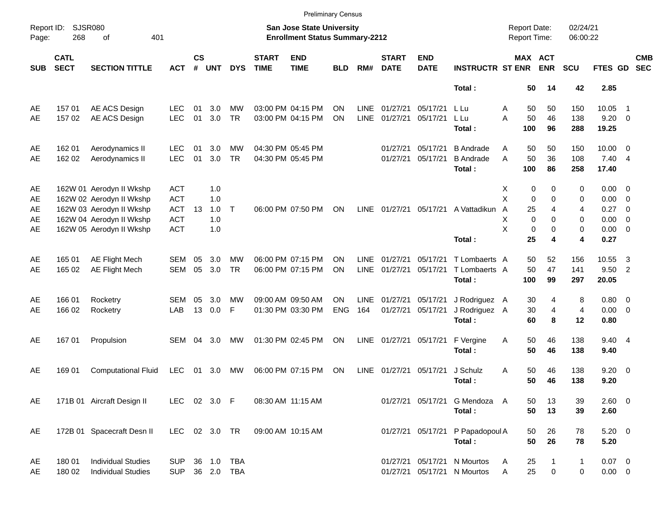|                     |                            |                            |               |                    |            |              |                             |                                                                           | <b>Preliminary Census</b> |             |                             |                           |                                         |                                     |                         |                      |                         |                          |                          |
|---------------------|----------------------------|----------------------------|---------------|--------------------|------------|--------------|-----------------------------|---------------------------------------------------------------------------|---------------------------|-------------|-----------------------------|---------------------------|-----------------------------------------|-------------------------------------|-------------------------|----------------------|-------------------------|--------------------------|--------------------------|
| Report ID:<br>Page: | SJSR080<br>268             | 401<br>of                  |               |                    |            |              |                             | <b>San Jose State University</b><br><b>Enrollment Status Summary-2212</b> |                           |             |                             |                           |                                         | <b>Report Date:</b><br>Report Time: |                         | 02/24/21<br>06:00:22 |                         |                          |                          |
| <b>SUB</b>          | <b>CATL</b><br><b>SECT</b> | <b>SECTION TITTLE</b>      | <b>ACT</b>    | $\mathsf{cs}$<br># | <b>UNT</b> | <b>DYS</b>   | <b>START</b><br><b>TIME</b> | <b>END</b><br><b>TIME</b>                                                 | <b>BLD</b>                | RM#         | <b>START</b><br><b>DATE</b> | <b>END</b><br><b>DATE</b> | <b>INSTRUCTR ST ENR</b>                 |                                     | MAX ACT<br><b>ENR</b>   | <b>SCU</b>           | FTES GD                 |                          | <b>CMB</b><br><b>SEC</b> |
|                     |                            |                            |               |                    |            |              |                             |                                                                           |                           |             |                             |                           | Total:                                  | 50                                  | 14                      | 42                   | 2.85                    |                          |                          |
| AE                  | 15701                      | AE ACS Design              | LEC           | 01                 | 3.0        | MW           |                             | 03:00 PM 04:15 PM                                                         | ΟN                        | <b>LINE</b> | 01/27/21                    | 05/17/21                  | L Lu                                    | Α<br>50                             | 50                      | 150                  | 10.05                   | $\overline{1}$           |                          |
| AE                  | 157 02                     | AE ACS Design              | <b>LEC</b>    | 01                 | 3.0        | <b>TR</b>    |                             | 03:00 PM 04:15 PM                                                         | ON                        | <b>LINE</b> | 01/27/21                    | 05/17/21                  | L Lu<br>Total:                          | 50<br>A<br>100                      | 46<br>96                | 138<br>288           | $9.20 \ 0$<br>19.25     |                          |                          |
| AE                  | 162 01                     | Aerodynamics II            | LEC           | 01                 | 3.0        | МW           |                             | 04:30 PM 05:45 PM                                                         |                           |             | 01/27/21                    | 05/17/21                  | <b>B</b> Andrade                        | 50<br>Α                             | 50                      | 150                  | $10.00 \t 0$            |                          |                          |
| AE                  | 162 02                     | Aerodynamics II            | <b>LEC</b>    | 01                 | 3.0        | <b>TR</b>    |                             | 04:30 PM 05:45 PM                                                         |                           |             | 01/27/21                    | 05/17/21                  | <b>B</b> Andrade<br>Total:              | A<br>50<br>100                      | 36<br>86                | 108<br>258           | $7.40 \quad 4$<br>17.40 |                          |                          |
| AE                  |                            | 162W 01 Aerodyn II Wkshp   | <b>ACT</b>    |                    | 1.0        |              |                             |                                                                           |                           |             |                             |                           |                                         | X                                   | 0<br>0                  | 0                    | $0.00 \t 0$             |                          |                          |
| AE                  |                            | 162W 02 Aerodyn II Wkshp   | <b>ACT</b>    |                    | 1.0        |              |                             |                                                                           |                           |             |                             |                           |                                         | X                                   | $\mathbf 0$<br>$\Omega$ | 0                    | $0.00 \t 0$             |                          |                          |
| AE                  |                            | 162W 03 Aerodyn II Wkshp   | <b>ACT</b>    | 13                 | 1.0        | $\mathsf{T}$ |                             | 06:00 PM 07:50 PM                                                         | ON                        | <b>LINE</b> |                             |                           | 01/27/21 05/17/21 A Vattadikun          | 25<br>A                             | 4                       | 4                    | 0.27                    | $\overline{\phantom{0}}$ |                          |
| AE                  |                            | 162W 04 Aerodyn II Wkshp   | <b>ACT</b>    |                    | 1.0        |              |                             |                                                                           |                           |             |                             |                           |                                         | X                                   | $\Omega$<br>$\Omega$    | 0                    | $0.00 \t 0$             |                          |                          |
| AE                  |                            | 162W 05 Aerodyn II Wkshp   | <b>ACT</b>    |                    | 1.0        |              |                             |                                                                           |                           |             |                             |                           |                                         | X                                   | $\Omega$<br>$\mathbf 0$ | 0                    | $0.00 \t 0$             |                          |                          |
|                     |                            |                            |               |                    |            |              |                             |                                                                           |                           |             |                             |                           | Total:                                  | 25                                  | 4                       | 4                    | 0.27                    |                          |                          |
| AE                  | 165 01                     | <b>AE Flight Mech</b>      | <b>SEM</b>    | 05                 | 3.0        | MW           |                             | 06:00 PM 07:15 PM                                                         | OΝ                        | <b>LINE</b> | 01/27/21                    | 05/17/21                  | T Lombaerts A                           | 50                                  | 52                      | 156                  | 10.55                   | 3                        |                          |
| AE                  | 165 02                     | AE Flight Mech             | <b>SEM</b>    | 05                 | 3.0        | <b>TR</b>    |                             | 06:00 PM 07:15 PM                                                         | ON                        | <b>LINE</b> | 01/27/21                    | 05/17/21                  | T Lombaerts A                           | 50                                  | 47                      | 141                  | 9.50                    | $\overline{2}$           |                          |
|                     |                            |                            |               |                    |            |              |                             |                                                                           |                           |             |                             |                           | Total:                                  | 100                                 | 99                      | 297                  | 20.05                   |                          |                          |
| AE                  | 166 01                     | Rocketry                   | SEM           | 05                 | 3.0        | МW           |                             | 09:00 AM 09:50 AM                                                         | ΟN                        | <b>LINE</b> | 01/27/21                    | 05/17/21                  | J Rodriguez A                           | 30                                  | 4                       | 8                    | $0.80 \ 0$              |                          |                          |
| AE                  | 166 02                     | Rocketry                   | LAB           | 13                 | 0.0        | F            |                             | 01:30 PM 03:30 PM                                                         | <b>ENG</b>                | 164         | 01/27/21                    | 05/17/21                  | J Rodriguez A                           | 30                                  | 4                       | $\overline{4}$       | $0.00 \t 0$             |                          |                          |
|                     |                            |                            |               |                    |            |              |                             |                                                                           |                           |             |                             |                           | Total:                                  | 60                                  | 8                       | 12                   | 0.80                    |                          |                          |
| AE                  | 16701                      | Propulsion                 | SEM           | 04                 | 3.0        | MW           |                             | 01:30 PM 02:45 PM                                                         | <b>ON</b>                 | LINE        | 01/27/21 05/17/21           |                           | F Vergine                               | 50<br>Α                             | 46                      | 138                  | 9.40 4                  |                          |                          |
|                     |                            |                            |               |                    |            |              |                             |                                                                           |                           |             |                             |                           | Total:                                  | 50                                  | 46                      | 138                  | 9.40                    |                          |                          |
| AE                  | 169 01                     | <b>Computational Fluid</b> | <b>LEC</b>    | 01                 | 3.0        | MW           |                             | 06:00 PM 07:15 PM                                                         | ON                        | LINE        | 01/27/21                    | 05/17/21                  | J Schulz                                | 50<br>A                             | 46                      | 138                  | $9.20 \ 0$              |                          |                          |
|                     |                            |                            |               |                    |            |              |                             |                                                                           |                           |             |                             |                           | Total:                                  | 50                                  | 46                      | 138                  | 9.20                    |                          |                          |
|                     |                            |                            |               |                    |            |              |                             |                                                                           |                           |             |                             |                           |                                         |                                     |                         |                      |                         |                          |                          |
| AE                  |                            | 171B 01 Aircraft Design II | LEC 02 3.0 F  |                    |            |              |                             | 08:30 AM 11:15 AM                                                         |                           |             |                             |                           | 01/27/21 05/17/21 G Mendoza A<br>Total: | 50                                  | 13<br>50<br>13          | 39<br>39             | 2.60 0<br>2.60          |                          |                          |
|                     |                            |                            |               |                    |            |              |                             |                                                                           |                           |             |                             |                           |                                         |                                     |                         |                      |                         |                          |                          |
| AE                  |                            | 172B 01 Spacecraft Desn II | LEC 02 3.0 TR |                    |            |              |                             | 09:00 AM 10:15 AM                                                         |                           |             |                             |                           | 01/27/21 05/17/21 P Papadopoul A        | 50                                  | 26                      | 78                   | $5.20 \ 0$              |                          |                          |
|                     |                            |                            |               |                    |            |              |                             |                                                                           |                           |             |                             |                           | Total:                                  | 50                                  | 26                      | 78                   | 5.20                    |                          |                          |
| AE                  | 180 01                     | <b>Individual Studies</b>  | <b>SUP</b>    |                    |            | 36 1.0 TBA   |                             |                                                                           |                           |             |                             |                           | 01/27/21 05/17/21 N Mourtos             | 25<br>A                             | 1                       | $\mathbf{1}$         | $0.07$ 0                |                          |                          |
| AE                  | 180 02                     | <b>Individual Studies</b>  | <b>SUP</b>    |                    |            | 36 2.0 TBA   |                             |                                                                           |                           |             |                             |                           | 01/27/21 05/17/21 N Mourtos             | 25<br>A                             | $\mathbf 0$             | 0                    | $0.00 \t 0$             |                          |                          |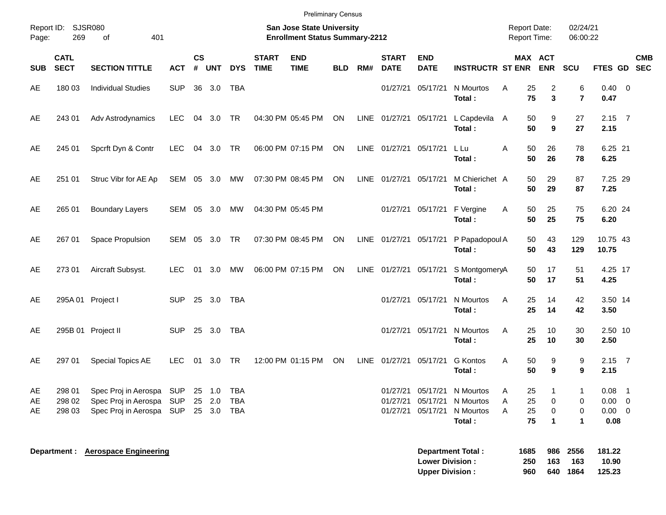|            |                            |                                              |               |                    |                  |            |                             | <b>Preliminary Census</b>                                                 |            |      |                             |                                                  |                           |                                            |                    |                           |                      |                           |                |  |
|------------|----------------------------|----------------------------------------------|---------------|--------------------|------------------|------------|-----------------------------|---------------------------------------------------------------------------|------------|------|-----------------------------|--------------------------------------------------|---------------------------|--------------------------------------------|--------------------|---------------------------|----------------------|---------------------------|----------------|--|
| Page:      | Report ID: SJSR080<br>269  | 401<br>of                                    |               |                    |                  |            |                             | <b>San Jose State University</b><br><b>Enrollment Status Summary-2212</b> |            |      |                             |                                                  |                           | <b>Report Date:</b><br><b>Report Time:</b> |                    |                           | 02/24/21<br>06:00:22 |                           |                |  |
| <b>SUB</b> | <b>CATL</b><br><b>SECT</b> | <b>SECTION TITTLE</b>                        | <b>ACT</b>    | $\mathsf{cs}$<br># | <b>UNT</b>       | <b>DYS</b> | <b>START</b><br><b>TIME</b> | <b>END</b><br><b>TIME</b>                                                 | <b>BLD</b> | RM#  | <b>START</b><br><b>DATE</b> | <b>END</b><br><b>DATE</b>                        | <b>INSTRUCTR ST ENR</b>   |                                            |                    | MAX ACT<br><b>ENR</b>     | SCU                  | FTES GD SEC               | <b>CMB</b>     |  |
| AE         | 180 03                     | <b>Individual Studies</b>                    | <b>SUP</b>    |                    | 36 3.0           | <b>TBA</b> |                             |                                                                           |            |      | 01/27/21                    | 05/17/21                                         | N Mourtos<br>Total:       | A                                          | 25<br>75           | 2<br>3                    | 6<br>$\overline{7}$  | $0.40 \quad 0$<br>0.47    |                |  |
| AE         | 243 01                     | Adv Astrodynamics                            | <b>LEC</b>    |                    | 04 3.0 TR        |            |                             | 04:30 PM 05:45 PM                                                         | ON         |      | LINE 01/27/21 05/17/21      |                                                  | L Capdevila<br>Total:     | A                                          | 50<br>50           | 9<br>9                    | 27<br>27             | $2.15$ 7<br>2.15          |                |  |
| AE         | 245 01                     | Spcrft Dyn & Contr                           | <b>LEC</b>    |                    | 04 3.0 TR        |            |                             | 06:00 PM 07:15 PM                                                         | ON         |      | LINE 01/27/21               | 05/17/21                                         | L Lu<br>Total:            | A                                          | 50<br>50           | 26<br>26                  | 78<br>78             | 6.25 21<br>6.25           |                |  |
| AE         | 251 01                     | Struc Vibr for AE Ap                         | SEM 05 3.0 MW |                    |                  |            |                             | 07:30 PM 08:45 PM                                                         | ON         |      | LINE 01/27/21               | 05/17/21                                         | M Chierichet A<br>Total:  |                                            | 50<br>50           | 29<br>29                  | 87<br>87             | 7.25 29<br>7.25           |                |  |
| AE         | 265 01                     | <b>Boundary Layers</b>                       | SEM 05 3.0    |                    |                  | MW         |                             | 04:30 PM 05:45 PM                                                         |            |      | 01/27/21                    | 05/17/21                                         | F Vergine<br>Total:       | Α                                          | 50<br>50           | 25<br>25                  | 75<br>75             | 6.20 24<br>6.20           |                |  |
| AE         | 267 01                     | Space Propulsion                             | SEM 05 3.0 TR |                    |                  |            |                             | 07:30 PM 08:45 PM                                                         | ON         |      | LINE 01/27/21               | 05/17/21                                         | P Papadopoul A<br>Total:  |                                            | 50<br>50           | 43<br>43                  | 129<br>129           | 10.75 43<br>10.75         |                |  |
| AE         | 27301                      | Aircraft Subsyst.                            | <b>LEC</b>    | 01                 | 3.0              | MW         |                             | 06:00 PM 07:15 PM                                                         | ON         |      | LINE 01/27/21 05/17/21      |                                                  | S MontgomeryA<br>Total:   |                                            | 50<br>50           | 17<br>17                  | 51<br>51             | 4.25 17<br>4.25           |                |  |
| AE         |                            | 295A 01 Project I                            | <b>SUP</b>    |                    | 25 3.0           | <b>TBA</b> |                             |                                                                           |            |      | 01/27/21                    | 05/17/21                                         | N Mourtos<br>Total:       | Α                                          | 25<br>25           | 14<br>14                  | 42<br>42             | 3.50 14<br>3.50           |                |  |
| AE         |                            | 295B 01 Project II                           | <b>SUP</b>    |                    | 25 3.0           | <b>TBA</b> |                             |                                                                           |            |      | 01/27/21                    | 05/17/21                                         | N Mourtos<br>Total:       | A                                          | 25<br>25           | 10<br>10                  | 30<br>30             | 2.50 10<br>2.50           |                |  |
| AE         | 297 01                     | Special Topics AE                            | <b>LEC</b>    | 01                 | 3.0              | <b>TR</b>  |                             | 12:00 PM 01:15 PM                                                         | ON         | LINE | 01/27/21                    | 05/17/21                                         | <b>G</b> Kontos<br>Total: | Α                                          | 50<br>50           | 9<br>9                    | 9<br>9               | $2.15$ 7<br>2.15          |                |  |
| AE<br>AE   | 298 01<br>298 02           | Spec Proj in Aerospa<br>Spec Proj in Aerospa | SUP<br>SUP    |                    | 25 1.0<br>25 2.0 | TBA<br>TBA |                             |                                                                           |            |      | 01/27/21<br>01/27/21        | 05/17/21<br>05/17/21                             | N Mourtos<br>N Mourtos    | A<br>Α                                     | 25<br>25           | 0                         | 0                    | 0.08<br>$0.00 \t 0$       | $\overline{1}$ |  |
| AE         | 298 03                     | Spec Proj in Aerospa SUP 25 3.0 TBA          |               |                    |                  |            |                             |                                                                           |            |      | 01/27/21                    | 05/17/21                                         | N Mourtos<br>Total:       | A                                          | 25<br>75           | 0<br>$\blacktriangleleft$ | 0<br>1               | $0.00 \t 0$<br>0.08       |                |  |
|            |                            | Department : Aerospace Engineering           |               |                    |                  |            |                             |                                                                           |            |      |                             | <b>Lower Division:</b><br><b>Upper Division:</b> | <b>Department Total:</b>  |                                            | 1685<br>250<br>960 | 986<br>163<br>640         | 2556<br>163<br>1864  | 181.22<br>10.90<br>125.23 |                |  |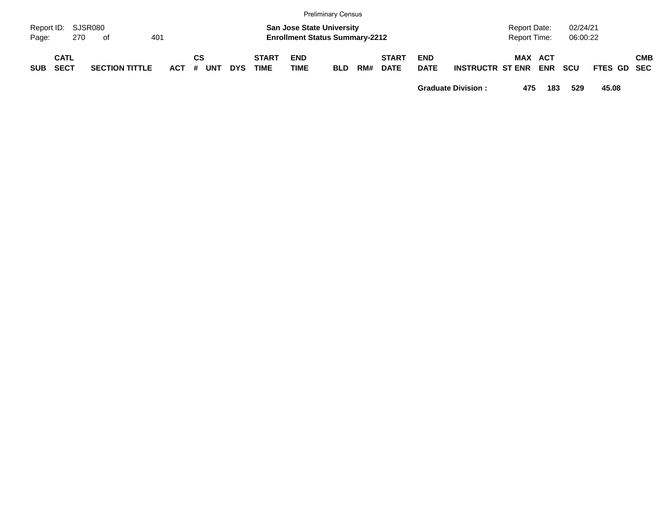|            |                            |    |                       |     |         |    |            |     |                             |                           | <b>Preliminary Census</b>                                                 |     |                             |                           |                         |                              |            |                      |             |            |
|------------|----------------------------|----|-----------------------|-----|---------|----|------------|-----|-----------------------------|---------------------------|---------------------------------------------------------------------------|-----|-----------------------------|---------------------------|-------------------------|------------------------------|------------|----------------------|-------------|------------|
| Page:      | Report ID: SJSR080<br>270  | оf |                       | 401 |         |    |            |     |                             |                           | <b>San Jose State University</b><br><b>Enrollment Status Summary-2212</b> |     |                             |                           |                         | Report Date:<br>Report Time: |            | 02/24/21<br>06:00:22 |             |            |
| <b>SUB</b> | <b>CATL</b><br><b>SECT</b> |    | <b>SECTION TITTLE</b> |     | $ACT$ # | СS | <b>UNT</b> | DYS | <b>START</b><br><b>TIME</b> | <b>END</b><br><b>TIME</b> | <b>BLD</b>                                                                | RM# | <b>START</b><br><b>DATE</b> | <b>END</b><br><b>DATE</b> | <b>INSTRUCTR ST ENR</b> | <b>MAX ACT</b>               | <b>ENR</b> | <b>SCU</b>           | FTES GD SEC | <b>CMB</b> |

**Graduate Division : 475 183 529 45.08**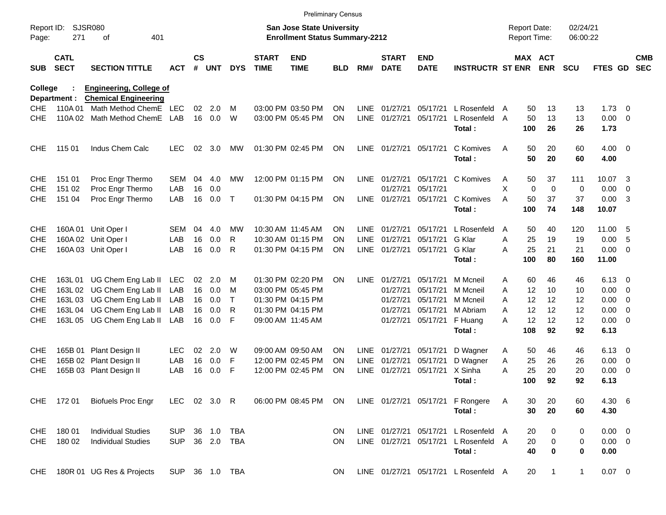|                     |                            |                                                               |                |                    |            |              |                             | <b>Preliminary Census</b>                                                 |           |             |                             |                           |                                      |   |                                     |              |                      |             |                          |                          |
|---------------------|----------------------------|---------------------------------------------------------------|----------------|--------------------|------------|--------------|-----------------------------|---------------------------------------------------------------------------|-----------|-------------|-----------------------------|---------------------------|--------------------------------------|---|-------------------------------------|--------------|----------------------|-------------|--------------------------|--------------------------|
| Report ID:<br>Page: | 271                        | <b>SJSR080</b><br>401<br>οf                                   |                |                    |            |              |                             | <b>San Jose State University</b><br><b>Enrollment Status Summary-2212</b> |           |             |                             |                           |                                      |   | <b>Report Date:</b><br>Report Time: |              | 02/24/21<br>06:00:22 |             |                          |                          |
| <b>SUB</b>          | <b>CATL</b><br><b>SECT</b> | <b>SECTION TITTLE</b>                                         | <b>ACT</b>     | $\mathsf{cs}$<br># | <b>UNT</b> | <b>DYS</b>   | <b>START</b><br><b>TIME</b> | <b>END</b><br><b>TIME</b>                                                 | BLD       | RM#         | <b>START</b><br><b>DATE</b> | <b>END</b><br><b>DATE</b> | <b>INSTRUCTR ST ENR</b>              |   | MAX ACT                             | <b>ENR</b>   | <b>SCU</b>           | FTES GD     |                          | <b>CMB</b><br><b>SEC</b> |
| College             | Department :               | <b>Engineering, College of</b><br><b>Chemical Engineering</b> |                |                    |            |              |                             |                                                                           |           |             |                             |                           |                                      |   |                                     |              |                      |             |                          |                          |
| CHE.                | 110A 01                    | Math Method ChemE LEC                                         |                | 02                 | 2.0        | M            |                             | 03:00 PM 03:50 PM                                                         | <b>ON</b> | <b>LINE</b> | 01/27/21                    | 05/17/21                  | L Rosenfeld A                        |   | 50                                  | 13           | 13                   | 1.73        | $\overline{\phantom{0}}$ |                          |
| <b>CHE</b>          |                            | 110A 02 Math Method ChemE                                     | LAB            | 16                 | 0.0        | W            |                             | 03:00 PM 05:45 PM                                                         | ON        | <b>LINE</b> | 01/27/21                    | 05/17/21                  | L Rosenfeld A                        |   | 50                                  | 13           | 13                   | 0.00        | - 0                      |                          |
|                     |                            |                                                               |                |                    |            |              |                             |                                                                           |           |             |                             |                           | Total:                               |   | 100                                 | 26           | 26                   | 1.73        |                          |                          |
| <b>CHE</b>          | 115 01                     | Indus Chem Calc                                               | <b>LEC</b>     | 02                 | 3.0        | MW           |                             | 01:30 PM 02:45 PM                                                         | <b>ON</b> |             | LINE 01/27/21               | 05/17/21                  | C Komives                            | A | 50                                  | 20           | 60                   | $4.00 \ 0$  |                          |                          |
|                     |                            |                                                               |                |                    |            |              |                             |                                                                           |           |             |                             |                           | Total:                               |   | 50                                  | 20           | 60                   | 4.00        |                          |                          |
| <b>CHE</b>          | 151 01                     | Proc Engr Thermo                                              | SEM            | 04                 | 4.0        | MW           |                             | 12:00 PM 01:15 PM                                                         | ON        | <b>LINE</b> | 01/27/21                    | 05/17/21                  | C Komives                            | A | 50                                  | 37           | 111                  | 10.07       | $\overline{\mathbf{3}}$  |                          |
| <b>CHE</b>          | 151 02                     | Proc Engr Thermo                                              | LAB            | 16                 | 0.0        |              |                             |                                                                           |           |             | 01/27/21                    | 05/17/21                  |                                      | X | 0                                   | $\mathbf 0$  | 0                    | 0.00        | 0                        |                          |
| <b>CHE</b>          | 151 04                     | Proc Engr Thermo                                              | LAB            | 16                 | 0.0        | $\top$       |                             | 01:30 PM 04:15 PM                                                         | <b>ON</b> |             | LINE 01/27/21               | 05/17/21                  | C Komives                            | A | 50                                  | 37           | 37                   | 0.00        | -3                       |                          |
|                     |                            |                                                               |                |                    |            |              |                             |                                                                           |           |             |                             |                           | Total:                               |   | 100                                 | 74           | 148                  | 10.07       |                          |                          |
| <b>CHE</b>          |                            | 160A 01 Unit Oper I                                           | SEM            | 04                 | 4.0        | MW           |                             | 10:30 AM 11:45 AM                                                         | <b>ON</b> | LINE        | 01/27/21                    | 05/17/21                  | L Rosenfeld                          | A | 50                                  | 40           | 120                  | 11.00       | - 5                      |                          |
| <b>CHE</b>          |                            | 160A 02 Unit Oper I                                           | LAB            | 16                 | 0.0        | R            |                             | 10:30 AM 01:15 PM                                                         | <b>ON</b> | <b>LINE</b> | 01/27/21                    | 05/17/21                  | G Klar                               | A | 25                                  | 19           | 19                   | 0.00        | -5                       |                          |
| <b>CHE</b>          |                            | 160A 03 Unit Oper I                                           | LAB            | 16                 | 0.0        | R            |                             | 01:30 PM 04:15 PM                                                         | <b>ON</b> | LINE        | 01/27/21                    | 05/17/21                  | G Klar                               | Α | 25                                  | 21           | 21                   | 0.00        | $\overline{\mathbf{0}}$  |                          |
|                     |                            |                                                               |                |                    |            |              |                             |                                                                           |           |             |                             |                           | Total:                               |   | 100                                 | 80           | 160                  | 11.00       |                          |                          |
| <b>CHE</b>          |                            | 163L 01 UG Chem Eng Lab II                                    | <b>LEC</b>     | 02                 | 2.0        | м            |                             | 01:30 PM 02:20 PM                                                         | <b>ON</b> | <b>LINE</b> | 01/27/21                    | 05/17/21                  | M Mcneil                             | A | 60                                  | 46           | 46                   | 6.13        | - 0                      |                          |
| <b>CHE</b>          |                            | 163L 02 UG Chem Eng Lab II                                    | LAB            | 16                 | 0.0        | M            |                             | 03:00 PM 05:45 PM                                                         |           |             | 01/27/21                    | 05/17/21                  | M Mcneil                             | Α | 12                                  | 10           | 10                   | 0.00        | - 0                      |                          |
| <b>CHE</b>          |                            | 163L 03 UG Chem Eng Lab II                                    | LAB            | 16                 | 0.0        | $\mathsf{T}$ |                             | 01:30 PM 04:15 PM                                                         |           |             | 01/27/21                    | 05/17/21                  | M Mcneil                             | Α | 12                                  | 12           | 12                   | 0.00        | - 0                      |                          |
| <b>CHE</b>          |                            | 163L 04 UG Chem Eng Lab II                                    | LAB            | 16                 | 0.0        | R            |                             | 01:30 PM 04:15 PM                                                         |           |             | 01/27/21                    | 05/17/21                  | M Abriam                             | A | 12                                  | 12           | 12                   | 0.00        | $\overline{0}$           |                          |
| <b>CHE</b>          |                            | 163L 05 UG Chem Eng Lab II                                    | LAB            | 16                 | 0.0        | F            |                             | 09:00 AM 11:45 AM                                                         |           |             | 01/27/21                    | 05/17/21                  | F Huang                              | Α | 12                                  | 12           | 12                   | 0.00        | - 0                      |                          |
|                     |                            |                                                               |                |                    |            |              |                             |                                                                           |           |             |                             |                           | Total:                               |   | 108                                 | 92           | 92                   | 6.13        |                          |                          |
| <b>CHE</b>          |                            | 165B 01 Plant Design II                                       | <b>LEC</b>     | 02                 | 2.0        | W            |                             | 09:00 AM 09:50 AM                                                         | <b>ON</b> | LINE        | 01/27/21                    | 05/17/21                  | D Wagner                             | A | 50                                  | 46           | 46                   | 6.13        | - 0                      |                          |
| <b>CHE</b>          |                            | 165B 02 Plant Design II                                       | LAB            | 16                 | 0.0        | F            |                             | 12:00 PM 02:45 PM                                                         | <b>ON</b> | LINE        | 01/27/21                    | 05/17/21                  | D Wagner                             | Α | 25                                  | 26           | 26                   | 0.00        | 0                        |                          |
| <b>CHE</b>          | 165B 03                    | Plant Design II                                               | LAB            | 16                 | 0.0        | F            |                             | 12:00 PM 02:45 PM                                                         | ON        | <b>LINE</b> | 01/27/21                    | 05/17/21                  | X Sinha                              | Α | 25                                  | 20           | 20                   | 0.00        | - 0                      |                          |
|                     |                            |                                                               |                |                    |            |              |                             |                                                                           |           |             |                             |                           | Total:                               |   | 100                                 | 92           | 92                   | 6.13        |                          |                          |
|                     | CHE 172 01                 | <b>Biofuels Proc Engr</b>                                     | LEC 02 3.0 R   |                    |            |              |                             | 06:00 PM 08:45 PM                                                         | ON        |             |                             |                           | LINE 01/27/21 05/17/21 F Rongere     | A | 30                                  | 20           | 60                   | 4.30 6      |                          |                          |
|                     |                            |                                                               |                |                    |            |              |                             |                                                                           |           |             |                             |                           | Total:                               |   | 30                                  | 20           | 60                   | 4.30        |                          |                          |
| <b>CHE</b>          | 18001                      | <b>Individual Studies</b>                                     | <b>SUP</b>     |                    | 36 1.0     | <b>TBA</b>   |                             |                                                                           | ON        |             | LINE 01/27/21 05/17/21      |                           | L Rosenfeld A                        |   | 20                                  | 0            | 0                    | $0.00 \t 0$ |                          |                          |
|                     | CHE 180 02                 | <b>Individual Studies</b>                                     | <b>SUP</b>     |                    | 36 2.0     | TBA          |                             |                                                                           | <b>ON</b> |             |                             | LINE 01/27/21 05/17/21    | L Rosenfeld A                        |   | 20                                  | 0            | 0                    | $0.00 \t 0$ |                          |                          |
|                     |                            |                                                               |                |                    |            |              |                             |                                                                           |           |             |                             |                           | Total:                               |   | 40                                  | 0            | $\bf{0}$             | 0.00        |                          |                          |
| <b>CHE</b>          |                            | 180R 01 UG Res & Projects                                     | SUP 36 1.0 TBA |                    |            |              |                             |                                                                           | ON        |             |                             |                           | LINE 01/27/21 05/17/21 L Rosenfeld A |   | 20                                  | $\mathbf{1}$ | $\mathbf{1}$         | $0.07$ 0    |                          |                          |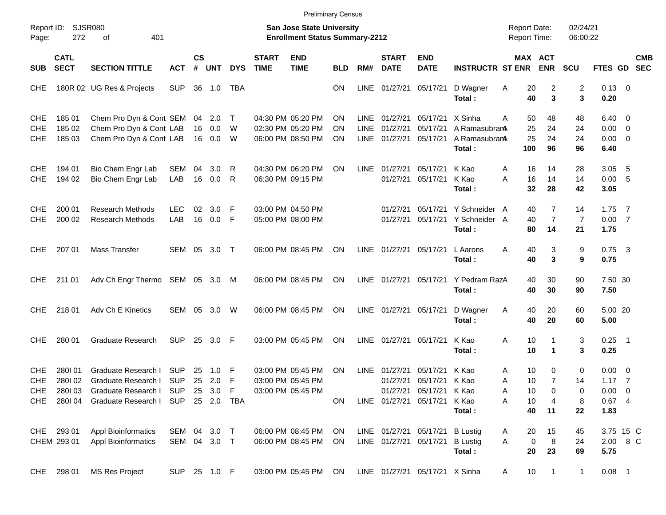|                                        |                            |                                                                                |                              |                       |                      |                  |                             | <b>Preliminary Census</b>                                                 |                |                                    |                                  |                                                                    |                                                    |                                     |                       |                                        |                            |                                               |                          |            |
|----------------------------------------|----------------------------|--------------------------------------------------------------------------------|------------------------------|-----------------------|----------------------|------------------|-----------------------------|---------------------------------------------------------------------------|----------------|------------------------------------|----------------------------------|--------------------------------------------------------------------|----------------------------------------------------|-------------------------------------|-----------------------|----------------------------------------|----------------------------|-----------------------------------------------|--------------------------|------------|
| Report ID:<br>Page:                    | SJSR080<br>272             | 401<br>of                                                                      |                              |                       |                      |                  |                             | <b>San Jose State University</b><br><b>Enrollment Status Summary-2212</b> |                |                                    |                                  |                                                                    |                                                    | <b>Report Date:</b><br>Report Time: |                       |                                        | 02/24/21<br>06:00:22       |                                               |                          |            |
| <b>SUB</b>                             | <b>CATL</b><br><b>SECT</b> | <b>SECTION TITTLE</b>                                                          | <b>ACT</b>                   | $\mathsf{cs}$<br>$\#$ | <b>UNT</b>           | <b>DYS</b>       | <b>START</b><br><b>TIME</b> | <b>END</b><br><b>TIME</b>                                                 | <b>BLD</b>     | RM#                                | <b>START</b><br><b>DATE</b>      | <b>END</b><br><b>DATE</b>                                          | <b>INSTRUCTR ST ENR</b>                            |                                     | MAX ACT               | <b>ENR</b>                             | SCU                        | FTES GD SEC                                   |                          | <b>CMB</b> |
| <b>CHE</b>                             |                            | 180R 02 UG Res & Projects                                                      | <b>SUP</b>                   | 36                    | 1.0                  | TBA              |                             |                                                                           | ON             | <b>LINE</b>                        | 01/27/21                         | 05/17/21                                                           | D Wagner<br>Total:                                 | Α                                   | 20<br>40              | 2<br>3                                 | 2<br>3                     | $0.13 \quad 0$<br>0.20                        |                          |            |
| <b>CHE</b><br><b>CHE</b><br><b>CHE</b> | 185 01<br>185 02<br>185 03 | Chem Pro Dyn & Cont SEM<br>Chem Pro Dyn & Cont LAB<br>Chem Pro Dyn & Cont LAB  |                              | 04<br>16              | 2.0<br>0.0<br>16 0.0 | $\top$<br>W<br>W |                             | 04:30 PM 05:20 PM<br>02:30 PM 05:20 PM<br>06:00 PM 08:50 PM               | ΟN<br>ΟN<br>ΟN | LINE<br><b>LINE</b><br><b>LINE</b> | 01/27/21<br>01/27/21<br>01/27/21 | 05/17/21<br>05/17/21<br>05/17/21                                   | X Sinha<br>A Ramasubran<br>A RamasubranA<br>Total: | Α                                   | 50<br>25<br>25<br>100 | 48<br>24<br>24<br>96                   | 48<br>24<br>24<br>96       | $6.40 \quad 0$<br>0.00<br>$0.00 \t 0$<br>6.40 | $\overline{\phantom{0}}$ |            |
| CHE<br><b>CHE</b>                      | 194 01<br>194 02           | Bio Chem Engr Lab<br>Bio Chem Engr Lab                                         | SEM<br>LAB                   | 04<br>16              | 3.0<br>0.0           | R<br>R           |                             | 04:30 PM 06:20 PM<br>06:30 PM 09:15 PM                                    | ON             | LINE                               | 01/27/21<br>01/27/21             | 05/17/21<br>05/17/21                                               | K Kao<br>K Kao<br>Total:                           | A<br>A                              | 16<br>16<br>32        | 14<br>14<br>28                         | 28<br>14<br>42             | 3.05<br>0.00 5<br>3.05                        | - 5                      |            |
| <b>CHE</b><br><b>CHE</b>               | 200 01<br>200 02           | <b>Research Methods</b><br><b>Research Methods</b>                             | <b>LEC</b><br>LAB            | 02<br>16              | 3.0<br>0.0           | -F<br>-F         |                             | 03:00 PM 04:50 PM<br>05:00 PM 08:00 PM                                    |                |                                    | 01/27/21<br>01/27/21             | 05/17/21<br>05/17/21                                               | Y Schneider A<br>Y Schneider A<br>Total:           |                                     | 40<br>40<br>80        | $\overline{7}$<br>$\overline{7}$<br>14 | 14<br>$\overline{7}$<br>21 | 1.75<br>0.007<br>1.75                         | $\overline{7}$           |            |
| CHE.                                   | 207 01                     | Mass Transfer                                                                  | SEM                          | 05                    | 3.0                  | $\top$           |                             | 06:00 PM 08:45 PM                                                         | <b>ON</b>      | <b>LINE</b>                        | 01/27/21                         | 05/17/21                                                           | L Aarons<br>Total:                                 | A                                   | 40<br>40              | 3<br>3                                 | 9<br>9                     | $0.75$ 3<br>0.75                              |                          |            |
| <b>CHE</b>                             | 211 01                     | Adv Ch Engr Thermo SEM 05 3.0                                                  |                              |                       |                      | M                |                             | 06:00 PM 08:45 PM                                                         | <b>ON</b>      | <b>LINE</b>                        | 01/27/21                         | 05/17/21                                                           | Y Pedram RazA<br>Total:                            |                                     | 40<br>40              | 30<br>30                               | 90<br>90                   | 7.50 30<br>7.50                               |                          |            |
| CHE.                                   | 218 01                     | Adv Ch E Kinetics                                                              | SEM                          | 05                    | 3.0                  | W                |                             | 06:00 PM 08:45 PM                                                         | ON             | LINE                               | 01/27/21 05/17/21                |                                                                    | D Wagner<br>Total:                                 | Α                                   | 40<br>40              | 20<br>20                               | 60<br>60                   | 5.00 20<br>5.00                               |                          |            |
| CHE.                                   | 280 01                     | <b>Graduate Research</b>                                                       | <b>SUP</b>                   | 25                    | 3.0                  | -F               |                             | 03:00 PM 05:45 PM                                                         | ΟN             | <b>LINE</b>                        | 01/27/21                         | 05/17/21                                                           | K Kao<br>Total:                                    | Α                                   | 10<br>10              | 1<br>1                                 | 3<br>3                     | 0.25<br>0.25                                  | $\overline{\phantom{0}}$ |            |
| <b>CHE</b><br><b>CHE</b><br>CHE        | 280101<br>280102<br>280103 | Graduate Research I<br>Graduate Research I<br>Graduate Research I SUP 25 3.0 F | <b>SUP</b><br><b>SUP</b>     | 25                    | 1.0<br>25 2.0        | F<br>F           |                             | 03:00 PM 05:45 PM<br>03:00 PM 05:45 PM<br>03:00 PM 05:45 PM               | ΟN             | <b>LINE</b>                        | 01/27/21<br>01/27/21             | 05/17/21<br>05/17/21 K Kao<br>01/27/21 05/17/21 K Kao              | K Kao                                              | Α<br>A<br>Α                         | 10<br>10<br>10        | 0<br>$\overline{7}$<br>0               | 0<br>14<br>0               | 0.00<br>$1.17 \t 7$<br>$0.00 \t 0$            | $\overline{\phantom{0}}$ |            |
|                                        | CHE 280104                 | Graduate Research I SUP 25 2.0 TBA                                             |                              |                       |                      |                  |                             |                                                                           | ON.            |                                    |                                  | LINE 01/27/21 05/17/21 K Kao                                       | Total:                                             | Α                                   | 10<br>40              | 4<br>11                                | 8<br>22                    | 0.674<br>1.83                                 |                          |            |
|                                        | CHE 293 01<br>CHEM 293 01  | <b>Appl Bioinformatics</b><br><b>Appl Bioinformatics</b>                       | SEM 04 3.0 T<br>SEM 04 3.0 T |                       |                      |                  |                             | 06:00 PM 08:45 PM<br>06:00 PM 08:45 PM                                    | ON<br>ON.      |                                    |                                  | LINE 01/27/21 05/17/21 B Lustig<br>LINE 01/27/21 05/17/21 B Lustig | Total:                                             | A<br>Α                              | 20<br>0<br>20         | 15<br>8<br>23                          | 45<br>24<br>69             | 3.75 15 C<br>2.00 8 C<br>5.75                 |                          |            |
|                                        | CHE 298 01                 | <b>MS Res Project</b>                                                          | SUP 25 1.0 F                 |                       |                      |                  |                             | 03:00 PM 05:45 PM ON                                                      |                |                                    |                                  | LINE 01/27/21 05/17/21 X Sinha                                     |                                                    | A                                   | 10                    | $\overline{1}$                         | $\mathbf{1}$               | $0.08$ 1                                      |                          |            |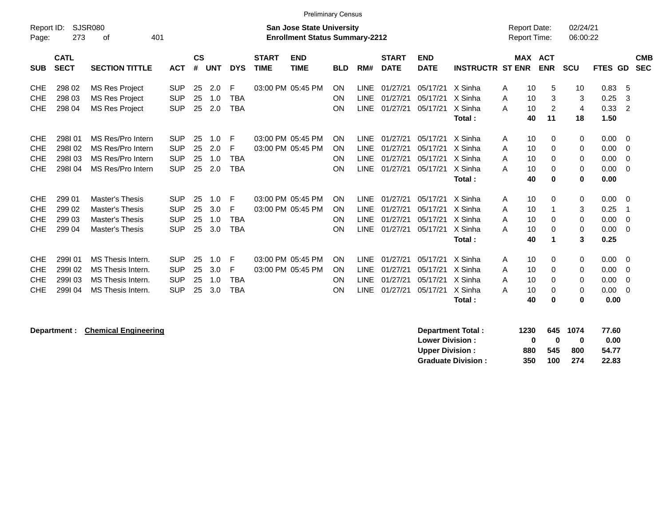|            | <b>Preliminary Census</b> |                          |            |               |            |            |              |                                       |            |             |              |             |                         |                     |                |                      |             |                  |
|------------|---------------------------|--------------------------|------------|---------------|------------|------------|--------------|---------------------------------------|------------|-------------|--------------|-------------|-------------------------|---------------------|----------------|----------------------|-------------|------------------|
| Report ID: |                           | <b>SJSR080</b>           |            |               |            |            |              | <b>San Jose State University</b>      |            |             |              |             |                         | <b>Report Date:</b> |                |                      | 02/24/21    |                  |
| Page:      | 273                       | 401<br>оf                |            |               |            |            |              | <b>Enrollment Status Summary-2212</b> |            |             |              |             |                         | Report Time:        |                |                      | 06:00:22    |                  |
|            | <b>CATL</b>               |                          |            | $\mathsf{cs}$ |            |            | <b>START</b> | <b>END</b>                            |            |             | <b>START</b> | <b>END</b>  |                         |                     | <b>MAX ACT</b> |                      |             | <b>CMB</b>       |
| <b>SUB</b> | <b>SECT</b>               | <b>SECTION TITTLE</b>    | <b>ACT</b> | #             | <b>UNT</b> | <b>DYS</b> | <b>TIME</b>  | <b>TIME</b>                           | <b>BLD</b> | RM#         | <b>DATE</b>  | <b>DATE</b> | <b>INSTRUCTR ST ENR</b> |                     | <b>ENR</b>     | <b>SCU</b>           | <b>FTES</b> | GD<br><b>SEC</b> |
|            |                           |                          |            |               |            |            |              |                                       |            |             |              |             |                         |                     |                |                      |             |                  |
| <b>CHE</b> | 298 02                    | <b>MS Res Project</b>    | <b>SUP</b> | 25            | 2.0        | F          |              | 03:00 PM 05:45 PM                     | ON         | <b>LINE</b> | 01/27/21     | 05/17/21    | X Sinha                 | 10<br>A             |                | 5<br>10              | 0.83        | -5               |
| <b>CHE</b> | 298 03                    | <b>MS Res Project</b>    | <b>SUP</b> | 25            | 1.0        | <b>TBA</b> |              |                                       | ON         | <b>LINE</b> | 01/27/21     | 05/17/21    | X Sinha                 | 10<br>A             |                | 3<br>3               | 0.25        | 3                |
| <b>CHE</b> | 298 04                    | <b>MS Res Project</b>    | <b>SUP</b> | 25            | 2.0        | <b>TBA</b> |              |                                       | ON         | <b>LINE</b> | 01/27/21     | 05/17/21    | X Sinha                 | 10<br>A             |                | 2<br>$\overline{4}$  | 0.33        | $\overline{2}$   |
|            |                           |                          |            |               |            |            |              |                                       |            |             |              |             | Total:                  | 40                  | 11             | 18                   | 1.50        |                  |
| <b>CHE</b> | 298101                    | MS Res/Pro Intern        | <b>SUP</b> | 25            | 1.0        | F          |              | 03:00 PM 05:45 PM                     | ON         | <b>LINE</b> | 01/27/21     | 05/17/21    | X Sinha                 | 10<br>A             |                | 0<br>0               | 0.00        | - 0              |
| <b>CHE</b> | 298102                    | MS Res/Pro Intern        | <b>SUP</b> | 25            | 2.0        | F          |              | 03:00 PM 05:45 PM                     | ON         | <b>LINE</b> | 01/27/21     | 05/17/21    | X Sinha                 | 10<br>A             |                | 0<br>0               | 0.00        | -0               |
| <b>CHE</b> | 298103                    | MS Res/Pro Intern        | <b>SUP</b> | 25            | 1.0        | <b>TBA</b> |              |                                       | ON         | <b>LINE</b> | 01/27/21     | 05/17/21    | X Sinha                 | A<br>10             |                | 0<br>0               | 0.00        | -0               |
| <b>CHE</b> | 298104                    | MS Res/Pro Intern        | <b>SUP</b> | 25            | 2.0        | <b>TBA</b> |              |                                       | ON         | LINE        | 01/27/21     | 05/17/21    | X Sinha                 | 10<br>A             |                | 0<br>$\Omega$        | 0.00        | 0                |
|            |                           |                          |            |               |            |            |              |                                       |            |             |              |             | Total:                  | 40                  |                | $\bf{0}$<br>$\bf{0}$ | 0.00        |                  |
|            |                           |                          |            |               |            |            |              |                                       |            |             |              |             |                         |                     |                |                      |             |                  |
| <b>CHE</b> | 299 01                    | <b>Master's Thesis</b>   | <b>SUP</b> | 25            | 1.0        | F          |              | 03:00 PM 05:45 PM                     | ON         | <b>LINE</b> | 01/27/21     | 05/17/21    | X Sinha                 | A<br>10             |                | $\mathbf 0$<br>0     | 0.00        | $\overline{0}$   |
| <b>CHE</b> | 299 02                    | <b>Master's Thesis</b>   | <b>SUP</b> | 25            | 3.0        | F          |              | 03:00 PM 05:45 PM                     | ON         | <b>LINE</b> | 01/27/21     | 05/17/21    | X Sinha                 | 10<br>A             |                | 3                    | 0.25        | -1               |
| <b>CHE</b> | 299 03                    | <b>Master's Thesis</b>   | <b>SUP</b> | 25            | 1.0        | <b>TBA</b> |              |                                       | ON         | <b>LINE</b> | 01/27/21     | 05/17/21    | X Sinha                 | 10<br>A             |                | 0<br>0               | 0.00        | - 0              |
| <b>CHE</b> | 299 04                    | <b>Master's Thesis</b>   | <b>SUP</b> | 25            | 3.0        | <b>TBA</b> |              |                                       | ON         | <b>LINE</b> | 01/27/21     | 05/17/21    | X Sinha                 | 10<br>A             |                | 0<br>0               | 0.00        | - 0              |
|            |                           |                          |            |               |            |            |              |                                       |            |             |              |             | Total:                  | 40                  |                | 1                    | 3<br>0.25   |                  |
|            |                           |                          |            |               |            |            |              |                                       |            |             |              |             |                         |                     |                |                      |             |                  |
| <b>CHE</b> | 299101                    | MS Thesis Intern.        | <b>SUP</b> | 25            | 1.0        | F          |              | 03:00 PM 05:45 PM                     | ON         | <b>LINE</b> | 01/27/21     | 05/17/21    | X Sinha                 | 10<br>A             |                | 0                    | 0.00<br>0   | - 0              |
| <b>CHE</b> | 299102                    | MS Thesis Intern.        | <b>SUP</b> | 25            | 3.0        | F          |              | 03:00 PM 05:45 PM                     | ON         | <b>LINE</b> | 01/27/21     | 05/17/21    | X Sinha                 | 10<br>A             |                | 0<br>0               | 0.00        | -0               |
| <b>CHE</b> | 299103                    | MS Thesis Intern.        | <b>SUP</b> | 25            | 1.0        | <b>TBA</b> |              |                                       | ON         | <b>LINE</b> | 01/27/21     | 05/17/21    | X Sinha                 | 10<br>A             |                | $\Omega$<br>0        | 0.00        | - 0              |
| <b>CHE</b> | 299104                    | <b>MS Thesis Intern.</b> | <b>SUP</b> | 25            | 3.0        | TBA        |              |                                       | ON         | <b>LINE</b> | 01/27/21     | 05/17/21    | X Sinha                 | 10<br>A             |                | 0<br>0               | 0.00        | - 0              |
|            |                           |                          |            |               |            |            |              |                                       |            |             |              |             | Total:                  | 40                  |                | 0<br>0               | 0.00        |                  |
|            |                           |                          |            |               |            |            |              |                                       |            |             |              |             |                         |                     |                |                      |             |                  |

**Department :** Chemical Engineering **Chemical Engineering**<br> **Department Total : 1230 645 1074 77.60**<br>
Lower Division : 0 0 0 0.00 **Lower Division :<br>Upper Division :** 880 545 800 54.77<br>350 100 274 22.83 **Graduate Division :**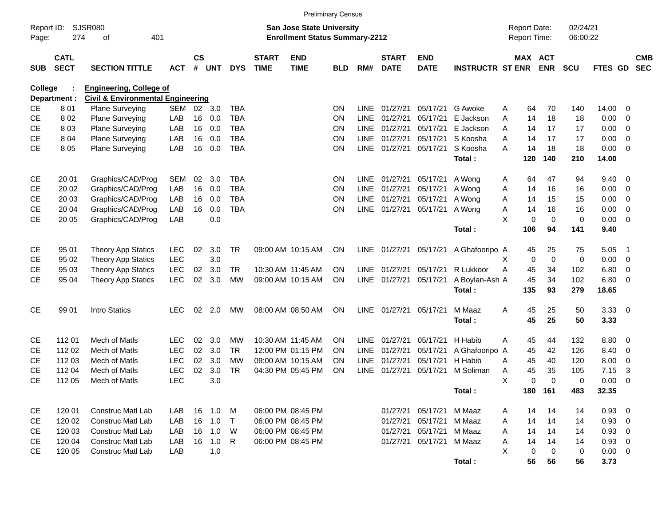|                     |                            |                                                                                |            |                       |            |            |                             |                                                                           | <b>Preliminary Census</b> |             |                             |                           |                         |                                     |             |                       |                      |             |                         |                          |
|---------------------|----------------------------|--------------------------------------------------------------------------------|------------|-----------------------|------------|------------|-----------------------------|---------------------------------------------------------------------------|---------------------------|-------------|-----------------------------|---------------------------|-------------------------|-------------------------------------|-------------|-----------------------|----------------------|-------------|-------------------------|--------------------------|
| Report ID:<br>Page: | 274                        | SJSR080<br>401<br>οf                                                           |            |                       |            |            |                             | <b>San Jose State University</b><br><b>Enrollment Status Summary-2212</b> |                           |             |                             |                           |                         | <b>Report Date:</b><br>Report Time: |             |                       | 02/24/21<br>06:00:22 |             |                         |                          |
| <b>SUB</b>          | <b>CATL</b><br><b>SECT</b> | <b>SECTION TITTLE</b>                                                          | <b>ACT</b> | $\mathsf{cs}$<br>$\#$ | <b>UNT</b> | <b>DYS</b> | <b>START</b><br><b>TIME</b> | <b>END</b><br><b>TIME</b>                                                 | <b>BLD</b>                | RM#         | <b>START</b><br><b>DATE</b> | <b>END</b><br><b>DATE</b> | <b>INSTRUCTR ST ENR</b> |                                     |             | MAX ACT<br><b>ENR</b> | <b>SCU</b>           | FTES GD     |                         | <b>CMB</b><br><b>SEC</b> |
| College             | Department :               | <b>Engineering, College of</b><br><b>Civil &amp; Environmental Engineering</b> |            |                       |            |            |                             |                                                                           |                           |             |                             |                           |                         |                                     |             |                       |                      |             |                         |                          |
| <b>CE</b>           | 801                        | Plane Surveying                                                                | <b>SEM</b> | 02                    | 3.0        | <b>TBA</b> |                             |                                                                           | <b>ON</b>                 | <b>LINE</b> | 01/27/21                    | 05/17/21                  | G Awoke                 | A                                   | 64          | 70                    | 140                  | 14.00       | $\overline{0}$          |                          |
| <b>CE</b>           | 8 0 2                      | Plane Surveying                                                                | LAB        | 16                    | 0.0        | <b>TBA</b> |                             |                                                                           | ON                        | <b>LINE</b> | 01/27/21                    | 05/17/21                  | E Jackson               | A                                   | 14          | 18                    | 18                   | 0.00        | 0                       |                          |
| <b>CE</b>           | 803                        | <b>Plane Surveying</b>                                                         | LAB        | 16                    | 0.0        | <b>TBA</b> |                             |                                                                           | ON                        | <b>LINE</b> | 01/27/21                    | 05/17/21                  | E Jackson               | A                                   | 14          | 17                    | 17                   | 0.00        | 0                       |                          |
| <b>CE</b>           | 8 0 4                      | Plane Surveying                                                                | LAB        | 16                    | 0.0        | <b>TBA</b> |                             |                                                                           | ON                        | <b>LINE</b> | 01/27/21                    | 05/17/21                  | S Koosha                | A                                   | 14          | 17                    | 17                   | 0.00        | 0                       |                          |
| CE                  | 8 0 5                      | Plane Surveying                                                                | LAB        | 16                    | 0.0        | <b>TBA</b> |                             |                                                                           | ON                        | <b>LINE</b> | 01/27/21                    | 05/17/21                  | S Koosha                | A                                   | 14          | 18                    | 18                   | 0.00        | $\overline{0}$          |                          |
|                     |                            |                                                                                |            |                       |            |            |                             |                                                                           |                           |             |                             |                           | Total:                  |                                     | 120         | 140                   | 210                  | 14.00       |                         |                          |
| <b>CE</b>           | 20 01                      | Graphics/CAD/Prog                                                              | <b>SEM</b> | 02                    | 3.0        | <b>TBA</b> |                             |                                                                           | <b>ON</b>                 | LINE        | 01/27/21                    | 05/17/21                  | A Wong                  | A                                   | 64          | 47                    | 94                   | 9.40        | $\overline{0}$          |                          |
| <b>CE</b>           | 20 02                      | Graphics/CAD/Prog                                                              | LAB        | 16                    | 0.0        | <b>TBA</b> |                             |                                                                           | ON                        | <b>LINE</b> | 01/27/21                    | 05/17/21                  | A Wong                  | A                                   | 14          | 16                    | 16                   | 0.00        | 0                       |                          |
| <b>CE</b>           | 20 03                      | Graphics/CAD/Prog                                                              | LAB        | 16                    | 0.0        | <b>TBA</b> |                             |                                                                           | ON                        | <b>LINE</b> | 01/27/21                    | 05/17/21                  | A Wong                  | A                                   | 14          | 15                    | 15                   | 0.00        | $\mathbf 0$             |                          |
| <b>CE</b>           | 20 04                      | Graphics/CAD/Prog                                                              | LAB        | 16                    | 0.0        | <b>TBA</b> |                             |                                                                           | ON                        | <b>LINE</b> | 01/27/21                    | 05/17/21                  | A Wong                  | Α                                   | 14          | 16                    | 16                   | 0.00        | $\mathbf 0$             |                          |
| CE                  | 20 05                      | Graphics/CAD/Prog                                                              | LAB        |                       | 0.0        |            |                             |                                                                           |                           |             |                             |                           |                         | X                                   | $\mathbf 0$ | $\mathbf 0$           | 0                    | 0.00        | $\overline{0}$          |                          |
|                     |                            |                                                                                |            |                       |            |            |                             |                                                                           |                           |             |                             |                           | Total:                  |                                     | 106         | 94                    | 141                  | 9.40        |                         |                          |
| <b>CE</b>           | 95 01                      | <b>Theory App Statics</b>                                                      | <b>LEC</b> | 02                    | 3.0        | <b>TR</b>  |                             | 09:00 AM 10:15 AM                                                         | <b>ON</b>                 | LINE        | 01/27/21                    | 05/17/21                  | A Ghafooripo A          |                                     | 45          | 25                    | 75                   | 5.05        | - 1                     |                          |
| <b>CE</b>           | 95 02                      | <b>Theory App Statics</b>                                                      | <b>LEC</b> |                       | 3.0        |            |                             |                                                                           |                           |             |                             |                           |                         | X                                   | $\mathbf 0$ | $\mathbf 0$           | $\mathbf 0$          | 0.00        | $\mathbf 0$             |                          |
| <b>CE</b>           | 95 03                      | <b>Theory App Statics</b>                                                      | <b>LEC</b> | 02                    | 3.0        | <b>TR</b>  |                             | 10:30 AM 11:45 AM                                                         | ON                        | <b>LINE</b> | 01/27/21                    | 05/17/21                  | R Lukkoor               | A                                   | 45          | 34                    | 102                  | 6.80        | 0                       |                          |
| <b>CE</b>           | 95 04                      | <b>Theory App Statics</b>                                                      | <b>LEC</b> | 02                    | 3.0        | <b>MW</b>  |                             | 09:00 AM 10:15 AM                                                         | <b>ON</b>                 | LINE        | 01/27/21                    | 05/17/21                  | A Boylan-Ash A          |                                     | 45          | 34                    | 102                  | 6.80        | $\overline{0}$          |                          |
|                     |                            |                                                                                |            |                       |            |            |                             |                                                                           |                           |             |                             |                           | Total:                  |                                     | 135         | 93                    | 279                  | 18.65       |                         |                          |
| <b>CE</b>           | 99 01                      | <b>Intro Statics</b>                                                           | <b>LEC</b> | 02                    | 2.0        | MW         |                             | 08:00 AM 08:50 AM                                                         | <b>ON</b>                 | LINE        | 01/27/21                    | 05/17/21                  | M Maaz                  | A                                   | 45          | 25                    | 50                   | 3.33        | $\overline{\mathbf{0}}$ |                          |
|                     |                            |                                                                                |            |                       |            |            |                             |                                                                           |                           |             |                             |                           | Total:                  |                                     | 45          | 25                    | 50                   | 3.33        |                         |                          |
| <b>CE</b>           | 11201                      | Mech of Matls                                                                  | <b>LEC</b> | 02                    | 3.0        | MW         |                             | 10:30 AM 11:45 AM                                                         | <b>ON</b>                 | <b>LINE</b> | 01/27/21                    | 05/17/21                  | H Habib                 | A                                   | 45          | 44                    | 132                  | 8.80        | $\overline{0}$          |                          |
| <b>CE</b>           | 112 02                     | Mech of Matls                                                                  | <b>LEC</b> | 02                    | 3.0        | <b>TR</b>  |                             | 12:00 PM 01:15 PM                                                         | <b>ON</b>                 | <b>LINE</b> | 01/27/21                    | 05/17/21                  | A Ghafooripo A          |                                     | 45          | 42                    | 126                  | 8.40        | 0                       |                          |
| <b>CE</b>           | 112 03                     | Mech of Matls                                                                  | <b>LEC</b> | 02                    | 3.0        | <b>MW</b>  |                             | 09:00 AM 10:15 AM                                                         | <b>ON</b>                 | <b>LINE</b> | 01/27/21                    | 05/17/21                  | H Habib                 | A                                   | 45          | 40                    | 120                  | 8.00        | $\mathbf 0$             |                          |
| <b>CE</b>           | 112 04                     | Mech of Matls                                                                  | <b>LEC</b> | 02                    | 3.0        | <b>TR</b>  |                             | 04:30 PM 05:45 PM                                                         | ON                        | <b>LINE</b> | 01/27/21                    | 05/17/21                  | M Soliman               | Α                                   | 45          | 35                    | 105                  | 7.15        | 3                       |                          |
| CE                  | 112 05                     | Mech of Matls                                                                  | <b>LEC</b> |                       | 3.0        |            |                             |                                                                           |                           |             |                             |                           |                         | X                                   | 0           | $\Omega$              | 0                    | 0.00        | $\mathbf 0$             |                          |
|                     |                            |                                                                                |            |                       |            |            |                             |                                                                           |                           |             |                             |                           | Total:                  |                                     |             | 180 161               | 483                  | 32.35       |                         |                          |
| CE                  | 120 01                     | <b>Construc Matl Lab</b>                                                       | LAB        | 16                    | 1.0        | M          |                             | 06:00 PM 08:45 PM                                                         |                           |             | 01/27/21                    | 05/17/21                  | M Maaz                  | A                                   | 14          | 14                    | 14                   | 0.93        | $\overline{\mathbf{0}}$ |                          |
| CE                  | 120 02                     | <b>Construc Matl Lab</b>                                                       | LAB        | 16                    | 1.0        | $\top$     |                             | 06:00 PM 08:45 PM                                                         |                           |             | 01/27/21                    | 05/17/21                  | M Maaz                  | A                                   | 14          | 14                    | 14                   | 0.93 0      |                         |                          |
| CE                  | 120 03                     | <b>Construc Matl Lab</b>                                                       | LAB        | 16                    | 1.0        | W          |                             | 06:00 PM 08:45 PM                                                         |                           |             | 01/27/21                    | 05/17/21                  | M Maaz                  | Α                                   | 14          | 14                    | 14                   | 0.93 0      |                         |                          |
| CE                  | 120 04                     | Construc Matl Lab                                                              | LAB        | 16                    | 1.0        | R          |                             | 06:00 PM 08:45 PM                                                         |                           |             | 01/27/21                    | 05/17/21                  | M Maaz                  | Α                                   | 14          | 14                    | 14                   | $0.93$ 0    |                         |                          |
| <b>CE</b>           | 120 05                     | Construc Matl Lab                                                              | LAB        |                       | 1.0        |            |                             |                                                                           |                           |             |                             |                           |                         | X                                   | 0           | 0                     | 0                    | $0.00 \t 0$ |                         |                          |
|                     |                            |                                                                                |            |                       |            |            |                             |                                                                           |                           |             |                             |                           | Total:                  |                                     | 56          | 56                    | 56                   | 3.73        |                         |                          |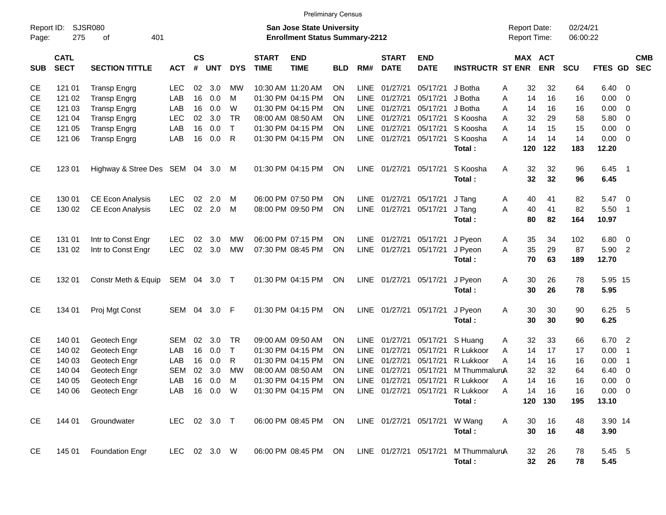|            |                            |                                |              |                             |            |              |                             | <b>Preliminary Census</b>                                                 |            |             |                             |                               |                                  |                                            |                       |                      |                |                            |                          |
|------------|----------------------------|--------------------------------|--------------|-----------------------------|------------|--------------|-----------------------------|---------------------------------------------------------------------------|------------|-------------|-----------------------------|-------------------------------|----------------------------------|--------------------------------------------|-----------------------|----------------------|----------------|----------------------------|--------------------------|
| Page:      | Report ID: SJSR080<br>275  | 401<br>оf                      |              |                             |            |              |                             | <b>San Jose State University</b><br><b>Enrollment Status Summary-2212</b> |            |             |                             |                               |                                  | <b>Report Date:</b><br><b>Report Time:</b> |                       | 02/24/21<br>06:00:22 |                |                            |                          |
| <b>SUB</b> | <b>CATL</b><br><b>SECT</b> | <b>SECTION TITTLE</b>          | <b>ACT</b>   | $\mathsf{cs}$<br>$\pmb{\#}$ | <b>UNT</b> | <b>DYS</b>   | <b>START</b><br><b>TIME</b> | <b>END</b><br><b>TIME</b>                                                 | <b>BLD</b> | RM#         | <b>START</b><br><b>DATE</b> | <b>END</b><br><b>DATE</b>     | <b>INSTRUCTR ST ENR</b>          |                                            | MAX ACT<br><b>ENR</b> | SCU                  | FTES GD        |                            | <b>CMB</b><br><b>SEC</b> |
| <b>CE</b>  | 121 01                     | <b>Transp Engrg</b>            | <b>LEC</b>   | 02                          | 3.0        | MW           |                             | 10:30 AM 11:20 AM                                                         | ON         | LINE        | 01/27/21                    | 05/17/21                      | J Botha                          | 32<br>Α                                    | 32                    | 64                   | $6.40 \quad 0$ |                            |                          |
| <b>CE</b>  | 121 02                     | <b>Transp Engrg</b>            | LAB          | 16                          | 0.0        | м            |                             | 01:30 PM 04:15 PM                                                         | ON         | <b>LINE</b> | 01/27/21                    | 05/17/21                      | J Botha                          | 14<br>Α                                    | 16                    | 16                   | 0.00           | $\overline{\phantom{0}}$   |                          |
| <b>CE</b>  | 121 03                     | <b>Transp Engrg</b>            | LAB          | 16                          | 0.0        | W            |                             | 01:30 PM 04:15 PM                                                         | ON         | <b>LINE</b> | 01/27/21                    | 05/17/21                      | J Botha                          | 14<br>Α                                    | 16                    | 16                   | 0.00           | $\overline{\mathbf{0}}$    |                          |
| <b>CE</b>  | 121 04                     | <b>Transp Engrg</b>            | <b>LEC</b>   | 02                          | 3.0        | <b>TR</b>    |                             | 08:00 AM 08:50 AM                                                         | ON         | <b>LINE</b> | 01/27/21                    | 05/17/21                      | S Koosha                         | 32<br>Α                                    | 29                    | 58                   | 5.80 0         |                            |                          |
| <b>CE</b>  | 121 05                     | <b>Transp Engrg</b>            | LAB          | 16                          | 0.0        | $\top$       |                             | 01:30 PM 04:15 PM                                                         | ON         | <b>LINE</b> | 01/27/21                    | 05/17/21                      | S Koosha                         | A<br>14                                    | 15                    | 15                   | 0.00           | $\overline{\phantom{0}}$   |                          |
| <b>CE</b>  | 121 06                     | <b>Transp Engrg</b>            | LAB          | 16                          | 0.0        | $\mathsf{R}$ |                             | 01:30 PM 04:15 PM                                                         | ON         | LINE        | 01/27/21                    | 05/17/21                      | S Koosha                         | A<br>14                                    | 14                    | 14                   | $0.00 \t 0$    |                            |                          |
|            |                            |                                |              |                             |            |              |                             |                                                                           |            |             |                             |                               | Total:                           | 120                                        | 122                   | 183                  | 12.20          |                            |                          |
| <b>CE</b>  | 123 01                     | Highway & Stree Des SEM 04 3.0 |              |                             |            | M            |                             | 01:30 PM 04:15 PM                                                         | ON         | LINE        | 01/27/21 05/17/21           |                               | S Koosha                         | A<br>32                                    | 32                    | 96                   | $6.45$ 1       |                            |                          |
|            |                            |                                |              |                             |            |              |                             |                                                                           |            |             |                             |                               | Total:                           | 32                                         | 32                    | 96                   | 6.45           |                            |                          |
| <b>CE</b>  | 130 01                     | <b>CE Econ Analysis</b>        | <b>LEC</b>   | 02                          | 2.0        | M            |                             | 06:00 PM 07:50 PM                                                         | <b>ON</b>  | LINE        | 01/27/21                    | 05/17/21                      | J Tang                           | Α<br>40                                    | 41                    | 82                   | $5.47 \quad 0$ |                            |                          |
| <b>CE</b>  | 130 02                     | <b>CE Econ Analysis</b>        | <b>LEC</b>   | 02                          | 2.0        | M            |                             | 08:00 PM 09:50 PM                                                         | ON         | <b>LINE</b> | 01/27/21                    | 05/17/21                      | J Tang                           | 40<br>A                                    | 41                    | 82                   | 5.50 1         |                            |                          |
|            |                            |                                |              |                             |            |              |                             |                                                                           |            |             |                             |                               | Total:                           | 80                                         | 82                    | 164                  | 10.97          |                            |                          |
| <b>CE</b>  | 131 01                     | Intr to Const Engr             | <b>LEC</b>   | 02                          | 3.0        | <b>MW</b>    |                             | 06:00 PM 07:15 PM                                                         | <b>ON</b>  | LINE        | 01/27/21                    | 05/17/21                      | J Pyeon                          | 35<br>Α                                    | 34                    | 102                  | $6.80$ 0       |                            |                          |
| <b>CE</b>  | 131 02                     | Intr to Const Engr             | <b>LEC</b>   | 02                          | 3.0        | <b>MW</b>    |                             | 07:30 PM 08:45 PM                                                         | ON         | <b>LINE</b> | 01/27/21                    | 05/17/21                      | J Pyeon                          | 35<br>A                                    | 29                    | 87                   | 5.90           | $\overline{2}$             |                          |
|            |                            |                                |              |                             |            |              |                             |                                                                           |            |             |                             |                               | Total:                           | 70                                         | 63                    | 189                  | 12.70          |                            |                          |
| <b>CE</b>  | 132 01                     | Constr Meth & Equip            | SEM 04       |                             | 3.0 T      |              |                             | 01:30 PM 04:15 PM                                                         | ON         | LINE        | 01/27/21                    | 05/17/21                      | J Pyeon                          | 30<br>Α                                    | 26                    | 78                   | 5.95 15        |                            |                          |
|            |                            |                                |              |                             |            |              |                             |                                                                           |            |             |                             |                               | Total:                           | 30                                         | 26                    | 78                   | 5.95           |                            |                          |
| <b>CE</b>  | 134 01                     | Proj Mgt Const                 | SEM          | 04                          | 3.0        | F            |                             | 01:30 PM 04:15 PM                                                         | ON         | LINE        | 01/27/21                    | 05/17/21                      | J Pyeon<br>Total:                | 30<br>Α<br>30                              | 30<br>30              | 90<br>90             | 6.25<br>6.25   | $-5$                       |                          |
| <b>CE</b>  | 140 01                     | Geotech Engr                   | <b>SEM</b>   | 02                          | 3.0        | <b>TR</b>    |                             | 09:00 AM 09:50 AM                                                         | ON         | LINE        | 01/27/21                    | 05/17/21                      | S Huang                          | 32<br>Α                                    | 33                    | 66                   | 6.70           | $\overline{\phantom{0}}$   |                          |
| <b>CE</b>  | 140 02                     | Geotech Engr                   | LAB          | 16                          | 0.0        | $\mathsf{T}$ |                             | 01:30 PM 04:15 PM                                                         | ON         | <b>LINE</b> | 01/27/21                    | 05/17/21                      | R Lukkoor                        | 14<br>A                                    | 17                    | 17                   | 0.00           | $\overline{\phantom{0}}$ 1 |                          |
| <b>CE</b>  | 140 03                     | Geotech Engr                   | LAB          | 16                          | 0.0        | R            |                             | 01:30 PM 04:15 PM                                                         | ON         | LINE        | 01/27/21                    | 05/17/21                      | R Lukkoor                        | A<br>14                                    | 16                    | 16                   | 0.00           | $\overline{\phantom{0}}$ 1 |                          |
| <b>CE</b>  | 140 04                     | Geotech Engr                   | <b>SEM</b>   | 02                          | 3.0        | <b>MW</b>    |                             | 08:00 AM 08:50 AM                                                         | ΟN         | <b>LINE</b> | 01/27/21                    | 05/17/21                      | M ThummaluruA                    | 32                                         | 32                    | 64                   | 6.40           | $\overline{\mathbf{0}}$    |                          |
| CE         | 140 05                     | Geotech Engr                   | LAB          | 16                          | 0.0        | M            |                             | 01:30 PM 04:15 PM                                                         | ON         | <b>LINE</b> | 01/27/21                    | 05/17/21                      | R Lukkoor                        | A<br>14                                    | 16                    | 16                   | 0.00           | - 0                        |                          |
| <b>CE</b>  |                            | 140 06 Geotech Engr            | LAB          |                             | 16  0.0  W |              |                             | 01:30 PM 04:15 PM ON                                                      |            |             |                             |                               | LINE 01/27/21 05/17/21 R Lukkoor | 14<br>A                                    | 16                    | 16                   | $0.00 \t 0$    |                            |                          |
|            |                            |                                |              |                             |            |              |                             |                                                                           |            |             |                             |                               | Total:                           |                                            | 120 130               | 195                  | 13.10          |                            |                          |
| <b>CE</b>  | 144 01                     | Groundwater                    | LEC 02 3.0 T |                             |            |              |                             | 06:00 PM 08:45 PM ON                                                      |            |             |                             | LINE 01/27/21 05/17/21 W Wang |                                  | A<br>30                                    | 16                    | 48                   | 3.90 14        |                            |                          |
|            |                            |                                |              |                             |            |              |                             |                                                                           |            |             |                             |                               | Total:                           | 30                                         | 16                    | 48                   | 3.90           |                            |                          |
| CE         |                            | 145 01 Foundation Engr         | LEC 02 3.0 W |                             |            |              |                             | 06:00 PM 08:45 PM ON                                                      |            |             | LINE 01/27/21 05/17/21      |                               | M ThummaluruA                    | 32                                         | 26                    | 78                   | 5.45 5         |                            |                          |
|            |                            |                                |              |                             |            |              |                             |                                                                           |            |             |                             |                               | Total:                           | 32 <sub>2</sub>                            | 26                    | 78                   | 5.45           |                            |                          |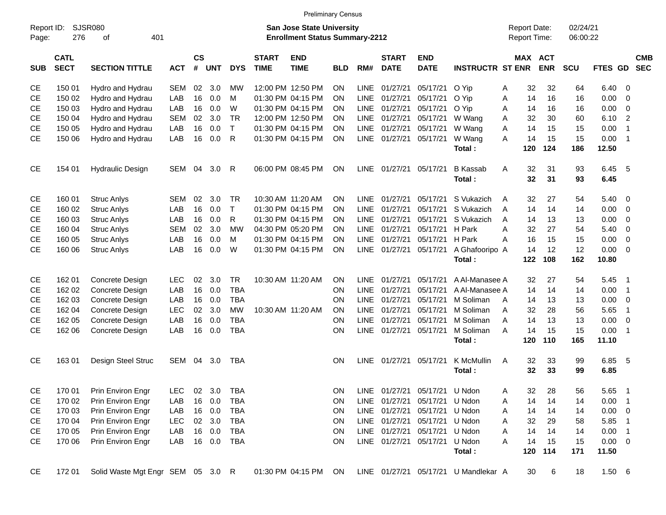|                     |                            |                                   |            |                    |            |              |                             | <b>Preliminary Census</b>                                                 |            |             |                             |                               |                                      |                                     |          |                              |                      |              |                |                          |
|---------------------|----------------------------|-----------------------------------|------------|--------------------|------------|--------------|-----------------------------|---------------------------------------------------------------------------|------------|-------------|-----------------------------|-------------------------------|--------------------------------------|-------------------------------------|----------|------------------------------|----------------------|--------------|----------------|--------------------------|
| Report ID:<br>Page: | 276                        | <b>SJSR080</b><br>401<br>of       |            |                    |            |              |                             | <b>San Jose State University</b><br><b>Enrollment Status Summary-2212</b> |            |             |                             |                               |                                      | <b>Report Date:</b><br>Report Time: |          |                              | 02/24/21<br>06:00:22 |              |                |                          |
| <b>SUB</b>          | <b>CATL</b><br><b>SECT</b> | <b>SECTION TITTLE</b>             | <b>ACT</b> | $\mathsf{cs}$<br># | <b>UNT</b> | <b>DYS</b>   | <b>START</b><br><b>TIME</b> | <b>END</b><br><b>TIME</b>                                                 | <b>BLD</b> | RM#         | <b>START</b><br><b>DATE</b> | <b>END</b><br><b>DATE</b>     | <b>INSTRUCTR ST ENR</b>              |                                     |          | <b>MAX ACT</b><br><b>ENR</b> | <b>SCU</b>           | FTES GD      |                | <b>CMB</b><br><b>SEC</b> |
| <b>CE</b>           | 150 01                     | Hydro and Hydrau                  | <b>SEM</b> | 02                 | 3.0        | мw           |                             | 12:00 PM 12:50 PM                                                         | ΟN         | LINE        | 01/27/21                    | 05/17/21                      | O Yip                                | Α                                   | 32       | 32                           | 64                   | 6.40         | $\mathbf 0$    |                          |
| <b>CE</b>           | 150 02                     | Hydro and Hydrau                  | LAB        | 16                 | 0.0        | м            |                             | 01:30 PM 04:15 PM                                                         | ON         | <b>LINE</b> | 01/27/21                    | 05/17/21                      | O Yip                                | Α                                   | 14       | 16                           | 16                   | 0.00         | 0              |                          |
| <b>CE</b>           | 150 03                     | Hydro and Hydrau                  | LAB        | 16                 | 0.0        | W            |                             | 01:30 PM 04:15 PM                                                         | ON         | <b>LINE</b> | 01/27/21                    | 05/17/21                      | O Yip                                | Α                                   | 14       | 16                           | 16                   | 0.00         | 0              |                          |
| CЕ                  | 150 04                     | Hydro and Hydrau                  | <b>SEM</b> | 02                 | 3.0        | <b>TR</b>    |                             | 12:00 PM 12:50 PM                                                         | ΟN         | LINE        | 01/27/21                    | 05/17/21                      | W Wang                               | Α                                   | 32       | 30                           | 60                   | 6.10         | $\overline{2}$ |                          |
| <b>CE</b>           | 150 05                     | Hydro and Hydrau                  | LAB        | 16                 | 0.0        | T            |                             | 01:30 PM 04:15 PM                                                         | ΟN         |             | LINE 01/27/21               | 05/17/21                      | W Wang                               | A                                   | 14       | 15                           | 15                   | 0.00         | $\overline{1}$ |                          |
| <b>CE</b>           | 150 06                     | Hydro and Hydrau                  | LAB        | 16                 | 0.0        | R            |                             | 01:30 PM 04:15 PM                                                         | ON.        |             | LINE 01/27/21               | 05/17/21                      | W Wang                               | А                                   | 14       | 15                           | 15                   | 0.00         | $\overline{1}$ |                          |
|                     |                            |                                   |            |                    |            |              |                             |                                                                           |            |             |                             |                               | Total:                               |                                     | 120      | 124                          | 186                  | 12.50        |                |                          |
| <b>CE</b>           | 154 01                     | <b>Hydraulic Design</b>           | SEM        | 04                 | 3.0        | R            |                             | 06:00 PM 08:45 PM                                                         | ON         |             | LINE 01/27/21               | 05/17/21                      | <b>B</b> Kassab<br>Total:            | A                                   | 32<br>32 | 31<br>31                     | 93<br>93             | 6.45<br>6.45 | -5             |                          |
| CE                  | 160 01                     | <b>Struc Anlys</b>                | SEM        | 02                 | 3.0        | <b>TR</b>    |                             | 10:30 AM 11:20 AM                                                         | ON         | <b>LINE</b> | 01/27/21                    | 05/17/21                      | S Vukazich                           | A                                   | 32       | 27                           | 54                   | 5.40         | 0              |                          |
| <b>CE</b>           | 160 02                     | <b>Struc Anlys</b>                | LAB        | 16                 | 0.0        | T            |                             | 01:30 PM 04:15 PM                                                         | ON         | <b>LINE</b> | 01/27/21                    | 05/17/21                      | S Vukazich                           | A                                   | 14       | 14                           | 14                   | 0.00         | 0              |                          |
| <b>CE</b>           | 160 03                     | <b>Struc Anlys</b>                | LAB        | 16                 | 0.0        | R            |                             | 01:30 PM 04:15 PM                                                         | ON         | <b>LINE</b> | 01/27/21                    | 05/17/21                      | S Vukazich                           | A                                   | 14       | 13                           | 13                   | 0.00         | 0              |                          |
| CЕ                  | 160 04                     | <b>Struc Anlys</b>                | <b>SEM</b> | 02                 | 3.0        | <b>MW</b>    |                             | 04:30 PM 05:20 PM                                                         | ON         | <b>LINE</b> | 01/27/21                    | 05/17/21                      | H Park                               | A                                   | 32       | 27                           | 54                   | 5.40         | $\mathbf 0$    |                          |
| <b>CE</b>           | 160 05                     | <b>Struc Anlys</b>                | LAB        | 16                 | 0.0        | м            |                             | 01:30 PM 04:15 PM                                                         | ON         | <b>LINE</b> | 01/27/21                    | 05/17/21                      | H Park                               | A                                   | 16       | 15                           | 15                   | 0.00         | $\mathbf 0$    |                          |
| <b>CE</b>           | 160 06                     | <b>Struc Anlys</b>                | LAB        | 16                 | 0.0        | W            |                             | 01:30 PM 04:15 PM                                                         | ΟN         |             | LINE 01/27/21               | 05/17/21                      | A Ghafooripo A                       |                                     | 14       | 12                           | 12                   | 0.00         | $\mathbf 0$    |                          |
|                     |                            |                                   |            |                    |            |              |                             |                                                                           |            |             |                             |                               | Total:                               |                                     | 122      | 108                          | 162                  | 10.80        |                |                          |
| CE                  | 162 01                     | Concrete Design                   | LEC        | 02                 | 3.0        | <b>TR</b>    |                             | 10:30 AM 11:20 AM                                                         | ON.        | <b>LINE</b> | 01/27/21                    | 05/17/21                      | A Al-Manasee A                       |                                     | 32       | 27                           | 54                   | 5.45         | $\overline{1}$ |                          |
| <b>CE</b>           | 162 02                     | Concrete Design                   | LAB        | 16                 | 0.0        | <b>TBA</b>   |                             |                                                                           | ON         | <b>LINE</b> | 01/27/21                    | 05/17/21                      | A Al-Manasee A                       |                                     | 14       | 14                           | 14                   | 0.00         | $\overline{1}$ |                          |
| <b>CE</b>           | 162 03                     | Concrete Design                   | LAB        | 16                 | 0.0        | <b>TBA</b>   |                             |                                                                           | ΟN         | <b>LINE</b> | 01/27/21                    | 05/17/21                      | M Soliman                            | A                                   | 14       | 13                           | 13                   | 0.00         | 0              |                          |
| <b>CE</b>           | 162 04                     | Concrete Design                   | <b>LEC</b> | 02                 | 3.0        | <b>MW</b>    |                             | 10:30 AM 11:20 AM                                                         | ON         | <b>LINE</b> | 01/27/21                    | 05/17/21                      | M Soliman                            | A                                   | 32       | 28                           | 56                   | 5.65         | $\overline{1}$ |                          |
| <b>CE</b>           | 162 05                     | Concrete Design                   | LAB        | 16                 | 0.0        | <b>TBA</b>   |                             |                                                                           | ΟN         | <b>LINE</b> | 01/27/21                    | 05/17/21                      | M Soliman                            | A                                   | 14       | 13                           | 13                   | 0.00         | $\mathbf 0$    |                          |
| <b>CE</b>           | 162 06                     | Concrete Design                   | LAB        | 16                 | 0.0        | <b>TBA</b>   |                             |                                                                           | ON         | LINE        | 01/27/21                    | 05/17/21                      | M Soliman                            | A                                   | 14       | 15                           | 15                   | 0.00         | $\mathbf 1$    |                          |
|                     |                            |                                   |            |                    |            |              |                             |                                                                           |            |             |                             |                               | Total:                               |                                     | 120      | 110                          | 165                  | 11.10        |                |                          |
| <b>CE</b>           | 16301                      | Design Steel Struc                | SEM        | 04                 | 3.0        | <b>TBA</b>   |                             |                                                                           | ON.        |             | LINE 01/27/21               | 05/17/21                      | K McMullin<br>Total:                 | A                                   | 32<br>32 | 33<br>33                     | 99<br>99             | 6.85<br>6.85 | -5             |                          |
| <b>CE</b>           | 170 01                     | Prin Environ Engr                 | LEC        | 02                 | 3.0        | <b>TBA</b>   |                             |                                                                           | ON         |             | LINE 01/27/21               | 05/17/21                      | U Ndon                               | A                                   | 32       | 28                           | 56                   | 5.65         | $\overline{1}$ |                          |
| CE                  | 170 02                     | Prin Environ Engr                 | LAB        |                    | 16 0.0     | <b>TBA</b>   |                             |                                                                           | ON         |             | LINE 01/27/21               | 05/17/21 U Ndon               |                                      | A                                   | 14       | 14                           | 14                   | 0.00         | $\overline{1}$ |                          |
| CE                  | 170 03                     | Prin Environ Engr                 | LAB        |                    | 16 0.0     | <b>TBA</b>   |                             |                                                                           | <b>ON</b>  |             |                             | LINE 01/27/21 05/17/21 U Ndon |                                      | A                                   | 14       | 14                           | 14                   | 0.00         | 0              |                          |
| CE                  | 170 04                     | Prin Environ Engr                 | <b>LEC</b> |                    | 02 3.0     | TBA          |                             |                                                                           | <b>ON</b>  |             |                             | LINE 01/27/21 05/17/21        | U Ndon                               | A                                   | 32       | 29                           | 58                   | 5.85         | -1             |                          |
| CE                  | 170 05                     | Prin Environ Engr                 | LAB        |                    | 16 0.0     | TBA          |                             |                                                                           | <b>ON</b>  |             |                             | LINE 01/27/21 05/17/21        | U Ndon                               | A                                   | 14       | 14                           | 14                   | 0.00         | - 1            |                          |
| <b>CE</b>           | 170 06                     | Prin Environ Engr                 | LAB        |                    |            | 16  0.0  TBA |                             |                                                                           | <b>ON</b>  |             |                             | LINE 01/27/21 05/17/21        | U Ndon                               | A                                   | 14       | 15                           | 15                   | 0.00         | 0              |                          |
|                     |                            |                                   |            |                    |            |              |                             |                                                                           |            |             |                             |                               | Total:                               |                                     | 120      | 114                          | 171                  | 11.50        |                |                          |
| CE                  | 172 01                     | Solid Waste Mgt Engr SEM 05 3.0 R |            |                    |            |              |                             | 01:30 PM 04:15 PM ON                                                      |            |             |                             |                               | LINE 01/27/21 05/17/21 U Mandlekar A |                                     | 30       | 6                            | 18                   | $1.50\ 6$    |                |                          |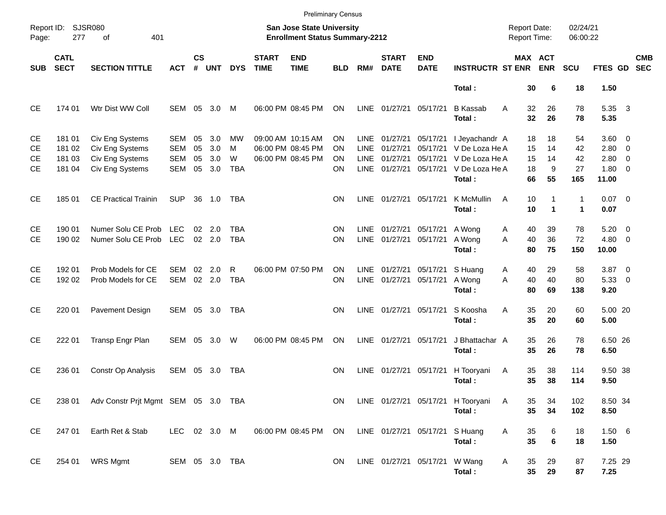|                                    |                                      |                                                                          |                                               |                      |                          |                            |                                                                           | <b>Preliminary Census</b>                                   |                      |                                             |                                  |                                           |                                                                                         |                            |                           |                             |                                                      |                          |                          |
|------------------------------------|--------------------------------------|--------------------------------------------------------------------------|-----------------------------------------------|----------------------|--------------------------|----------------------------|---------------------------------------------------------------------------|-------------------------------------------------------------|----------------------|---------------------------------------------|----------------------------------|-------------------------------------------|-----------------------------------------------------------------------------------------|----------------------------|---------------------------|-----------------------------|------------------------------------------------------|--------------------------|--------------------------|
| Page:                              | Report ID: SJSR080<br>277            |                                                                          |                                               |                      |                          |                            | <b>San Jose State University</b><br><b>Enrollment Status Summary-2212</b> |                                                             |                      |                                             |                                  |                                           | <b>Report Date:</b><br>Report Time:                                                     |                            | 02/24/21<br>06:00:22      |                             |                                                      |                          |                          |
| <b>SUB</b>                         | <b>CATL</b><br><b>SECT</b>           | <b>SECTION TITTLE</b>                                                    | <b>ACT</b>                                    | $\mathsf{cs}$<br>#   | <b>UNT</b>               | <b>DYS</b>                 | <b>START</b><br><b>TIME</b>                                               | <b>END</b><br><b>TIME</b>                                   | <b>BLD</b>           | RM#                                         | <b>START</b><br><b>DATE</b>      | <b>END</b><br><b>DATE</b>                 | <b>INSTRUCTR ST ENR</b>                                                                 |                            | MAX ACT<br><b>ENR</b>     | <b>SCU</b>                  | FTES GD                                              |                          | <b>CMB</b><br><b>SEC</b> |
|                                    |                                      |                                                                          |                                               |                      |                          |                            |                                                                           |                                                             |                      |                                             |                                  |                                           | Total:                                                                                  | 30                         | 6                         | 18                          | 1.50                                                 |                          |                          |
| CE                                 | 174 01                               | Wtr Dist WW Coll                                                         | SEM                                           | 05                   | 3.0                      | M                          |                                                                           | 06:00 PM 08:45 PM                                           | ΟN                   | LINE                                        | 01/27/21 05/17/21                |                                           | <b>B</b> Kassab<br>Total:                                                               | 32<br>A<br>32              | 26<br>26                  | 78<br>78                    | 5.35 3<br>5.35                                       |                          |                          |
| CE<br><b>CE</b><br>CЕ<br><b>CE</b> | 181 01<br>181 02<br>181 03<br>181 04 | Civ Eng Systems<br>Civ Eng Systems<br>Civ Eng Systems<br>Civ Eng Systems | SEM<br><b>SEM</b><br><b>SEM</b><br><b>SEM</b> | 05<br>05<br>05<br>05 | 3.0<br>3.0<br>3.0<br>3.0 | МW<br>м<br>W<br><b>TBA</b> |                                                                           | 09:00 AM 10:15 AM<br>06:00 PM 08:45 PM<br>06:00 PM 08:45 PM | OΝ<br>OΝ<br>OΝ<br>ΟN | LINE.<br><b>LINE</b><br><b>LINE</b><br>LINE | 01/27/21<br>01/27/21<br>01/27/21 | 05/17/21<br>05/17/21<br>01/27/21 05/17/21 | I Jeyachandr A<br>05/17/21 V De Loza He A<br>V De Loza He A<br>V De Loza He A<br>Total: | 18<br>15<br>15<br>18<br>66 | 18<br>14<br>14<br>9<br>55 | 54<br>42<br>42<br>27<br>165 | 3.60 0<br>$2.80 \t 0$<br>2.80<br>$1.80 \ 0$<br>11.00 | $\overline{\phantom{0}}$ |                          |
| <b>CE</b>                          | 185 01                               | <b>CE Practical Trainin</b>                                              | <b>SUP</b>                                    |                      | 36 1.0                   | TBA                        |                                                                           |                                                             | ON                   | LINE                                        | 01/27/21 05/17/21                |                                           | K McMullin<br>Total:                                                                    | A<br>10<br>10              | 1<br>$\mathbf 1$          | 1<br>$\blacktriangleleft$   | $0.07$ 0<br>0.07                                     |                          |                          |
| <b>CE</b><br><b>CE</b>             | 190 01<br>190 02                     | Numer Solu CE Prob<br>Numer Solu CE Prob                                 | <b>LEC</b><br>LEC                             | 02                   | 2.0<br>$02$ 2.0          | TBA<br><b>TBA</b>          |                                                                           |                                                             | ON<br>ΟN             | <b>LINE</b><br>LINE                         | 01/27/21<br>01/27/21 05/17/21    | 05/17/21                                  | A Wong<br>A Wong<br>Total:                                                              | 40<br>Α<br>40<br>A<br>80   | 39<br>36<br>75            | 78<br>72<br>150             | 5.20<br>$4.80\ 0$<br>10.00                           | $\overline{\phantom{0}}$ |                          |
| <b>CE</b><br><b>CE</b>             | 192 01<br>192 02                     | Prob Models for CE<br>Prob Models for CE                                 | SEM<br>SEM                                    | 02                   | 2.0<br>02 2.0            | R<br><b>TBA</b>            |                                                                           | 06:00 PM 07:50 PM                                           | ΟN<br>ON             | <b>LINE</b><br>LINE                         | 01/27/21<br>01/27/21 05/17/21    | 05/17/21                                  | S Huang<br>A Wong<br>Total:                                                             | 40<br>A<br>A<br>40<br>80   | 29<br>40<br>69            | 58<br>80<br>138             | $3.87$ 0<br>5.33 0<br>9.20                           |                          |                          |
| CE                                 | 220 01                               | Pavement Design                                                          | SEM 05 3.0                                    |                      |                          | TBA                        |                                                                           |                                                             | ON                   |                                             | LINE 01/27/21 05/17/21           |                                           | S Koosha<br>Total:                                                                      | 35<br>A<br>35              | 20<br>20                  | 60<br>60                    | 5.00 20<br>5.00                                      |                          |                          |
| CE                                 | 222 01                               | Transp Engr Plan                                                         | SEM 05                                        |                      | 3.0                      | W                          |                                                                           | 06:00 PM 08:45 PM                                           | <b>ON</b>            | <b>LINE</b>                                 | 01/27/21 05/17/21                |                                           | J Bhattachar A<br>Total:                                                                | 35<br>35                   | 26<br>26                  | 78<br>78                    | 6.50 26<br>6.50                                      |                          |                          |
| <b>CE</b>                          | 236 01                               | Constr Op Analysis                                                       | SEM 05 3.0                                    |                      |                          | TBA                        |                                                                           |                                                             | ΟN                   | LINE                                        | 01/27/21 05/17/21                |                                           | H Tooryani<br>Total:                                                                    | 35<br>A<br>35              | 38<br>38                  | 114<br>114                  | 9.50 38<br>9.50                                      |                          |                          |
| CE                                 | 238 01                               | Adv Constr Prjt Mgmt SEM 05 3.0 TBA                                      |                                               |                      |                          |                            |                                                                           |                                                             | ON.                  |                                             |                                  |                                           | LINE 01/27/21 05/17/21 H Tooryani<br>Total:                                             | A<br>35<br>35              | 34<br>34                  | 102<br>102                  | 8.50 34<br>8.50                                      |                          |                          |
| CE                                 | 247 01                               | Earth Ret & Stab                                                         | LEC 02 3.0 M                                  |                      |                          |                            |                                                                           | 06:00 PM 08:45 PM ON                                        |                      |                                             |                                  | LINE 01/27/21 05/17/21 S Huang            | Total:                                                                                  | Α<br>35<br>35              | 6<br>$6\phantom{1}6$      | 18<br>18                    | 1.50 6<br>1.50                                       |                          |                          |
| CE                                 | 254 01                               | WRS Mgmt                                                                 | SEM 05 3.0 TBA                                |                      |                          |                            |                                                                           |                                                             | ON.                  |                                             |                                  | LINE 01/27/21 05/17/21 W Wang             | Total:                                                                                  | Α<br>35<br>35              | 29<br>29                  | 87<br>87                    | 7.25 29<br>7.25                                      |                          |                          |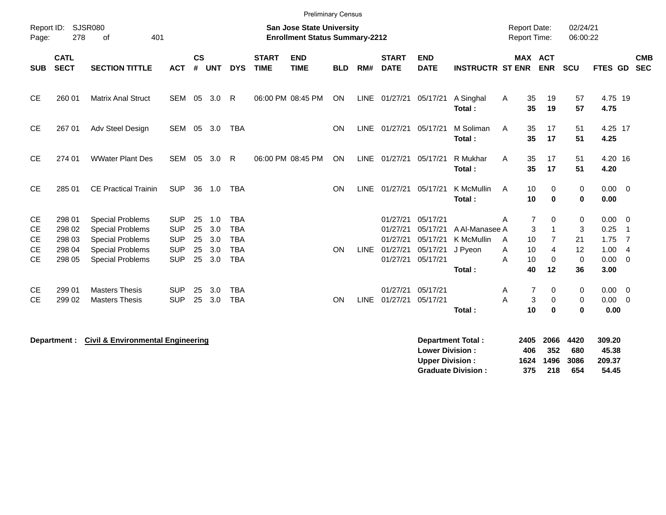|                                                  |                                      |                                                                                                          |                                                      |                      |                          |                                                      |                             | <b>Preliminary Census</b>                                                 |            |      |                                                   |                                              |                                         |                                                |                                                                   |                              |                                       |                                                                                         |
|--------------------------------------------------|--------------------------------------|----------------------------------------------------------------------------------------------------------|------------------------------------------------------|----------------------|--------------------------|------------------------------------------------------|-----------------------------|---------------------------------------------------------------------------|------------|------|---------------------------------------------------|----------------------------------------------|-----------------------------------------|------------------------------------------------|-------------------------------------------------------------------|------------------------------|---------------------------------------|-----------------------------------------------------------------------------------------|
| Report ID:<br>Page:                              | <b>SJSR080</b><br>278                | 401<br>of                                                                                                |                                                      |                      |                          |                                                      |                             | <b>San Jose State University</b><br><b>Enrollment Status Summary-2212</b> |            |      |                                                   |                                              |                                         | <b>Report Date:</b><br><b>Report Time:</b>     |                                                                   | 02/24/21<br>06:00:22         |                                       |                                                                                         |
| <b>SUB</b>                                       | <b>CATL</b><br><b>SECT</b>           | <b>SECTION TITTLE</b>                                                                                    | <b>ACT</b>                                           | <b>CS</b><br>#       | <b>UNT</b>               | <b>DYS</b>                                           | <b>START</b><br><b>TIME</b> | <b>END</b><br><b>TIME</b>                                                 | <b>BLD</b> | RM#  | <b>START</b><br><b>DATE</b>                       | <b>END</b><br><b>DATE</b>                    | <b>INSTRUCTR ST ENR</b>                 | <b>MAX ACT</b>                                 | <b>ENR</b>                                                        | <b>SCU</b>                   | <b>FTES GD</b>                        | <b>CMB</b><br><b>SEC</b>                                                                |
| <b>CE</b>                                        | 260 01                               | <b>Matrix Anal Struct</b>                                                                                | <b>SEM</b>                                           | 05                   | 3.0                      | R                                                    |                             | 06:00 PM 08:45 PM                                                         | <b>ON</b>  |      | LINE 01/27/21                                     | 05/17/21                                     | A Singhal<br>Total:                     | 35<br>A<br>35                                  | 19<br>19                                                          | 57<br>57                     | 4.75 19<br>4.75                       |                                                                                         |
| <b>CE</b>                                        | 267 01                               | Adv Steel Design                                                                                         | SEM                                                  | 05                   | 3.0                      | <b>TBA</b>                                           |                             |                                                                           | ON         |      | LINE 01/27/21 05/17/21                            |                                              | M Soliman<br>Total:                     | 35<br>A<br>35                                  | 17<br>17                                                          | 51<br>51                     | 4.25 17<br>4.25                       |                                                                                         |
| <b>CE</b>                                        | 274 01                               | <b>WWater Plant Des</b>                                                                                  | <b>SEM</b>                                           | 05                   | 3.0                      | $\mathsf{R}$                                         |                             | 06:00 PM 08:45 PM                                                         | <b>ON</b>  |      | LINE 01/27/21                                     | 05/17/21                                     | R Mukhar<br>Total:                      | A<br>35<br>35                                  | 17<br>17                                                          | 51<br>51                     | 4.20 16<br>4.20                       |                                                                                         |
| <b>CE</b>                                        | 285 01                               | <b>CE Practical Trainin</b>                                                                              | <b>SUP</b>                                           |                      | 36 1.0                   | <b>TBA</b>                                           |                             |                                                                           | ON         |      | LINE 01/27/21                                     | 05/17/21                                     | K McMullin<br>Total:                    | 10<br>A<br>10                                  | $\mathbf 0$<br>$\bf{0}$                                           | $\mathbf 0$<br>$\mathbf 0$   | $0.00 \quad 0$<br>0.00                |                                                                                         |
| <b>CE</b><br><b>CE</b><br><b>CE</b><br><b>CE</b> | 298 01<br>298 02<br>298 03<br>298 04 | <b>Special Problems</b><br><b>Special Problems</b><br><b>Special Problems</b><br><b>Special Problems</b> | <b>SUP</b><br><b>SUP</b><br><b>SUP</b><br><b>SUP</b> | 25<br>25<br>25<br>25 | 1.0<br>3.0<br>3.0<br>3.0 | <b>TBA</b><br><b>TBA</b><br><b>TBA</b><br><b>TBA</b> |                             |                                                                           | <b>ON</b>  |      | 01/27/21<br>01/27/21<br>01/27/21<br>LINE 01/27/21 | 05/17/21<br>05/17/21<br>05/17/21<br>05/17/21 | A Al-Manasee A<br>K McMullin<br>J Pyeon | $\overline{7}$<br>A<br>3<br>10<br>A<br>10<br>Α | $\mathbf 0$<br>$\overline{1}$<br>$\overline{7}$<br>$\overline{4}$ | 0<br>3<br>21<br>12           | 0.00<br>0.25<br>1.75<br>1.00          | $\overline{\mathbf{0}}$<br>$\overline{\phantom{1}}$<br>$\overline{7}$<br>$\overline{4}$ |
| <b>CE</b>                                        | 298 05                               | <b>Special Problems</b>                                                                                  | <b>SUP</b>                                           | 25                   | 3.0                      | <b>TBA</b>                                           |                             |                                                                           |            |      | 01/27/21                                          | 05/17/21                                     | Total:                                  | 10<br>A<br>40                                  | $\mathbf 0$<br>12                                                 | $\mathbf 0$<br>36            | 0.00<br>3.00                          | $\overline{0}$                                                                          |
| CE.<br><b>CE</b>                                 | 299 01<br>299 02                     | <b>Masters Thesis</b><br><b>Masters Thesis</b>                                                           | <b>SUP</b><br><b>SUP</b>                             | 25<br>25             | 3.0<br>3.0               | <b>TBA</b><br><b>TBA</b>                             |                             |                                                                           | ON         | LINE | 01/27/21<br>01/27/21                              | 05/17/21<br>05/17/21                         | Total:                                  | $\overline{7}$<br>A<br>A<br>3<br>10            | 0<br>0<br>$\bf{0}$                                                | $\mathbf 0$<br>0<br>$\bf{0}$ | $0.00 \quad 0$<br>$0.00 \t 0$<br>0.00 |                                                                                         |

| Department : | <b>Civil &amp; Environmental Engineering</b> | Department Total:         | 2405 | 2066 | 4420 | 309.20 |
|--------------|----------------------------------------------|---------------------------|------|------|------|--------|
|              |                                              | <b>Lower Division:</b>    | 406  | 352  | 680  | 45.38  |
|              |                                              | <b>Upper Division:</b>    | 1624 | 1496 | 3086 | 209.37 |
|              |                                              | <b>Graduate Division:</b> | 375  | 218  | 654  | 54.45  |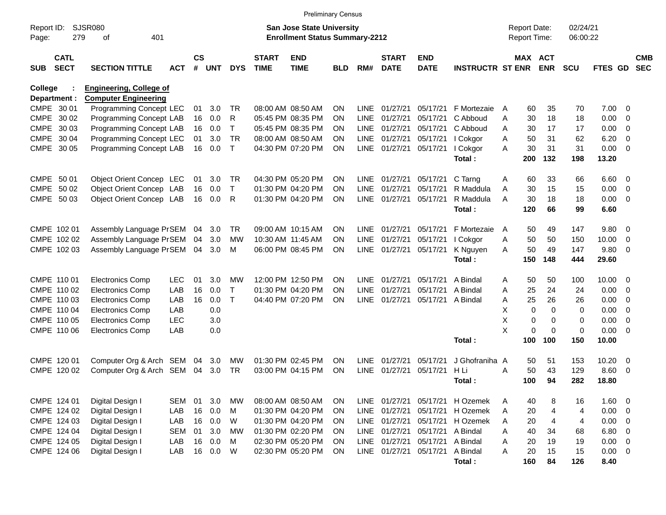|                                          |                                                               |            |                |            |              |                             | <b>Preliminary Census</b>                                                 |           |             |                             |                           |                         |                                     |                       |                      |                |                          |                          |
|------------------------------------------|---------------------------------------------------------------|------------|----------------|------------|--------------|-----------------------------|---------------------------------------------------------------------------|-----------|-------------|-----------------------------|---------------------------|-------------------------|-------------------------------------|-----------------------|----------------------|----------------|--------------------------|--------------------------|
| Report ID:<br>279<br>Page:               | <b>SJSR080</b><br>401<br>оf                                   |            |                |            |              |                             | <b>San Jose State University</b><br><b>Enrollment Status Summary-2212</b> |           |             |                             |                           |                         | <b>Report Date:</b><br>Report Time: |                       | 02/24/21<br>06:00:22 |                |                          |                          |
| <b>CATL</b><br><b>SECT</b><br><b>SUB</b> | <b>SECTION TITTLE</b>                                         | <b>ACT</b> | <b>CS</b><br># | <b>UNT</b> | <b>DYS</b>   | <b>START</b><br><b>TIME</b> | <b>END</b><br><b>TIME</b>                                                 | BLD       | RM#         | <b>START</b><br><b>DATE</b> | <b>END</b><br><b>DATE</b> | <b>INSTRUCTR ST ENR</b> |                                     | MAX ACT<br><b>ENR</b> | <b>SCU</b>           | <b>FTES GD</b> |                          | <b>CMB</b><br><b>SEC</b> |
| College<br>Department :                  | <b>Engineering, College of</b><br><b>Computer Engineering</b> |            |                |            |              |                             |                                                                           |           |             |                             |                           |                         |                                     |                       |                      |                |                          |                          |
| CMPE 30 01                               | Programming Concept LEC                                       |            | 01             | 3.0        | <b>TR</b>    |                             | 08:00 AM 08:50 AM                                                         | <b>ON</b> | <b>LINE</b> | 01/27/21                    | 05/17/21                  | F Mortezaie             | 60<br>A                             | 35                    | 70                   | 7.00           | - 0                      |                          |
| CMPE 30 02                               | Programming Concept LAB                                       |            | 16             | 0.0        | R            |                             | 05:45 PM 08:35 PM                                                         | <b>ON</b> | <b>LINE</b> | 01/27/21                    | 05/17/21                  | C Abboud                | 30<br>Α                             | 18                    | 18                   | 0.00           | 0                        |                          |
| CMPE<br>30 03                            | Programming Concept LAB                                       |            | 16             | 0.0        | т            |                             | 05:45 PM 08:35 PM                                                         | <b>ON</b> | LINE        | 01/27/21                    | 05/17/21                  | C Abboud                | 30<br>Α                             | 17                    | 17                   | 0.00           | 0                        |                          |
| CMPE 30 04                               | Programming Concept LEC                                       |            | 01             | 3.0        | <b>TR</b>    |                             | 08:00 AM 08:50 AM                                                         | <b>ON</b> | LINE        | 01/27/21                    | 05/17/21                  | I Cokgor                | 50<br>A                             | 31                    | 62                   | 6.20           | $\mathbf 0$              |                          |
| CMPE 30 05                               | Programming Concept LAB                                       |            | 16             | 0.0        | $\mathsf{T}$ |                             | 04:30 PM 07:20 PM                                                         | <b>ON</b> | <b>LINE</b> | 01/27/21                    | 05/17/21                  | I Cokgor                | 30<br>A                             | 31                    | 31                   | 0.00           | $\overline{0}$           |                          |
|                                          |                                                               |            |                |            |              |                             |                                                                           |           |             |                             |                           | Total:                  | 200                                 | 132                   | 198                  | 13.20          |                          |                          |
| CMPE 50 01                               | Object Orient Concep LEC                                      |            | 01             | 3.0        | TR           |                             | 04:30 PM 05:20 PM                                                         | <b>ON</b> | LINE        | 01/27/21                    | 05/17/21                  | C Tarng                 | Α<br>60                             | 33                    | 66                   | 6.60           | $\overline{\mathbf{0}}$  |                          |
| CMPE 50 02                               | Object Orient Concep LAB                                      |            | 16             | 0.0        | $\mathsf{T}$ |                             | 01:30 PM 04:20 PM                                                         | <b>ON</b> | <b>LINE</b> | 01/27/21                    | 05/17/21                  | R Maddula               | 30<br>A                             | 15                    | 15                   | 0.00           | 0                        |                          |
| CMPE 50 03                               | Object Orient Concep LAB                                      |            | 16             | 0.0        | R            |                             | 01:30 PM 04:20 PM                                                         | <b>ON</b> | LINE        | 01/27/21                    | 05/17/21                  | R Maddula               | 30<br>A                             | 18                    | 18                   | 0.00           | 0                        |                          |
|                                          |                                                               |            |                |            |              |                             |                                                                           |           |             |                             |                           | Total:                  | 120                                 | 66                    | 99                   | 6.60           |                          |                          |
| CMPE 102 01                              | Assembly Language PrSEM                                       |            | 04             | 3.0        | TR           |                             | 09:00 AM 10:15 AM                                                         | <b>ON</b> | <b>LINE</b> | 01/27/21                    | 05/17/21                  | F Mortezaie             | 50<br>A                             | 49                    | 147                  | 9.80           | $\overline{\mathbf{0}}$  |                          |
| CMPE 102 02                              | Assembly Language PrSEM                                       |            | 04             | 3.0        | MW           |                             | 10:30 AM 11:45 AM                                                         | <b>ON</b> | <b>LINE</b> | 01/27/21                    | 05/17/21                  | I Cokgor                | 50<br>A                             | 50                    | 150                  | 10.00          | 0                        |                          |
| CMPE 102 03                              | Assembly Language PrSEM                                       |            | 04             | 3.0        | м            |                             | 06:00 PM 08:45 PM                                                         | <b>ON</b> | <b>LINE</b> | 01/27/21                    | 05/17/21                  | K Nguyen                | 50<br>A                             | 49                    | 147                  | 9.80           | - 0                      |                          |
|                                          |                                                               |            |                |            |              |                             |                                                                           |           |             |                             |                           | Total:                  | 150                                 | 148                   | 444                  | 29.60          |                          |                          |
| CMPE 110 01                              | <b>Electronics Comp</b>                                       | <b>LEC</b> | 01             | 3.0        | MW           |                             | 12:00 PM 12:50 PM                                                         | <b>ON</b> | <b>LINE</b> | 01/27/21                    | 05/17/21                  | A Bindal                | Α<br>50                             | 50                    | 100                  | 10.00          | $\overline{\mathbf{0}}$  |                          |
| CMPE 110 02                              | <b>Electronics Comp</b>                                       | LAB        | 16             | 0.0        | т            |                             | 01:30 PM 04:20 PM                                                         | <b>ON</b> | <b>LINE</b> | 01/27/21                    | 05/17/21                  | A Bindal                | 25<br>Α                             | 24                    | 24                   | 0.00           | 0                        |                          |
| CMPE 110 03                              | <b>Electronics Comp</b>                                       | LAB        | 16             | 0.0        | т            |                             | 04:40 PM 07:20 PM                                                         | <b>ON</b> | <b>LINE</b> | 01/27/21                    | 05/17/21                  | A Bindal                | 25<br>Α                             | 26                    | 26                   | 0.00           | 0                        |                          |
| CMPE 110 04                              | <b>Electronics Comp</b>                                       | LAB        |                | 0.0        |              |                             |                                                                           |           |             |                             |                           |                         | X                                   | 0<br>0                | 0                    | 0.00           | 0                        |                          |
| CMPE 110 05                              | <b>Electronics Comp</b>                                       | <b>LEC</b> |                | 3.0        |              |                             |                                                                           |           |             |                             |                           |                         | X                                   | 0<br>0                | 0                    | 0.00           | $\mathbf 0$              |                          |
| CMPE 110 06                              | <b>Electronics Comp</b>                                       | LAB        |                | 0.0        |              |                             |                                                                           |           |             |                             |                           |                         | X                                   | 0<br>$\mathbf 0$      | 0                    | 0.00           | $\overline{0}$           |                          |
|                                          |                                                               |            |                |            |              |                             |                                                                           |           |             |                             |                           | Total:                  | 100                                 | 100                   | 150                  | 10.00          |                          |                          |
| CMPE 120 01                              | Computer Org & Arch SEM                                       |            | 04             | 3.0        | MW           |                             | 01:30 PM 02:45 PM                                                         | <b>ON</b> | <b>LINE</b> | 01/27/21                    | 05/17/21                  | J Ghofraniha A          | 50                                  | 51                    | 153                  | 10.20          | $\mathbf 0$              |                          |
| CMPE 120 02                              | Computer Org & Arch SEM                                       |            | 04             | 3.0        | TR           |                             | 03:00 PM 04:15 PM                                                         | <b>ON</b> | LINE        | 01/27/21                    | 05/17/21                  | H Li                    | 50<br>Α                             | 43                    | 129                  | 8.60           | 0                        |                          |
|                                          |                                                               |            |                |            |              |                             |                                                                           |           |             |                             |                           | Total:                  | 100                                 | 94                    | 282                  | 18.80          |                          |                          |
| CMPE 124 01                              | Digital Design I                                              | <b>SEM</b> | 01             | 3.0        | MW           |                             | 08:00 AM 08:50 AM                                                         | ON        | LINE        | 01/27/21                    | 05/17/21                  | H Ozemek                | 40<br>A                             | 8                     | 16                   | 1.60           | $\overline{\mathbf{0}}$  |                          |
| CMPE 124 02                              | Digital Design I                                              | LAB        | 16             | 0.0        | M            |                             | 01:30 PM 04:20 PM                                                         | ON        | LINE        | 01/27/21                    | 05/17/21                  | H Ozemek                | 20<br>Α                             | 4                     | 4                    | 0.00           | $\overline{\phantom{0}}$ |                          |
| CMPE 124 03                              | Digital Design I                                              | LAB        | 16             | 0.0        | W            |                             | 01:30 PM 04:20 PM                                                         | ON        |             | LINE 01/27/21               | 05/17/21                  | H Ozemek                | 20<br>A                             | 4                     | 4                    | 0.00           | $\overline{\mathbf{0}}$  |                          |
| CMPE 124 04                              | Digital Design I                                              | <b>SEM</b> | 01             | 3.0        | <b>MW</b>    |                             | 01:30 PM 02:20 PM                                                         | ON        |             | LINE 01/27/21               | 05/17/21                  | A Bindal                | 40<br>Α                             | 34                    | 68                   | 6.80           | $\overline{\mathbf{0}}$  |                          |
| CMPE 124 05                              | Digital Design I                                              | LAB        | 16             | 0.0        | M            |                             | 02:30 PM 05:20 PM                                                         | ON        |             | LINE 01/27/21               | 05/17/21                  | A Bindal                | 20<br>Α                             | 19                    | 19                   | 0.00           | $\overline{\mathbf{0}}$  |                          |
| CMPE 124 06                              | Digital Design I                                              | LAB        | 16             | 0.0        | W            |                             | 02:30 PM 05:20 PM                                                         | ON        |             | LINE 01/27/21               | 05/17/21                  | A Bindal                | A<br>20                             | 15                    | 15                   | $0.00 \t 0$    |                          |                          |
|                                          |                                                               |            |                |            |              |                             |                                                                           |           |             |                             |                           | Total:                  | 160                                 | 84                    | 126                  | 8.40           |                          |                          |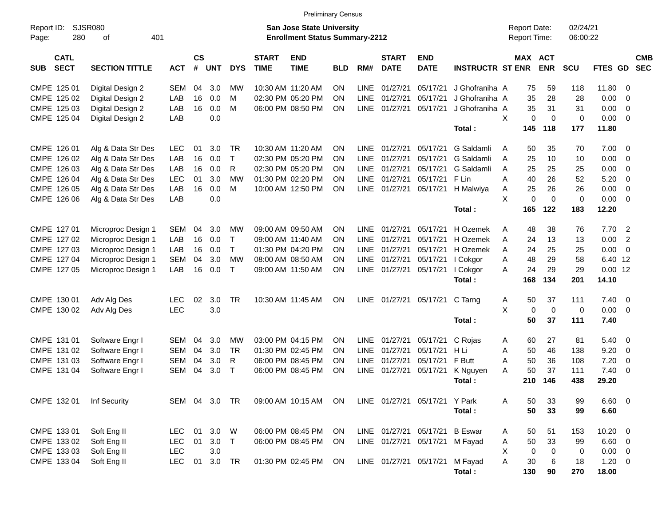|                                          |                       |               |                |            |              |                             | <b>Preliminary Census</b>                                                 |            |             |                             |                               |                         |                                     |                       |                      |              |                         |                          |
|------------------------------------------|-----------------------|---------------|----------------|------------|--------------|-----------------------------|---------------------------------------------------------------------------|------------|-------------|-----------------------------|-------------------------------|-------------------------|-------------------------------------|-----------------------|----------------------|--------------|-------------------------|--------------------------|
| Report ID:<br>280<br>Page:               | SJSR080<br>401<br>οf  |               |                |            |              |                             | <b>San Jose State University</b><br><b>Enrollment Status Summary-2212</b> |            |             |                             |                               |                         | <b>Report Date:</b><br>Report Time: |                       | 02/24/21<br>06:00:22 |              |                         |                          |
| <b>CATL</b><br><b>SECT</b><br><b>SUB</b> | <b>SECTION TITTLE</b> | <b>ACT</b>    | <b>CS</b><br># | <b>UNT</b> | <b>DYS</b>   | <b>START</b><br><b>TIME</b> | <b>END</b><br><b>TIME</b>                                                 | <b>BLD</b> | RM#         | <b>START</b><br><b>DATE</b> | <b>END</b><br><b>DATE</b>     | <b>INSTRUCTR ST ENR</b> |                                     | MAX ACT<br><b>ENR</b> | <b>SCU</b>           | FTES GD      |                         | <b>CMB</b><br><b>SEC</b> |
| CMPE 125 01                              | Digital Design 2      | <b>SEM</b>    | 04             | 3.0        | МW           |                             | 10:30 AM 11:20 AM                                                         | ΟN         | <b>LINE</b> | 01/27/21                    | 05/17/21                      | J Ghofraniha A          |                                     | 75<br>59              | 118                  | 11.80        | - 0                     |                          |
| CMPE 125 02                              | Digital Design 2      | LAB           | 16             | 0.0        | M            |                             | 02:30 PM 05:20 PM                                                         | ΟN         | <b>LINE</b> | 01/27/21                    | 05/17/21                      | J Ghofraniha A          | 35                                  | 28                    | 28                   | 0.00         | $\mathbf 0$             |                          |
| CMPE 125 03                              | Digital Design 2      | LAB           | 16             | 0.0        | M            |                             | 06:00 PM 08:50 PM                                                         | ΟN         | <b>LINE</b> | 01/27/21                    | 05/17/21                      | J Ghofraniha A          | 35                                  | 31                    | 31                   | 0.00         | 0                       |                          |
| CMPE 125 04                              | Digital Design 2      | LAB           |                | 0.0        |              |                             |                                                                           |            |             |                             |                               |                         | X                                   | 0<br>0                | $\mathbf 0$          | 0.00         | - 0                     |                          |
|                                          |                       |               |                |            |              |                             |                                                                           |            |             |                             |                               | Total:                  | 145                                 | 118                   | 177                  | 11.80        |                         |                          |
| CMPE 126 01                              | Alg & Data Str Des    | <b>LEC</b>    | 01             | 3.0        | <b>TR</b>    |                             | 10:30 AM 11:20 AM                                                         | ΟN         | LINE        | 01/27/21                    | 05/17/21                      | G Saldamli              | A                                   | 35<br>50              | 70                   | 7.00         | - 0                     |                          |
| CMPE 126 02                              | Alg & Data Str Des    | LAB           | 16             | 0.0        | $\top$       |                             | 02:30 PM 05:20 PM                                                         | ΟN         | <b>LINE</b> | 01/27/21                    | 05/17/21                      | G Saldamli              | 25<br>A                             | 10                    | 10                   | 0.00         | $\mathbf 0$             |                          |
| CMPE 126 03                              | Alg & Data Str Des    | LAB           | 16             | 0.0        | R            |                             | 02:30 PM 05:20 PM                                                         | ΟN         | <b>LINE</b> | 01/27/21                    | 05/17/21                      | G Saldamli              | 25<br>A                             | 25                    | 25                   | 0.00         | $\mathbf 0$             |                          |
| CMPE 126 04                              | Alg & Data Str Des    | <b>LEC</b>    | 01             | 3.0        | <b>MW</b>    |                             | 01:30 PM 02:20 PM                                                         | ΟN         | <b>LINE</b> | 01/27/21                    | 05/17/21                      | F Lin                   | Α<br>40                             | 26                    | 52                   | 5.20         | $\mathbf 0$             |                          |
| CMPE 126 05                              | Alg & Data Str Des    | LAB           | 16             | 0.0        | M            |                             | 10:00 AM 12:50 PM                                                         | ON         | <b>LINE</b> | 01/27/21                    | 05/17/21                      | H Malwiya               | 25<br>Α                             | 26                    | 26                   | 0.00         | $\mathbf 0$             |                          |
| CMPE 126 06                              | Alg & Data Str Des    | LAB           |                | 0.0        |              |                             |                                                                           |            |             |                             |                               |                         | X                                   | $\mathbf 0$<br>0      | $\mathbf 0$          | 0.00         | $\overline{0}$          |                          |
|                                          |                       |               |                |            |              |                             |                                                                           |            |             |                             |                               | Total :                 | 165                                 | 122                   | 183                  | 12.20        |                         |                          |
| CMPE 127 01                              | Microproc Design 1    | SEM           | 04             | 3.0        | МW           |                             | 09:00 AM 09:50 AM                                                         | ΟN         | <b>LINE</b> | 01/27/21                    | 05/17/21                      | H Ozemek                | 48<br>A                             | 38                    | 76                   | 7.70         | $\overline{2}$          |                          |
| CMPE 127 02                              | Microproc Design 1    | LAB           | 16             | 0.0        | $\mathsf{T}$ |                             | 09:00 AM 11:40 AM                                                         | ΟN         | <b>LINE</b> | 01/27/21                    | 05/17/21                      | H Ozemek                | 24<br>A                             | 13                    | 13                   | 0.00         | $\overline{2}$          |                          |
| CMPE 127 03                              | Microproc Design 1    | LAB           | 16             | 0.0        | $\mathsf{T}$ |                             | 01:30 PM 04:20 PM                                                         | ΟN         | <b>LINE</b> | 01/27/21                    | 05/17/21                      | H Ozemek                | 24<br>A                             | 25                    | 25                   | 0.00         | $\overline{0}$          |                          |
| CMPE 127 04                              | Microproc Design 1    | <b>SEM</b>    | 04             | 3.0        | <b>MW</b>    |                             | 08:00 AM 08:50 AM                                                         | ΟN         | <b>LINE</b> | 01/27/21                    | 05/17/21                      | I Cokgor                | 48<br>A                             | 29                    | 58                   | 6.40 12      |                         |                          |
| CMPE 127 05                              | Microproc Design 1    | LAB           | 16             | 0.0        | $\top$       |                             | 09:00 AM 11:50 AM                                                         | ON         | <b>LINE</b> | 01/27/21                    | 05/17/21                      | I Cokgor                | 24<br>A                             | 29                    | 29                   | $0.00$ 12    |                         |                          |
|                                          |                       |               |                |            |              |                             |                                                                           |            |             |                             |                               | Total:                  | 168                                 | 134                   | 201                  | 14.10        |                         |                          |
| CMPE 130 01                              | Adv Alg Des           | <b>LEC</b>    | 02             | 3.0        | <b>TR</b>    |                             | 10:30 AM 11:45 AM                                                         | ΟN         | <b>LINE</b> | 01/27/21                    | 05/17/21                      | C Tarng                 | Α                                   | 50<br>37              | 111                  | 7.40         | $\overline{\mathbf{0}}$ |                          |
| CMPE 130 02                              | Adv Alg Des           | <b>LEC</b>    |                | 3.0        |              |                             |                                                                           |            |             |                             |                               |                         | X                                   | 0<br>$\mathbf 0$      | $\pmb{0}$            | 0.00         | $\overline{0}$          |                          |
|                                          |                       |               |                |            |              |                             |                                                                           |            |             |                             |                               | Total:                  |                                     | 50<br>37              | 111                  | 7.40         |                         |                          |
| CMPE 131 01                              | Software Engr I       | SEM           | 04             | 3.0        | <b>MW</b>    |                             | 03:00 PM 04:15 PM                                                         | ΟN         | LINE        | 01/27/21                    | 05/17/21                      | C Rojas                 | Α                                   | 27<br>60              | 81                   | 5.40         | $\overline{\mathbf{0}}$ |                          |
| CMPE 131 02                              | Software Engr I       | SEM           | 04             | 3.0        | <b>TR</b>    |                             | 01:30 PM 02:45 PM                                                         | ON         | <b>LINE</b> | 01/27/21                    | 05/17/21                      | H Li                    | 50<br>Α                             | 46                    | 138                  | 9.20         | $\overline{0}$          |                          |
| CMPE 131 03                              | Software Engr I       | <b>SEM</b>    | 04             | 3.0        | R            |                             | 06:00 PM 08:45 PM                                                         | ON         | <b>LINE</b> | 01/27/21                    | 05/17/21                      | F Butt                  | 50<br>A                             | 36                    | 108                  | 7.20         | $\mathbf 0$             |                          |
| CMPE 131 04                              | Software Engr I       | <b>SEM</b>    | 04             | 3.0        | $\mathsf{T}$ |                             | 06:00 PM 08:45 PM                                                         | ΟN         | <b>LINE</b> | 01/27/21                    | 05/17/21                      | K Nguyen                | 50<br>Α                             | 37                    | 111                  | 7.40         | $\mathbf 0$             |                          |
|                                          |                       |               |                |            |              |                             |                                                                           |            |             |                             |                               | Total:                  | 210                                 | 146                   | 438                  | 29.20        |                         |                          |
| CMPE 132 01                              | Inf Security          | SEM 04 3.0 TR |                |            |              |                             | 09:00 AM 10:15 AM                                                         | <b>ON</b>  |             |                             | LINE 01/27/21 05/17/21 Y Park |                         | Α<br>50                             | 33                    | 99                   | $6.60$ 0     |                         |                          |
|                                          |                       |               |                |            |              |                             |                                                                           |            |             |                             |                               | Total:                  | 50                                  | 33                    | 99                   | 6.60         |                         |                          |
| CMPE 133 01                              | Soft Eng II           | LEC           | 01             | 3.0        | W            |                             | 06:00 PM 08:45 PM                                                         | ON         |             | LINE 01/27/21 05/17/21      |                               | <b>B</b> Eswar          | 50<br>A                             | 51                    | 153                  | $10.20 \t 0$ |                         |                          |
| CMPE 133 02                              | Soft Eng II           | <b>LEC</b>    | 01             | 3.0        | $\top$       |                             | 06:00 PM 08:45 PM                                                         | ON         |             | LINE 01/27/21 05/17/21      |                               | M Fayad                 | 50<br>Α                             | 33                    | 99                   | $6.60$ 0     |                         |                          |
| CMPE 133 03                              | Soft Eng II           | LEC           |                | 3.0        |              |                             |                                                                           |            |             |                             |                               |                         | X                                   | 0<br>$\mathbf 0$      | 0                    | $0.00 \t 0$  |                         |                          |
| CMPE 133 04                              | Soft Eng II           | <b>LEC</b>    | 01             | 3.0        | TR           |                             | 01:30 PM 02:45 PM                                                         | ON         |             | LINE 01/27/21 05/17/21      |                               | M Fayad                 | Α<br>30                             | 6                     | 18                   | $1.20 \t 0$  |                         |                          |
|                                          |                       |               |                |            |              |                             |                                                                           |            |             |                             |                               | Total:                  | 130                                 | 90                    | 270                  | 18.00        |                         |                          |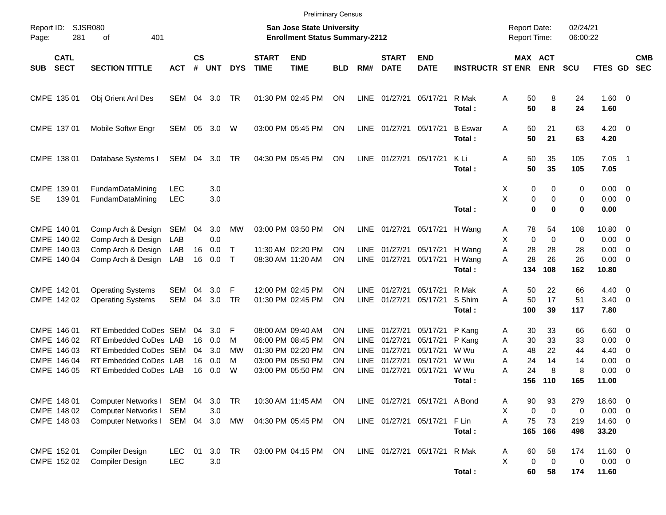|                                                                         |                                                                                                                           |                          |                            |                                 |                               |                             | <b>Preliminary Census</b>                                                                             |                            |                                                    |                                                          |                                                          |                                          |                                                     |                                      |                           |                                          |                                                                                        |                          |
|-------------------------------------------------------------------------|---------------------------------------------------------------------------------------------------------------------------|--------------------------|----------------------------|---------------------------------|-------------------------------|-----------------------------|-------------------------------------------------------------------------------------------------------|----------------------------|----------------------------------------------------|----------------------------------------------------------|----------------------------------------------------------|------------------------------------------|-----------------------------------------------------|--------------------------------------|---------------------------|------------------------------------------|----------------------------------------------------------------------------------------|--------------------------|
| Report ID:<br>281<br>Page:                                              | <b>SJSR080</b><br>401<br>οf                                                                                               |                          |                            |                                 |                               |                             | <b>San Jose State University</b><br><b>Enrollment Status Summary-2212</b>                             |                            |                                                    |                                                          |                                                          |                                          | <b>Report Date:</b><br>Report Time:                 |                                      | 02/24/21<br>06:00:22      |                                          |                                                                                        |                          |
| <b>CATL</b><br><b>SECT</b><br><b>SUB</b>                                | <b>SECTION TITTLE</b>                                                                                                     | <b>ACT</b>               | <b>CS</b><br>#             | <b>UNT</b>                      | <b>DYS</b>                    | <b>START</b><br><b>TIME</b> | <b>END</b><br><b>TIME</b>                                                                             | <b>BLD</b>                 | RM#                                                | <b>START</b><br><b>DATE</b>                              | <b>END</b><br><b>DATE</b>                                | <b>INSTRUCTR ST ENR</b>                  |                                                     | MAX ACT<br><b>ENR</b>                | <b>SCU</b>                | FTES GD                                  |                                                                                        | <b>CMB</b><br><b>SEC</b> |
| CMPE 135 01                                                             | Obj Orient Anl Des                                                                                                        | SEM                      | 04                         | 3.0                             | TR                            |                             | 01:30 PM 02:45 PM                                                                                     | ΟN                         | LINE                                               | 01/27/21                                                 | 05/17/21                                                 | R Mak<br>Total:                          | A<br>50<br>50                                       | 8<br>8                               | 24<br>24                  | 1.60 0<br>1.60                           |                                                                                        |                          |
| CMPE 137 01                                                             | Mobile Softwr Engr                                                                                                        | SEM 05                   |                            | 3.0                             | W                             |                             | 03:00 PM 05:45 PM                                                                                     | <b>ON</b>                  | LINE                                               | 01/27/21                                                 | 05/17/21                                                 | <b>B</b> Eswar<br>Total:                 | A<br>50<br>50                                       | 21<br>21                             | 63<br>63                  | $4.20 \ 0$<br>4.20                       |                                                                                        |                          |
| CMPE 138 01                                                             | Database Systems I                                                                                                        | SEM 04                   |                            | 3.0                             | TR                            |                             | 04:30 PM 05:45 PM                                                                                     | ΟN                         | LINE                                               | 01/27/21 05/17/21                                        |                                                          | K Li<br>Total:                           | A<br>50<br>50                                       | 35<br>35                             | 105<br>105                | 7.05<br>7.05                             | $\overline{\phantom{0}}$                                                               |                          |
| CMPE 139 01<br>139 01<br>SE                                             | FundamDataMining<br>FundamDataMining                                                                                      | <b>LEC</b><br><b>LEC</b> |                            | 3.0<br>3.0                      |                               |                             |                                                                                                       |                            |                                                    |                                                          |                                                          | Total:                                   | X<br>X                                              | 0<br>0<br>0<br>0<br>$\mathbf 0$<br>0 | 0<br>0<br>$\bf{0}$        | $0.00 \ 0$<br>0.00<br>0.00               | $\overline{\phantom{0}}$                                                               |                          |
| CMPE 140 01<br>CMPE 140 02<br>CMPE 140 03                               | Comp Arch & Design<br>Comp Arch & Design<br>Comp Arch & Design                                                            | SEM<br>LAB<br>LAB        | 04<br>16                   | 3.0<br>0.0<br>0.0               | MW<br>$\top$                  |                             | 03:00 PM 03:50 PM<br>11:30 AM 02:20 PM                                                                | <b>ON</b><br>ON            | LINE<br>LINE                                       | 01/27/21<br>01/27/21                                     | 05/17/21<br>05/17/21                                     | H Wang<br>H Wang                         | A<br>X<br>28<br>A                                   | 78<br>54<br>$\mathbf 0$<br>0<br>28   | 108<br>0<br>28            | 10.80 0<br>0.00<br>0.00                  | $\overline{0}$<br>$\overline{0}$                                                       |                          |
| CMPE 140 04                                                             | Comp Arch & Design                                                                                                        | LAB                      | 16                         | 0.0                             | $\mathsf{T}$                  |                             | 08:30 AM 11:20 AM                                                                                     | ΟN                         | <b>LINE</b>                                        | 01/27/21                                                 | 05/17/21                                                 | H Wang<br>Total:                         | 28<br>A<br>134                                      | 26<br>108                            | 26<br>162                 | 0.00<br>10.80                            | $\overline{0}$                                                                         |                          |
| CMPE 142 01<br>CMPE 142 02                                              | <b>Operating Systems</b><br><b>Operating Systems</b>                                                                      | SEM<br><b>SEM</b>        | 04<br>04                   | 3.0<br>3.0                      | F<br>TR                       |                             | 12:00 PM 02:45 PM<br>01:30 PM 02:45 PM                                                                | ΟN<br>ΟN                   | <b>LINE</b><br><b>LINE</b>                         | 01/27/21<br>01/27/21                                     | 05/17/21<br>05/17/21                                     | R Mak<br>S Shim<br>Total:                | A<br>50<br>A<br>50<br>100                           | 22<br>17<br>39                       | 66<br>51<br>117           | 4.40<br>$3.40 \quad 0$<br>7.80           | $\overline{\phantom{0}}$                                                               |                          |
| CMPE 146 01<br>CMPE 146 02<br>CMPE 146 03<br>CMPE 146 04<br>CMPE 146 05 | RT Embedded CoDes SEM<br>RT Embedded CoDes LAB<br>RT Embedded CoDes SEM<br>RT Embedded CoDes LAB<br>RT Embedded CoDes LAB |                          | 04<br>16<br>04<br>16<br>16 | 3.0<br>0.0<br>3.0<br>0.0<br>0.0 | F<br>м<br><b>MW</b><br>M<br>W |                             | 08:00 AM 09:40 AM<br>06:00 PM 08:45 PM<br>01:30 PM 02:20 PM<br>03:00 PM 05:50 PM<br>03:00 PM 05:50 PM | ΟN<br>ΟN<br>ΟN<br>ΟN<br>ON | <b>LINE</b><br>LINE<br>LINE<br>LINE<br><b>LINE</b> | 01/27/21<br>01/27/21<br>01/27/21<br>01/27/21<br>01/27/21 | 05/17/21<br>05/17/21<br>05/17/21<br>05/17/21<br>05/17/21 | P Kang<br>P Kang<br>W Wu<br>W Wu<br>W Wu | Α<br>30<br>30<br>Α<br>48<br>Α<br>24<br>Α<br>24<br>Α | 33<br>33<br>22<br>14<br>8            | 66<br>33<br>44<br>14<br>8 | $6.60$ 0<br>0.00<br>4.40<br>0.00<br>0.00 | $\overline{\mathbf{0}}$<br>$\overline{\mathbf{0}}$<br>$\overline{0}$<br>$\overline{0}$ |                          |
| CMPE 148 01                                                             | Computer Networks I                                                                                                       | SEM 04                   |                            | 3.0                             | TR                            |                             | 10:30 AM 11:45 AM                                                                                     | ON                         |                                                    |                                                          | LINE 01/27/21 05/17/21 A Bond                            | Total:                                   | 156<br>90<br>Α                                      | 110<br>93                            | 165<br>279                | 11.00<br>18.60 0                         |                                                                                        |                          |
| CMPE 148 02<br>CMPE 148 03                                              | Computer Networks I<br>Computer Networks I                                                                                | <b>SEM</b><br>SEM 04     |                            | 3.0<br>3.0                      | MW                            |                             | 04:30 PM 05:45 PM                                                                                     | ON                         |                                                    |                                                          | LINE 01/27/21 05/17/21                                   | F Lin<br>Total:                          | X<br>A<br>75<br>165                                 | $\mathbf 0$<br>0<br>73<br>166        | 0<br>219<br>498           | $0.00 \t 0$<br>14.60 0<br>33.20          |                                                                                        |                          |
| CMPE 152 01<br>CMPE 152 02                                              | Compiler Design<br>Compiler Design                                                                                        | <b>LEC</b><br><b>LEC</b> | 01                         | 3.0<br>3.0                      | <b>TR</b>                     |                             | 03:00 PM 04:15 PM                                                                                     | ON                         |                                                    | LINE 01/27/21 05/17/21                                   |                                                          | R Mak<br>Total:                          | Α<br>60<br>X<br>60                                  | 58<br>$\pmb{0}$<br>0<br>58           | 174<br>0<br>174           | 11.60 0<br>$0.00 \t 0$<br>11.60          |                                                                                        |                          |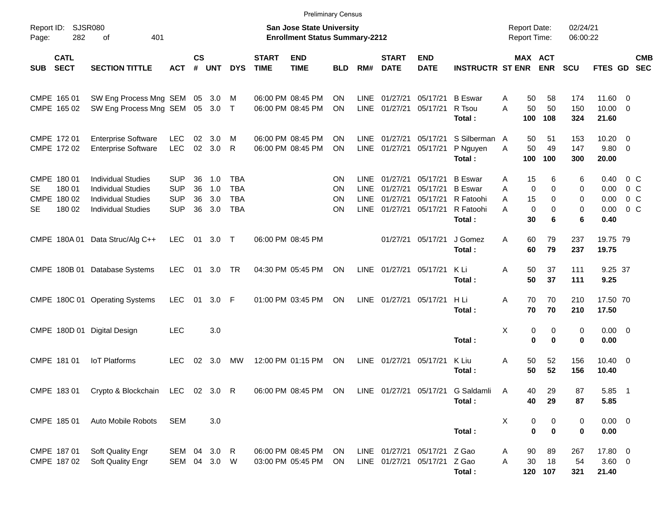|                         |                                 |                                                                                                                  |                                                      |                      |                          |                                                      |                             | <b>Preliminary Census</b>                                                 |                      |                                                   |                                              |                                                              |                                                                      |                  |                                            |                              |                              |                                      |                                                      |                          |
|-------------------------|---------------------------------|------------------------------------------------------------------------------------------------------------------|------------------------------------------------------|----------------------|--------------------------|------------------------------------------------------|-----------------------------|---------------------------------------------------------------------------|----------------------|---------------------------------------------------|----------------------------------------------|--------------------------------------------------------------|----------------------------------------------------------------------|------------------|--------------------------------------------|------------------------------|------------------------------|--------------------------------------|------------------------------------------------------|--------------------------|
| Report ID:<br>Page:     | <b>SJSR080</b><br>282           | 401<br>of                                                                                                        |                                                      |                      |                          |                                                      |                             | <b>San Jose State University</b><br><b>Enrollment Status Summary-2212</b> |                      |                                                   |                                              |                                                              |                                                                      |                  | <b>Report Date:</b><br><b>Report Time:</b> |                              | 02/24/21<br>06:00:22         |                                      |                                                      |                          |
| <b>SUB</b>              | <b>CATL</b><br><b>SECT</b>      | <b>SECTION TITTLE</b>                                                                                            | <b>ACT</b>                                           | <b>CS</b><br>#       | <b>UNT</b>               | <b>DYS</b>                                           | <b>START</b><br><b>TIME</b> | <b>END</b><br><b>TIME</b>                                                 | <b>BLD</b>           | RM#                                               | <b>START</b><br><b>DATE</b>                  | <b>END</b><br><b>DATE</b>                                    | <b>INSTRUCTR ST ENR</b>                                              |                  | MAX ACT                                    | <b>ENR</b>                   | SCU                          | <b>FTES GD</b>                       |                                                      | <b>CMB</b><br><b>SEC</b> |
|                         | CMPE 165 01<br>CMPE 165 02      | SW Eng Process Mng SEM<br>SW Eng Process Mng SEM                                                                 |                                                      | 05                   | 3.0<br>05 3.0            | M<br>$\top$                                          |                             | 06:00 PM 08:45 PM<br>06:00 PM 08:45 PM                                    | ΟN<br>ΟN             | <b>LINE</b><br><b>LINE</b>                        | 01/27/21<br>01/27/21                         | 05/17/21<br>05/17/21                                         | <b>B</b> Eswar<br>R Tsou<br>Total:                                   | A<br>A           | 50<br>50<br>100                            | 58<br>50<br>108              | 174<br>150<br>324            | 11.60 0<br>$10.00 \t 0$<br>21.60     |                                                      |                          |
|                         | CMPE 172 01<br>CMPE 172 02      | <b>Enterprise Software</b><br><b>Enterprise Software</b>                                                         | <b>LEC</b><br><b>LEC</b>                             | 02<br>02             | 3.0<br>3.0               | M<br>$\mathsf{R}$                                    |                             | 06:00 PM 08:45 PM<br>06:00 PM 08:45 PM                                    | ΟN<br>ΟN             | <b>LINE</b><br><b>LINE</b>                        | 01/27/21<br>01/27/21                         | 05/17/21<br>05/17/21                                         | S Silberman A<br>P Nguyen<br>Total:                                  | A                | 50<br>50<br>100                            | 51<br>49<br>100              | 153<br>147<br>300            | $10.20 \t 0$<br>9.80 0<br>20.00      |                                                      |                          |
| CMPE 180 01<br>SE<br>SE | 180 01<br>CMPE 180 02<br>180 02 | <b>Individual Studies</b><br><b>Individual Studies</b><br><b>Individual Studies</b><br><b>Individual Studies</b> | <b>SUP</b><br><b>SUP</b><br><b>SUP</b><br><b>SUP</b> | 36<br>36<br>36<br>36 | 1.0<br>1.0<br>3.0<br>3.0 | <b>TBA</b><br><b>TBA</b><br><b>TBA</b><br><b>TBA</b> |                             |                                                                           | ΟN<br>ΟN<br>ΟN<br>ON | LINE<br><b>LINE</b><br><b>LINE</b><br><b>LINE</b> | 01/27/21<br>01/27/21<br>01/27/21<br>01/27/21 | 05/17/21<br>05/17/21<br>05/17/21<br>05/17/21                 | <b>B</b> Eswar<br><b>B</b> Eswar<br>R Fatoohi<br>R Fatoohi<br>Total: | A<br>A<br>A<br>A | 15<br>0<br>15<br>0<br>30                   | 6<br>$\Omega$<br>0<br>0<br>6 | 6<br>$\Omega$<br>0<br>0<br>6 | 0.40<br>0.00<br>0.00<br>0.00<br>0.40 | 0 <sup>o</sup><br>$0\,C$<br>0 <sup>o</sup><br>$0\,C$ |                          |
|                         |                                 | CMPE 180A 01 Data Struc/Alg C++                                                                                  | <b>LEC</b>                                           | 01                   | 3.0                      | $\top$                                               |                             | 06:00 PM 08:45 PM                                                         |                      |                                                   | 01/27/21                                     | 05/17/21                                                     | J Gomez<br>Total:                                                    | A                | 60<br>60                                   | 79<br>79                     | 237<br>237                   | 19.75 79<br>19.75                    |                                                      |                          |
|                         |                                 | CMPE 180B 01 Database Systems                                                                                    | <b>LEC</b>                                           | 01                   | 3.0                      | TR                                                   |                             | 04:30 PM 05:45 PM                                                         | <b>ON</b>            | <b>LINE</b>                                       | 01/27/21 05/17/21                            |                                                              | K Li<br>Total:                                                       | A                | 50<br>50                                   | 37<br>37                     | 111<br>111                   | 9.25 37<br>9.25                      |                                                      |                          |
|                         |                                 | CMPE 180C 01 Operating Systems                                                                                   | <b>LEC</b>                                           | 01                   | 3.0                      | -F                                                   |                             | 01:00 PM 03:45 PM                                                         | <b>ON</b>            | LINE                                              | 01/27/21 05/17/21                            |                                                              | H Li<br>Total:                                                       | A                | 70<br>70                                   | 70<br>70                     | 210<br>210                   | 17.50 70<br>17.50                    |                                                      |                          |
|                         |                                 | CMPE 180D 01 Digital Design                                                                                      | <b>LEC</b>                                           |                      | 3.0                      |                                                      |                             |                                                                           |                      |                                                   |                                              |                                                              | Total:                                                               | X                | 0<br>0                                     | 0<br>$\bf{0}$                | 0<br>$\bf{0}$                | $0.00 \t 0$<br>0.00                  |                                                      |                          |
|                         | CMPE 181 01                     | <b>IoT Platforms</b>                                                                                             | <b>LEC</b>                                           | 02                   | 3.0                      | MW                                                   |                             | 12:00 PM 01:15 PM                                                         | <b>ON</b>            | LINE                                              | 01/27/21                                     | 05/17/21                                                     | K Liu<br>Total:                                                      | A                | 50<br>50                                   | 52<br>52                     | 156<br>156                   | $10.40 \t 0$<br>10.40                |                                                      |                          |
|                         | CMPE 183 01                     | Crypto & Blockchain LEC 02 3.0 R                                                                                 |                                                      |                      |                          |                                                      |                             | 06:00 PM 08:45 PM ON                                                      |                      |                                                   |                                              |                                                              | LINE 01/27/21 05/17/21 G Saldamli<br>Total:                          | A                | 40<br>40                                   | 29<br>29                     | 87<br>87                     | 5.85 1<br>5.85                       |                                                      |                          |
|                         | CMPE 185 01                     | Auto Mobile Robots                                                                                               | <b>SEM</b>                                           |                      | 3.0                      |                                                      |                             |                                                                           |                      |                                                   |                                              |                                                              | Total:                                                               | X                | $\boldsymbol{0}$<br>0                      | 0<br>$\bf{0}$                | 0<br>0                       | $0.00 \t 0$<br>0.00                  |                                                      |                          |
|                         | CMPE 187 01<br>CMPE 187 02      | Soft Quality Engr<br>Soft Quality Engr                                                                           | SEM 04 3.0 R<br>SEM 04 3.0 W                         |                      |                          |                                                      |                             | 06:00 PM 08:45 PM<br>03:00 PM 05:45 PM                                    | ON<br>ON.            |                                                   |                                              | LINE 01/27/21 05/17/21 Z Gao<br>LINE 01/27/21 05/17/21 Z Gao | Total:                                                               | A<br>Α           | 90<br>30                                   | 89<br>18<br>120 107          | 267<br>54<br>321             | 17.80 0<br>$3.60\ 0$<br>21.40        |                                                      |                          |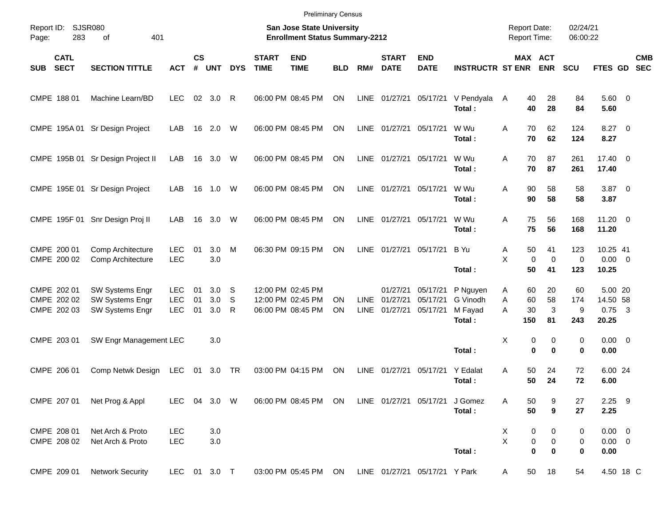|                                           |                                                              |                                 |                 |                   |             |                             | <b>Preliminary Census</b>                                                 |            |                     |                                  |                                  |                                 |                                            |                         |                           |                                    |                         |                          |
|-------------------------------------------|--------------------------------------------------------------|---------------------------------|-----------------|-------------------|-------------|-----------------------------|---------------------------------------------------------------------------|------------|---------------------|----------------------------------|----------------------------------|---------------------------------|--------------------------------------------|-------------------------|---------------------------|------------------------------------|-------------------------|--------------------------|
| Report ID:<br>Page:                       | SJSR080<br>283<br>401<br>οf                                  |                                 |                 |                   |             |                             | <b>San Jose State University</b><br><b>Enrollment Status Summary-2212</b> |            |                     |                                  |                                  |                                 | <b>Report Date:</b><br><b>Report Time:</b> |                         | 02/24/21<br>06:00:22      |                                    |                         |                          |
| <b>CATL</b><br><b>SECT</b><br><b>SUB</b>  | <b>SECTION TITTLE</b>                                        | <b>ACT</b>                      | <b>CS</b><br>#  | <b>UNT</b>        | <b>DYS</b>  | <b>START</b><br><b>TIME</b> | <b>END</b><br><b>TIME</b>                                                 | <b>BLD</b> | RM#                 | <b>START</b><br><b>DATE</b>      | <b>END</b><br><b>DATE</b>        | <b>INSTRUCTR ST ENR</b>         | MAX ACT                                    | <b>ENR</b>              | SCU                       | FTES GD                            |                         | <b>CMB</b><br><b>SEC</b> |
| CMPE 188 01                               | Machine Learn/BD                                             | <b>LEC</b>                      | 02 <sub>o</sub> | 3.0               | R           |                             | 06:00 PM 08:45 PM                                                         | ON         | LINE                | 01/27/21                         | 05/17/21                         | V Pendyala<br>Total:            | 40<br>A<br>40                              | 28<br>28                | 84<br>84                  | 5.60 0<br>5.60                     |                         |                          |
|                                           | CMPE 195A 01 Sr Design Project                               | LAB                             | 16              | 2.0               | W           |                             | 06:00 PM 08:45 PM                                                         | ON         | LINE                | 01/27/21 05/17/21                |                                  | W Wu<br>Total:                  | Α<br>70<br>70                              | 62<br>62                | 124<br>124                | $8.27$ 0<br>8.27                   |                         |                          |
|                                           | CMPE 195B 01 Sr Design Project II                            | LAB                             | 16              | 3.0               | W           |                             | 06:00 PM 08:45 PM                                                         | ON         | LINE                | 01/27/21 05/17/21                |                                  | W Wu<br>Total:                  | Α<br>70<br>70                              | 87<br>87                | 261<br>261                | 17.40 0<br>17.40                   |                         |                          |
|                                           | CMPE 195E 01 Sr Design Project                               | LAB                             | 16              | 1.0               | W           |                             | 06:00 PM 08:45 PM                                                         | ON         | LINE                | 01/27/21 05/17/21                |                                  | W Wu<br>Total:                  | Α<br>90<br>90                              | 58<br>58                | 58<br>58                  | $3.87$ 0<br>3.87                   |                         |                          |
|                                           | CMPE 195F 01 Snr Design Proj II                              | LAB                             | 16              | 3.0               | W           |                             | 06:00 PM 08:45 PM                                                         | ON         | LINE                | 01/27/21 05/17/21                |                                  | W Wu<br>Total:                  | Α<br>75<br>75                              | 56<br>56                | 168<br>168                | 11.20 0<br>11.20                   |                         |                          |
| CMPE 200 01<br>CMPE 200 02                | Comp Architecture<br>Comp Architecture                       | <b>LEC</b><br><b>LEC</b>        | 01              | 3.0<br>3.0        | M           |                             | 06:30 PM 09:15 PM                                                         | ON         | LINE                | 01/27/21 05/17/21                |                                  | B Yu<br>Total:                  | Α<br>50<br>X<br>0<br>50                    | 41<br>$\mathbf 0$<br>41 | 123<br>$\mathbf 0$<br>123 | 10.25 41<br>$0.00 \t 0$<br>10.25   |                         |                          |
| CMPE 202 01<br>CMPE 202 02<br>CMPE 202 03 | <b>SW Systems Engr</b><br>SW Systems Engr<br>SW Systems Engr | <b>LEC</b><br>LEC<br><b>LEC</b> | 01<br>01<br>01  | 3.0<br>3.0<br>3.0 | S<br>S<br>R |                             | 12:00 PM 02:45 PM<br>12:00 PM 02:45 PM<br>06:00 PM 08:45 PM               | ΟN<br>ON   | LINE<br><b>LINE</b> | 01/27/21<br>01/27/21<br>01/27/21 | 05/17/21<br>05/17/21<br>05/17/21 | P Nguyen<br>G Vinodh<br>M Fayad | Α<br>60<br>60<br>A<br>30<br>A              | 20<br>58<br>3           | 60<br>174<br>9            | 5.00 20<br>14.50 58<br>0.75        | $\overline{\mathbf{3}}$ |                          |
| CMPE 203 01                               | SW Engr Management LEC                                       |                                 |                 | 3.0               |             |                             |                                                                           |            |                     |                                  |                                  | Total:                          | 150<br>X<br>0                              | 81<br>0                 | 243<br>0                  | 20.25<br>$0.00 \t 0$               |                         |                          |
| CMPE 206 01                               | Comp Netwk Design                                            | <b>LEC</b>                      | 01              | 3.0               | TR          |                             | 03:00 PM 04:15 PM                                                         | ON         | LINE                | 01/27/21                         | 05/17/21                         | Total:<br>Y Edalat<br>Total:    | 0<br>50<br>Α<br>50                         | $\bf{0}$<br>24<br>24    | 0<br>72<br>72             | 0.00<br>6.00 24<br>6.00            |                         |                          |
| CMPE 207 01                               | Net Prog & Appl                                              | <b>LEC</b>                      |                 | 04 3.0 W          |             |                             | 06:00 PM 08:45 PM                                                         | ON         |                     | LINE 01/27/21 05/17/21           |                                  | J Gomez<br>Total:               | Α<br>50<br>50                              | 9<br>$\boldsymbol{9}$   | 27<br>27                  | $2.25$ 9<br>2.25                   |                         |                          |
| CMPE 208 01<br>CMPE 208 02                | Net Arch & Proto<br>Net Arch & Proto                         | <b>LEC</b><br><b>LEC</b>        |                 | 3.0<br>3.0        |             |                             |                                                                           |            |                     |                                  |                                  | Total:                          | X<br>0<br>X<br>0<br>$\bf{0}$               | 0<br>$\pmb{0}$<br>0     | 0<br>0<br>0               | $0.00 \t 0$<br>$0.00 \t 0$<br>0.00 |                         |                          |
| CMPE 209 01                               | <b>Network Security</b>                                      | LEC 01 3.0 T                    |                 |                   |             |                             | 03:00 PM 05:45 PM                                                         | ON         |                     |                                  | LINE 01/27/21 05/17/21 Y Park    |                                 | 50<br>A                                    | 18                      | 54                        | 4.50 18 C                          |                         |                          |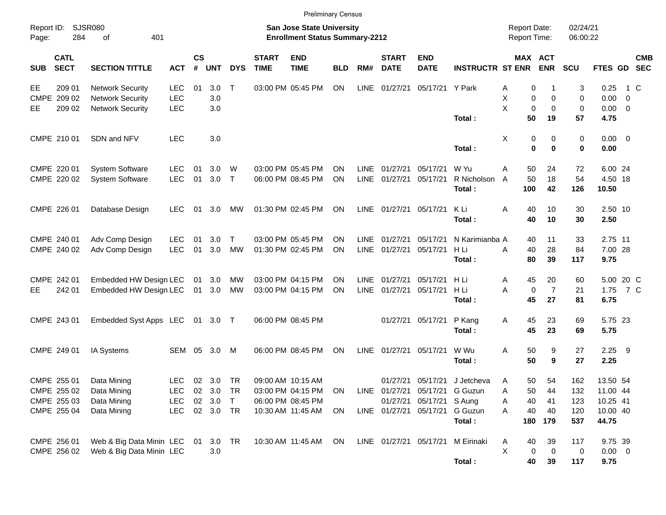|                                          |                |                          |            |                |            |            |                             | <b>Preliminary Census</b>                                                 |            |             |                             |                                |                         |                                            |                               |                      |                     |                          |            |
|------------------------------------------|----------------|--------------------------|------------|----------------|------------|------------|-----------------------------|---------------------------------------------------------------------------|------------|-------------|-----------------------------|--------------------------------|-------------------------|--------------------------------------------|-------------------------------|----------------------|---------------------|--------------------------|------------|
| Report ID:<br>Page:                      | SJSR080<br>284 | 401<br>οf                |            |                |            |            |                             | <b>San Jose State University</b><br><b>Enrollment Status Summary-2212</b> |            |             |                             |                                |                         | <b>Report Date:</b><br><b>Report Time:</b> |                               | 02/24/21<br>06:00:22 |                     |                          |            |
| <b>CATL</b><br><b>SECT</b><br><b>SUB</b> |                | <b>SECTION TITTLE</b>    | <b>ACT</b> | <b>CS</b><br># | <b>UNT</b> | <b>DYS</b> | <b>START</b><br><b>TIME</b> | <b>END</b><br><b>TIME</b>                                                 | <b>BLD</b> | RM#         | <b>START</b><br><b>DATE</b> | <b>END</b><br><b>DATE</b>      | <b>INSTRUCTR ST ENR</b> |                                            | <b>MAX ACT</b><br><b>ENR</b>  | <b>SCU</b>           | FTES GD SEC         |                          | <b>CMB</b> |
| EE                                       | 209 01         | <b>Network Security</b>  | <b>LEC</b> | 01             | 3.0        | $\top$     |                             | 03:00 PM 05:45 PM                                                         | ON         | LINE        | 01/27/21                    | 05/17/21 Y Park                |                         | Α                                          | 0                             | 3                    | 0.25                |                          | 1 C        |
| CMPE 209 02                              |                | <b>Network Security</b>  | <b>LEC</b> |                | 3.0        |            |                             |                                                                           |            |             |                             |                                |                         | X                                          | 0<br>0                        | $\mathbf 0$          | 0.00                | $\overline{\phantom{0}}$ |            |
| EE                                       | 209 02         | <b>Network Security</b>  | LEC        |                | 3.0        |            |                             |                                                                           |            |             |                             |                                | Total:                  | X                                          | $\mathbf 0$<br>0<br>50<br>19  | $\mathbf 0$<br>57    | $0.00 \t 0$<br>4.75 |                          |            |
|                                          |                |                          |            |                |            |            |                             |                                                                           |            |             |                             |                                |                         |                                            |                               |                      |                     |                          |            |
| CMPE 210 01                              |                | SDN and NFV              | <b>LEC</b> |                | 3.0        |            |                             |                                                                           |            |             |                             |                                |                         | X                                          | 0<br>0                        | 0                    | $0.00 \t 0$         |                          |            |
|                                          |                |                          |            |                |            |            |                             |                                                                           |            |             |                             |                                | Total:                  |                                            | $\bf{0}$<br>0                 | 0                    | 0.00                |                          |            |
| CMPE 220 01                              |                | <b>System Software</b>   | <b>LEC</b> | 01             | 3.0        | W          |                             | 03:00 PM 05:45 PM                                                         | ΟN         | <b>LINE</b> | 01/27/21                    | 05/17/21                       | W Yu                    | Α<br>50                                    | 24                            | 72                   | 6.00 24             |                          |            |
| CMPE 220 02                              |                | <b>System Software</b>   | <b>LEC</b> | 01             | $3.0$ T    |            |                             | 06:00 PM 08:45 PM                                                         | ON         | LINE        | 01/27/21                    | 05/17/21                       | R Nicholson             | 50<br>A                                    | 18                            | 54                   | 4.50 18             |                          |            |
|                                          |                |                          |            |                |            |            |                             |                                                                           |            |             |                             |                                | Total:                  | 100                                        | 42                            | 126                  | 10.50               |                          |            |
|                                          |                |                          |            |                |            |            |                             |                                                                           |            |             |                             |                                |                         |                                            |                               |                      |                     |                          |            |
| CMPE 226 01                              |                | Database Design          | <b>LEC</b> |                | 01 3.0     | МW         |                             | 01:30 PM 02:45 PM                                                         | <b>ON</b>  |             | LINE 01/27/21               | 05/17/21                       | K Li<br>Total:          | 40<br>Α                                    | 10<br>40<br>10                | 30<br>30             | 2.50 10<br>2.50     |                          |            |
|                                          |                |                          |            |                |            |            |                             |                                                                           |            |             |                             |                                |                         |                                            |                               |                      |                     |                          |            |
| CMPE 240 01                              |                | Adv Comp Design          | <b>LEC</b> | 01             | 3.0        | $\top$     |                             | 03:00 PM 05:45 PM                                                         | ΟN         | <b>LINE</b> | 01/27/21                    | 05/17/21                       | N Karimianba A          |                                            | 11<br>40                      | 33                   | 2.75 11             |                          |            |
| CMPE 240 02                              |                | Adv Comp Design          | <b>LEC</b> | 01             | 3.0        | MW         |                             | 01:30 PM 02:45 PM                                                         | ON         | <b>LINE</b> | 01/27/21                    | 05/17/21                       | H Li                    | 40<br>Α                                    | 28                            | 84                   | 7.00 28             |                          |            |
|                                          |                |                          |            |                |            |            |                             |                                                                           |            |             |                             |                                | Total:                  |                                            | 80<br>39                      | 117                  | 9.75                |                          |            |
| CMPE 242 01                              |                | Embedded HW Design LEC   |            |                | 01 3.0     | МW         |                             | 03:00 PM 04:15 PM                                                         | ΟN         | <b>LINE</b> | 01/27/21                    | 05/17/21                       | H Li                    | 45<br>A                                    | 20                            | 60                   | 5.00 20 C           |                          |            |
| EE                                       | 242 01         | Embedded HW Design LEC   |            |                | 01 3.0     | МW         |                             | 03:00 PM 04:15 PM                                                         | ON         | <b>LINE</b> | 01/27/21                    | 05/17/21                       | H Li                    | Α                                          | $\overline{7}$<br>$\mathbf 0$ | 21                   | 1.75 7 C            |                          |            |
|                                          |                |                          |            |                |            |            |                             |                                                                           |            |             |                             |                                | Total:                  | 45                                         | 27                            | 81                   | 6.75                |                          |            |
| CMPE 243 01                              |                | Embedded Syst Apps LEC   |            |                | 01 3.0 T   |            |                             | 06:00 PM 08:45 PM                                                         |            |             | 01/27/21                    | 05/17/21                       | P Kang                  | 45<br>Α                                    | 23                            | 69                   | 5.75 23             |                          |            |
|                                          |                |                          |            |                |            |            |                             |                                                                           |            |             |                             |                                | Total:                  | 45                                         | 23                            | 69                   | 5.75                |                          |            |
|                                          |                |                          |            |                |            |            |                             |                                                                           |            |             |                             |                                |                         |                                            |                               |                      |                     |                          |            |
| CMPE 249 01                              |                | IA Systems               | SEM        | 05             | 3.0        | M          |                             | 06:00 PM 08:45 PM                                                         | ON         | <b>LINE</b> | 01/27/21                    | 05/17/21                       | W Wu                    | Α                                          | 50<br>9                       | 27                   | $2.25$ 9            |                          |            |
|                                          |                |                          |            |                |            |            |                             |                                                                           |            |             |                             |                                | Total:                  | 50                                         | 9                             | 27                   | 2.25                |                          |            |
| CMPE 255 01                              |                | Data Mining              | <b>LEC</b> |                | 02 3.0 TR  |            |                             | 09:00 AM 10:15 AM                                                         |            |             |                             | 01/27/21 05/17/21              | J Jetcheva              | Α                                          | 50<br>54                      | 162                  | 13.50 54            |                          |            |
| CMPE 255 02                              |                | Data Mining              | <b>LEC</b> |                | 02 3.0     | <b>TR</b>  |                             | 03:00 PM 04:15 PM                                                         | <b>ON</b>  |             |                             | LINE 01/27/21 05/17/21 G Guzun |                         | Α                                          | 50<br>44                      | 132                  | 11.00 44            |                          |            |
| CMPE 255 03                              |                | Data Mining              | <b>LEC</b> |                | 02 3.0     | $\top$     |                             | 06:00 PM 08:45 PM                                                         |            |             |                             | 01/27/21 05/17/21 S Aung       |                         | Α                                          | 40<br>41                      | 123                  | 10.25 41            |                          |            |
| CMPE 255 04                              |                | Data Mining              | LEC        |                | 02 3.0 TR  |            |                             | 10:30 AM 11:45 AM                                                         | ON         |             |                             | LINE 01/27/21 05/17/21         | G Guzun                 | 40<br>Α                                    | 40                            | 120                  | 10.00 40            |                          |            |
|                                          |                |                          |            |                |            |            |                             |                                                                           |            |             |                             |                                | Total:                  | 180                                        | 179                           | 537                  | 44.75               |                          |            |
| CMPE 256 01                              |                | Web & Big Data Minin LEC |            |                | 01 3.0 TR  |            |                             | 10:30 AM 11:45 AM                                                         | ON         |             | LINE 01/27/21 05/17/21      |                                | M Eirinaki              | A                                          | 40<br>39                      | 117                  | 9.75 39             |                          |            |
| CMPE 256 02                              |                | Web & Big Data Minin LEC |            |                | 3.0        |            |                             |                                                                           |            |             |                             |                                |                         | Χ                                          | $\mathbf 0$<br>0              | 0                    | $0.00 \t 0$         |                          |            |
|                                          |                |                          |            |                |            |            |                             |                                                                           |            |             |                             |                                | Total:                  |                                            | 40<br>39                      | 117                  | 9.75                |                          |            |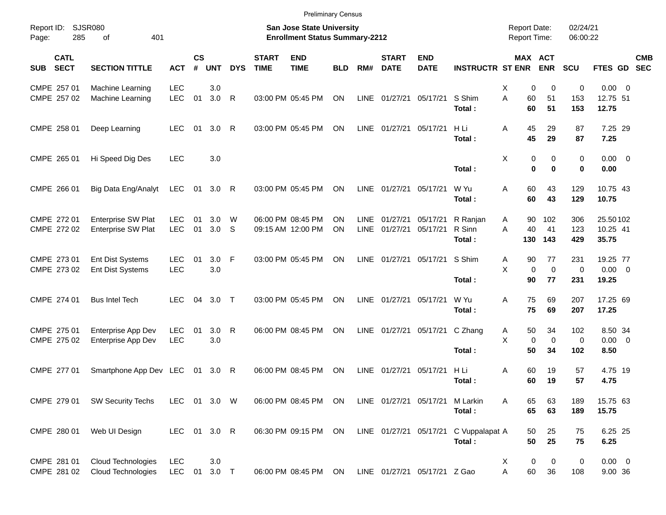|                                          |                                                 |                          |                |                  |              |                             | <b>Preliminary Census</b>                                          |            |             |                             |                              |                          |                                            |                       |                      |                        |            |
|------------------------------------------|-------------------------------------------------|--------------------------|----------------|------------------|--------------|-----------------------------|--------------------------------------------------------------------|------------|-------------|-----------------------------|------------------------------|--------------------------|--------------------------------------------|-----------------------|----------------------|------------------------|------------|
| Report ID:<br>Page:                      | SJSR080<br>285<br>401<br>οf                     |                          |                |                  |              |                             | San Jose State University<br><b>Enrollment Status Summary-2212</b> |            |             |                             |                              |                          | <b>Report Date:</b><br><b>Report Time:</b> |                       | 02/24/21<br>06:00:22 |                        |            |
| <b>CATL</b><br><b>SECT</b><br><b>SUB</b> | <b>SECTION TITTLE</b>                           | <b>ACT</b>               | <b>CS</b><br># | <b>UNT</b>       | <b>DYS</b>   | <b>START</b><br><b>TIME</b> | <b>END</b><br><b>TIME</b>                                          | <b>BLD</b> | RM#         | <b>START</b><br><b>DATE</b> | <b>END</b><br><b>DATE</b>    | <b>INSTRUCTR ST ENR</b>  |                                            | MAX ACT<br><b>ENR</b> | <b>SCU</b>           | FTES GD SEC            | <b>CMB</b> |
| CMPE 257 01                              | Machine Learning                                | <b>LEC</b>               |                | 3.0              |              |                             |                                                                    |            |             |                             |                              |                          | X                                          | 0<br>0                | 0                    | $0.00 \t 0$            |            |
| CMPE 257 02                              | Machine Learning                                | <b>LEC</b>               | 01             | 3.0              | R            |                             | 03:00 PM 05:45 PM                                                  | ON         |             | LINE 01/27/21               | 05/17/21                     | S Shim<br>Total:         | A<br>60<br>60                              | 51<br>51              | 153<br>153           | 12.75 51<br>12.75      |            |
| CMPE 258 01                              | Deep Learning                                   | <b>LEC</b>               | 01             | 3.0              | $\mathsf{R}$ |                             | 03:00 PM 05:45 PM                                                  | ON         | LINE        | 01/27/21 05/17/21           |                              | H Li<br>Total:           | Α<br>45<br>45                              | 29<br>29              | 87<br>87             | 7.25 29<br>7.25        |            |
| CMPE 265 01                              | Hi Speed Dig Des                                | <b>LEC</b>               |                | 3.0              |              |                             |                                                                    |            |             |                             |                              | Total:                   | X<br>0<br>$\bf{0}$                         | 0<br>$\bf{0}$         | $\mathbf 0$<br>0     | $0.00 \t 0$<br>0.00    |            |
| CMPE 266 01                              | Big Data Eng/Analyt                             | LEC                      | 01             | 3.0              | R            |                             | 03:00 PM 05:45 PM                                                  | ON         | LINE        | 01/27/21                    | 05/17/21                     | W Yu<br>Total:           | 60<br>Α<br>60                              | 43<br>43              | 129<br>129           | 10.75 43<br>10.75      |            |
| CMPE 272 01                              | <b>Enterprise SW Plat</b>                       | <b>LEC</b>               | 01             | 3.0              | W            |                             | 06:00 PM 08:45 PM                                                  | ON         | <b>LINE</b> | 01/27/21                    | 05/17/21                     | R Ranjan                 | 90<br>Α                                    | 102                   | 306                  | 25.50102               |            |
| CMPE 272 02                              | Enterprise SW Plat                              | <b>LEC</b>               | 01             | 3.0 <sub>5</sub> |              |                             | 09:15 AM 12:00 PM                                                  | ON         | LINE        | 01/27/21                    | 05/17/21                     | R Sinn<br>Total:         | A<br>40<br>130                             | 41<br>143             | 123<br>429           | 10.25 41<br>35.75      |            |
| CMPE 273 01                              | Ent Dist Systems                                | <b>LEC</b>               | 01             | $3.0$ F          |              |                             | 03:00 PM 05:45 PM                                                  | ON         | LINE        |                             | 01/27/21 05/17/21            | S Shim                   | 90<br>Α                                    | 77                    | 231                  | 19.25 77               |            |
| CMPE 273 02                              | Ent Dist Systems                                | <b>LEC</b>               |                | 3.0              |              |                             |                                                                    |            |             |                             |                              | Total:                   | X<br>$\mathbf 0$<br>90                     | $\mathbf 0$<br>77     | $\mathbf 0$<br>231   | $0.00 \t 0$<br>19.25   |            |
| CMPE 274 01                              | <b>Bus Intel Tech</b>                           | <b>LEC</b>               | 04             | $3.0$ T          |              |                             | 03:00 PM 05:45 PM                                                  | ON         |             | LINE 01/27/21               | 05/17/21                     | W Yu                     | A<br>75                                    | 69                    | 207                  | 17.25 69               |            |
|                                          |                                                 |                          |                |                  |              |                             |                                                                    |            |             |                             |                              | Total:                   | 75                                         | 69                    | 207                  | 17.25                  |            |
| CMPE 275 01                              | Enterprise App Dev                              | <b>LEC</b>               | 01             | 3.0              | R            |                             | 06:00 PM 08:45 PM                                                  | ON         |             |                             | LINE 01/27/21 05/17/21       | C Zhang                  | 50<br>Α                                    | 34                    | 102                  | 8.50 34                |            |
| CMPE 275 02                              | Enterprise App Dev                              | <b>LEC</b>               |                | 3.0              |              |                             |                                                                    |            |             |                             |                              | Total:                   | X<br>$\mathbf 0$<br>50                     | $\mathbf 0$<br>34     | 0<br>102             | $0.00 \t 0$<br>8.50    |            |
| CMPE 277 01                              | Smartphone App Dev LEC                          |                          |                | 01 3.0 R         |              |                             | 06:00 PM 08:45 PM                                                  | ON         | <b>LINE</b> | 01/27/21                    | 05/17/21                     | H Li                     | 60<br>Α                                    | 19                    | 57                   | 4.75 19                |            |
|                                          |                                                 |                          |                |                  |              |                             |                                                                    |            |             |                             |                              | Total:                   | 60                                         | 19                    | 57                   | 4.75                   |            |
|                                          | CMPE 279 01 SW Security Techs                   | LEC 01 3.0 W             |                |                  |              |                             | 06:00 PM 08:45 PM ON                                               |            |             |                             | LINE 01/27/21 05/17/21       | M Larkin<br>Total:       | 65<br>A<br>65                              | 63<br>63              | 189<br>189           | 15.75 63<br>15.75      |            |
| CMPE 280 01                              | Web UI Design                                   | LEC 01 3.0 R             |                |                  |              |                             | 06:30 PM 09:15 PM ON                                               |            |             |                             | LINE 01/27/21 05/17/21       | C Vuppalapat A<br>Total: | 50<br>50                                   | 25<br>25              | 75<br>75             | 6.25 25<br>6.25        |            |
| CMPE 281 01<br>CMPE 281 02               | <b>Cloud Technologies</b><br>Cloud Technologies | <b>LEC</b><br><b>LEC</b> |                | 3.0<br>01 3.0 T  |              |                             | 06:00 PM 08:45 PM ON                                               |            |             |                             | LINE 01/27/21 05/17/21 Z Gao |                          | 0<br>X<br>Α<br>60                          | 0<br>36               | 0<br>108             | $0.00 \t 0$<br>9.00 36 |            |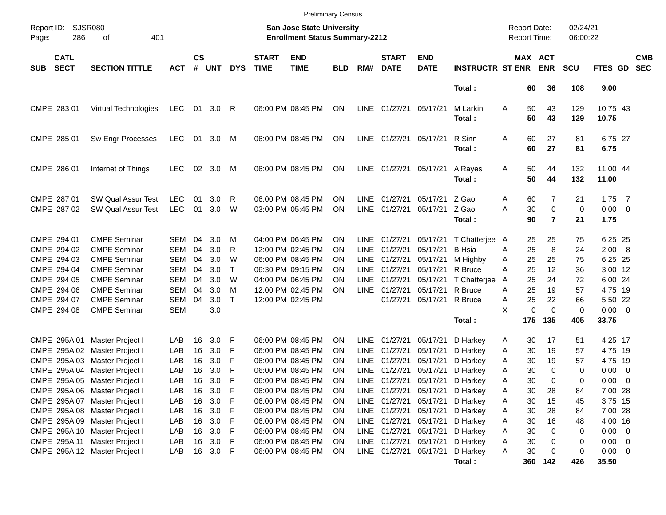|            |                                                  |                                                        |                          |                    |               |              |                             | <b>Preliminary Census</b>                                          |            |                            |                             |                            |                                           |                                     |                |                                    |                      |                                 |                          |
|------------|--------------------------------------------------|--------------------------------------------------------|--------------------------|--------------------|---------------|--------------|-----------------------------|--------------------------------------------------------------------|------------|----------------------------|-----------------------------|----------------------------|-------------------------------------------|-------------------------------------|----------------|------------------------------------|----------------------|---------------------------------|--------------------------|
| Page:      | <b>SJSR080</b><br>Report ID:<br>286<br>401<br>οf |                                                        |                          |                    |               |              |                             | San Jose State University<br><b>Enrollment Status Summary-2212</b> |            |                            |                             |                            |                                           | <b>Report Date:</b><br>Report Time: |                |                                    | 02/24/21<br>06:00:22 |                                 |                          |
| <b>SUB</b> | <b>CATL</b><br><b>SECT</b>                       | <b>SECTION TITTLE</b>                                  | <b>ACT</b>               | $\mathsf{cs}$<br># | <b>UNT</b>    | <b>DYS</b>   | <b>START</b><br><b>TIME</b> | <b>END</b><br><b>TIME</b>                                          | <b>BLD</b> | RM#                        | <b>START</b><br><b>DATE</b> | <b>END</b><br><b>DATE</b>  | <b>INSTRUCTR ST ENR</b>                   | MAX ACT                             |                | <b>ENR</b>                         | <b>SCU</b>           | FTES GD                         | <b>CMB</b><br><b>SEC</b> |
|            |                                                  |                                                        |                          |                    |               |              |                             |                                                                    |            |                            |                             |                            | Total:                                    |                                     | 60             | 36                                 | 108                  | 9.00                            |                          |
|            | CMPE 283 01                                      | Virtual Technologies                                   | <b>LEC</b>               | 01                 | $3.0 \quad R$ |              |                             | 06:00 PM 08:45 PM                                                  | ON         | LINE                       | 01/27/21                    | 05/17/21                   | M Larkin<br>Total:                        | Α                                   | 50<br>50       | 43<br>43                           | 129<br>129           | 10.75 43<br>10.75               |                          |
|            | CMPE 285 01                                      | Sw Engr Processes                                      | <b>LEC</b>               | 01                 | 3.0           | M            |                             | 06:00 PM 08:45 PM                                                  | ON         | LINE                       | 01/27/21                    | 05/17/21                   | R Sinn<br>Total:                          | Α                                   | 60<br>60       | 27<br>27                           | 81<br>81             | 6.75 27<br>6.75                 |                          |
|            | CMPE 286 01                                      | Internet of Things                                     | <b>LEC</b>               | 02                 | 3.0           | M            |                             | 06:00 PM 08:45 PM                                                  | ON         | LINE                       | 01/27/21                    | 05/17/21                   | A Rayes<br>Total:                         | Α                                   | 50<br>50       | 44<br>44                           | 132<br>132           | 11.00 44<br>11.00               |                          |
|            | CMPE 287 01<br>CMPE 287 02                       | <b>SW Qual Assur Test</b><br><b>SW Qual Assur Test</b> | <b>LEC</b><br><b>LEC</b> | 01<br>01           | 3.0<br>3.0    | R<br>W       |                             | 06:00 PM 08:45 PM<br>03:00 PM 05:45 PM                             | ΟN<br>ΟN   | LINE<br>LINE               | 01/27/21<br>01/27/21        | 05/17/21<br>05/17/21 Z Gao | Z Gao<br>Total:                           | Α<br>Α                              | 60<br>30<br>90 | 7<br>$\mathbf 0$<br>$\overline{7}$ | 21<br>0<br>21        | $1.75$ 7<br>$0.00 \t 0$<br>1.75 |                          |
|            | CMPE 294 01                                      | <b>CMPE Seminar</b>                                    | SEM                      | 04                 | 3.0           | M            |                             | 04:00 PM 06:45 PM                                                  | <b>ON</b>  | <b>LINE</b>                | 01/27/21                    | 05/17/21                   | T Chatterjee                              | A                                   | 25             | 25                                 | 75                   | 6.25 25                         |                          |
|            | CMPE 294 02<br>CMPE 294 03                       | <b>CMPE Seminar</b><br><b>CMPE Seminar</b>             | <b>SEM</b><br><b>SEM</b> | 04<br>04           | 3.0<br>3.0    | R<br>W       |                             | 12:00 PM 02:45 PM<br>06:00 PM 08:45 PM                             | ΟN<br>ΟN   | <b>LINE</b><br><b>LINE</b> | 01/27/21<br>01/27/21        | 05/17/21<br>05/17/21       | <b>B</b> Hsia<br>M Highby                 | A<br>Α                              | 25<br>25       | 8<br>25                            | 24<br>75             | 2.00 8<br>6.25 25               |                          |
|            | CMPE 294 04                                      | <b>CMPE Seminar</b>                                    | <b>SEM</b>               | 04                 | 3.0           | $\mathsf{T}$ |                             | 06:30 PM 09:15 PM                                                  | ΟN         | LINE                       | 01/27/21                    | 05/17/21                   | R Bruce                                   | Α                                   | 25             | 12                                 | 36                   | 3.00 12                         |                          |
|            | CMPE 294 05                                      | <b>CMPE Seminar</b>                                    | <b>SEM</b>               | 04                 | 3.0           | W            |                             | 04:00 PM 06:45 PM                                                  | ΟN         | <b>LINE</b>                | 01/27/21                    | 05/17/21                   | T Chatterjee                              | A                                   | 25             | 24                                 | 72                   | 6.00 24                         |                          |
|            | CMPE 294 06                                      | <b>CMPE Seminar</b>                                    | <b>SEM</b>               | 04                 | 3.0           | M            |                             | 12:00 PM 02:45 PM                                                  | ΟN         | LINE                       | 01/27/21                    | 05/17/21 R Bruce           |                                           | A                                   | 25             | 19                                 | 57                   | 4.75 19                         |                          |
|            | CMPE 294 07                                      | <b>CMPE Seminar</b>                                    | <b>SEM</b>               | 04                 | 3.0           | $\mathsf{T}$ |                             | 12:00 PM 02:45 PM                                                  |            |                            | 01/27/21                    | 05/17/21 R Bruce           |                                           | Α                                   | 25             | 22                                 | 66                   | 5.50 22                         |                          |
|            | CMPE 294 08                                      | <b>CMPE Seminar</b>                                    | <b>SEM</b>               |                    | 3.0           |              |                             |                                                                    |            |                            |                             |                            |                                           | X                                   | 0              | $\Omega$                           | 0                    | $0.00 \t 0$                     |                          |
|            |                                                  |                                                        |                          |                    |               |              |                             |                                                                    |            |                            |                             |                            | Total:                                    | 175                                 |                | 135                                | 405                  | 33.75                           |                          |
|            |                                                  | CMPE 295A 01 Master Project I                          | LAB                      | 16                 | 3.0           | -F           |                             | 06:00 PM 08:45 PM                                                  | <b>ON</b>  | <b>LINE</b>                | 01/27/21                    | 05/17/21                   | D Harkey                                  | Α                                   | 30             | 17                                 | 51                   | 4.25 17                         |                          |
|            |                                                  | CMPE 295A 02 Master Project I                          | LAB                      | 16                 | 3.0           | F            |                             | 06:00 PM 08:45 PM                                                  | ΟN         | <b>LINE</b>                | 01/27/21                    | 05/17/21                   | D Harkey                                  | Α                                   | 30             | 19                                 | 57                   | 4.75 19                         |                          |
|            |                                                  | CMPE 295A 03 Master Project I                          | LAB                      | 16                 | 3.0           | F            |                             | 06:00 PM 08:45 PM                                                  | ΟN         | <b>LINE</b>                | 01/27/21                    | 05/17/21                   | D Harkey                                  | Α                                   | 30             | 19                                 | 57                   | 4.75 19                         |                          |
|            | CMPE 295A 04                                     | Master Project I                                       | LAB                      | 16                 | 3.0           | F            |                             | 06:00 PM 08:45 PM                                                  | ΟN         | <b>LINE</b>                | 01/27/21                    | 05/17/21                   | D Harkey                                  | A                                   | 30             | 0                                  | 0                    | $0.00 \t 0$                     |                          |
|            |                                                  | CMPE 295A 05 Master Project I                          | LAB                      | 16                 | 3.0           | F            |                             | 06:00 PM 08:45 PM                                                  | ΟN         | LINE                       | 01/27/21                    |                            | 05/17/21 D Harkey                         | Α                                   | 30             | $\Omega$                           | 0                    | $0.00 \t 0$                     |                          |
|            |                                                  | CMPE 295A 06 Master Project I                          | LAB                      |                    | 16 3.0 F      |              |                             | 06:00 PM 08:45 PM                                                  | ON         |                            |                             |                            | LINE 01/27/21 05/17/21 D Harkey           | Α                                   | 30             | 28                                 | 84                   | 7.00 28                         |                          |
|            |                                                  | CMPE 295A 07 Master Project I                          | LAB                      | 16                 | 3.0           | - F          |                             | 06:00 PM 08:45 PM                                                  | <b>ON</b>  |                            |                             |                            | LINE 01/27/21 05/17/21 D Harkey           | Α                                   | 30             | 15                                 | 45                   | 3.75 15                         |                          |
|            |                                                  | CMPE 295A 08 Master Project I                          | LAB                      |                    | 16 3.0 F      |              |                             | 06:00 PM 08:45 PM                                                  | <b>ON</b>  |                            |                             |                            | LINE 01/27/21 05/17/21 D Harkey           | Α                                   | 30             | 28                                 | 84                   | 7.00 28                         |                          |
|            |                                                  | CMPE 295A 09 Master Project I                          | LAB                      |                    | 16 3.0 F      |              |                             | 06:00 PM 08:45 PM                                                  | <b>ON</b>  |                            |                             |                            | LINE 01/27/21 05/17/21 D Harkey           | Α                                   | 30             | 16                                 | 48                   | 4.00 16                         |                          |
|            |                                                  | CMPE 295A 10 Master Project I                          | LAB                      |                    | 16 3.0 F      |              |                             | 06:00 PM 08:45 PM                                                  | <b>ON</b>  |                            |                             |                            | LINE 01/27/21 05/17/21 D Harkey           | Α                                   | 30             | 0                                  | 0                    | $0.00 \t 0$                     |                          |
|            |                                                  | CMPE 295A 11 Master Project I                          | LAB                      |                    | 16 3.0 F      |              |                             | 06:00 PM 08:45 PM                                                  | <b>ON</b>  |                            |                             |                            | LINE 01/27/21 05/17/21 D Harkey           | Α                                   | 30             | 0                                  | 0                    | $0.00 \t 0$                     |                          |
|            |                                                  | CMPE 295A 12 Master Project I                          | LAB                      |                    | 16 3.0 F      |              |                             | 06:00 PM 08:45 PM                                                  | <b>ON</b>  |                            |                             |                            | LINE 01/27/21 05/17/21 D Harkey<br>Total: | Α                                   | 30<br>360 142  | 0                                  | 0<br>426             | $0.00 \t 0$<br>35.50            |                          |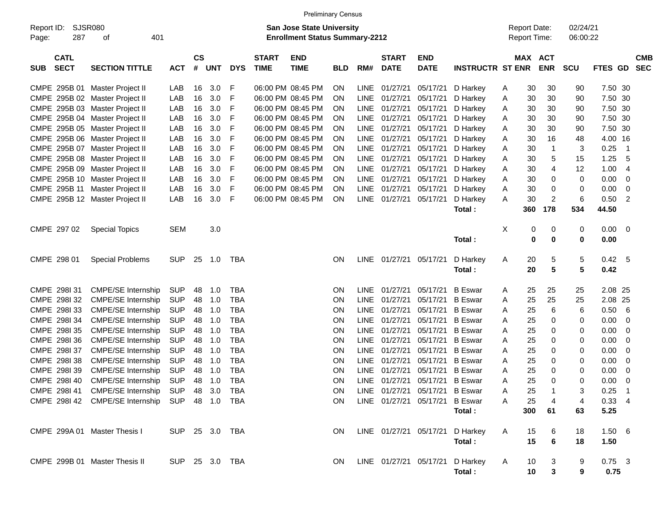|                                                                                                                                 |                                                |                |                    |            |            |                             | <b>Preliminary Census</b> |            |             |                             |                                |                                     |               |                       |            |          |                |                          |
|---------------------------------------------------------------------------------------------------------------------------------|------------------------------------------------|----------------|--------------------|------------|------------|-----------------------------|---------------------------|------------|-------------|-----------------------------|--------------------------------|-------------------------------------|---------------|-----------------------|------------|----------|----------------|--------------------------|
| SJSR080<br>Report ID:<br><b>San Jose State University</b><br>287<br>401<br><b>Enrollment Status Summary-2212</b><br>Page:<br>οf |                                                |                |                    |            |            |                             |                           |            |             |                             |                                | <b>Report Date:</b><br>Report Time: |               | 02/24/21<br>06:00:22  |            |          |                |                          |
| <b>CATL</b><br><b>SECT</b><br><b>SUB</b>                                                                                        | <b>SECTION TITTLE</b>                          | <b>ACT</b>     | $\mathsf{cs}$<br># | <b>UNT</b> | <b>DYS</b> | <b>START</b><br><b>TIME</b> | <b>END</b><br><b>TIME</b> | <b>BLD</b> | RM#         | <b>START</b><br><b>DATE</b> | <b>END</b><br><b>DATE</b>      | <b>INSTRUCTR ST ENR</b>             |               | MAX ACT<br><b>ENR</b> | <b>SCU</b> | FTES GD  |                | <b>CMB</b><br><b>SEC</b> |
| CMPE 295B 01                                                                                                                    | Master Project II                              | LAB            | 16                 | 3.0        | F          |                             | 06:00 PM 08:45 PM         | ON.        |             | LINE 01/27/21               | 05/17/21                       | D Harkey                            | 30<br>A       | 30                    | 90         | 7.50 30  |                |                          |
|                                                                                                                                 | CMPE 295B 02 Master Project II                 | LAB            | 16                 | 3.0        | F          |                             | 06:00 PM 08:45 PM         | ON         | LINE        | 01/27/21                    | 05/17/21                       | D Harkey                            | 30<br>A       | 30                    | 90         | 7.50 30  |                |                          |
|                                                                                                                                 | CMPE 295B 03 Master Project II                 | LAB            | 16                 | 3.0        | F          |                             | 06:00 PM 08:45 PM         | ON         | LINE        | 01/27/21                    | 05/17/21                       | D Harkey                            | 30<br>A       | 30                    | 90         | 7.50 30  |                |                          |
|                                                                                                                                 | CMPE 295B 04 Master Project II                 | LAB            | 16                 | 3.0        | F          |                             | 06:00 PM 08:45 PM         | ON         | LINE        | 01/27/21                    | 05/17/21                       | D Harkey                            | 30<br>A       | 30                    | 90         | 7.50 30  |                |                          |
|                                                                                                                                 | CMPE 295B 05 Master Project II                 | LAB            | 16                 | 3.0        | F          |                             | 06:00 PM 08:45 PM         | ON         | LINE        | 01/27/21                    | 05/17/21                       | D Harkey                            | 30<br>A       | 30                    | 90         | 7.50 30  |                |                          |
|                                                                                                                                 | CMPE 295B 06 Master Project II                 | LAB            | 16                 | 3.0        | F          |                             | 06:00 PM 08:45 PM         | ON         | LINE        | 01/27/21                    | 05/17/21                       | D Harkey                            | 30<br>A       | 16                    | 48         | 4.00 16  |                |                          |
|                                                                                                                                 | CMPE 295B 07 Master Project II                 | LAB            | 16                 | 3.0        | F          |                             | 06:00 PM 08:45 PM         | ON         | LINE        | 01/27/21                    | 05/17/21                       | D Harkey                            | 30<br>A       | 1                     | 3          | 0.25     | $\overline{1}$ |                          |
|                                                                                                                                 | CMPE 295B 08 Master Project II                 | LAB            | 16                 | 3.0        | F          |                             | 06:00 PM 08:45 PM         | ON         | LINE        | 01/27/21                    | 05/17/21                       | D Harkey                            | 30<br>A       | 5                     | 15         | 1.25     | 5              |                          |
|                                                                                                                                 | CMPE 295B 09 Master Project II                 | LAB            | 16                 | 3.0        | F          |                             | 06:00 PM 08:45 PM         | ON         | LINE        | 01/27/21                    | 05/17/21                       | D Harkey                            | 30<br>A       | 4                     | 12         | 1.00     | 4              |                          |
|                                                                                                                                 | CMPE 295B 10 Master Project II                 | LAB            | 16                 | 3.0        | F          |                             | 06:00 PM 08:45 PM         | ON         |             | LINE 01/27/21               | 05/17/21                       | D Harkey                            | 30<br>A       | 0                     | 0          | 0.00     | 0              |                          |
| CMPE 295B 11                                                                                                                    | Master Project II                              | LAB            | 16                 | 3.0        | F          |                             | 06:00 PM 08:45 PM         | ON         | LINE        | 01/27/21                    | 05/17/21                       | D Harkey                            | 30<br>A       | 0                     | 0          | 0.00     | 0              |                          |
|                                                                                                                                 | CMPE 295B 12 Master Project II                 | LAB            | 16                 | 3.0        | F          |                             | 06:00 PM 08:45 PM         | ON         |             | LINE 01/27/21               | 05/17/21                       | D Harkey                            | 30<br>A       | $\overline{2}$        | 6          | 0.50     | $\overline{2}$ |                          |
|                                                                                                                                 |                                                |                |                    |            |            |                             |                           |            |             |                             |                                | Total:                              | 360           | 178                   | 534        | 44.50    |                |                          |
|                                                                                                                                 |                                                |                |                    |            |            |                             |                           |            |             |                             |                                |                                     |               |                       |            |          |                |                          |
| CMPE 297 02                                                                                                                     | <b>Special Topics</b>                          | <b>SEM</b>     |                    | 3.0        |            |                             |                           |            |             |                             |                                |                                     | X             | $\pmb{0}$<br>0        | 0          | 0.00     | 0              |                          |
|                                                                                                                                 |                                                |                |                    |            |            |                             |                           |            |             |                             |                                | Total:                              | 0             | 0                     | 0          | 0.00     |                |                          |
| CMPE 298 01                                                                                                                     |                                                | <b>SUP</b>     | 25                 | 1.0        | TBA        |                             |                           | ON.        |             | LINE 01/27/21 05/17/21      |                                |                                     |               |                       |            | 0.42 5   |                |                          |
|                                                                                                                                 | <b>Special Problems</b>                        |                |                    |            |            |                             |                           |            |             |                             |                                | D Harkey<br>Total:                  | 20<br>A<br>20 | 5<br>5                | 5<br>5     | 0.42     |                |                          |
|                                                                                                                                 |                                                |                |                    |            |            |                             |                           |            |             |                             |                                |                                     |               |                       |            |          |                |                          |
| CMPE 298131                                                                                                                     | <b>CMPE/SE Internship</b>                      | <b>SUP</b>     | 48                 | 1.0        | <b>TBA</b> |                             |                           | ΟN         | LINE        | 01/27/21                    | 05/17/21                       | <b>B</b> Eswar                      | 25<br>A       | 25                    | 25         | 2.08 25  |                |                          |
| CMPE 2981 32                                                                                                                    | <b>CMPE/SE Internship</b>                      | <b>SUP</b>     | 48                 | 1.0        | <b>TBA</b> |                             |                           | ΟN         | <b>LINE</b> | 01/27/21                    | 05/17/21                       | <b>B</b> Eswar                      | 25<br>A       | 25                    | 25         | 2.08     | -25            |                          |
| CMPE 2981 33                                                                                                                    | CMPE/SE Internship                             | <b>SUP</b>     | 48                 | 1.0        | <b>TBA</b> |                             |                           | ON         | <b>LINE</b> | 01/27/21                    | 05/17/21                       | <b>B</b> Eswar                      | 25<br>A       | 6                     | 6          | 0.50     | 6              |                          |
| CMPE 2981 34                                                                                                                    | <b>CMPE/SE Internship</b>                      | <b>SUP</b>     | 48                 | 1.0        | <b>TBA</b> |                             |                           | ON         | <b>LINE</b> | 01/27/21                    | 05/17/21                       | <b>B</b> Eswar                      | 25<br>A       | 0                     | 0          | 0.00     | 0              |                          |
| CMPE 2981 35                                                                                                                    | <b>CMPE/SE Internship</b>                      | <b>SUP</b>     | 48                 | 1.0        | <b>TBA</b> |                             |                           | ON         | <b>LINE</b> | 01/27/21                    | 05/17/21                       | <b>B</b> Eswar                      | 25<br>A       | 0                     | 0          | 0.00     | 0              |                          |
| CMPE 298I 36                                                                                                                    | CMPE/SE Internship                             | <b>SUP</b>     | 48                 | 1.0        | <b>TBA</b> |                             |                           | ON         | <b>LINE</b> | 01/27/21                    | 05/17/21                       | <b>B</b> Eswar                      | 25<br>A       | 0                     | 0          | 0.00     | 0              |                          |
| CMPE 298I 37                                                                                                                    | <b>CMPE/SE Internship</b>                      | <b>SUP</b>     | 48                 | 1.0        | <b>TBA</b> |                             |                           | ON         | <b>LINE</b> | 01/27/21                    | 05/17/21                       | <b>B</b> Eswar                      | 25<br>A       | 0                     | 0          | 0.00     | 0              |                          |
| CMPE 298I 38                                                                                                                    | <b>CMPE/SE Internship</b>                      | <b>SUP</b>     | 48                 | 1.0        | <b>TBA</b> |                             |                           | ON         | <b>LINE</b> | 01/27/21                    | 05/17/21                       | <b>B</b> Eswar                      | 25<br>A       | 0                     | 0          | 0.00     | 0              |                          |
| CMPE 298I 39                                                                                                                    | <b>CMPE/SE Internship</b>                      | <b>SUP</b>     | 48                 | 1.0        | <b>TBA</b> |                             |                           | ON         | <b>LINE</b> | 01/27/21                    | 05/17/21                       | <b>B</b> Eswar                      | 25<br>A       | 0                     | 0          | 0.00     | 0              |                          |
| CMPE 298140                                                                                                                     | <b>CMPE/SE Internship</b>                      | <b>SUP</b>     | 48                 | 1.0        | <b>TBA</b> |                             |                           | ΟN         |             | LINE 01/27/21               | 05/17/21 B Eswar               |                                     | 25<br>Α       | $\Omega$              | 0          | 0.00     | 0              |                          |
|                                                                                                                                 | CMPE 298I 41 CMPE/SE Internship SUP 48 3.0 TBA |                |                    |            |            |                             |                           | ON.        |             |                             | LINE 01/27/21 05/17/21 B Eswar |                                     | 25<br>A       |                       | 3          | $0.25$ 1 |                |                          |
|                                                                                                                                 | CMPE 298I 42 CMPE/SE Internship SUP 48 1.0 TBA |                |                    |            |            |                             |                           | ON.        |             |                             | LINE 01/27/21 05/17/21 B Eswar |                                     | 25<br>A       | 4                     | 4          | 0.334    |                |                          |
|                                                                                                                                 |                                                |                |                    |            |            |                             |                           |            |             |                             |                                | Total:                              | 300           | 61                    | 63         | 5.25     |                |                          |
| CMPE 299A 01 Master Thesis I                                                                                                    |                                                | SUP 25 3.0 TBA |                    |            |            |                             |                           | ON.        |             |                             |                                | LINE 01/27/21 05/17/21 D Harkey     | A<br>15       | 6                     | 18         | 1.506    |                |                          |
|                                                                                                                                 |                                                |                |                    |            |            |                             |                           |            |             |                             |                                | Total:                              | 15            | 6                     | 18         | 1.50     |                |                          |
|                                                                                                                                 |                                                |                |                    |            |            |                             |                           |            |             |                             |                                |                                     |               |                       |            |          |                |                          |
|                                                                                                                                 | CMPE 299B 01 Master Thesis II                  | SUP 25 3.0 TBA |                    |            |            |                             |                           | ON.        |             |                             |                                | LINE 01/27/21 05/17/21 D Harkey     | A<br>10       | 3                     | 9          | $0.75$ 3 |                |                          |
|                                                                                                                                 |                                                |                |                    |            |            |                             |                           |            |             |                             |                                | Total :                             | 10            | 3                     | 9          | 0.75     |                |                          |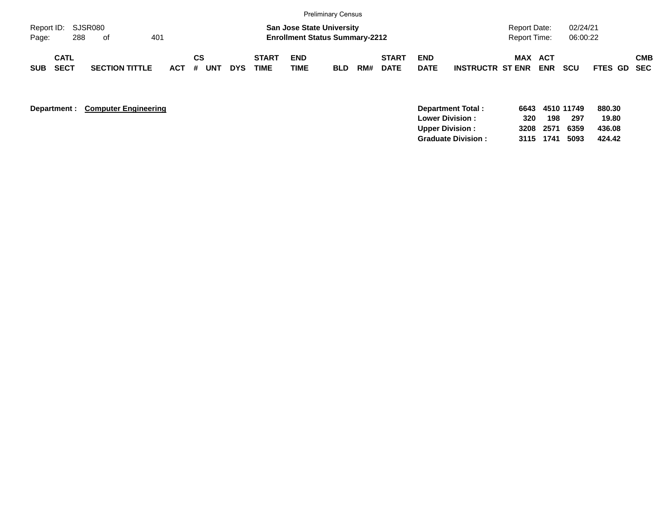|            |                            |     |                       |     |    |           |            |                             |                           | <b>Preliminary Census</b>                                                 |     |                             |                           |                         |                                     |            |                      |             |            |
|------------|----------------------------|-----|-----------------------|-----|----|-----------|------------|-----------------------------|---------------------------|---------------------------------------------------------------------------|-----|-----------------------------|---------------------------|-------------------------|-------------------------------------|------------|----------------------|-------------|------------|
| Page:      | Report ID: SJSR080         | 288 | of                    | 401 |    |           |            |                             |                           | <b>San Jose State University</b><br><b>Enrollment Status Summary-2212</b> |     |                             |                           |                         | <b>Report Date:</b><br>Report Time: |            | 02/24/21<br>06:00:22 |             |            |
| <b>SUB</b> | <b>CATL</b><br><b>SECT</b> |     | <b>SECTION TITTLE</b> |     | СS | ACT # UNT | <b>DYS</b> | <b>START</b><br><b>TIME</b> | <b>END</b><br><b>TIME</b> | <b>BLD</b>                                                                | RM# | <b>START</b><br><b>DATE</b> | <b>END</b><br><b>DATE</b> | <b>INSTRUCTR ST ENR</b> | <b>MAX ACT</b>                      | <b>ENR</b> | scu                  | FTES GD SEC | <b>CMB</b> |

**Department : Computer Engineering** 

| Department Total:         |      | 6643 4510 11749 |     | 880.30 |
|---------------------------|------|-----------------|-----|--------|
| <b>Lower Division:</b>    | 320. | 198             | 297 | 19.80  |
| <b>Upper Division:</b>    |      | 3208 2571 6359  |     | 436.08 |
| <b>Graduate Division:</b> |      | 3115 1741 5093  |     | 424.42 |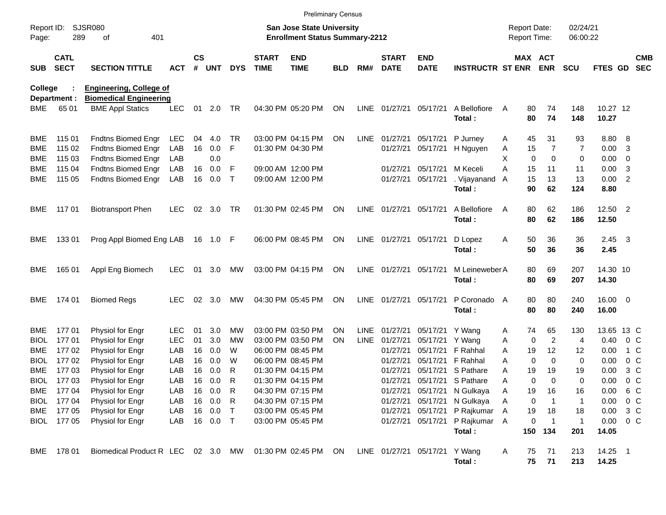|                           |                            |                                                                 |                          |                    |                      |                              |                             | <b>Preliminary Census</b>                                                 |                        |                            |                             |                               |                                                                          |                                     |                                        |                           |                                        |                          |                          |
|---------------------------|----------------------------|-----------------------------------------------------------------|--------------------------|--------------------|----------------------|------------------------------|-----------------------------|---------------------------------------------------------------------------|------------------------|----------------------------|-----------------------------|-------------------------------|--------------------------------------------------------------------------|-------------------------------------|----------------------------------------|---------------------------|----------------------------------------|--------------------------|--------------------------|
| Report ID:<br>Page:       | 289                        | <b>SJSR080</b><br>401<br>οf                                     |                          |                    |                      |                              |                             | <b>San Jose State University</b><br><b>Enrollment Status Summary-2212</b> |                        |                            |                             |                               |                                                                          | <b>Report Date:</b><br>Report Time: |                                        | 02/24/21<br>06:00:22      |                                        |                          |                          |
| <b>SUB</b>                | <b>CATL</b><br><b>SECT</b> | <b>SECTION TITTLE</b>                                           | ACT                      | $\mathsf{cs}$<br># | <b>UNT</b>           | <b>DYS</b>                   | <b>START</b><br><b>TIME</b> | <b>END</b><br><b>TIME</b>                                                 | <b>BLD</b>             | RM#                        | <b>START</b><br><b>DATE</b> | <b>END</b><br><b>DATE</b>     | <b>INSTRUCTR ST ENR</b>                                                  |                                     | MAX ACT<br><b>ENR</b>                  | <b>SCU</b>                | FTES GD                                |                          | <b>CMB</b><br><b>SEC</b> |
| College                   | Department :               | <b>Engineering, College of</b><br><b>Biomedical Engineering</b> |                          |                    |                      |                              |                             |                                                                           |                        |                            |                             |                               |                                                                          |                                     |                                        |                           |                                        |                          |                          |
| BME                       | 65 01                      | <b>BME Appl Statics</b>                                         | <b>LEC</b>               | 01                 | 2.0                  | TR                           |                             | 04:30 PM 05:20 PM                                                         | ON                     | LINE                       | 01/27/21                    | 05/17/21                      | A Bellofiore<br>Total:                                                   | A<br>80                             | 74<br>80<br>74                         | 148<br>148                | 10.27 12<br>10.27                      |                          |                          |
| <b>BME</b>                | 115 01                     | Fndtns Biomed Engr                                              | LEC                      | 04                 | 4.0                  | TR                           |                             | 03:00 PM 04:15 PM                                                         | <b>ON</b>              | LINE                       | 01/27/21                    | 05/17/21                      | P Jurney                                                                 | A                                   | 45<br>31                               | 93                        | 8.80 8                                 |                          |                          |
| <b>BME</b><br><b>BME</b>  | 115 02<br>115 03           | Fndtns Biomed Engr<br>Fndtns Biomed Engr                        | LAB<br>LAB               | 16                 | 0.0<br>0.0           | F                            |                             | 01:30 PM 04:30 PM                                                         |                        |                            | 01/27/21                    | 05/17/21                      | H Nguyen                                                                 | A<br>X                              | 15<br>7<br>$\mathbf 0$<br>$\mathbf 0$  | 7<br>0                    | 0.00<br>$0.00 \t 0$                    | -3                       |                          |
| <b>BME</b><br><b>BME</b>  | 115 04<br>115 05           | Fndtns Biomed Engr<br>Fndtns Biomed Engr                        | LAB<br>LAB               | 16<br>16           | 0.0<br>0.0           | F<br>$\mathsf{T}$            |                             | 09:00 AM 12:00 PM<br>09:00 AM 12:00 PM                                    |                        |                            | 01/27/21<br>01/27/21        | 05/17/21<br>05/17/21          | M Keceli<br>. Vijayanand<br>Total:                                       | A<br>$\overline{A}$                 | 15<br>11<br>15<br>13<br>90<br>62       | 11<br>13<br>124           | 0.00<br>0.00 2<br>8.80                 | -3                       |                          |
| BME                       | 117 01                     | <b>Biotransport Phen</b>                                        | <b>LEC</b>               | 02                 | 3.0                  | TR                           |                             | 01:30 PM 02:45 PM                                                         | ON                     | LINE                       | 01/27/21 05/17/21           |                               | A Bellofiore<br>Total:                                                   | A                                   | 62<br>80<br>80<br>62                   | 186<br>186                | 12.50 2<br>12.50                       |                          |                          |
| BME                       | 13301                      | Prog Appl Biomed Eng LAB                                        |                          |                    | 16 1.0 F             |                              |                             | 06:00 PM 08:45 PM                                                         | ON                     |                            | LINE 01/27/21               | 05/17/21                      | D Lopez<br>Total:                                                        | A                                   | 36<br>50<br>50<br>36                   | 36<br>36                  | $2.45 \quad 3$<br>2.45                 |                          |                          |
| BME                       | 165 01                     | Appl Eng Biomech                                                | <b>LEC</b>               | 01                 | 3.0                  | МW                           |                             | 03:00 PM 04:15 PM                                                         | ON                     |                            | LINE 01/27/21               | 05/17/21                      | M Leineweber A<br>Total:                                                 |                                     | 80<br>69<br>80<br>69                   | 207<br>207                | 14.30 10<br>14.30                      |                          |                          |
| BME                       | 174 01                     | <b>Biomed Regs</b>                                              | <b>LEC</b>               | 02                 | 3.0                  | MW                           |                             | 04:30 PM 05:45 PM                                                         | <b>ON</b>              | LINE                       | 01/27/21                    | 05/17/21                      | P Coronado A<br>Total:                                                   |                                     | 80<br>80<br>80<br>80                   | 240<br>240                | 16.00 0<br>16.00                       |                          |                          |
| BME<br><b>BIOL</b>        | 17701<br>17701             | Physiol for Engr<br>Physiol for Engr                            | <b>LEC</b><br><b>LEC</b> | 01<br>01           | 3.0<br>3.0           | МW<br>МW                     |                             | 03:00 PM 03:50 PM<br>03:00 PM 03:50 PM                                    | <b>ON</b><br><b>ON</b> | <b>LINE</b><br><b>LINE</b> | 01/27/21<br>01/27/21        | 05/17/21<br>05/17/21          | Y Wang<br>Y Wang                                                         | A<br>Α                              | 74<br>65<br>$\overline{c}$<br>0        | 130<br>4                  | 13.65 13 C<br>0.40                     | $0\,$ C                  |                          |
| <b>BME</b><br><b>BIOL</b> | 17702<br>17702             | Physiol for Engr<br>Physiol for Engr                            | LAB<br>LAB               | 16<br>16           | 0.0<br>0.0           | W<br>W                       |                             | 06:00 PM 08:45 PM<br>06:00 PM 08:45 PM                                    |                        |                            | 01/27/21<br>01/27/21        | 05/17/21<br>05/17/21          | F Rahhal<br>F Rahhal                                                     | A<br>A                              | 12<br>19<br>$\mathbf 0$<br>$\mathbf 0$ | 12<br>0                   | 0.00<br>0.00                           | 1 C<br>0 <sup>o</sup>    |                          |
| <b>BME</b><br>BIOL        | 17703<br>17703             | Physiol for Engr<br>Physiol for Engr                            | LAB<br>LAB               | 16<br>16           | 0.0<br>0.0           | R<br>R                       |                             | 01:30 PM 04:15 PM<br>01:30 PM 04:15 PM                                    |                        |                            | 01/27/21<br>01/27/21        | 05/17/21                      | S Pathare<br>05/17/21 S Pathare                                          | Α<br>Α                              | 19<br>19<br>0<br>$\Omega$              | 19<br>0                   | 0.00<br>0.00                           | $3\,C$<br>0 <sup>o</sup> |                          |
| BME                       | 17704<br>BIOL 177 04       | Physiol for Engr<br>Physiol for Engr                            | LAB<br>LAB               |                    | 16  0.0<br>16 0.0    | $\overline{\mathsf{R}}$<br>R |                             | 04:30 PM 07:15 PM<br>04:30 PM 07:15 PM                                    |                        |                            |                             |                               | 01/27/21 05/17/21 N Gulkaya<br>01/27/21 05/17/21 N Gulkaya               | A<br>Α                              | 19<br>16<br>0                          | 16<br>-1                  | $0.00 \t 6 C$<br>$0.00 \t 0 C$         |                          |                          |
|                           | BME 177 05<br>BIOL 177 05  | Physiol for Engr<br>Physiol for Engr                            | LAB<br>LAB               |                    | 16 0.0<br>16  0.0  T | $\top$                       |                             | 03:00 PM 05:45 PM<br>03:00 PM 05:45 PM                                    |                        |                            |                             |                               | 01/27/21 05/17/21 P Rajkumar<br>01/27/21 05/17/21 P Rajkumar A<br>Total: | 19<br>A                             | 18<br>0<br>150 134                     | 18<br>$\mathbf{1}$<br>201 | $0.00 \t3 C$<br>$0.00 \t 0 C$<br>14.05 |                          |                          |
|                           | BME 178 01                 | Biomedical Product R LEC 02 3.0 MW                              |                          |                    |                      |                              |                             | 01:30 PM 02:45 PM ON                                                      |                        |                            |                             | LINE 01/27/21 05/17/21 Y Wang | Total:                                                                   | 75<br>A                             | 71<br>75<br>71                         | 213<br>213                | 14.25 1<br>14.25                       |                          |                          |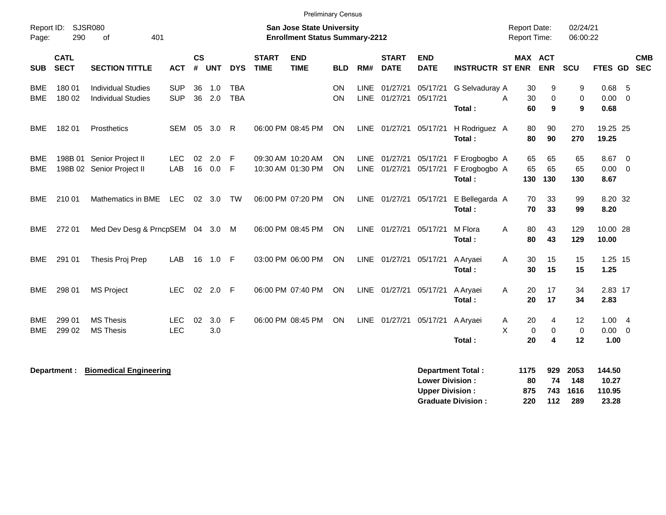|                     |                            |                                                        |                          |                |               |                          |                             | <b>Preliminary Census</b>                                                 |                        |             |                                |                                                  |                                          |        |                                            |                  |                         |                              |                                                    |            |
|---------------------|----------------------------|--------------------------------------------------------|--------------------------|----------------|---------------|--------------------------|-----------------------------|---------------------------------------------------------------------------|------------------------|-------------|--------------------------------|--------------------------------------------------|------------------------------------------|--------|--------------------------------------------|------------------|-------------------------|------------------------------|----------------------------------------------------|------------|
| Report ID:<br>Page: | 290                        | SJSR080<br>401<br>of                                   |                          |                |               |                          |                             | <b>San Jose State University</b><br><b>Enrollment Status Summary-2212</b> |                        |             |                                |                                                  |                                          |        | <b>Report Date:</b><br><b>Report Time:</b> |                  | 02/24/21<br>06:00:22    |                              |                                                    |            |
| <b>SUB</b>          | <b>CATL</b><br><b>SECT</b> | <b>SECTION TITTLE</b>                                  | <b>ACT</b>               | <b>CS</b><br># | <b>UNT</b>    | <b>DYS</b>               | <b>START</b><br><b>TIME</b> | <b>END</b><br><b>TIME</b>                                                 | <b>BLD</b>             | RM#         | <b>START</b><br><b>DATE</b>    | <b>END</b><br><b>DATE</b>                        | <b>INSTRUCTR ST ENR</b>                  |        | MAX ACT                                    | <b>ENR</b>       | SCU                     | FTES GD SEC                  |                                                    | <b>CMB</b> |
| BME<br><b>BME</b>   | 180 01<br>180 02           | <b>Individual Studies</b><br><b>Individual Studies</b> | <b>SUP</b><br><b>SUP</b> | 36             | 1.0<br>36 2.0 | <b>TBA</b><br><b>TBA</b> |                             |                                                                           | ON<br><b>ON</b>        | <b>LINE</b> | 01/27/21<br>LINE 01/27/21      | 05/17/21<br>05/17/21                             | G Selvaduray A<br>Total:                 | A      | 30<br>30<br>60                             | 9<br>0<br>9      | 9<br>$\mathbf 0$<br>9   | 0.68<br>0.00<br>0.68         | -5<br>$\overline{0}$                               |            |
| <b>BME</b>          | 18201                      | Prosthetics                                            | SEM                      | 05             | 3.0           | R                        |                             | 06:00 PM 08:45 PM                                                         | ON                     |             | LINE 01/27/21                  | 05/17/21                                         | H Rodriguez A<br>Total:                  |        | 80<br>80                                   | 90<br>90         | 270<br>270              | 19.25 25<br>19.25            |                                                    |            |
| BME<br><b>BME</b>   | 198B 01                    | Senior Project II<br>198B 02 Senior Project II         | <b>LEC</b><br>LAB        | 02<br>16       | 2.0<br>0.0    | -F<br>F                  |                             | 09:30 AM 10:20 AM<br>10:30 AM 01:30 PM                                    | <b>ON</b><br><b>ON</b> |             | LINE 01/27/21<br>LINE 01/27/21 | 05/17/21<br>05/17/21                             | F Erogbogbo A<br>F Erogbogbo A<br>Total: |        | 65<br>65<br>130                            | 65<br>65<br>130  | 65<br>65<br>130         | 8.67<br>0.00<br>8.67         | $\overline{\mathbf{0}}$<br>$\overline{\mathbf{0}}$ |            |
| <b>BME</b>          | 210 01                     | Mathematics in BME                                     | <b>LEC</b>               |                | 02 3.0        | <b>TW</b>                |                             | 06:00 PM 07:20 PM                                                         | <b>ON</b>              |             | LINE 01/27/21                  | 05/17/21                                         | E Bellegarda A<br>Total:                 |        | 70<br>70                                   | 33<br>33         | 99<br>99                | 8.20 32<br>8.20              |                                                    |            |
| <b>BME</b>          | 272 01                     | Med Dev Desg & PrncpSEM 04 3.0 M                       |                          |                |               |                          |                             | 06:00 PM 08:45 PM                                                         | ON                     |             | LINE 01/27/21                  | 05/17/21                                         | M Flora<br>Total:                        | A      | 80<br>80                                   | 43<br>43         | 129<br>129              | 10.00 28<br>10.00            |                                                    |            |
| BME                 | 291 01                     | Thesis Proj Prep                                       | LAB                      |                | 16 1.0 F      |                          |                             | 03:00 PM 06:00 PM                                                         | ON                     |             | LINE 01/27/21 05/17/21         |                                                  | A Aryaei<br>Total:                       | Α      | 30<br>30                                   | 15<br>15         | 15<br>15                | 1.25 15<br>1.25              |                                                    |            |
| BME                 | 298 01                     | <b>MS Project</b>                                      | <b>LEC</b>               | 02             | $2.0$ F       |                          |                             | 06:00 PM 07:40 PM                                                         | <b>ON</b>              |             | LINE 01/27/21                  | 05/17/21                                         | A Aryaei<br>Total:                       | A      | 20<br>20                                   | 17<br>17         | 34<br>34                | 2.83 17<br>2.83              |                                                    |            |
| BME<br>BME          | 299 01<br>299 02           | <b>MS Thesis</b><br><b>MS Thesis</b>                   | <b>LEC</b><br><b>LEC</b> | 02             | 3.0<br>3.0    | -F                       |                             | 06:00 PM 08:45 PM                                                         | ON                     |             | LINE 01/27/21                  | 05/17/21                                         | A Aryaei<br>Total:                       | Α<br>X | 20<br>0<br>20                              | 4<br>0<br>4      | 12<br>$\mathbf 0$<br>12 | 1.004<br>$0.00 \t 0$<br>1.00 |                                                    |            |
|                     | Department :               | <b>Biomedical Engineering</b>                          |                          |                |               |                          |                             |                                                                           |                        |             |                                | <b>Lower Division:</b><br><b>Upper Division:</b> | <b>Department Total:</b>                 |        | 1175<br>80<br>875                          | 929<br>74<br>743 | 2053<br>148<br>1616     | 144.50<br>10.27<br>110.95    |                                                    |            |

**Graduate Division : 220 112 289 23.28**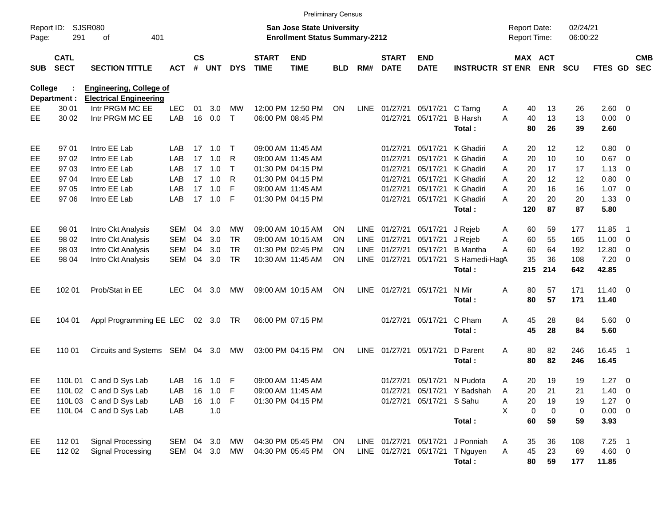|                     |                                                                                                                                                                                              |                                   |            |    |            |              |                   | <b>Preliminary Census</b> |            |             |                        |                          |                             |   |                                            |            |                      |                |                         |            |
|---------------------|----------------------------------------------------------------------------------------------------------------------------------------------------------------------------------------------|-----------------------------------|------------|----|------------|--------------|-------------------|---------------------------|------------|-------------|------------------------|--------------------------|-----------------------------|---|--------------------------------------------|------------|----------------------|----------------|-------------------------|------------|
| Report ID:<br>Page: | <b>SJSR080</b><br><b>San Jose State University</b><br>291<br><b>Enrollment Status Summary-2212</b><br>401<br>оf<br>$\mathsf{cs}$<br><b>START</b><br><b>END</b><br><b>START</b><br><b>END</b> |                                   |            |    |            |              |                   |                           |            |             |                        |                          |                             |   | <b>Report Date:</b><br><b>Report Time:</b> |            | 02/24/21<br>06:00:22 |                |                         |            |
| <b>SUB</b>          | <b>CATL</b><br><b>SECT</b>                                                                                                                                                                   | <b>SECTION TITTLE</b>             | <b>ACT</b> | #  | <b>UNT</b> | <b>DYS</b>   | <b>TIME</b>       | <b>TIME</b>               | <b>BLD</b> | RM#         | <b>DATE</b>            | <b>DATE</b>              | <b>INSTRUCTR ST ENR</b>     |   | MAX ACT                                    | <b>ENR</b> | <b>SCU</b>           | FTES GD SEC    |                         | <b>CMB</b> |
| College             |                                                                                                                                                                                              | <b>Engineering, College of</b>    |            |    |            |              |                   |                           |            |             |                        |                          |                             |   |                                            |            |                      |                |                         |            |
|                     | Department :                                                                                                                                                                                 | <b>Electrical Engineering</b>     |            |    |            |              |                   |                           |            |             |                        |                          |                             |   |                                            |            |                      |                |                         |            |
| EЕ                  | 30 01                                                                                                                                                                                        | Intr PRGM MC EE                   | <b>LEC</b> | 01 | 3.0        | MW           |                   | 12:00 PM 12:50 PM         | <b>ON</b>  | <b>LINE</b> | 01/27/21               | 05/17/21                 | C Tarng                     | A | 40                                         | 13         | 26                   | 2.60           | - 0                     |            |
| EE                  | 30 02                                                                                                                                                                                        | Intr PRGM MC EE                   | LAB        | 16 | 0.0        | $\mathsf{T}$ |                   | 06:00 PM 08:45 PM         |            |             | 01/27/21               | 05/17/21                 | <b>B</b> Harsh<br>Total:    | A | 40<br>80                                   | 13<br>26   | 13<br>39             | 0.00<br>2.60   | $\overline{\mathbf{0}}$ |            |
| EE                  | 97 01                                                                                                                                                                                        | Intro EE Lab                      | LAB        |    | 17 1.0     | Т            | 09:00 AM 11:45 AM |                           |            |             | 01/27/21               | 05/17/21                 | K Ghadiri                   | A | 20                                         | 12         | 12                   | 0.80           | - 0                     |            |
| EE                  | 9702                                                                                                                                                                                         | Intro EE Lab                      | <b>LAB</b> | 17 | 1.0        | R            | 09:00 AM 11:45 AM |                           |            |             | 01/27/21               | 05/17/21                 | K Ghadiri                   | A | 20                                         | 10         | 10                   | 0.67           | $\overline{0}$          |            |
| EE                  | 97 03                                                                                                                                                                                        | Intro EE Lab                      | <b>LAB</b> |    | 17, 1.0    | $\mathsf{T}$ |                   | 01:30 PM 04:15 PM         |            |             | 01/27/21               | 05/17/21                 | K Ghadiri                   | A | 20                                         | 17         | 17                   | 1.13           | - 0                     |            |
| EЕ                  | 97 04                                                                                                                                                                                        | Intro EE Lab                      | LAB        |    | 17, 1.0    | R            |                   | 01:30 PM 04:15 PM         |            |             | 01/27/21               | 05/17/21                 | K Ghadiri                   | A | 20                                         | 12         | 12                   | 0.80           | 0                       |            |
| EE                  | 97 05                                                                                                                                                                                        | Intro EE Lab                      | <b>LAB</b> | 17 | 1.0        | F            | 09:00 AM 11:45 AM |                           |            |             | 01/27/21               | 05/17/21                 | K Ghadiri                   | A | 20                                         | 16         | 16                   | 1.07           | $\overline{0}$          |            |
| <b>EE</b>           | 97 06                                                                                                                                                                                        | Intro EE Lab                      | LAB        |    | 17  1.0    | -F           |                   | 01:30 PM 04:15 PM         |            |             | 01/27/21               | 05/17/21                 | K Ghadiri                   | A | 20                                         | 20         | 20                   | 1.33           | $\overline{\mathbf{0}}$ |            |
|                     |                                                                                                                                                                                              |                                   |            |    |            |              |                   |                           |            |             |                        |                          | Total:                      |   | 120                                        | 87         | 87                   | 5.80           |                         |            |
| EE                  | 98 01                                                                                                                                                                                        | Intro Ckt Analysis                | <b>SEM</b> | 04 | 3.0        | MW           |                   | 09:00 AM 10:15 AM         | <b>ON</b>  | LINE        | 01/27/21               | 05/17/21                 | J Rejeb                     | A | 60                                         | 59         | 177                  | 11.85          | - 1                     |            |
| EE                  | 98 02                                                                                                                                                                                        | Intro Ckt Analysis                | <b>SEM</b> | 04 | 3.0        | <b>TR</b>    |                   | 09:00 AM 10:15 AM         | <b>ON</b>  | <b>LINE</b> | 01/27/21               | 05/17/21                 | J Rejeb                     | A | 60                                         | 55         | 165                  | 11.00          | $\overline{\mathbf{0}}$ |            |
| EE                  | 98 03                                                                                                                                                                                        | Intro Ckt Analysis                | <b>SEM</b> | 04 | 3.0        | <b>TR</b>    |                   | 01:30 PM 02:45 PM         | <b>ON</b>  | <b>LINE</b> | 01/27/21               | 05/17/21                 | <b>B</b> Mantha             | A | 60                                         | 64         | 192                  | 12.80          | $\overline{0}$          |            |
| EЕ                  | 98 04                                                                                                                                                                                        | Intro Ckt Analysis                | <b>SEM</b> | 04 | 3.0        | <b>TR</b>    |                   | 10:30 AM 11:45 AM         | ON         |             | LINE 01/27/21          | 05/17/21                 | S Hamedi-HagA               |   | 35                                         | 36         | 108                  | 7.20           | - 0                     |            |
|                     |                                                                                                                                                                                              |                                   |            |    |            |              |                   |                           |            |             |                        |                          | Total:                      |   | 215                                        | 214        | 642                  | 42.85          |                         |            |
| EE                  | 102 01                                                                                                                                                                                       | Prob/Stat in EE                   | <b>LEC</b> | 04 | 3.0        | МW           |                   | 09:00 AM 10:15 AM         | <b>ON</b>  |             | LINE 01/27/21          | 05/17/21                 | N Mir                       | Α | 80                                         | 57         | 171                  | $11.40 \t 0$   |                         |            |
|                     |                                                                                                                                                                                              |                                   |            |    |            |              |                   |                           |            |             |                        |                          | Total:                      |   | 80                                         | 57         | 171                  | 11.40          |                         |            |
| EE                  | 104 01                                                                                                                                                                                       | Appl Programming EE LEC 02 3.0 TR |            |    |            |              |                   | 06:00 PM 07:15 PM         |            |             | 01/27/21               | 05/17/21                 | C Pham                      | Α | 45                                         | 28         | 84                   | $5.60 \quad 0$ |                         |            |
|                     |                                                                                                                                                                                              |                                   |            |    |            |              |                   |                           |            |             |                        |                          | Total:                      |   | 45                                         | 28         | 84                   | 5.60           |                         |            |
| EE                  | 110 01                                                                                                                                                                                       | Circuits and Systems SEM 04 3.0   |            |    |            | МW           |                   | 03:00 PM 04:15 PM         | ON         | <b>LINE</b> | 01/27/21               | 05/17/21                 | D Parent                    | Α | 80                                         | 82         | 246                  | 16.45 1        |                         |            |
|                     |                                                                                                                                                                                              |                                   |            |    |            |              |                   |                           |            |             |                        |                          | Total:                      |   | 80                                         | 82         | 246                  | 16.45          |                         |            |
| EE.                 |                                                                                                                                                                                              | 110L 01 C and D Sys Lab           | LAB        |    | 16  1.0  F |              | 09:00 AM 11:45 AM |                           |            |             | 01/27/21               | 05/17/21                 | N Pudota                    | A | 20                                         | 19         | 19                   | $1.27 \t 0$    |                         |            |
| EE                  |                                                                                                                                                                                              | 110L 02 C and D Sys Lab           | LAB        |    | 16 1.0 F   |              | 09:00 AM 11:45 AM |                           |            |             |                        |                          | 01/27/21 05/17/21 Y Badshah | Α | 20                                         | 21         | 21                   | 1.40           | $\overline{\mathbf{0}}$ |            |
| EE                  |                                                                                                                                                                                              | 110L 03 C and D Sys Lab           | LAB        |    | 16 1.0 F   |              |                   | 01:30 PM 04:15 PM         |            |             |                        | 01/27/21 05/17/21 S Sahu |                             | Α | 20                                         | 19         | 19                   | $1.27 \t 0$    |                         |            |
| EE                  |                                                                                                                                                                                              | 110L 04 C and D Sys Lab           | LAB        |    | 1.0        |              |                   |                           |            |             |                        |                          |                             | X | 0                                          | 0          | 0                    | $0.00 \t 0$    |                         |            |
|                     |                                                                                                                                                                                              |                                   |            |    |            |              |                   |                           |            |             |                        |                          | Total:                      |   | 60                                         | 59         | 59                   | 3.93           |                         |            |
| EE                  | 112 01                                                                                                                                                                                       | Signal Processing                 | SEM 04 3.0 |    |            | MW           |                   | 04:30 PM 05:45 PM         | ON         |             | LINE 01/27/21 05/17/21 |                          | J Ponniah                   | A | 35                                         | 36         | 108                  | $7.25$ 1       |                         |            |
| EE                  | 112 02                                                                                                                                                                                       | Signal Processing                 | SEM 04 3.0 |    |            | MW           |                   | 04:30 PM 05:45 PM         | ON.        |             | LINE 01/27/21          |                          | 05/17/21 T Nguyen           | Α | 45                                         | 23         | 69                   | 4.60 0         |                         |            |
|                     |                                                                                                                                                                                              |                                   |            |    |            |              |                   |                           |            |             |                        |                          | Total:                      |   | 80                                         | 59         | 177                  | 11.85          |                         |            |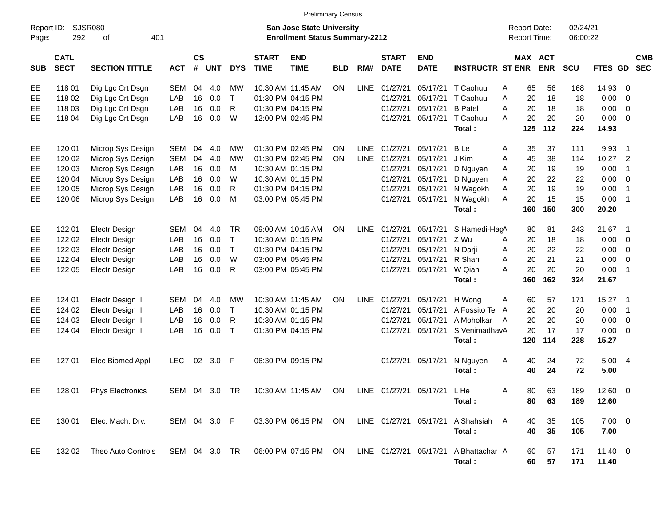|                     |                            |                                    |                   |                    |            |              |                             | <b>Preliminary Census</b>                                                 |            |             |                             |                           |                                       |        |           |                                            |                      |                      |                            |            |
|---------------------|----------------------------|------------------------------------|-------------------|--------------------|------------|--------------|-----------------------------|---------------------------------------------------------------------------|------------|-------------|-----------------------------|---------------------------|---------------------------------------|--------|-----------|--------------------------------------------|----------------------|----------------------|----------------------------|------------|
| Report ID:<br>Page: | 292                        | SJSR080<br>401<br>οf               |                   |                    |            |              |                             | <b>San Jose State University</b><br><b>Enrollment Status Summary-2212</b> |            |             |                             |                           |                                       |        |           | <b>Report Date:</b><br><b>Report Time:</b> | 02/24/21<br>06:00:22 |                      |                            |            |
| <b>SUB</b>          | <b>CATL</b><br><b>SECT</b> | <b>SECTION TITTLE</b>              | <b>ACT</b>        | $\mathsf{cs}$<br># | <b>UNT</b> | <b>DYS</b>   | <b>START</b><br><b>TIME</b> | <b>END</b><br><b>TIME</b>                                                 | <b>BLD</b> | RM#         | <b>START</b><br><b>DATE</b> | <b>END</b><br><b>DATE</b> | <b>INSTRUCTR ST ENR</b>               |        |           | MAX ACT<br><b>ENR</b>                      | <b>SCU</b>           | FTES GD SEC          |                            | <b>CMB</b> |
| EE                  | 118 01                     | Dig Lgc Crt Dsgn                   | <b>SEM</b>        | 04                 | 4.0        | <b>MW</b>    |                             | 10:30 AM 11:45 AM                                                         | <b>ON</b>  | <b>LINE</b> | 01/27/21                    | 05/17/21                  | T Caohuu                              | Α      | 65        | 56                                         | 168                  | 14.93                | - 0                        |            |
| EE                  | 118 02                     | Dig Lgc Crt Dsgn                   | LAB               | 16                 | 0.0        | $\top$       |                             | 01:30 PM 04:15 PM                                                         |            |             | 01/27/21                    | 05/17/21                  | T Caohuu                              | A      | 20        | 18                                         | 18                   | 0.00                 | $\overline{\phantom{0}}$   |            |
| EE                  | 118 03                     | Dig Lgc Crt Dsgn                   | LAB               | 16                 | 0.0        | $\mathsf{R}$ |                             | 01:30 PM 04:15 PM                                                         |            |             | 01/27/21                    | 05/17/21                  | <b>B</b> Patel                        | A      | 20        | 18                                         | 18                   | 0.00                 | $\overline{0}$             |            |
| EE                  | 118 04                     | Dig Lgc Crt Dsgn                   | LAB               | 16                 | 0.0        | W            |                             | 12:00 PM 02:45 PM                                                         |            |             | 01/27/21                    | 05/17/21                  | T Caohuu                              | A      | 20        | 20                                         | 20                   | $0.00 \t 0$          |                            |            |
|                     |                            |                                    |                   |                    |            |              |                             |                                                                           |            |             |                             |                           | Total:                                |        | 125       | 112                                        | 224                  | 14.93                |                            |            |
| EE                  | 120 01                     | Microp Sys Design                  | SEM               | 04                 | 4.0        | МW           |                             | 01:30 PM 02:45 PM                                                         | <b>ON</b>  | <b>LINE</b> | 01/27/21                    | 05/17/21                  | <b>B</b> Le                           | Α      | 35        | 37                                         | 111                  | 9.93                 | $\overline{\phantom{0}}$ 1 |            |
| EE                  | 120 02                     | Microp Sys Design                  | <b>SEM</b>        | 04                 | 4.0        | <b>MW</b>    |                             | 01:30 PM 02:45 PM                                                         | <b>ON</b>  | <b>LINE</b> | 01/27/21                    | 05/17/21                  | J Kim                                 | Α      | 45        | 38                                         | 114                  | 10.27                | $\overline{\phantom{0}}$   |            |
| EE                  | 120 03                     | Microp Sys Design                  | LAB               | 16                 | 0.0        | M            |                             | 10:30 AM 01:15 PM                                                         |            |             | 01/27/21                    | 05/17/21                  | D Nguyen                              | A      | 20        | 19                                         | 19                   | 0.00                 | $\overline{1}$             |            |
| EE                  | 120 04                     | Microp Sys Design                  | LAB               | 16                 | 0.0        | W            |                             | 10:30 AM 01:15 PM                                                         |            |             | 01/27/21                    | 05/17/21                  | D Nguyen                              | Α      | 20        | 22                                         | 22                   | 0.00                 | $\overline{\phantom{0}}$   |            |
| EE                  | 120 05                     | Microp Sys Design                  | LAB               | 16                 | 0.0        | R            |                             | 01:30 PM 04:15 PM                                                         |            |             | 01/27/21                    | 05/17/21                  | N Wagokh                              | Α      | 20        | 19                                         | 19                   | 0.00                 | $\overline{1}$             |            |
| EE                  | 120 06                     | Microp Sys Design                  | LAB               | 16                 | 0.0        | M            |                             | 03:00 PM 05:45 PM                                                         |            |             | 01/27/21                    | 05/17/21                  | N Wagokh                              | A      | 20        | 15                                         | 15                   | 0.00                 | $\overline{\phantom{0}}$ 1 |            |
|                     |                            |                                    |                   |                    |            |              |                             |                                                                           |            |             |                             |                           | Total:                                |        | 160       | 150                                        | 300                  | 20.20                |                            |            |
|                     |                            |                                    |                   | 04                 |            | <b>TR</b>    |                             | 09:00 AM 10:15 AM                                                         | <b>ON</b>  | <b>LINE</b> |                             |                           |                                       |        |           |                                            |                      | 21.67                | $\overline{\phantom{0}}$ 1 |            |
| EE<br>EE            | 122 01<br>122 02           | Electr Design I<br>Electr Design I | <b>SEM</b><br>LAB | 16                 | 4.0<br>0.0 | $\top$       |                             | 10:30 AM 01:15 PM                                                         |            |             | 01/27/21<br>01/27/21        | 05/17/21<br>05/17/21      | S Hamedi-HagA<br>Z Wu                 |        | 80<br>20  | 81<br>18                                   | 243<br>18            | 0.00                 | $\overline{\phantom{0}}$   |            |
| EE                  | 122 03                     | Electr Design I                    | LAB               | 16                 | 0.0        | $\top$       |                             | 01:30 PM 04:15 PM                                                         |            |             | 01/27/21                    | 05/17/21                  | N Darii                               | A<br>Α | 20        | 22                                         | 22                   | 0.00                 | $\overline{\mathbf{0}}$    |            |
| EE                  | 122 04                     | Electr Design I                    | LAB               | 16                 | 0.0        | W            |                             | 03:00 PM 05:45 PM                                                         |            |             | 01/27/21                    | 05/17/21                  | R Shah                                | A      | 20        | 21                                         | 21                   | 0.00                 | $\overline{\mathbf{0}}$    |            |
| EE                  | 122 05                     | Electr Design I                    | LAB               | 16                 | 0.0        | $\mathsf{R}$ |                             | 03:00 PM 05:45 PM                                                         |            |             | 01/27/21                    | 05/17/21                  | W Qian                                | A      | 20        | 20                                         | 20                   | 0.00                 | $\overline{\phantom{0}}$   |            |
|                     |                            |                                    |                   |                    |            |              |                             |                                                                           |            |             |                             |                           | Total:                                |        | 160       | 162                                        | 324                  | 21.67                |                            |            |
|                     |                            |                                    |                   |                    |            |              |                             |                                                                           |            |             |                             |                           |                                       |        |           |                                            |                      |                      |                            |            |
| EE                  | 124 01                     | Electr Design II                   | <b>SEM</b>        | 04                 | 4.0        | МW           |                             | 10:30 AM 11:45 AM                                                         | <b>ON</b>  | <b>LINE</b> | 01/27/21                    | 05/17/21                  | H Wong                                | A      | 60        | 57                                         | 171                  | 15.27 1              |                            |            |
| EE                  | 124 02                     | Electr Design II                   | LAB               | 16                 | 0.0        | $\top$       |                             | 10:30 AM 01:15 PM                                                         |            |             | 01/27/21                    | 05/17/21                  | A Fossito Te                          | A      | 20        | 20                                         | 20                   | 0.00                 | $\overline{1}$             |            |
| EE                  | 124 03                     | Electr Design II                   | LAB               | 16                 | 0.0        | $\mathsf{R}$ |                             | 10:30 AM 01:15 PM                                                         |            |             | 01/27/21                    | 05/17/21                  | A Moholkar                            | A      | 20        | 20                                         | 20                   | 0.00                 | $\overline{\mathbf{0}}$    |            |
| EE                  | 124 04                     | Electr Design II                   | LAB               | 16                 | 0.0        | $\top$       |                             | 01:30 PM 04:15 PM                                                         |            |             | 01/27/21                    | 05/17/21                  | S VenimadhavA<br>Total:               |        | 20<br>120 | 17<br>114                                  | 17<br>228            | $0.00 \t 0$<br>15.27 |                            |            |
|                     |                            |                                    |                   |                    |            |              |                             |                                                                           |            |             |                             |                           |                                       |        |           |                                            |                      |                      |                            |            |
| EE                  | 127 01                     | Elec Biomed Appl                   | <b>LEC</b>        | $02\,$             | 3.0        | - F          |                             | 06:30 PM 09:15 PM                                                         |            |             | 01/27/21                    | 05/17/21                  | N Nguyen                              | A      | 40        | 24                                         | 72                   | 5.004                |                            |            |
|                     |                            |                                    |                   |                    |            |              |                             |                                                                           |            |             |                             |                           | Total:                                |        | 40        | 24                                         | 72                   | 5.00                 |                            |            |
| EE                  | 128 01                     | <b>Phys Electronics</b>            | SEM 04 3.0 TR     |                    |            |              |                             |                                                                           |            |             |                             |                           |                                       | Α      | 80        | 63                                         | 189                  | $12.60$ 0            |                            |            |
|                     |                            |                                    |                   |                    |            |              |                             |                                                                           |            |             |                             |                           | Total:                                |        | 80        | 63                                         | 189                  | 12.60                |                            |            |
|                     |                            |                                    |                   |                    |            |              |                             |                                                                           |            |             |                             |                           |                                       |        |           |                                            |                      |                      |                            |            |
| EE                  | 130 01                     | Elec. Mach. Drv.                   | SEM 04 3.0 F      |                    |            |              |                             | 03:30 PM 06:15 PM ON                                                      |            |             | LINE 01/27/21 05/17/21      |                           | A Shahsiah A                          |        | 40        | 35                                         | 105                  | $7.00 \t 0$          |                            |            |
|                     |                            |                                    |                   |                    |            |              |                             |                                                                           |            |             |                             |                           | Total:                                |        | 40        | 35                                         | 105                  | 7.00                 |                            |            |
| EE                  | 132 02                     | Theo Auto Controls                 | SEM 04 3.0 TR     |                    |            |              |                             | 06:00 PM 07:15 PM ON                                                      |            |             |                             |                           | LINE 01/27/21 05/17/21 A Bhattachar A |        | 60        | 57                                         | 171                  | $11.40 \t 0$         |                            |            |
|                     |                            |                                    |                   |                    |            |              |                             |                                                                           |            |             |                             |                           | Total:                                |        | 60        | 57                                         | 171                  | 11.40                |                            |            |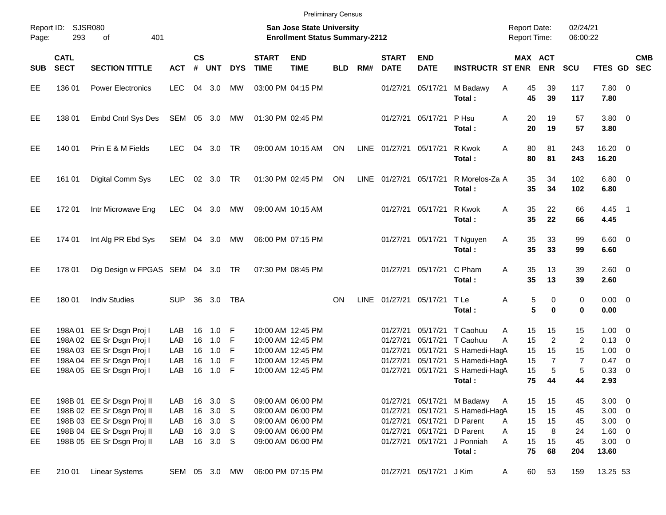|            |                                                                                                                     |                               |               |                |            |            |                             | <b>Preliminary Census</b> |            |      |                             |                                     |                          |                      |                              |                  |                        |                            |            |
|------------|---------------------------------------------------------------------------------------------------------------------|-------------------------------|---------------|----------------|------------|------------|-----------------------------|---------------------------|------------|------|-----------------------------|-------------------------------------|--------------------------|----------------------|------------------------------|------------------|------------------------|----------------------------|------------|
| Page:      | Report ID: SJSR080<br><b>San Jose State University</b><br>293<br>401<br><b>Enrollment Status Summary-2212</b><br>of |                               |               |                |            |            |                             |                           |            |      |                             | <b>Report Date:</b><br>Report Time: |                          | 02/24/21<br>06:00:22 |                              |                  |                        |                            |            |
| <b>SUB</b> | <b>CATL</b><br><b>SECT</b>                                                                                          | <b>SECTION TITTLE</b>         | <b>ACT</b>    | <b>CS</b><br># | <b>UNT</b> | <b>DYS</b> | <b>START</b><br><b>TIME</b> | <b>END</b><br><b>TIME</b> | <b>BLD</b> | RM#  | <b>START</b><br><b>DATE</b> | <b>END</b><br><b>DATE</b>           | <b>INSTRUCTR ST ENR</b>  |                      | <b>MAX ACT</b><br><b>ENR</b> | <b>SCU</b>       | FTES GD SEC            |                            | <b>CMB</b> |
| EЕ         | 136 01                                                                                                              | <b>Power Electronics</b>      | <b>LEC</b>    | 04             | 3.0        | MW         |                             | 03:00 PM 04:15 PM         |            |      | 01/27/21                    | 05/17/21                            | M Badawy<br>Total:       | 45<br>A<br>45        | 39<br>39                     | 117<br>117       | 7.80 0<br>7.80         |                            |            |
| EE         | 138 01                                                                                                              | Embd Cntrl Sys Des            | SEM 05 3.0    |                |            | MW         |                             | 01:30 PM 02:45 PM         |            |      |                             | 01/27/21 05/17/21                   | P Hsu<br>Total:          | 20<br>A<br>20        | 19<br>19                     | 57<br>57         | $3.80\ 0$<br>3.80      |                            |            |
| EE         | 140 01                                                                                                              | Prin E & M Fields             | <b>LEC</b>    | 04             | 3.0        | <b>TR</b>  |                             | 09:00 AM 10:15 AM         | ON         |      | LINE 01/27/21 05/17/21      |                                     | R Kwok<br>Total:         | A<br>80<br>80        | 81<br>81                     | 243<br>243       | $16.20 \t 0$<br>16.20  |                            |            |
| EE         | 161 01                                                                                                              | Digital Comm Sys              | <b>LEC</b>    |                | 02 3.0     | <b>TR</b>  |                             | 01:30 PM 02:45 PM         | ON         |      | LINE 01/27/21 05/17/21      |                                     | R Morelos-Za A<br>Total: | 35<br>35             | 34<br>34                     | 102<br>102       | $6.80\quad 0$<br>6.80  |                            |            |
| EE         | 17201                                                                                                               | Intr Microwave Eng            | LEC           | 04             | 3.0        | MW         |                             | 09:00 AM 10:15 AM         |            |      |                             | 01/27/21 05/17/21                   | R Kwok<br>Total:         | 35<br>A<br>35        | 22<br>22                     | 66<br>66         | 4.45<br>4.45           | $\overline{\phantom{0}}$ 1 |            |
| EE         | 174 01                                                                                                              | Int Alg PR Ebd Sys            | SEM 04 3.0    |                |            | MW         |                             | 06:00 PM 07:15 PM         |            |      |                             | 01/27/21 05/17/21                   | T Nguyen<br>Total:       | 35<br>Α<br>35        | 33<br>33                     | 99<br>99         | $6.60 \quad 0$<br>6.60 |                            |            |
| EE         | 178 01                                                                                                              | Dig Design w FPGAS SEM 04 3.0 |               |                |            | TR         |                             | 07:30 PM 08:45 PM         |            |      |                             | 01/27/21 05/17/21                   | C Pham<br>Total:         | A<br>35<br>35        | 13<br>13                     | 39<br>39         | 2.60<br>2.60           | $\overline{\phantom{0}}$   |            |
| EE         | 180 01                                                                                                              | <b>Indiv Studies</b>          | <b>SUP</b>    | 36             | 3.0        | <b>TBA</b> |                             |                           | ON         | LINE | 01/27/21 05/17/21           |                                     | T Le<br>Total:           | Α                    | 5<br>0<br>5<br>0             | 0<br>$\mathbf 0$ | 0.00<br>0.00           | $\overline{\phantom{0}}$   |            |
| EE         |                                                                                                                     | 198A 01 EE Sr Dsgn Proj I     | LAB           | 16             | 1.0        | F          |                             | 10:00 AM 12:45 PM         |            |      | 01/27/21                    | 05/17/21                            | T Caohuu                 | 15<br>A              | 15                           | 15               | 1.00                   | $\overline{0}$             |            |
| EE         |                                                                                                                     | 198A 02 EE Sr Dsgn Proj I     | LAB           | 16             | 1.0        | F          |                             | 10:00 AM 12:45 PM         |            |      | 01/27/21                    | 05/17/21                            | T Caohuu                 | 15<br>A              | $\overline{c}$               | $\overline{2}$   | 0.13                   | 0                          |            |
| EE         |                                                                                                                     | 198A 03 EE Sr Dsgn Proj I     | LAB           | 16             | 1.0        | F          |                             | 10:00 AM 12:45 PM         |            |      | 01/27/21                    | 05/17/21                            | S Hamedi-HagA            | 15                   | 15                           | 15               | 1.00                   | 0                          |            |
| EE         |                                                                                                                     | 198A 04 EE Sr Dsgn Proj I     | LAB           | 16             | 1.0        | F          |                             | 10:00 AM 12:45 PM         |            |      | 01/27/21                    | 05/17/21                            | S Hamedi-HagA            | 15                   | $\overline{7}$               | $\overline{7}$   | 0.47                   | $\mathbf 0$                |            |
| EE         |                                                                                                                     | 198A 05 EE Sr Dsgn Proj I     | LAB           | 16             | 1.0        | F          |                             | 10:00 AM 12:45 PM         |            |      | 01/27/21                    | 05/17/21                            | S Hamedi-HagA            | 15                   | 5                            | 5                | 0.33                   | $\mathbf 0$                |            |
|            |                                                                                                                     |                               |               |                |            |            |                             |                           |            |      |                             |                                     | Total:                   | 75                   | 44                           | 44               | 2.93                   |                            |            |
| EE         |                                                                                                                     | 198B 01 EE Sr Dsgn Proj II    | LAB           | 16             | 3.0        | S          |                             | 09:00 AM 06:00 PM         |            |      | 01/27/21                    | 05/17/21                            | M Badawy                 | 15<br>A              | 15                           | 45               | 3.00                   | $\overline{\mathbf{0}}$    |            |
| <b>EE</b>  |                                                                                                                     | 198B 02 EE Sr Dsgn Proj II    | LAB           | 16             | 3.0        | S          |                             | 09:00 AM 06:00 PM         |            |      | 01/27/21                    | 05/17/21                            | S Hamedi-HagA            | 15                   | 15                           | 45               | 3.00                   | $\overline{\phantom{0}}$   |            |
| EE         |                                                                                                                     | 198B 03 EE Sr Dsgn Proj II    | LAB           | 16             | 3.0        | S          |                             | 09:00 AM 06:00 PM         |            |      | 01/27/21                    | 05/17/21                            | D Parent                 | 15<br>A              | 15                           | 45               | 3.00                   | $\overline{\mathbf{0}}$    |            |
| EE         |                                                                                                                     | 198B 04 EE Sr Dsgn Proj II    | LAB           | 16             | 3.0        | S          |                             | 09:00 AM 06:00 PM         |            |      | 01/27/21                    | 05/17/21                            | D Parent                 | 15<br>Α              | 8                            | 24               | 1.60                   | $\overline{\mathbf{0}}$    |            |
| <b>EE</b>  |                                                                                                                     | 198B 05 EE Sr Dsgn Proj II    | LAB           | 16             | 3.0        | S.         |                             | 09:00 AM 06:00 PM         |            |      | 01/27/21                    | 05/17/21                            | J Ponniah                | 15<br>A              | 15                           | 45               | $3.00 \ 0$             |                            |            |
|            |                                                                                                                     |                               |               |                |            |            |                             |                           |            |      |                             |                                     | Total:                   | 75                   | 68                           | 204              | 13.60                  |                            |            |
| EE         | 210 01                                                                                                              | <b>Linear Systems</b>         | SEM 05 3.0 MW |                |            |            |                             | 06:00 PM 07:15 PM         |            |      |                             | 01/27/21 05/17/21 J Kim             |                          | 60<br>A              | 53                           | 159              | 13.25 53               |                            |            |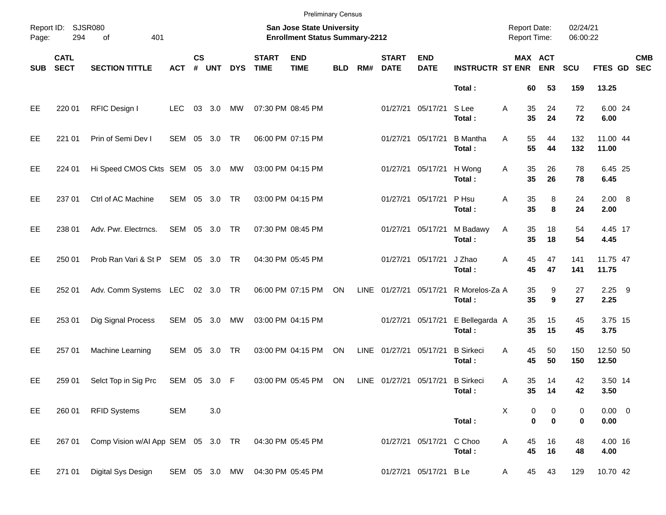|            |                            |                                    |              |                    |               |            |                             | <b>Preliminary Census</b>                                          |            |      |                             |                           |                            |                                            |               |                      |                         |            |
|------------|----------------------------|------------------------------------|--------------|--------------------|---------------|------------|-----------------------------|--------------------------------------------------------------------|------------|------|-----------------------------|---------------------------|----------------------------|--------------------------------------------|---------------|----------------------|-------------------------|------------|
| Page:      | Report ID: SJSR080<br>294  | 401<br>of                          |              |                    |               |            |                             | San Jose State University<br><b>Enrollment Status Summary-2212</b> |            |      |                             |                           |                            | <b>Report Date:</b><br><b>Report Time:</b> |               | 02/24/21<br>06:00:22 |                         |            |
| <b>SUB</b> | <b>CATL</b><br><b>SECT</b> | <b>SECTION TITTLE</b>              | <b>ACT</b>   | $\mathsf{cs}$<br># | <b>UNT</b>    | <b>DYS</b> | <b>START</b><br><b>TIME</b> | <b>END</b><br><b>TIME</b>                                          | <b>BLD</b> | RM#  | <b>START</b><br><b>DATE</b> | <b>END</b><br><b>DATE</b> | <b>INSTRUCTR ST ENR</b>    | MAX ACT                                    | <b>ENR</b>    | <b>SCU</b>           | FTES GD SEC             | <b>CMB</b> |
|            |                            |                                    |              |                    |               |            |                             |                                                                    |            |      |                             |                           | Total:                     | 60                                         | 53            | 159                  | 13.25                   |            |
| EE         | 220 01                     | RFIC Design I                      | <b>LEC</b>   |                    | 03 3.0        | MW         |                             | 07:30 PM 08:45 PM                                                  |            |      |                             | 01/27/21 05/17/21         | S Lee<br>Total:            | 35<br>Α<br>35                              | 24<br>24      | 72<br>72             | 6.00 24<br>6.00         |            |
| EE         | 221 01                     | Prin of Semi Dev I                 |              |                    | SEM 05 3.0 TR |            |                             | 06:00 PM 07:15 PM                                                  |            |      | 01/27/21                    | 05/17/21                  | <b>B</b> Mantha<br>Total:  | 55<br>Α<br>55                              | 44<br>44      | 132<br>132           | 11.00 44<br>11.00       |            |
| EE         | 224 01                     | Hi Speed CMOS Ckts SEM 05 3.0 MW   |              |                    |               |            |                             | 03:00 PM 04:15 PM                                                  |            |      |                             | 01/27/21 05/17/21         | H Wong<br>Total:           | 35<br>Α<br>35                              | 26<br>26      | 78<br>78             | 6.45 25<br>6.45         |            |
| EE         | 237 01                     | Ctrl of AC Machine                 |              |                    | SEM 05 3.0    | <b>TR</b>  |                             | 03:00 PM 04:15 PM                                                  |            |      |                             | 01/27/21 05/17/21         | P Hsu<br>Total:            | Α<br>35<br>35                              | 8<br>8        | 24<br>24             | 2.00 8<br>2.00          |            |
| EE         | 238 01                     | Adv. Pwr. Electrncs.               |              |                    | SEM 05 3.0 TR |            |                             | 07:30 PM 08:45 PM                                                  |            |      | 01/27/21                    | 05/17/21                  | M Badawy<br>Total:         | 35<br>Α<br>35                              | 18<br>18      | 54<br>54             | 4.45 17<br>4.45         |            |
| EE         | 250 01                     | Prob Ran Vari & St P SEM 05 3.0 TR |              |                    |               |            |                             | 04:30 PM 05:45 PM                                                  |            |      |                             | 01/27/21 05/17/21         | J Zhao<br>Total:           | 45<br>Α<br>45                              | 47<br>47      | 141<br>141           | 11.75 47<br>11.75       |            |
| EE         | 252 01                     | Adv. Comm Systems LEC              |              |                    | 02 3.0 TR     |            |                             | 06:00 PM 07:15 PM                                                  | ON         | LINE | 01/27/21                    | 05/17/21                  | R Morelos-Za A<br>Total:   | 35<br>35                                   | 9<br>9        | 27<br>27             | $2.25$ 9<br>2.25        |            |
| EE         | 253 01                     | Dig Signal Process                 | SEM 05 3.0   |                    |               | MW         |                             | 03:00 PM 04:15 PM                                                  |            |      | 01/27/21                    | 05/17/21                  | E Bellegarda A<br>Total:   | 35<br>35                                   | 15<br>15      | 45<br>45             | 3.75 15<br>3.75         |            |
| EE         | 257 01                     | Machine Learning                   | SEM 05       |                    | 3.0           | <b>TR</b>  |                             | 03:00 PM 04:15 PM                                                  | ON         | LINE | 01/27/21                    | 05/17/21                  | <b>B</b> Sirkeci<br>Total: | 45<br>Α<br>45                              | 50<br>50      | 150<br>150           | 12.50 50<br>12.50       |            |
| EE         | 259 01                     | Selct Top in Sig Prc               | SEM 05 3.0 F |                    |               |            |                             | 03:00 PM 05:45 PM                                                  | ON         |      | LINE 01/27/21               | 05/17/21                  | <b>B</b> Sirkeci<br>Total: | 35<br>Α<br>35                              | 14<br>14      | 42<br>42             | 3.50 14<br>3.50         |            |
| EE         | 260 01                     | <b>RFID Systems</b>                | <b>SEM</b>   |                    | 3.0           |            |                             |                                                                    |            |      |                             |                           | Total:                     | Χ<br>0<br>$\pmb{0}$                        | 0<br>$\bf{0}$ | 0<br>0               | $0.00 \t 0$<br>$0.00\,$ |            |
| EE         | 267 01                     | Comp Vision w/AI App SEM 05 3.0 TR |              |                    |               |            |                             | 04:30 PM 05:45 PM                                                  |            |      |                             | 01/27/21 05/17/21         | C Choo<br>Total:           | 45<br>Α<br>45                              | 16<br>16      | 48<br>48             | 4.00 16<br>4.00         |            |
| EE         | 271 01                     | Digital Sys Design                 |              |                    | SEM 05 3.0 MW |            |                             | 04:30 PM 05:45 PM                                                  |            |      |                             | 01/27/21 05/17/21 B Le    |                            | 45<br>A                                    | 43            | 129                  | 10.70 42                |            |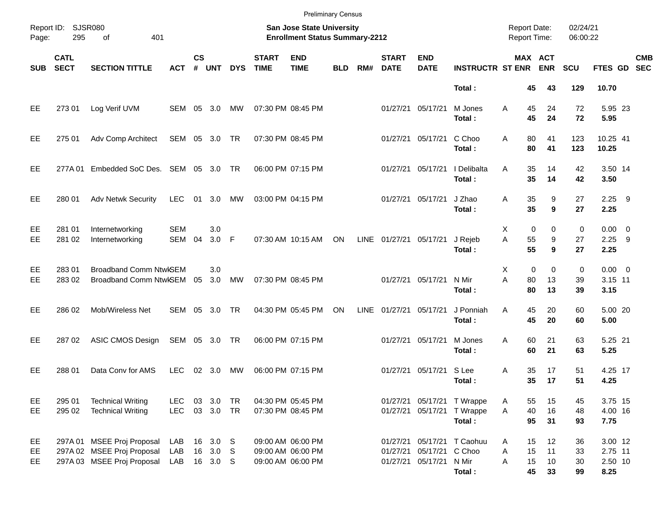|                |                            |                                                                                        |                   |                    |                                  |            |                             | <b>Preliminary Census</b>                                                 |            |             |                             |                                            |                                                           |                                            |                              |                      |                                       |                          |
|----------------|----------------------------|----------------------------------------------------------------------------------------|-------------------|--------------------|----------------------------------|------------|-----------------------------|---------------------------------------------------------------------------|------------|-------------|-----------------------------|--------------------------------------------|-----------------------------------------------------------|--------------------------------------------|------------------------------|----------------------|---------------------------------------|--------------------------|
| Page:          | Report ID: SJSR080<br>295  | 401<br>of                                                                              |                   |                    |                                  |            |                             | <b>San Jose State University</b><br><b>Enrollment Status Summary-2212</b> |            |             |                             |                                            |                                                           | <b>Report Date:</b><br><b>Report Time:</b> |                              | 02/24/21<br>06:00:22 |                                       |                          |
| <b>SUB</b>     | <b>CATL</b><br><b>SECT</b> | <b>SECTION TITTLE</b>                                                                  | <b>ACT</b>        | $\mathsf{cs}$<br># | <b>UNT</b>                       | <b>DYS</b> | <b>START</b><br><b>TIME</b> | <b>END</b><br><b>TIME</b>                                                 | <b>BLD</b> | RM#         | <b>START</b><br><b>DATE</b> | <b>END</b><br><b>DATE</b>                  | <b>INSTRUCTR ST ENR</b>                                   |                                            | <b>MAX ACT</b><br><b>ENR</b> | <b>SCU</b>           | <b>FTES GD</b>                        | <b>CMB</b><br><b>SEC</b> |
|                |                            |                                                                                        |                   |                    |                                  |            |                             |                                                                           |            |             |                             |                                            | Total:                                                    | 45                                         | 43                           | 129                  | 10.70                                 |                          |
| EE             | 273 01                     | Log Verif UVM                                                                          | SEM 05 3.0        |                    |                                  | МW         |                             | 07:30 PM 08:45 PM                                                         |            |             | 01/27/21                    | 05/17/21                                   | M Jones<br>Total:                                         | 45<br>Α<br>45                              | 24<br>24                     | 72<br>72             | 5.95 23<br>5.95                       |                          |
| EE             | 275 01                     | Adv Comp Architect                                                                     | SEM 05 3.0 TR     |                    |                                  |            |                             | 07:30 PM 08:45 PM                                                         |            |             | 01/27/21                    | 05/17/21                                   | C Choo<br>Total:                                          | 80<br>A<br>80                              | 41<br>41                     | 123<br>123           | 10.25 41<br>10.25                     |                          |
| EE             | 277A 01                    | Embedded SoC Des. SEM 05 3.0 TR                                                        |                   |                    |                                  |            |                             | 06:00 PM 07:15 PM                                                         |            |             | 01/27/21                    | 05/17/21                                   | I Delibalta<br>Total:                                     | 35<br>A<br>35                              | 14<br>14                     | 42<br>42             | 3.50 14<br>3.50                       |                          |
| EE             | 280 01                     | <b>Adv Netwk Security</b>                                                              | LEC               | 01                 | 3.0                              | МW         |                             | 03:00 PM 04:15 PM                                                         |            |             | 01/27/21                    | 05/17/21                                   | J Zhao<br>Total:                                          | 35<br>Α<br>35                              | 9<br>9                       | 27<br>27             | $2.25$ 9<br>2.25                      |                          |
| EE<br>EE       | 281 01<br>281 02           | Internetworking<br>Internetworking                                                     | <b>SEM</b><br>SEM | 04                 | 3.0<br>3.0                       | -F         |                             | 07:30 AM 10:15 AM                                                         | ON         |             | LINE 01/27/21               | 05/17/21                                   | J Rejeb<br>Total:                                         | Х<br>A<br>55<br>55                         | 0<br>$\mathbf 0$<br>9<br>9   | 0<br>27<br>27        | $0.00 \t 0$<br>2.25<br>2.25           | - 9                      |
| EE<br>EE       | 28301<br>283 02            | <b>Broadband Comm NtwKSEM</b><br>Broadband Comm NtwISEM 05                             |                   |                    | 3.0<br>3.0                       | MW         |                             | 07:30 PM 08:45 PM                                                         |            |             | 01/27/21                    | 05/17/21                                   | N Mir<br>Total:                                           | Х<br>A<br>80<br>80                         | $\mathbf 0$<br>0<br>13<br>13 | 0<br>39<br>39        | $0.00 \t 0$<br>3.15 11<br>3.15        |                          |
| EE             | 286 02                     | Mob/Wireless Net                                                                       | SEM               | 05                 | 3.0                              | <b>TR</b>  |                             | 04:30 PM 05:45 PM                                                         | ON         | <b>LINE</b> | 01/27/21                    | 05/17/21                                   | J Ponniah<br>Total:                                       | 45<br>A<br>45                              | 20<br>20                     | 60<br>60             | 5.00 20<br>5.00                       |                          |
| EE             | 287 02                     | ASIC CMOS Design                                                                       | SEM 05 3.0 TR     |                    |                                  |            |                             | 06:00 PM 07:15 PM                                                         |            |             | 01/27/21                    | 05/17/21                                   | M Jones<br>Total:                                         | 60<br>A<br>60                              | 21<br>21                     | 63<br>63             | 5.25 21<br>5.25                       |                          |
| EE             | 288 01                     | Data Conv for AMS                                                                      | <b>LEC</b>        | 02                 | 3.0                              | МW         |                             | 06:00 PM 07:15 PM                                                         |            |             | 01/27/21                    | 05/17/21                                   | S Lee<br>Total:                                           | 35<br>Α<br>35                              | 17<br>17                     | 51<br>51             | 4.25 17<br>4.25                       |                          |
| EE<br>EE       | 295 01<br>295 02           | <b>Technical Writing</b><br><b>Technical Writing</b>                                   | <b>LEC</b><br>LEC |                    | 03 3.0<br>03 3.0 TR              | TR         |                             | 04:30 PM 05:45 PM<br>07:30 PM 08:45 PM                                    |            |             | 01/27/21                    |                                            | 01/27/21 05/17/21 T Wrappe<br>05/17/21 T Wrappe<br>Total: | 55<br>A<br>40<br>A<br>95                   | 15<br>16<br>31               | 45<br>48<br>93       | 3.75 15<br>4.00 16<br>7.75            |                          |
| EE<br>EE<br>EE |                            | 297A 01 MSEE Proj Proposal<br>297A 02 MSEE Proj Proposal<br>297A 03 MSEE Proj Proposal | LAB<br>LAB<br>LAB |                    | 16 3.0 S<br>16 3.0 S<br>16 3.0 S |            |                             | 09:00 AM 06:00 PM<br>09:00 AM 06:00 PM<br>09:00 AM 06:00 PM               |            |             | 01/27/21                    | 05/17/21 C Choo<br>01/27/21 05/17/21 N Mir | 01/27/21 05/17/21 T Caohuu<br>Total:                      | 15<br>A<br>15<br>Α<br>A<br>15<br>45        | 12<br>11<br>10<br>33         | 36<br>33<br>30<br>99 | 3.00 12<br>2.75 11<br>2.50 10<br>8.25 |                          |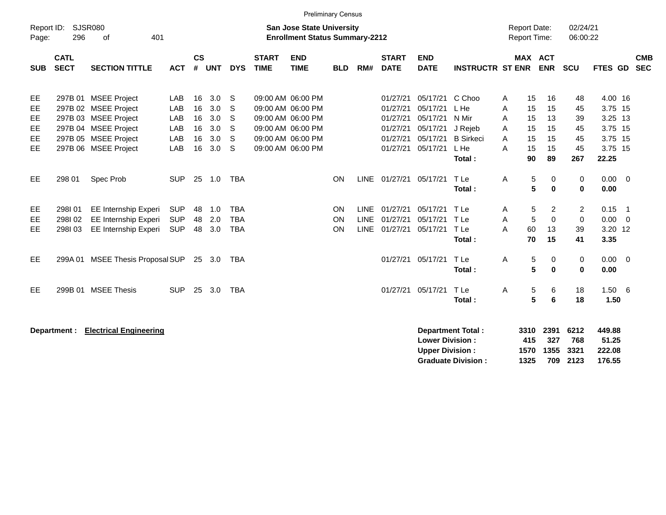|                                                                                                                                        |                            |                                                                                                                                              |                                        |                                  |                                        |                                        |                             | <b>Preliminary Census</b>                                                                                                  |                |                            |                                                                      |                                                                      |                                                                          |                                            |                                                                                  |                                           |                                                                         |                          |
|----------------------------------------------------------------------------------------------------------------------------------------|----------------------------|----------------------------------------------------------------------------------------------------------------------------------------------|----------------------------------------|----------------------------------|----------------------------------------|----------------------------------------|-----------------------------|----------------------------------------------------------------------------------------------------------------------------|----------------|----------------------------|----------------------------------------------------------------------|----------------------------------------------------------------------|--------------------------------------------------------------------------|--------------------------------------------|----------------------------------------------------------------------------------|-------------------------------------------|-------------------------------------------------------------------------|--------------------------|
| <b>SJSR080</b><br>Report ID:<br><b>San Jose State University</b><br>296<br>401<br><b>Enrollment Status Summary-2212</b><br>of<br>Page: |                            |                                                                                                                                              |                                        |                                  |                                        |                                        |                             |                                                                                                                            |                |                            |                                                                      |                                                                      |                                                                          | <b>Report Date:</b><br><b>Report Time:</b> | 02/24/21<br>06:00:22                                                             |                                           |                                                                         |                          |
| <b>SUB</b>                                                                                                                             | <b>CATL</b><br><b>SECT</b> | <b>SECTION TITTLE</b>                                                                                                                        | <b>ACT</b>                             | $\mathsf{cs}$<br>#               | <b>UNT</b>                             | <b>DYS</b>                             | <b>START</b><br><b>TIME</b> | <b>END</b><br><b>TIME</b>                                                                                                  | <b>BLD</b>     | RM#                        | <b>START</b><br><b>DATE</b>                                          | <b>END</b><br><b>DATE</b>                                            | <b>INSTRUCTR ST ENR</b>                                                  |                                            | <b>MAX ACT</b><br><b>ENR</b>                                                     | <b>SCU</b>                                | FTES GD                                                                 | <b>CMB</b><br><b>SEC</b> |
| EE<br>EE<br>EE<br>EE.<br>EE.<br>EE                                                                                                     |                            | 297B 01 MSEE Project<br>297B 02 MSEE Project<br>297B 03 MSEE Project<br>297B 04 MSEE Project<br>297B 05 MSEE Project<br>297B 06 MSEE Project | LAB<br>LAB<br>LAB<br>LAB<br>LAB<br>LAB | 16<br>16<br>16<br>16<br>16<br>16 | 3.0<br>3.0<br>3.0<br>3.0<br>3.0<br>3.0 | S<br>S<br>S<br>S<br>S<br>S             |                             | 09:00 AM 06:00 PM<br>09:00 AM 06:00 PM<br>09:00 AM 06:00 PM<br>09:00 AM 06:00 PM<br>09:00 AM 06:00 PM<br>09:00 AM 06:00 PM |                |                            | 01/27/21<br>01/27/21<br>01/27/21<br>01/27/21<br>01/27/21<br>01/27/21 | 05/17/21<br>05/17/21<br>05/17/21<br>05/17/21<br>05/17/21<br>05/17/21 | C Choo<br>L He<br>N Mir<br>J Rejeb<br><b>B</b> Sirkeci<br>L He<br>Total: | A<br>A<br>A<br>A<br>A<br>A                 | 15<br>16<br>15<br>15<br>15<br>13<br>15<br>15<br>15<br>15<br>15<br>15<br>89<br>90 | 48<br>45<br>39<br>45<br>45<br>45<br>267   | 4.00 16<br>3.75 15<br>3.25 13<br>3.75 15<br>3.75 15<br>3.75 15<br>22.25 |                          |
| EE                                                                                                                                     | 298 01                     | Spec Prob                                                                                                                                    | <b>SUP</b>                             | 25                               | 1.0                                    | <b>TBA</b>                             |                             |                                                                                                                            | ON             |                            | LINE 01/27/21                                                        | 05/17/21                                                             | T Le<br>Total:                                                           | Α                                          | 5<br>0<br>5<br>$\bf{0}$                                                          | 0<br>0                                    | 0.00<br>0.00                                                            | $\overline{0}$           |
| EE.<br>EE<br>EE                                                                                                                        | 298101<br>298102<br>298103 | <b>EE Internship Experi</b><br><b>EE Internship Experi</b><br>EE Internship Experi                                                           | <b>SUP</b><br><b>SUP</b><br><b>SUP</b> | 48<br>48<br>48                   | 1.0<br>2.0<br>3.0                      | <b>TBA</b><br><b>TBA</b><br><b>TBA</b> |                             |                                                                                                                            | ON<br>ON<br>ON | <b>LINE</b><br><b>LINE</b> | 01/27/21<br>01/27/21<br>LINE 01/27/21                                | 05/17/21<br>05/17/21<br>05/17/21                                     | T Le<br>T Le<br>TLe<br>Total:                                            | A<br>Α<br>A                                | 5<br>2<br>$\mathbf 0$<br>5<br>60<br>13<br>15<br>70                               | $\overline{2}$<br>$\mathbf 0$<br>39<br>41 | 0.15<br>$\overline{1}$<br>0.00<br>3.20 12<br>3.35                       | $\overline{0}$           |
| EE.                                                                                                                                    |                            | 299A 01 MSEE Thesis Proposal SUP                                                                                                             |                                        |                                  | 25 3.0                                 | TBA                                    |                             |                                                                                                                            |                |                            | 01/27/21                                                             | 05/17/21                                                             | T Le<br>Total:                                                           | A                                          | 5<br>0<br>5<br>$\bf{0}$                                                          | 0<br>0                                    | $0.00 \t 0$<br>0.00                                                     |                          |
| EE.                                                                                                                                    |                            | 299B 01 MSEE Thesis                                                                                                                          | <b>SUP</b>                             | 25                               | 3.0                                    | <b>TBA</b>                             |                             |                                                                                                                            |                |                            | 01/27/21                                                             | 05/17/21                                                             | T Le<br>Total:                                                           | A                                          | 5<br>6<br>5<br>6                                                                 | 18<br>18                                  | 1.506<br>1.50                                                           |                          |
|                                                                                                                                        | Department :               | <b>Electrical Engineering</b>                                                                                                                |                                        |                                  |                                        |                                        |                             |                                                                                                                            |                |                            |                                                                      |                                                                      | Department Total:                                                        | 3310                                       | 2391                                                                             | 6212                                      | 449.88                                                                  |                          |

| Department Total :        |      |                | 3310 2391 6212 | 449.88 |
|---------------------------|------|----------------|----------------|--------|
| <b>Lower Division :</b>   | 415  | 327            | - 768          | 51.25  |
| <b>Upper Division :</b>   |      | 1570 1355 3321 |                | 222.08 |
| <b>Graduate Division:</b> | 1325 |                | 709 2123       | 176.55 |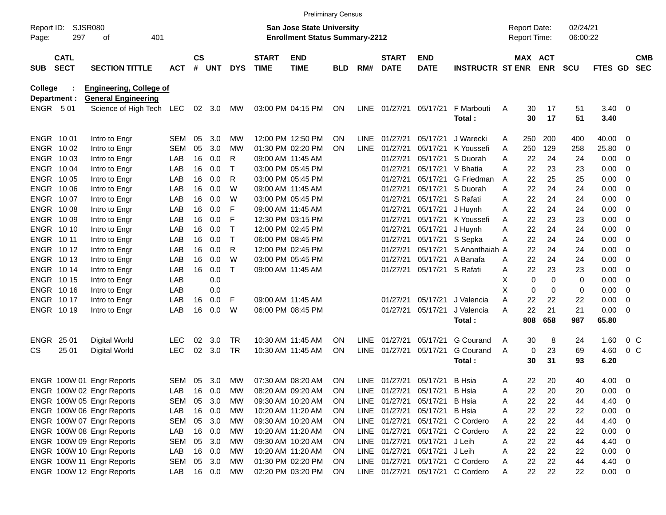|                     |                            |                                |            |               |        |             |                             | <b>Preliminary Census</b>                                                 |            |             |                             |                           |                                  |   |                                            |            |                      |              |                          |                          |
|---------------------|----------------------------|--------------------------------|------------|---------------|--------|-------------|-----------------------------|---------------------------------------------------------------------------|------------|-------------|-----------------------------|---------------------------|----------------------------------|---|--------------------------------------------|------------|----------------------|--------------|--------------------------|--------------------------|
| Report ID:<br>Page: | 297                        | SJSR080<br>οf<br>401           |            |               |        |             |                             | <b>San Jose State University</b><br><b>Enrollment Status Summary-2212</b> |            |             |                             |                           |                                  |   | <b>Report Date:</b><br><b>Report Time:</b> |            | 02/24/21<br>06:00:22 |              |                          |                          |
| <b>SUB</b>          | <b>CATL</b><br><b>SECT</b> | <b>SECTION TITTLE</b>          | <b>ACT</b> | $\mathsf{cs}$ | # UNT  | <b>DYS</b>  | <b>START</b><br><b>TIME</b> | <b>END</b><br><b>TIME</b>                                                 | <b>BLD</b> | RM#         | <b>START</b><br><b>DATE</b> | <b>END</b><br><b>DATE</b> | <b>INSTRUCTR ST ENR</b>          |   | MAX ACT                                    | <b>ENR</b> | <b>SCU</b>           | FTES GD      |                          | <b>CMB</b><br><b>SEC</b> |
| <b>College</b>      |                            | <b>Engineering, College of</b> |            |               |        |             |                             |                                                                           |            |             |                             |                           |                                  |   |                                            |            |                      |              |                          |                          |
| Department :        |                            | <b>General Engineering</b>     |            |               |        |             |                             |                                                                           |            |             |                             |                           |                                  |   |                                            |            |                      |              |                          |                          |
| ENGR 501            |                            | Science of High Tech           | LEC        |               | 02 3.0 | МW          |                             | 03:00 PM 04:15 PM                                                         | ON         |             | LINE 01/27/21               | 05/17/21                  | F Marbouti<br>Total:             | A | 30<br>30                                   | 17<br>17   | 51<br>51             | 3.40<br>3.40 | $\overline{\mathbf{0}}$  |                          |
| ENGR 1001           |                            | Intro to Engr                  | SEM        | 05            | 3.0    | <b>MW</b>   |                             | 12:00 PM 12:50 PM                                                         | ΟN         |             | LINE 01/27/21               | 05/17/21                  | J Warecki                        | A | 250                                        | 200        | 400                  | 40.00        | - 0                      |                          |
| ENGR 1002           |                            | Intro to Engr                  | SEM        | 05            | 3.0    | МW          |                             | 01:30 PM 02:20 PM                                                         | ΟN         | <b>LINE</b> | 01/27/21                    | 05/17/21                  | K Youssefi                       | A | 250                                        | 129        | 258                  | 25.80        | 0                        |                          |
| ENGR 1003           |                            | Intro to Engr                  | LAB        | 16            | 0.0    | R           |                             | 09:00 AM 11:45 AM                                                         |            |             | 01/27/21                    | 05/17/21                  | S Duorah                         | A | 22                                         | 24         | 24                   | 0.00         | 0                        |                          |
| ENGR 1004           |                            | Intro to Engr                  | LAB        | 16            | 0.0    | Т           |                             | 03:00 PM 05:45 PM                                                         |            |             | 01/27/21                    | 05/17/21                  | V Bhatia                         | A | 22                                         | 23         | 23                   | 0.00         | 0                        |                          |
| ENGR 1005           |                            | Intro to Engr                  | LAB        | 16            | 0.0    | R           |                             | 03:00 PM 05:45 PM                                                         |            |             | 01/27/21                    | 05/17/21                  | G Friedman                       | A | 22                                         | 25         | 25                   | 0.00         | 0                        |                          |
| ENGR 1006           |                            | Intro to Engr                  | LAB        | 16            | 0.0    | W           |                             | 09:00 AM 11:45 AM                                                         |            |             | 01/27/21                    | 05/17/21                  | S Duorah                         | A | 22                                         | 24         | 24                   | 0.00         | 0                        |                          |
| ENGR 1007           |                            | Intro to Engr                  | LAB        | 16            | 0.0    | W           |                             | 03:00 PM 05:45 PM                                                         |            |             | 01/27/21                    | 05/17/21                  | S Rafati                         | A | 22                                         | 24         | 24                   | 0.00         | -0                       |                          |
| ENGR 1008           |                            | Intro to Engr                  | LAB        | 16            | 0.0    | F           |                             | 09:00 AM 11:45 AM                                                         |            |             | 01/27/21                    | 05/17/21                  | J Huynh                          | A | 22                                         | 24         | 24                   | 0.00         | -0                       |                          |
| ENGR 10 09          |                            | Intro to Engr                  | LAB        | 16            | 0.0    | F           |                             | 12:30 PM 03:15 PM                                                         |            |             | 01/27/21                    | 05/17/21                  | K Youssefi                       | A | 22                                         | 23         | 23                   | 0.00         | 0                        |                          |
| ENGR 1010           |                            | Intro to Engr                  | LAB        | 16            | 0.0    | $\mathsf T$ |                             | 12:00 PM 02:45 PM                                                         |            |             | 01/27/21                    | 05/17/21                  | J Huynh                          | A | 22                                         | 24         | 24                   | 0.00         | 0                        |                          |
| <b>ENGR 1011</b>    |                            | Intro to Engr                  | LAB        | 16            | 0.0    | $\top$      |                             | 06:00 PM 08:45 PM                                                         |            |             | 01/27/21                    | 05/17/21                  | S Sepka                          | A | 22                                         | 24         | 24                   | 0.00         | -0                       |                          |
| <b>ENGR 1012</b>    |                            | Intro to Engr                  | LAB        | 16            | 0.0    | R           |                             | 12:00 PM 02:45 PM                                                         |            |             | 01/27/21                    | 05/17/21                  | S Ananthaiah A                   |   | 22                                         | 24         | 24                   | 0.00         | 0                        |                          |
| ENGR 1013           |                            | Intro to Engr                  | LAB        | 16            | 0.0    | W           |                             | 03:00 PM 05:45 PM                                                         |            |             | 01/27/21                    | 05/17/21                  | A Banafa                         | A | 22                                         | 24         | 24                   | 0.00         | -0                       |                          |
| ENGR 1014           |                            | Intro to Engr                  | LAB        | 16            | 0.0    | $\top$      |                             | 09:00 AM 11:45 AM                                                         |            |             | 01/27/21                    | 05/17/21 S Rafati         |                                  | A | 22                                         | 23         | 23                   | 0.00         | -0                       |                          |
| <b>ENGR 1015</b>    |                            | Intro to Engr                  | LAB        |               | 0.0    |             |                             |                                                                           |            |             |                             |                           |                                  | Х | 0                                          | 0          | 0                    | 0.00         | -0                       |                          |
| <b>ENGR 1016</b>    |                            | Intro to Engr                  | LAB        |               | 0.0    |             |                             |                                                                           |            |             |                             |                           |                                  | X | 0                                          | 0          | 0                    | 0.00         | -0                       |                          |
| ENGR 1017           |                            | Intro to Engr                  | LAB        | 16            | 0.0    | F           |                             | 09:00 AM 11:45 AM                                                         |            |             | 01/27/21                    | 05/17/21                  | J Valencia                       | Α | 22                                         | 22         | 22                   | 0.00         | 0                        |                          |
|                     | ENGR 1019                  | Intro to Engr                  | LAB        | 16            | 0.0    | W           |                             | 06:00 PM 08:45 PM                                                         |            |             | 01/27/21                    | 05/17/21                  | J Valencia                       | A | 22                                         | 21         | 21                   | 0.00         | - 0                      |                          |
|                     |                            |                                |            |               |        |             |                             |                                                                           |            |             |                             |                           | Total:                           |   | 808                                        | 658        | 987                  | 65.80        |                          |                          |
| <b>ENGR</b>         | 25 01                      | <b>Digital World</b>           | LEC        | 02            | 3.0    | TR.         |                             | 10:30 AM 11:45 AM                                                         | ON.        |             | LINE 01/27/21               | 05/17/21                  | <b>G</b> Courand                 | A | 30                                         | 8          | 24                   | 1.60         |                          | $0\,C$                   |
| <b>CS</b>           | 25 01                      | Digital World                  | <b>LEC</b> | 02            | 3.0    | TR          |                             | 10:30 AM 11:45 AM                                                         | <b>ON</b>  |             | LINE 01/27/21               | 05/17/21                  | <b>G</b> Courand                 | A | 0                                          | 23         | 69                   | 4.60         |                          | $0\,C$                   |
|                     |                            |                                |            |               |        |             |                             |                                                                           |            |             |                             |                           | Total:                           |   | 30                                         | 31         | 93                   | 6.20         |                          |                          |
|                     |                            | ENGR 100W 01 Engr Reports      | SEM 05     |               | 3.0    | <b>MW</b>   |                             | 07:30 AM 08:20 AM                                                         | ON         |             | LINE 01/27/21               | 05/17/21                  | B Hsia                           | A | 22                                         | 20         | 40                   | 4.00         | $\overline{\mathbf{0}}$  |                          |
|                     |                            | ENGR 100W 02 Engr Reports      | LAB        | 16            | 0.0    | <b>MW</b>   |                             | 08:20 AM 09:20 AM                                                         | <b>ON</b>  |             |                             | LINE 01/27/21 05/17/21    | <b>B</b> Hsia                    | A | 22                                         | 20         | 20                   | 0.00         | $\overline{\mathbf{0}}$  |                          |
|                     |                            | ENGR 100W 05 Engr Reports      | SEM        | 05            | 3.0    | MW          |                             | 09:30 AM 10:20 AM                                                         | <b>ON</b>  |             | LINE 01/27/21 05/17/21      |                           | <b>B</b> Hsia                    | A | 22                                         | 22         | 44                   | 4.40         | - 0                      |                          |
|                     |                            | ENGR 100W 06 Engr Reports      | LAB        |               | 16 0.0 | MW          |                             | 10:20 AM 11:20 AM                                                         | <b>ON</b>  |             | LINE 01/27/21 05/17/21      |                           | <b>B</b> Hsia                    | A | 22                                         | 22         | 22                   | 0.00         | $\overline{\mathbf{0}}$  |                          |
|                     |                            | ENGR 100W 07 Engr Reports      | SEM        | 05            | 3.0    | MW          |                             | 09:30 AM 10:20 AM                                                         | <b>ON</b>  |             |                             | LINE 01/27/21 05/17/21    | C Cordero                        | A | 22                                         | 22         | 44                   | 4.40         | $\overline{\phantom{0}}$ |                          |
|                     |                            | ENGR 100W 08 Engr Reports      | LAB        |               | 16 0.0 | MW          |                             | 10:20 AM 11:20 AM                                                         | <b>ON</b>  |             |                             | LINE 01/27/21 05/17/21    | C Cordero                        | Α | 22                                         | 22         | 22                   | 0.00         | $\overline{\mathbf{0}}$  |                          |
|                     |                            | ENGR 100W 09 Engr Reports      | SEM        | 05            | 3.0    | MW          |                             | 09:30 AM 10:20 AM                                                         | <b>ON</b>  |             |                             | LINE 01/27/21 05/17/21    | J Leih                           | A | 22                                         | 22         | 44                   | 4.40         | $\overline{\mathbf{0}}$  |                          |
|                     |                            | ENGR 100W 10 Engr Reports      | LAB        |               | 16 0.0 | MW          |                             | 10:20 AM 11:20 AM                                                         | <b>ON</b>  |             |                             | LINE 01/27/21 05/17/21    | J Leih                           | A | 22                                         | 22         | 22                   | 0.00         | $\overline{\mathbf{0}}$  |                          |
|                     |                            | ENGR 100W 11 Engr Reports      | SEM        |               | 05 3.0 | MW          |                             | 01:30 PM 02:20 PM                                                         | <b>ON</b>  |             |                             |                           | LINE 01/27/21 05/17/21 C Cordero | Α | 22                                         | 22         | 44                   | 4.40 0       |                          |                          |
|                     |                            | ENGR 100W 12 Engr Reports      | LAB        |               | 16 0.0 | МW          |                             | 02:20 PM 03:20 PM                                                         | ON         |             |                             |                           | LINE 01/27/21 05/17/21 C Cordero | A | 22                                         | 22         | 22                   | $0.00 \t 0$  |                          |                          |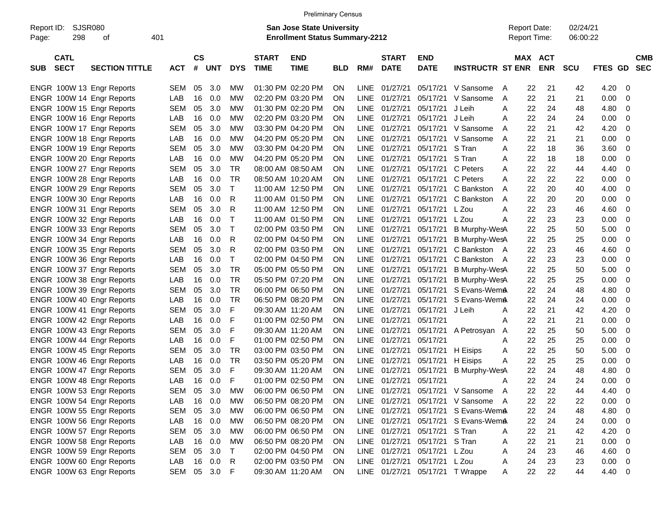|                     |                            |                           |            |                |              |              |                             | <b>Preliminary Census</b>                                                 |                        |             |                             |                               |                                     |                                            |                       |                      |             |                         |
|---------------------|----------------------------|---------------------------|------------|----------------|--------------|--------------|-----------------------------|---------------------------------------------------------------------------|------------------------|-------------|-----------------------------|-------------------------------|-------------------------------------|--------------------------------------------|-----------------------|----------------------|-------------|-------------------------|
| Report ID:<br>Page: | <b>SJSR080</b><br>298      | οf                        | 401        |                |              |              |                             | <b>San Jose State University</b><br><b>Enrollment Status Summary-2212</b> |                        |             |                             |                               |                                     | <b>Report Date:</b><br><b>Report Time:</b> |                       | 02/24/21<br>06:00:22 |             |                         |
| <b>SUB</b>          | <b>CATL</b><br><b>SECT</b> | <b>SECTION TITTLE</b>     | <b>ACT</b> | <b>CS</b><br># | <b>UNT</b>   | <b>DYS</b>   | <b>START</b><br><b>TIME</b> | <b>END</b><br><b>TIME</b>                                                 | <b>BLD</b>             | RM#         | <b>START</b><br><b>DATE</b> | <b>END</b><br><b>DATE</b>     | <b>INSTRUCTR ST ENR</b>             |                                            | MAX ACT<br><b>ENR</b> | <b>SCU</b>           | FTES GD SEC | <b>CMB</b>              |
|                     |                            | ENGR 100W 13 Engr Reports | <b>SEM</b> | 05             | 3.0          | МW           |                             | 01:30 PM 02:20 PM                                                         | ON                     | <b>LINE</b> | 01/27/21                    |                               | 05/17/21 V Sansome                  | $\overline{A}$                             | 22<br>21              | 42                   | 4.20        | - 0                     |
|                     |                            | ENGR 100W 14 Engr Reports | LAB        | 16             | 0.0          | МW           |                             | 02:20 PM 03:20 PM                                                         | ON                     | <b>LINE</b> | 01/27/21                    |                               | 05/17/21 V Sansome                  | A                                          | 22<br>21              | 21                   | 0.00        | 0                       |
|                     |                            | ENGR 100W 15 Engr Reports | <b>SEM</b> | 05             | 3.0          | МW           |                             | 01:30 PM 02:20 PM                                                         | ON                     | <b>LINE</b> | 01/27/21                    | 05/17/21 J Leih               |                                     | A                                          | 22<br>24              | 48                   | 4.80        | -0                      |
|                     |                            | ENGR 100W 16 Engr Reports | LAB        | 16             | 0.0          | МW           |                             | 02:20 PM 03:20 PM                                                         | ON                     | <b>LINE</b> | 01/27/21                    | 05/17/21 J Leih               |                                     | A                                          | 22<br>24              | 24                   | 0.00        | -0                      |
|                     |                            | ENGR 100W 17 Engr Reports | <b>SEM</b> | 05             | 3.0          | МW           |                             | 03:30 PM 04:20 PM                                                         | ON                     | LINE.       | 01/27/21                    |                               | 05/17/21 V Sansome                  | A                                          | 22<br>21              | 42                   | 4.20        | 0                       |
|                     |                            | ENGR 100W 18 Engr Reports | LAB        | 16             | 0.0          | МW           |                             | 04:20 PM 05:20 PM                                                         | ON                     | LINE.       | 01/27/21                    |                               | 05/17/21 V Sansome                  | A                                          | 22<br>21              | 21                   | 0.00        | 0                       |
|                     |                            | ENGR 100W 19 Engr Reports | <b>SEM</b> | 05             | 3.0          | МW           |                             | 03:30 PM 04:20 PM                                                         | ON                     | <b>LINE</b> | 01/27/21                    | 05/17/21 S Tran               |                                     | A                                          | 22<br>18              | 36                   | 3.60        | -0                      |
|                     |                            | ENGR 100W 20 Engr Reports | LAB        | 16             | 0.0          | МW           |                             | 04:20 PM 05:20 PM                                                         | ON                     | LINE        | 01/27/21                    | 05/17/21 S Tran               |                                     | A                                          | 22<br>18              | 18                   | 0.00        | 0                       |
|                     |                            | ENGR 100W 27 Engr Reports | <b>SEM</b> | 05             | 3.0          | TR           |                             | 08:00 AM 08:50 AM                                                         | ON                     | LINE.       | 01/27/21                    |                               | 05/17/21 C Peters                   | A                                          | 22<br>22              | 44                   | 4.40        | 0                       |
|                     |                            | ENGR 100W 28 Engr Reports | LAB        | 16             | 0.0          | TR           |                             | 08:50 AM 10:20 AM                                                         | ON                     | LINE.       | 01/27/21                    | 05/17/21 C Peters             |                                     | A                                          | 22<br>22              | 22                   | 0.00        | 0                       |
|                     |                            | ENGR 100W 29 Engr Reports | <b>SEM</b> | 05             | 3.0          | Т            |                             | 11:00 AM 12:50 PM                                                         | ΟN                     | LINE.       | 01/27/21                    |                               | 05/17/21 C Bankston                 | A                                          | 22<br>20              | 40                   | 4.00        | 0                       |
|                     |                            | ENGR 100W 30 Engr Reports | LAB        | 16             | 0.0          | R            |                             | 11:00 AM 01:50 PM                                                         | ON                     | LINE.       | 01/27/21                    |                               | 05/17/21 C Bankston                 | A                                          | 22<br>20              | 20                   | 0.00        | 0                       |
|                     |                            | ENGR 100W 31 Engr Reports | <b>SEM</b> | 05             | 3.0          | R            |                             | 11:00 AM 12:50 PM                                                         | ON                     | LINE        | 01/27/21                    | 05/17/21 L Zou                |                                     | A                                          | 22<br>23              | 46                   | 4.60        | 0                       |
|                     |                            | ENGR 100W 32 Engr Reports | LAB        | 16             | 0.0          | $\mathsf{T}$ |                             | 11:00 AM 01:50 PM                                                         | ON                     | LINE        | 01/27/21                    | 05/17/21 L Zou                |                                     | A                                          | 22<br>23              | 23                   | 0.00        | 0                       |
|                     |                            | ENGR 100W 33 Engr Reports | <b>SEM</b> | 05             | 3.0          | $\mathsf{T}$ |                             | 02:00 PM 03:50 PM                                                         | 0N                     |             | LINE 01/27/21               | 05/17/21                      | <b>B Murphy-WesA</b>                |                                            | 22<br>25              | 50                   | 5.00        | 0                       |
|                     |                            | ENGR 100W 34 Engr Reports | LAB        | 16             | 0.0          | R            |                             | 02:00 PM 04:50 PM                                                         | ON                     |             | LINE 01/27/21               | 05/17/21                      | <b>B Murphy-WesA</b>                |                                            | 25<br>22              | 25                   | 0.00        | 0                       |
|                     |                            | ENGR 100W 35 Engr Reports | <b>SEM</b> | 05             | 3.0          | R            |                             | 02:00 PM 03:50 PM                                                         | ON                     | LINE        | 01/27/21                    | 05/17/21                      | C Bankston A                        |                                            | 22<br>23              | 46                   | 4.60        | 0                       |
|                     |                            | ENGR 100W 36 Engr Reports | LAB        | 16             | 0.0          | Т            |                             | 02:00 PM 04:50 PM                                                         | ON                     | LINE        | 01/27/21                    | 05/17/21                      | C Bankston A                        |                                            | 22<br>23              | 23                   | 0.00        | 0                       |
|                     |                            | ENGR 100W 37 Engr Reports | <b>SEM</b> | 05             | 3.0          | TR           |                             | 05:00 PM 05:50 PM                                                         | ON                     | <b>LINE</b> | 01/27/21                    | 05/17/21                      | <b>B Murphy-WesA</b>                |                                            | 25<br>22              | 50                   | 5.00        | 0                       |
|                     |                            | ENGR 100W 38 Engr Reports | LAB        | 16             | 0.0          | TR           |                             | 05:50 PM 07:20 PM                                                         | 0N                     | <b>LINE</b> | 01/27/21                    | 05/17/21                      | <b>B Murphy-WesA</b>                |                                            | 22<br>25              | 25                   | 0.00        | 0                       |
|                     |                            | ENGR 100W 39 Engr Reports | <b>SEM</b> | 05             | 3.0          | TR           |                             | 06:00 PM 06:50 PM                                                         | ON                     | LINE.       | 01/27/21                    | 05/17/21                      | S Evans-WemA                        |                                            | 22<br>24              | 48                   | 4.80        | 0                       |
|                     |                            | ENGR 100W 40 Engr Reports | LAB        | 16             | 0.0          | TR           |                             | 06:50 PM 08:20 PM                                                         | ΟN                     | LINE.       | 01/27/21                    | 05/17/21                      | S Evans-WemA                        |                                            | 22<br>24              | 24                   | 0.00        | 0                       |
|                     |                            | ENGR 100W 41 Engr Reports | <b>SEM</b> | 05             | 3.0          | F            |                             | 09:30 AM 11:20 AM                                                         | ON                     | <b>LINE</b> | 01/27/21                    | 05/17/21                      | J Leih                              | A                                          | 22<br>21              | 42                   | 4.20        | 0                       |
|                     |                            | ENGR 100W 42 Engr Reports | LAB        | 16             | 0.0          | F            |                             | 01:00 PM 02:50 PM                                                         | ON                     | <b>LINE</b> | 01/27/21                    | 05/17/21                      |                                     | A                                          | 22<br>21              | 21                   | 0.00        | 0                       |
|                     |                            | ENGR 100W 43 Engr Reports | <b>SEM</b> | 05             | 3.0          | F            |                             | 09:30 AM 11:20 AM                                                         | ON                     | <b>LINE</b> | 01/27/21                    | 05/17/21                      | A Petrosyan                         | A                                          | 22<br>25              | 50                   | 5.00        | 0                       |
|                     |                            | ENGR 100W 44 Engr Reports | LAB        | 16             | 0.0          | F            |                             | 01:00 PM 02:50 PM                                                         | ON                     | <b>LINE</b> | 01/27/21                    | 05/17/21                      |                                     | A                                          | 22<br>25              | 25                   | 0.00        | 0                       |
|                     |                            | ENGR 100W 45 Engr Reports | <b>SEM</b> | 05             | 3.0          | TR           |                             | 03:00 PM 03:50 PM                                                         | ON                     | <b>LINE</b> | 01/27/21                    | 05/17/21                      | H Eisips                            | Α                                          | 22<br>25              | 50                   | 5.00        | 0                       |
|                     |                            | ENGR 100W 46 Engr Reports | LAB        | 16             | 0.0          | TR           |                             | 03:50 PM 05:20 PM                                                         | ON                     |             | LINE 01/27/21               | 05/17/21 H Eisips             |                                     | A                                          | 22<br>25              | 25                   | 0.00        | 0                       |
|                     |                            | ENGR 100W 47 Engr Reports | <b>SEM</b> | 05             | 3.0          | F            |                             | 09:30 AM 11:20 AM                                                         | 0N                     | <b>LINE</b> | 01/27/21                    | 05/17/21                      | <b>B Murphy-WesA</b>                |                                            | 22<br>24              | 48                   | 4.80        | -0                      |
|                     |                            | ENGR 100W 48 Engr Reports | LAB        | 16             | 0.0          | F            |                             | 01:00 PM 02:50 PM                                                         | ON                     |             | LINE 01/27/21 05/17/21      |                               |                                     | A                                          | 22<br>24              | 24                   | 0.00        | 0                       |
|                     |                            | ENGR 100W 53 Engr Reports | SEM        | 05             | 3.0          | MW           |                             | 06:00 PM 06:50 PM                                                         | <b>ON</b>              |             |                             |                               | LINE 01/27/21 05/17/21 V Sansome A  |                                            | 22<br>22              | 44                   | 4.40        | $\overline{\mathbf{0}}$ |
|                     |                            | ENGR 100W 54 Engr Reports | LAB        | 16             | 0.0          | МW           |                             | 06:50 PM 08:20 PM                                                         | <b>ON</b>              |             |                             |                               | LINE 01/27/21 05/17/21 V Sansome A  |                                            | 22<br>22              | 22                   | 0.00        | $\overline{\mathbf{0}}$ |
|                     |                            | ENGR 100W 55 Engr Reports | SEM        |                | 05 3.0       | МW           |                             | 06:00 PM 06:50 PM                                                         | <b>ON</b>              |             |                             |                               | LINE 01/27/21 05/17/21 S Evans-WemA |                                            | 22<br>24              | 48                   | 4.80 0      |                         |
|                     |                            | ENGR 100W 56 Engr Reports | LAB        |                | 16 0.0       | МW           |                             | 06:50 PM 08:20 PM                                                         | <b>ON</b>              |             |                             |                               | LINE 01/27/21 05/17/21 S Evans-WemA |                                            | 22<br>24              | 24                   | $0.00 \t 0$ |                         |
|                     |                            | ENGR 100W 57 Engr Reports |            | 05             | 3.0          | МW           |                             | 06:00 PM 06:50 PM                                                         |                        |             |                             | LINE 01/27/21 05/17/21 S Tran |                                     |                                            | 22<br>21              |                      | $4.20 \ 0$  |                         |
|                     |                            | ENGR 100W 58 Engr Reports | SEM<br>LAB |                | 16 0.0       | МW           |                             | 06:50 PM 08:20 PM                                                         | <b>ON</b><br><b>ON</b> |             |                             | LINE 01/27/21 05/17/21 S Tran |                                     | A                                          | 22<br>21              | 42<br>21             | $0.00 \t 0$ |                         |
|                     |                            | ENGR 100W 59 Engr Reports |            |                | 05 3.0       | $\top$       |                             |                                                                           |                        |             |                             | LINE 01/27/21 05/17/21 L Zou  |                                     | A                                          |                       |                      | $4.60$ 0    |                         |
|                     |                            |                           | SEM        |                | 16 0.0       |              |                             | 02:00 PM 04:50 PM<br>02:00 PM 03:50 PM                                    | <b>ON</b>              |             |                             | LINE 01/27/21 05/17/21 L Zou  |                                     | 24<br>Α                                    | 23<br>23              | 46                   | $0.00 \t 0$ |                         |
|                     |                            | ENGR 100W 60 Engr Reports | LAB        |                |              | R            |                             |                                                                           | ON.                    |             |                             |                               |                                     | Α                                          | 24                    | 23                   |             |                         |
|                     |                            | ENGR 100W 63 Engr Reports |            |                | SEM 05 3.0 F |              |                             | 09:30 AM 11:20 AM                                                         | ON                     |             |                             |                               | LINE 01/27/21 05/17/21 TWrappe      | A                                          | 22<br>22              | 44                   | 4.40 0      |                         |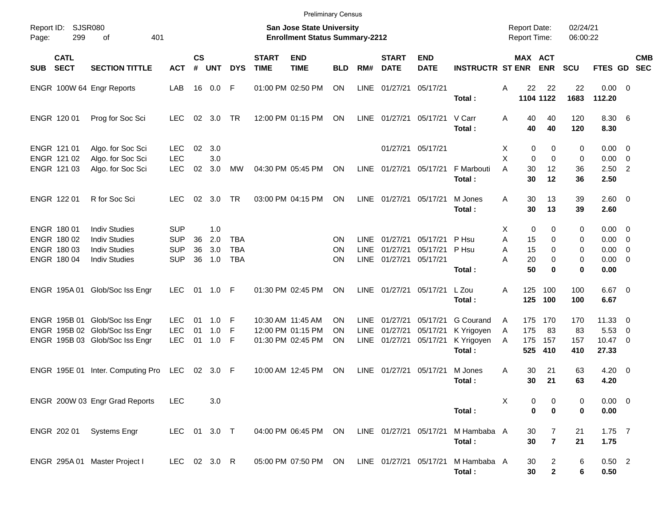| Page:      | 299                                       | <b>Preliminary Census</b><br>Report ID: SJSR080<br><b>San Jose State University</b><br>401<br><b>Enrollment Status Summary-2212</b><br>of |                                        |                    |                   |                   |                             |                           |            |                            |                             |                               |                         |             |                     | <b>Report Date:</b><br><b>Report Time:</b> | 02/24/21<br>06:00:22 |                                        |     |            |
|------------|-------------------------------------------|-------------------------------------------------------------------------------------------------------------------------------------------|----------------------------------------|--------------------|-------------------|-------------------|-----------------------------|---------------------------|------------|----------------------------|-----------------------------|-------------------------------|-------------------------|-------------|---------------------|--------------------------------------------|----------------------|----------------------------------------|-----|------------|
| <b>SUB</b> | <b>CATL</b><br><b>SECT</b>                | <b>SECTION TITTLE</b>                                                                                                                     | <b>ACT</b>                             | $\mathsf{cs}$<br># | <b>UNT</b>        | <b>DYS</b>        | <b>START</b><br><b>TIME</b> | <b>END</b><br><b>TIME</b> | <b>BLD</b> | RM#                        | <b>START</b><br><b>DATE</b> | <b>END</b><br><b>DATE</b>     | <b>INSTRUCTR ST ENR</b> |             | MAX ACT             | <b>ENR</b>                                 | <b>SCU</b>           | FTES GD SEC                            |     | <b>CMB</b> |
|            |                                           | ENGR 100W 64 Engr Reports                                                                                                                 | LAB                                    |                    | 16  0.0  F        |                   |                             | 01:00 PM 02:50 PM         | ON         | LINE                       | 01/27/21                    | 05/17/21                      | Total:                  | A           | 22                  | 22<br>1104 1122                            | 22<br>1683           | $0.00 \t 0$<br>112.20                  |     |            |
|            | ENGR 120 01                               | Prog for Soc Sci                                                                                                                          | <b>LEC</b>                             | 02                 | 3.0               | TR                |                             | 12:00 PM 01:15 PM         | ON         | LINE                       | 01/27/21                    | 05/17/21                      | V Carr<br>Total:        | A           | 40<br>40            | 40<br>40                                   | 120<br>120           | 8.30 6<br>8.30                         |     |            |
|            | ENGR 121 01<br>ENGR 121 02<br>ENGR 121 03 | Algo. for Soc Sci<br>Algo. for Soc Sci<br>Algo. for Soc Sci                                                                               | <b>LEC</b><br><b>LEC</b><br><b>LEC</b> | 02<br>02           | 3.0<br>3.0<br>3.0 | MW                |                             | 04:30 PM 05:45 PM         | ON         | <b>LINE</b>                | 01/27/21                    | 01/27/21 05/17/21<br>05/17/21 | F Marbouti              | X<br>X<br>A | 0<br>$\Omega$<br>30 | 0<br>$\Omega$<br>12                        | 0<br>0<br>36         | $0.00 \t 0$<br>$0.00 \t 0$<br>$2.50$ 2 |     |            |
|            |                                           |                                                                                                                                           |                                        |                    |                   |                   |                             |                           |            |                            |                             |                               | Total:                  |             | 30                  | 12                                         | 36                   | 2.50                                   |     |            |
|            | ENGR 122 01                               | R for Soc Sci                                                                                                                             | LEC.                                   | 02                 | 3.0               | TR.               |                             | 03:00 PM 04:15 PM         | ON         | LINE                       | 01/27/21                    | 05/17/21                      | M Jones<br>Total:       | A           | 30<br>30            | 13<br>13                                   | 39<br>39             | $2.60 \t 0$<br>2.60                    |     |            |
|            | ENGR 180 01                               | <b>Indiv Studies</b>                                                                                                                      | <b>SUP</b>                             |                    | 1.0               |                   |                             |                           |            |                            |                             |                               |                         | X.          | 0                   | 0                                          | 0                    | $0.00 \t 0$                            |     |            |
|            | ENGR 180 02<br>ENGR 180 03                | <b>Indiv Studies</b><br><b>Indiv Studies</b>                                                                                              | <b>SUP</b><br><b>SUP</b>               | 36<br>36           | 2.0<br>3.0        | TBA<br><b>TBA</b> |                             |                           | ΟN<br>ON   | <b>LINE</b><br><b>LINE</b> | 01/27/21<br>01/27/21        | 05/17/21<br>05/17/21          | P Hsu<br>P Hsu          | A<br>A      | 15<br>15            | $\Omega$<br>$\Omega$                       | 0<br>0               | $0.00 \t 0$<br>$0.00 \t 0$             |     |            |
|            | ENGR 180 04                               | <b>Indiv Studies</b>                                                                                                                      | <b>SUP</b>                             | 36                 | 1.0               | <b>TBA</b>        |                             |                           | ON         | <b>LINE</b>                | 01/27/21                    | 05/17/21                      |                         | A           | 20                  | $\Omega$                                   | 0                    | $0.00 \t 0$                            |     |            |
|            |                                           |                                                                                                                                           |                                        |                    |                   |                   |                             |                           |            |                            |                             |                               | Total:                  |             | 50                  | $\bf{0}$                                   | 0                    | 0.00                                   |     |            |
|            |                                           | ENGR 195A 01 Glob/Soc Iss Engr                                                                                                            | <b>LEC</b>                             | 01                 | 1.0 F             |                   |                             | 01:30 PM 02:45 PM         | ΟN         | <b>LINE</b>                | 01/27/21                    | 05/17/21                      | L Zou<br>Total:         | A           | 125<br>125          | 100<br>100                                 | 100<br>100           | $6.67$ 0<br>6.67                       |     |            |
|            |                                           | ENGR 195B 01 Glob/Soc Iss Engr                                                                                                            | <b>LEC</b>                             | 01                 | 1.0               | - F               |                             | 10:30 AM 11:45 AM         | ON         | LINE                       | 01/27/21                    | 05/17/21                      | <b>G</b> Courand        | A           | 175                 | 170                                        | 170                  | $11.33 \t 0$                           |     |            |
|            |                                           | ENGR 195B 02 Glob/Soc Iss Engr                                                                                                            | <b>LEC</b>                             | 01                 | 1.0               | -F                |                             | 12:00 PM 01:15 PM         | ΟN         | <b>LINE</b>                | 01/27/21                    | 05/17/21                      | K Yrigoyen              | A           | 175                 | 83                                         | 83                   | 5.53                                   | - 0 |            |
|            |                                           | ENGR 195B 03 Glob/Soc Iss Engr                                                                                                            | <b>LEC</b>                             | 01                 | 1.0               | - F               |                             | 01:30 PM 02:45 PM         | ON         | LINE                       | 01/27/21                    | 05/17/21                      | K Yrigoyen<br>Total:    | A           | 175<br>525          | 157<br>410                                 | 157<br>410           | 10.47 0<br>27.33                       |     |            |
|            | ENGR 195E 01                              | Inter. Computing Pro                                                                                                                      | LEC                                    |                    | 02 3.0 F          |                   |                             | 10:00 AM 12:45 PM         | ON         | LINE                       | 01/27/21                    | 05/17/21                      | M Jones<br>Total:       | A           | 30<br>30            | 21<br>21                                   | 63<br>63             | $4.20 \ 0$<br>4.20                     |     |            |
|            |                                           | ENGR 200W 03 Engr Grad Reports                                                                                                            | <b>LEC</b>                             |                    | 3.0               |                   |                             |                           |            |                            |                             |                               | Total:                  | Χ           | 0<br>0              | 0<br>0                                     | 0<br>0               | $0.00 \t 0$<br>0.00                    |     |            |
|            | ENGR 202 01                               | <b>Systems Engr</b>                                                                                                                       | LEC 01 3.0 T                           |                    |                   |                   |                             | 04:00 PM 06:45 PM ON      |            |                            | LINE 01/27/21 05/17/21      |                               | M Hambaba A<br>Total:   |             | 30<br>30            | 7<br>$\overline{7}$                        | 21<br>21             | $1.75$ 7<br>1.75                       |     |            |
|            |                                           | ENGR 295A 01 Master Project I                                                                                                             | LEC 02 3.0 R                           |                    |                   |                   |                             | 05:00 PM 07:50 PM ON      |            |                            | LINE 01/27/21 05/17/21      |                               | M Hambaba A<br>Total:   |             | 30<br>30            | $\overline{2}$<br>$\mathbf{2}$             | 6<br>6               | $0.50$ 2<br>0.50                       |     |            |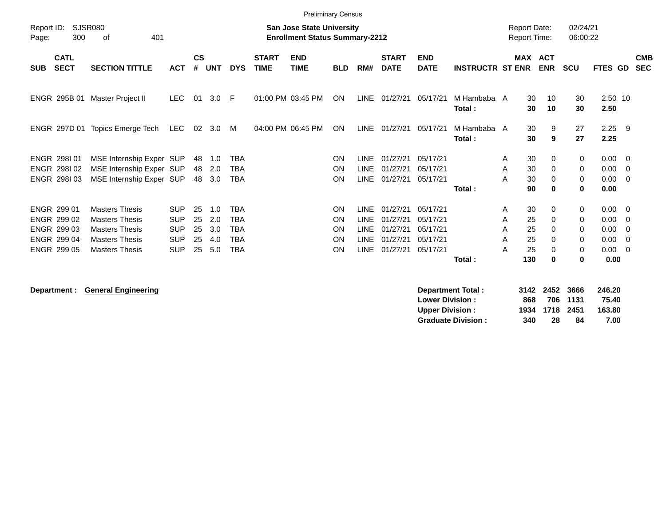|                     | <b>Preliminary Census</b>  |                                                                                                   |            |                |            |            |                             |                           |            |             |                             |                           |                         |         |          |            |                      |                  |                         |                          |
|---------------------|----------------------------|---------------------------------------------------------------------------------------------------|------------|----------------|------------|------------|-----------------------------|---------------------------|------------|-------------|-----------------------------|---------------------------|-------------------------|---------|----------|------------|----------------------|------------------|-------------------------|--------------------------|
| Report ID:<br>Page: | 300                        | SJSR080<br><b>San Jose State University</b><br><b>Enrollment Status Summary-2212</b><br>401<br>оf |            |                |            |            |                             |                           |            |             |                             |                           |                         |         |          |            | 02/24/21<br>06:00:22 |                  |                         |                          |
| <b>SUB</b>          | <b>CATL</b><br><b>SECT</b> | <b>SECTION TITTLE</b>                                                                             | <b>ACT</b> | <b>CS</b><br># | <b>UNT</b> | <b>DYS</b> | <b>START</b><br><b>TIME</b> | <b>END</b><br><b>TIME</b> | <b>BLD</b> | RM#         | <b>START</b><br><b>DATE</b> | <b>END</b><br><b>DATE</b> | <b>INSTRUCTR ST ENR</b> | MAX ACT |          | <b>ENR</b> | <b>SCU</b>           | FTES GD          |                         | <b>CMB</b><br><b>SEC</b> |
|                     | ENGR 295B 01               | Master Project II                                                                                 | LEC.       | 01             | 3.0        | -F         | 01:00 PM 03:45 PM           |                           | <b>ON</b>  | LINE        | 01/27/21                    | 05/17/21                  | M Hambaba A<br>Total:   |         | 30<br>30 | 10<br>10   | 30<br>30             | 2.50 10<br>2.50  |                         |                          |
|                     | ENGR 297D 01               | Topics Emerge Tech                                                                                | LEC.       | 02             | 3.0        | M          |                             | 04:00 PM 06:45 PM         | ON         | <b>LINE</b> | 01/27/21                    | 05/17/21                  | M Hambaba A<br>Total:   |         | 30<br>30 | 9<br>9     | 27<br>27             | $2.25$ 9<br>2.25 |                         |                          |
|                     | ENGR 298101                | MSE Internship Exper SUP                                                                          |            | 48             | 1.0        | TBA        |                             |                           | ON         | <b>LINE</b> | 01/27/21                    | 05/17/21                  |                         | A       | 30       | 0          | 0                    | $0.00 \t 0$      |                         |                          |
|                     | ENGR 298102                | MSE Internship Exper SUP                                                                          |            | 48             | 2.0        | <b>TBA</b> |                             |                           | ON         | <b>LINE</b> | 01/27/21                    | 05/17/21                  |                         | A       | 30       | 0          | 0                    | 0.00             | - 0                     |                          |
|                     | ENGR 298103                | MSE Internship Exper SUP                                                                          |            | 48             | 3.0        | <b>TBA</b> |                             |                           | ON         | <b>LINE</b> | 01/27/21                    | 05/17/21                  |                         | A       | 30       | 0          | 0                    | 0.00             | $\overline{\mathbf{0}}$ |                          |
|                     |                            |                                                                                                   |            |                |            |            |                             |                           |            |             |                             |                           | Total:                  |         | 90       | 0          | 0                    | 0.00             |                         |                          |
|                     | <b>ENGR 299 01</b>         | <b>Masters Thesis</b>                                                                             | <b>SUP</b> | 25             | 1.0        | <b>TBA</b> |                             |                           | ON         | <b>LINE</b> | 01/27/21                    | 05/17/21                  |                         | A       | 30       | 0          | 0                    | $0.00 \t 0$      |                         |                          |
|                     | ENGR 299 02                | <b>Masters Thesis</b>                                                                             | <b>SUP</b> | 25             | 2.0        | <b>TBA</b> |                             |                           | ON         | <b>LINE</b> | 01/27/21                    | 05/17/21                  |                         | A       | 25       | 0          | 0                    | 0.00             | - 0                     |                          |
|                     | ENGR 299 03                | <b>Masters Thesis</b>                                                                             | <b>SUP</b> | 25             | 3.0        | <b>TBA</b> |                             |                           | <b>ON</b>  | <b>LINE</b> | 01/27/21                    | 05/17/21                  |                         | A       | 25       | 0          | 0                    | 0.00             | - 0                     |                          |
|                     | ENGR 299 04                | <b>Masters Thesis</b>                                                                             | <b>SUP</b> | 25             | 4.0        | <b>TBA</b> |                             |                           | <b>ON</b>  | <b>LINE</b> | 01/27/21                    | 05/17/21                  |                         | A       | 25       | 0          | 0                    | 0.00             | - 0                     |                          |
|                     | <b>ENGR 299 05</b>         | <b>Masters Thesis</b>                                                                             | <b>SUP</b> | 25             | 5.0        | <b>TBA</b> |                             |                           | <b>ON</b>  | <b>LINE</b> | 01/27/21                    | 05/17/21                  |                         | A       | 25       | $\Omega$   | 0                    | 0.00             | $\overline{0}$          |                          |
|                     |                            |                                                                                                   |            |                |            |            |                             |                           |            |             |                             |                           | Total:                  |         | 130      | 0          | 0                    | 0.00             |                         |                          |

**Department : General Engineering** 

| Department Total:         |     | 3142 2452 3666 |          | 246.20 |
|---------------------------|-----|----------------|----------|--------|
| <b>Lower Division:</b>    | 868 |                | 706 1131 | 75.40  |
| <b>Upper Division:</b>    |     | 1934 1718 2451 |          | 163.80 |
| <b>Graduate Division:</b> | 340 | 28             | 84       | 7.00   |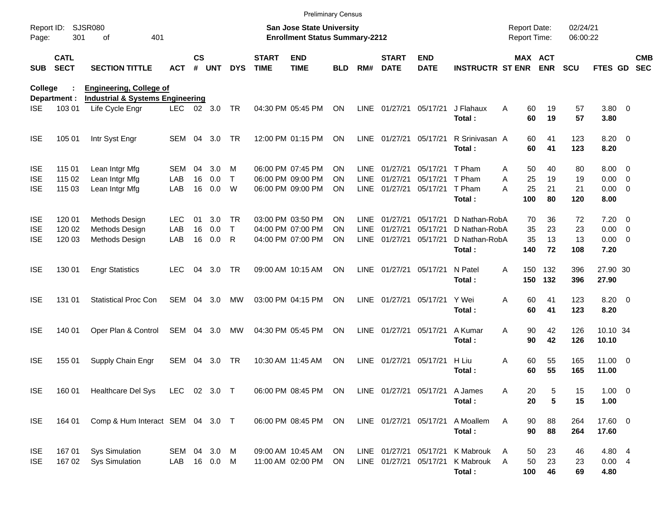|                     |                            |                                             |              |                    |            |            |                             | <b>Preliminary Census</b>                                                 |            |             |                             |                           |                             |   |          |                                     |                      |                |                          |
|---------------------|----------------------------|---------------------------------------------|--------------|--------------------|------------|------------|-----------------------------|---------------------------------------------------------------------------|------------|-------------|-----------------------------|---------------------------|-----------------------------|---|----------|-------------------------------------|----------------------|----------------|--------------------------|
| Report ID:<br>Page: | 301                        | <b>SJSR080</b><br>401<br>οf                 |              |                    |            |            |                             | <b>San Jose State University</b><br><b>Enrollment Status Summary-2212</b> |            |             |                             |                           |                             |   |          | <b>Report Date:</b><br>Report Time: | 02/24/21<br>06:00:22 |                |                          |
| <b>SUB</b>          | <b>CATL</b><br><b>SECT</b> | <b>SECTION TITTLE</b>                       | <b>ACT</b>   | $\mathsf{cs}$<br># | <b>UNT</b> | <b>DYS</b> | <b>START</b><br><b>TIME</b> | <b>END</b><br><b>TIME</b>                                                 | <b>BLD</b> | RM#         | <b>START</b><br><b>DATE</b> | <b>END</b><br><b>DATE</b> | <b>INSTRUCTR ST ENR ENR</b> |   |          | <b>MAX ACT</b>                      | <b>SCU</b>           | FTES GD        | <b>CMB</b><br><b>SEC</b> |
| College             |                            | <b>Engineering, College of</b>              |              |                    |            |            |                             |                                                                           |            |             |                             |                           |                             |   |          |                                     |                      |                |                          |
|                     | Department :               | <b>Industrial &amp; Systems Engineering</b> |              |                    |            |            |                             |                                                                           |            |             |                             |                           |                             |   |          |                                     |                      |                |                          |
| <b>ISE</b>          | 103 01                     | Life Cycle Engr                             | LEC.         |                    | 02 3.0     | <b>TR</b>  |                             | 04:30 PM 05:45 PM                                                         | ON         |             | LINE 01/27/21 05/17/21      |                           | J Flahaux<br>Total:         | A | 60<br>60 | 19<br>19                            | 57<br>57             | 3.80 0<br>3.80 |                          |
| <b>ISE</b>          | 105 01                     | Intr Syst Engr                              | SEM 04       |                    | 3.0        | TR         |                             | 12:00 PM 01:15 PM                                                         | ON         |             | LINE 01/27/21 05/17/21      |                           | R Srinivasan A              |   | 60       | 41                                  | 123                  | $8.20 \ 0$     |                          |
|                     |                            |                                             |              |                    |            |            |                             |                                                                           |            |             |                             |                           | Total:                      |   | 60       | 41                                  | 123                  | 8.20           |                          |
| <b>ISE</b>          | 115 01                     | Lean Intgr Mfg                              | SEM          | 04                 | 3.0        | м          |                             | 06:00 PM 07:45 PM                                                         | ON         | LINE        | 01/27/21                    | 05/17/21                  | T Pham                      | A | 50       | 40                                  | 80                   | $8.00 \t 0$    |                          |
| <b>ISE</b>          | 115 02                     | Lean Intgr Mfg                              | LAB          | 16                 | 0.0        | T          |                             | 06:00 PM 09:00 PM                                                         | ON         | <b>LINE</b> | 01/27/21                    | 05/17/21                  | T Pham                      | A | 25       | 19                                  | 19                   | $0.00 \t 0$    |                          |
| <b>ISE</b>          | 115 03                     | Lean Intgr Mfg                              | LAB          | 16                 | 0.0        | W          |                             | 06:00 PM 09:00 PM                                                         | <b>ON</b>  | LINE        | 01/27/21                    | 05/17/21                  | T Pham                      | A | 25       | 21                                  | 21                   | $0.00 \t 0$    |                          |
|                     |                            |                                             |              |                    |            |            |                             |                                                                           |            |             |                             |                           | Total:                      |   | 100      | 80                                  | 120                  | 8.00           |                          |
| <b>ISE</b>          | 120 01                     | Methods Design                              | <b>LEC</b>   | 01                 | 3.0        | TR.        |                             | 03:00 PM 03:50 PM                                                         | ON         | <b>LINE</b> | 01/27/21                    | 05/17/21                  | D Nathan-RobA               |   | 70       | 36                                  | 72                   | $7.20 \t 0$    |                          |
| <b>ISE</b>          | 120 02                     | Methods Design                              | LAB          | 16                 | 0.0        | T          |                             | 04:00 PM 07:00 PM                                                         | ON         | <b>LINE</b> | 01/27/21                    | 05/17/21                  | D Nathan-RobA               |   | 35       | 23                                  | 23                   | $0.00 \t 0$    |                          |
| <b>ISE</b>          | 120 03                     | Methods Design                              | LAB          | 16                 | 0.0        | R          |                             | 04:00 PM 07:00 PM                                                         | <b>ON</b>  | LINE        | 01/27/21                    | 05/17/21                  | D Nathan-RobA               |   | 35       | 13                                  | 13                   | $0.00 \t 0$    |                          |
|                     |                            |                                             |              |                    |            |            |                             |                                                                           |            |             |                             |                           | Total:                      |   | 140      | 72                                  | 108                  | 7.20           |                          |
| <b>ISE</b>          | 130 01                     | <b>Engr Statistics</b>                      | <b>LEC</b>   | 04                 | 3.0        | TR.        |                             | 09:00 AM 10:15 AM                                                         | <b>ON</b>  |             | LINE 01/27/21 05/17/21      |                           | N Patel                     | A | 150      | 132                                 | 396                  | 27.90 30       |                          |
|                     |                            |                                             |              |                    |            |            |                             |                                                                           |            |             |                             |                           | Total:                      |   | 150      | 132                                 | 396                  | 27.90          |                          |
| <b>ISE</b>          | 131 01                     | <b>Statistical Proc Con</b>                 | SEM          | 04                 | 3.0        | МW         |                             | 03:00 PM 04:15 PM                                                         | <b>ON</b>  | <b>LINE</b> | 01/27/21                    | 05/17/21                  | Y Wei                       | Α | 60       | 41                                  | 123                  | $8.20 \ 0$     |                          |
|                     |                            |                                             |              |                    |            |            |                             |                                                                           |            |             |                             |                           | Total:                      |   | 60       | 41                                  | 123                  | 8.20           |                          |
| <b>ISE</b>          | 140 01                     | Oper Plan & Control                         | SEM          | 04                 | 3.0        | МW         |                             | 04:30 PM 05:45 PM                                                         | ON         | <b>LINE</b> | 01/27/21                    | 05/17/21                  | A Kumar                     | A | 90       | 42                                  | 126                  | 10.10 34       |                          |
|                     |                            |                                             |              |                    |            |            |                             |                                                                           |            |             |                             |                           | Total:                      |   | 90       | 42                                  | 126                  | 10.10          |                          |
| <b>ISE</b>          | 155 01                     | Supply Chain Engr                           | SEM 04       |                    | 3.0        | TR         |                             | 10:30 AM 11:45 AM                                                         | ON         | LINE        | 01/27/21                    | 05/17/21                  | H Liu                       | Α | 60       | 55                                  | 165                  | $11.00 \t 0$   |                          |
|                     |                            |                                             |              |                    |            |            |                             |                                                                           |            |             |                             |                           | Total:                      |   | 60       | 55                                  | 165                  | 11.00          |                          |
| <b>ISE</b>          | 160 01                     | <b>Healthcare Del Sys</b>                   | LEC 02 3.0 T |                    |            |            |                             | 06:00 PM 08:45 PM ON                                                      |            |             |                             | LINE 01/27/21 05/17/21    | A James                     | Α | 20       | 5                                   | 15                   | $1.00 \t 0$    |                          |
|                     |                            |                                             |              |                    |            |            |                             |                                                                           |            |             |                             |                           | Total:                      |   | 20       | 5                                   | 15                   | 1.00           |                          |
| <b>ISE</b>          | 164 01                     | Comp & Hum Interact SEM 04 3.0 T            |              |                    |            |            |                             | 06:00 PM 08:45 PM                                                         | ON         |             | LINE 01/27/21 05/17/21      |                           | A Moallem                   | Α | 90       | 88                                  | 264                  | 17.60 0        |                          |
|                     |                            |                                             |              |                    |            |            |                             |                                                                           |            |             |                             |                           | Total:                      |   | 90       | 88                                  | 264                  | 17.60          |                          |
| <b>ISE</b>          | 167 01                     | <b>Sys Simulation</b>                       | SEM 04 3.0 M |                    |            |            |                             | 09:00 AM 10:45 AM                                                         | ON         |             | LINE 01/27/21 05/17/21      |                           | K Mabrouk                   | A | 50       | 23                                  | 46                   | 4.80 4         |                          |
| <b>ISE</b>          | 16702                      | <b>Sys Simulation</b>                       | LAB          |                    | 16  0.0  M |            |                             | 11:00 AM 02:00 PM                                                         | ON         |             | LINE 01/27/21 05/17/21      |                           | K Mabrouk A                 |   | 50       | 23                                  | 23                   | 0.004          |                          |
|                     |                            |                                             |              |                    |            |            |                             |                                                                           |            |             |                             |                           | Total :                     |   | 100      | 46                                  | 69                   | 4.80           |                          |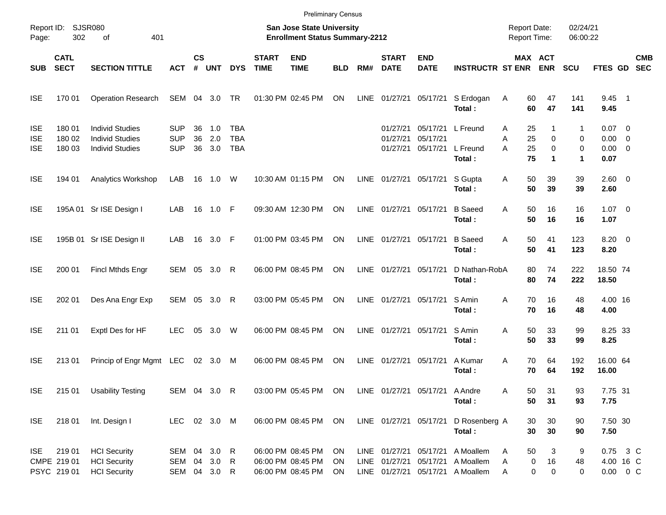|                                        |                                    |                                                                            |                                        |                    |                      |                                        |                             | <b>Preliminary Census</b>                                                 |                |             |                                  |                                |                                                                                                          |                                            |                                               |                            |                                                |                          |
|----------------------------------------|------------------------------------|----------------------------------------------------------------------------|----------------------------------------|--------------------|----------------------|----------------------------------------|-----------------------------|---------------------------------------------------------------------------|----------------|-------------|----------------------------------|--------------------------------|----------------------------------------------------------------------------------------------------------|--------------------------------------------|-----------------------------------------------|----------------------------|------------------------------------------------|--------------------------|
| Page:                                  | Report ID: SJSR080<br>302          | 401<br>of                                                                  |                                        |                    |                      |                                        |                             | <b>San Jose State University</b><br><b>Enrollment Status Summary-2212</b> |                |             |                                  |                                |                                                                                                          | <b>Report Date:</b><br><b>Report Time:</b> |                                               | 02/24/21<br>06:00:22       |                                                |                          |
| <b>SUB</b>                             | <b>CATL</b><br><b>SECT</b>         | <b>SECTION TITTLE</b>                                                      | <b>ACT</b>                             | $\mathsf{cs}$<br># | <b>UNT</b>           | <b>DYS</b>                             | <b>START</b><br><b>TIME</b> | <b>END</b><br><b>TIME</b>                                                 | <b>BLD</b>     | RM#         | <b>START</b><br><b>DATE</b>      | <b>END</b><br><b>DATE</b>      | <b>INSTRUCTR ST ENR</b>                                                                                  |                                            | MAX ACT<br><b>ENR</b>                         | <b>SCU</b>                 | <b>FTES GD</b>                                 | <b>CMB</b><br><b>SEC</b> |
| <b>ISE</b>                             | 170 01                             | <b>Operation Research</b>                                                  | SEM 04 3.0 TR                          |                    |                      |                                        |                             | 01:30 PM 02:45 PM                                                         | ON             | LINE        | 01/27/21                         | 05/17/21                       | S Erdogan<br>Total:                                                                                      | Α<br>60<br>60                              | 47<br>47                                      | 141<br>141                 | $9.45$ 1<br>9.45                               |                          |
| <b>ISE</b><br><b>ISE</b><br><b>ISE</b> | 180 01<br>180 02<br>180 03         | <b>Individ Studies</b><br><b>Individ Studies</b><br><b>Individ Studies</b> | <b>SUP</b><br><b>SUP</b><br><b>SUP</b> | 36<br>36<br>36     | 1.0<br>2.0<br>3.0    | <b>TBA</b><br><b>TBA</b><br><b>TBA</b> |                             |                                                                           |                |             | 01/27/21<br>01/27/21<br>01/27/21 | 05/17/21<br>05/17/21           | 05/17/21 L Freund<br>L Freund<br>Total:                                                                  | 25<br>Α<br>25<br>Α<br>25<br>A<br>75        | 1<br>0<br>$\mathbf 0$<br>$\blacktriangleleft$ | 1<br>0<br>0<br>$\mathbf 1$ | $0.07$ 0<br>$0.00 \t 0$<br>$0.00 \t 0$<br>0.07 |                          |
| <b>ISE</b>                             | 194 01                             | <b>Analytics Workshop</b>                                                  | LAB                                    |                    | 16  1.0  W           |                                        |                             | 10:30 AM 01:15 PM                                                         | ON             |             | LINE 01/27/21                    | 05/17/21                       | S Gupta<br>Total:                                                                                        | 50<br>Α<br>50                              | 39<br>39                                      | 39<br>39                   | $2.60 \t 0$<br>2.60                            |                          |
| <b>ISE</b>                             |                                    | 195A 01 Sr ISE Design I                                                    | LAB                                    |                    | 16  1.0  F           |                                        |                             | 09:30 AM 12:30 PM                                                         | ON             |             | LINE 01/27/21                    | 05/17/21                       | <b>B</b> Saeed<br>Total:                                                                                 | 50<br>A<br>50                              | 16<br>16                                      | 16<br>16                   | $1.07 \t 0$<br>1.07                            |                          |
| <b>ISE</b>                             |                                    | 195B 01 Sr ISE Design II                                                   | LAB                                    |                    | 16 3.0 F             |                                        |                             | 01:00 PM 03:45 PM                                                         | ON             |             | LINE 01/27/21                    | 05/17/21                       | <b>B</b> Saeed<br>Total:                                                                                 | 50<br>A<br>50                              | 41<br>41                                      | 123<br>123                 | $8.20 \ 0$<br>8.20                             |                          |
| <b>ISE</b>                             | 200 01                             | Fincl Mthds Engr                                                           | SEM 05 3.0 R                           |                    |                      |                                        |                             | 06:00 PM 08:45 PM                                                         | ON             |             | LINE 01/27/21                    | 05/17/21                       | D Nathan-RobA<br>Total:                                                                                  | 80<br>80                                   | 74<br>74                                      | 222<br>222                 | 18.50 74<br>18.50                              |                          |
| <b>ISE</b>                             | 202 01                             | Des Ana Engr Exp                                                           | SEM 05 3.0 R                           |                    |                      |                                        |                             | 03:00 PM 05:45 PM                                                         | ON             |             | LINE 01/27/21                    | 05/17/21                       | S Amin<br>Total:                                                                                         | 70<br>A<br>70                              | 16<br>16                                      | 48<br>48                   | 4.00 16<br>4.00                                |                          |
| <b>ISE</b>                             | 211 01                             | Exptl Des for HF                                                           | <b>LEC</b>                             | 05                 | 3.0                  | W                                      |                             | 06:00 PM 08:45 PM                                                         | ON             | <b>LINE</b> | 01/27/21                         | 05/17/21                       | S Amin<br>Total:                                                                                         | 50<br>A<br>50                              | 33<br>33                                      | 99<br>99                   | 8.25 33<br>8.25                                |                          |
| <b>ISE</b>                             | 213 01                             | Princip of Engr Mgmt LEC                                                   |                                        |                    | 02 3.0 M             |                                        |                             | 06:00 PM 08:45 PM                                                         | ON             | LINE        | 01/27/21                         | 05/17/21                       | A Kumar<br>Total:                                                                                        | A<br>70<br>70                              | 64<br>64                                      | 192<br>192                 | 16.00 64<br>16.00                              |                          |
| <b>ISE</b>                             | 215 01                             | <b>Usability Testing</b>                                                   | SEM 04 3.0 R                           |                    |                      |                                        |                             | 03:00 PM 05:45 PM ON                                                      |                |             |                                  | LINE 01/27/21 05/17/21 A Andre | Total:                                                                                                   | Α<br>50<br>50                              | 31<br>31                                      | 93<br>93                   | 7.75 31<br>7.75                                |                          |
| <b>ISE</b>                             | 218 01                             | Int. Design I                                                              | LEC 02 3.0 M                           |                    |                      |                                        |                             | 06:00 PM 08:45 PM ON                                                      |                |             | LINE 01/27/21 05/17/21           |                                | D Rosenberg A<br>Total:                                                                                  | 30<br>30                                   | 30<br>30                                      | 90<br>90                   | 7.50 30<br>7.50                                |                          |
| ISE                                    | 21901<br>CMPE 219 01<br>PSYC 21901 | <b>HCI</b> Security<br><b>HCI</b> Security<br><b>HCI</b> Security          | SEM 04 3.0 R<br>SEM<br>SEM             |                    | 04 3.0 R<br>04 3.0 R |                                        |                             | 06:00 PM 08:45 PM<br>06:00 PM 08:45 PM<br>06:00 PM 08:45 PM               | ON<br>ON<br>ON |             |                                  |                                | LINE 01/27/21 05/17/21 A Moallem<br>LINE 01/27/21 05/17/21 A Moallem<br>LINE 01/27/21 05/17/21 A Moallem | 50<br>Α<br>Α<br>Α                          | 3<br>$\pmb{0}$<br>16<br>0<br>0                | 9<br>48<br>$\mathbf 0$     | 0.75 3 C<br>4.00 16 C<br>$0.00 \t 0 C$         |                          |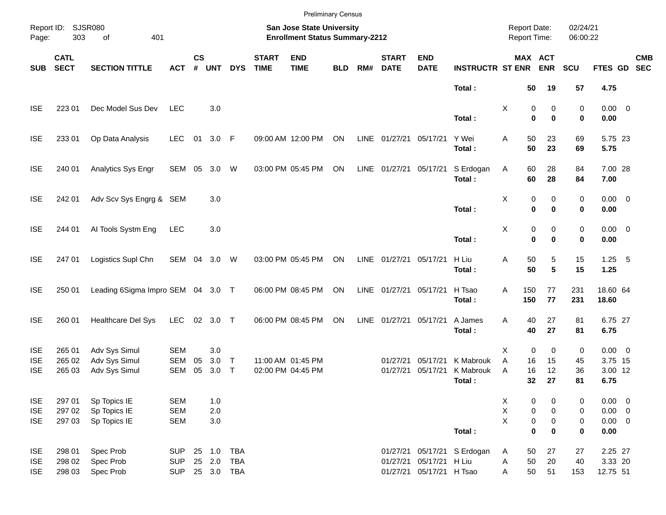|                     |                            |                                   |            |                    |            |              |                                                                    |                           | <b>Preliminary Census</b> |      |                             |                           |                                     |                 |                                |            |                     |                          |
|---------------------|----------------------------|-----------------------------------|------------|--------------------|------------|--------------|--------------------------------------------------------------------|---------------------------|---------------------------|------|-----------------------------|---------------------------|-------------------------------------|-----------------|--------------------------------|------------|---------------------|--------------------------|
| Report ID:<br>Page: | <b>SJSR080</b><br>303      |                                   |            |                    |            |              | San Jose State University<br><b>Enrollment Status Summary-2212</b> |                           |                           |      |                             |                           | <b>Report Date:</b><br>Report Time: |                 | 02/24/21<br>06:00:22           |            |                     |                          |
| <b>SUB</b>          | <b>CATL</b><br><b>SECT</b> | <b>SECTION TITTLE</b>             | <b>ACT</b> | $\mathsf{cs}$<br># | <b>UNT</b> | <b>DYS</b>   | <b>START</b><br><b>TIME</b>                                        | <b>END</b><br><b>TIME</b> | <b>BLD</b>                | RM#  | <b>START</b><br><b>DATE</b> | <b>END</b><br><b>DATE</b> | <b>INSTRUCTR ST ENR</b>             |                 | MAX ACT<br><b>ENR</b>          | <b>SCU</b> | FTES GD             | <b>CMB</b><br><b>SEC</b> |
|                     |                            |                                   |            |                    |            |              |                                                                    |                           |                           |      |                             |                           | Total:                              |                 | 50<br>19                       | 57         | 4.75                |                          |
| <b>ISE</b>          | 223 01                     | Dec Model Sus Dev                 | <b>LEC</b> |                    | 3.0        |              |                                                                    |                           |                           |      |                             |                           | Total:                              | Χ               | 0<br>0<br>$\bf{0}$<br>$\bf{0}$ | 0<br>0     | $0.00 \t 0$<br>0.00 |                          |
|                     |                            |                                   |            |                    |            |              |                                                                    |                           |                           |      |                             |                           |                                     |                 |                                |            |                     |                          |
| <b>ISE</b>          | 233 01                     | Op Data Analysis                  | <b>LEC</b> | 01                 | 3.0 F      |              |                                                                    | 09:00 AM 12:00 PM         | ON                        | LINE | 01/27/21 05/17/21           |                           | Y Wei<br>Total:                     | Α               | 50<br>23<br>50<br>23           | 69<br>69   | 5.75 23<br>5.75     |                          |
| <b>ISE</b>          | 240 01                     | Analytics Sys Engr                | SEM        | 05                 | 3.0        | W            |                                                                    | 03:00 PM 05:45 PM         | ON                        | LINE | 01/27/21 05/17/21           |                           | S Erdogan<br>Total:                 | Α               | 60<br>28<br>60<br>28           | 84<br>84   | 7.00 28<br>7.00     |                          |
| <b>ISE</b>          | 242 01                     | Adv Scv Sys Engrg & SEM           |            |                    | 3.0        |              |                                                                    |                           |                           |      |                             |                           | Total:                              | X               | 0<br>0<br>$\bf{0}$<br>$\bf{0}$ | 0<br>0     | $0.00 \t 0$<br>0.00 |                          |
| <b>ISE</b>          | 244 01                     | Al Tools Systm Eng                | <b>LEC</b> |                    | 3.0        |              |                                                                    |                           |                           |      |                             |                           | Total:                              | X               | 0<br>0<br>$\bf{0}$<br>$\bf{0}$ | 0<br>0     | $0.00 \t 0$<br>0.00 |                          |
| <b>ISE</b>          | 247 01                     | Logistics Supl Chn                | SEM 04     |                    | 3.0        | W            |                                                                    | 03:00 PM 05:45 PM         | ON                        | LINE | 01/27/21 05/17/21           |                           | H Liu<br>Total:                     | Α               | 50<br>5<br>50<br>5             | 15<br>15   | $1.25$ 5<br>1.25    |                          |
| <b>ISE</b>          | 250 01                     | Leading 6Sigma Impro SEM 04 3.0 T |            |                    |            |              |                                                                    | 06:00 PM 08:45 PM         | ON                        | LINE | 01/27/21 05/17/21           |                           | H Tsao<br>Total:                    | Α<br>150<br>150 | 77<br>77                       | 231<br>231 | 18.60 64<br>18.60   |                          |
| <b>ISE</b>          | 260 01                     | Healthcare Del Sys                | <b>LEC</b> | 02                 | 3.0        | $\top$       |                                                                    | 06:00 PM 08:45 PM         | ON                        | LINE | 01/27/21 05/17/21           |                           | A James<br>Total:                   | Α               | 27<br>40<br>40<br>27           | 81<br>81   | 6.75 27<br>6.75     |                          |
| <b>ISE</b>          | 265 01                     | Adv Sys Simul                     | <b>SEM</b> |                    | 3.0        |              |                                                                    |                           |                           |      |                             |                           |                                     | X               | $\mathbf 0$<br>0               | 0          | $0.00 \t 0$         |                          |
| <b>ISE</b>          | 265 02                     | Adv Sys Simul                     | <b>SEM</b> | 05                 | 3.0        | $\top$       |                                                                    | 11:00 AM 01:45 PM         |                           |      | 01/27/21                    | 05/17/21                  | K Mabrouk                           | A               | 16<br>15                       | 45         | 3.75 15             |                          |
| <b>ISE</b>          | 265 03                     | Adv Sys Simul                     | <b>SEM</b> | 05                 | 3.0        | $\mathsf{T}$ |                                                                    | 02:00 PM 04:45 PM         |                           |      | 01/27/21                    | 05/17/21                  | K Mabrouk<br>Total:                 | A               | 16<br>12<br>32<br>27           | 36<br>81   | 3.00 12<br>6.75     |                          |
| <b>ISE</b>          | 297 01                     | Sp Topics IE                      | <b>SEM</b> |                    | 1.0        |              |                                                                    |                           |                           |      |                             |                           |                                     | X               | 0<br>0                         | 0          | $0.00 \t 0$         |                          |
| <b>ISE</b>          | 297 02                     | Sp Topics IE                      | <b>SEM</b> |                    | 2.0        |              |                                                                    |                           |                           |      |                             |                           |                                     | X               | $\pmb{0}$<br>0                 | 0          | $0.00 \t 0$         |                          |
| <b>ISE</b>          | 297 03                     | Sp Topics IE                      | <b>SEM</b> |                    | 3.0        |              |                                                                    |                           |                           |      |                             |                           |                                     | X               | $\pmb{0}$<br>0                 | 0          | $0.00 \t 0$         |                          |
|                     |                            |                                   |            |                    |            |              |                                                                    |                           |                           |      |                             |                           | Total:                              |                 | $\bf{0}$<br>0                  | 0          | 0.00                |                          |
| <b>ISE</b>          | 298 01                     | Spec Prob                         | <b>SUP</b> |                    | 25 1.0     | <b>TBA</b>   |                                                                    |                           |                           |      |                             |                           | 01/27/21 05/17/21 S Erdogan         | A               | 50<br>27                       | 27         | 2.25 27             |                          |
| <b>ISE</b>          | 298 02                     | Spec Prob                         | <b>SUP</b> |                    | 25 2.0     | <b>TBA</b>   |                                                                    |                           |                           |      |                             | 01/27/21 05/17/21 H Liu   |                                     | Α               | 50<br>20                       | 40         | 3.33 20             |                          |
| <b>ISE</b>          | 298 03                     | Spec Prob                         | <b>SUP</b> |                    | 25 3.0 TBA |              |                                                                    |                           |                           |      |                             | 01/27/21 05/17/21 H Tsao  |                                     | Α               | 50<br>51                       | 153        | 12.75 51            |                          |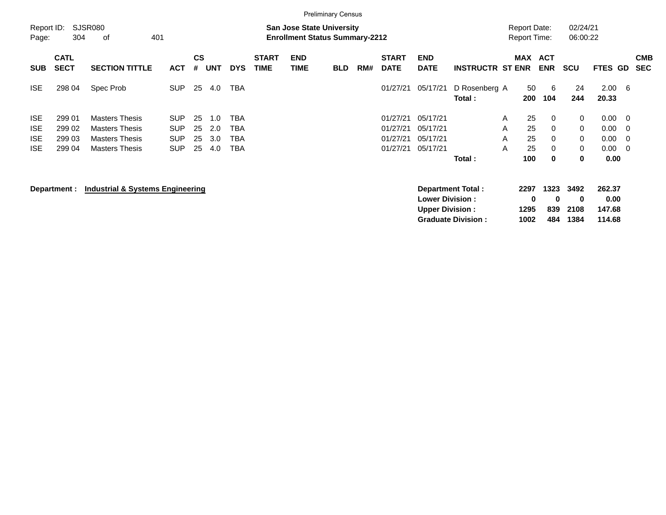|                          | <b>Preliminary Census</b><br><b>Report Date:</b> |                                                                                                          |                          |                |            |            |                             |                    |            |     |                             |                                                  |                          |            |                   |                          |                             |                          |                       |                          |
|--------------------------|--------------------------------------------------|----------------------------------------------------------------------------------------------------------|--------------------------|----------------|------------|------------|-----------------------------|--------------------|------------|-----|-----------------------------|--------------------------------------------------|--------------------------|------------|-------------------|--------------------------|-----------------------------|--------------------------|-----------------------|--------------------------|
| Report ID:<br>Page:      |                                                  | SJSR080<br><b>San Jose State University</b><br>304<br>οf<br>401<br><b>Enrollment Status Summary-2212</b> |                          |                |            |            |                             |                    |            |     |                             |                                                  |                          |            |                   |                          | 02/24/21<br>06:00:22        |                          |                       |                          |
| <b>SUB</b>               | <b>CATL</b><br><b>SECT</b>                       | <b>SECTION TITTLE</b>                                                                                    | <b>ACT</b>               | <b>CS</b><br># | <b>UNT</b> | <b>DYS</b> | <b>START</b><br><b>TIME</b> | <b>END</b><br>TIME | <b>BLD</b> | RM# | <b>START</b><br><b>DATE</b> | <b>END</b><br><b>DATE</b>                        | <b>INSTRUCTR ST ENR</b>  | <b>MAX</b> |                   | <b>ACT</b><br><b>ENR</b> | <b>SCU</b>                  | <b>FTES</b>              | GD.                   | <b>CMB</b><br><b>SEC</b> |
| <b>ISE</b>               | 298 04                                           | Spec Prob                                                                                                | <b>SUP</b>               | 25             | 4.0        | TBA        |                             |                    |            |     | 01/27/21                    | 05/17/21                                         | D Rosenberg A<br>Total:  |            | 50<br>200         | 6<br>104                 | 24<br>244                   | 2.00<br>20.33            | - 6                   |                          |
| <b>ISE</b><br><b>ISE</b> | 299 01<br>299 02                                 | <b>Masters Thesis</b><br><b>Masters Thesis</b>                                                           | <b>SUP</b><br><b>SUP</b> | 25<br>25       | 1.0<br>2.0 | TBA<br>TBA |                             |                    |            |     | 01/27/21<br>01/27/21        | 05/17/21<br>05/17/21                             |                          | A<br>A     | 25<br>25          | 0<br>$\Omega$            | 0<br>0                      | 0.00<br>0.00             | - 0<br>- 0            |                          |
| <b>ISE</b><br><b>ISE</b> | 299 03<br>299 04                                 | <b>Masters Thesis</b><br><b>Masters Thesis</b>                                                           | <b>SUP</b><br><b>SUP</b> | 25<br>25       | 3.0<br>4.0 | TBA<br>TBA |                             |                    |            |     | 01/27/21<br>01/27/21        | 05/17/21<br>05/17/21                             |                          | A<br>A     | 25<br>25          | $\Omega$<br>0            | $\Omega$<br>0               | 0.00<br>0.00             | - 0<br>$\overline{0}$ |                          |
|                          |                                                  |                                                                                                          |                          |                |            |            |                             |                    |            |     |                             |                                                  | Total:                   |            | 100               | 0                        | 0                           | 0.00                     |                       |                          |
|                          | Department :                                     | <b>Industrial &amp; Systems Engineering</b>                                                              |                          |                |            |            |                             |                    |            |     |                             | <b>Lower Division:</b><br><b>Upper Division:</b> | <b>Department Total:</b> |            | 2297<br>0<br>1295 | 1323<br>$\bf{0}$<br>839  | 3492<br>$\mathbf 0$<br>2108 | 262.37<br>0.00<br>147.68 |                       |                          |

**Graduate Division : 1002 484 1384 114.68**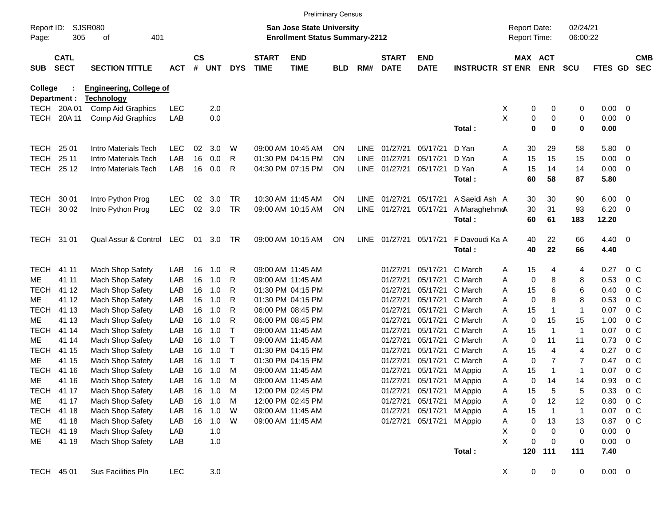|                     |                            |                                        |            |               |            |                              |                             | <b>Preliminary Census</b>                                                 |            |      |                             |                           |                         |                                            |                |                                |                      |              |                                  |                          |
|---------------------|----------------------------|----------------------------------------|------------|---------------|------------|------------------------------|-----------------------------|---------------------------------------------------------------------------|------------|------|-----------------------------|---------------------------|-------------------------|--------------------------------------------|----------------|--------------------------------|----------------------|--------------|----------------------------------|--------------------------|
| Report ID:<br>Page: | 305                        | <b>SJSR080</b><br>401<br>οf            |            |               |            |                              |                             | <b>San Jose State University</b><br><b>Enrollment Status Summary-2212</b> |            |      |                             |                           |                         | <b>Report Date:</b><br><b>Report Time:</b> |                |                                | 02/24/21<br>06:00:22 |              |                                  |                          |
| <b>SUB</b>          | <b>CATL</b><br><b>SECT</b> | <b>SECTION TITTLE</b>                  | <b>ACT</b> | $\mathsf{cs}$ | # UNT      | <b>DYS</b>                   | <b>START</b><br><b>TIME</b> | <b>END</b><br><b>TIME</b>                                                 | <b>BLD</b> | RM#  | <b>START</b><br><b>DATE</b> | <b>END</b><br><b>DATE</b> | <b>INSTRUCTR ST ENR</b> |                                            | MAX ACT        | <b>ENR</b>                     | <b>SCU</b>           | FTES GD      |                                  | <b>CMB</b><br><b>SEC</b> |
| College             |                            | <b>Engineering, College of</b>         |            |               |            |                              |                             |                                                                           |            |      |                             |                           |                         |                                            |                |                                |                      |              |                                  |                          |
|                     | Department :<br>TECH 20A01 | <b>Technology</b><br>Comp Aid Graphics | <b>LEC</b> |               | 2.0        |                              |                             |                                                                           |            |      |                             |                           |                         | X                                          | 0              | 0                              | 0                    | 0.00         | - 0                              |                          |
| TECH                | 20A 11                     | Comp Aid Graphics                      | LAB        |               | 0.0        |                              |                             |                                                                           |            |      |                             |                           |                         | X                                          | 0              | $\pmb{0}$                      | 0                    | 0.00         | - 0                              |                          |
|                     |                            |                                        |            |               |            |                              |                             |                                                                           |            |      |                             |                           | Total:                  |                                            | 0              | 0                              | 0                    | 0.00         |                                  |                          |
| TECH                | 25 01                      | Intro Materials Tech                   | <b>LEC</b> | 02            | 3.0        | W                            |                             | 09:00 AM 10:45 AM                                                         | ON.        |      | LINE 01/27/21               | 05/17/21                  | D Yan                   | A                                          | 30             | 29                             | 58                   | 5.80         | - 0                              |                          |
| <b>TECH</b>         | 25 11                      | Intro Materials Tech                   | LAB        | 16            | 0.0        | R                            |                             | 01:30 PM 04:15 PM                                                         | ΟN         | LINE | 01/27/21                    | 05/17/21                  | D Yan                   | Α                                          | 15             | 15                             | 15                   | 0.00         | - 0                              |                          |
|                     | TECH 25 12                 | Intro Materials Tech                   | LAB        | 16            | 0.0        | R                            |                             | 04:30 PM 07:15 PM                                                         | <b>ON</b>  |      | LINE 01/27/21               | 05/17/21                  | D Yan                   | Α                                          | 15             | 14                             | 14                   | 0.00         | - 0                              |                          |
|                     |                            |                                        |            |               |            |                              |                             |                                                                           |            |      |                             |                           | Total:                  |                                            | 60             | 58                             | 87                   | 5.80         |                                  |                          |
| TECH                | 30 01                      | Intro Python Prog                      | <b>LEC</b> | 02            | 3.0        | TR                           |                             | 10:30 AM 11:45 AM                                                         | ON.        |      | LINE 01/27/21               | 05/17/21                  | A Saeidi Ash A          |                                            | 30             | 30                             | 90                   | 6.00         | - 0                              |                          |
| TECH                | 30 02                      | Intro Python Prog                      | LEC        | 02            | 3.0        | <b>TR</b>                    |                             | 09:00 AM 10:15 AM                                                         | <b>ON</b>  |      | LINE 01/27/21               | 05/17/21                  | A Maraghehmo            |                                            | 30             | 31                             | 93                   | 6.20         | - 0                              |                          |
|                     |                            |                                        |            |               |            |                              |                             |                                                                           |            |      |                             |                           | Total:                  |                                            | 60             | 61                             | 183                  | 12.20        |                                  |                          |
| TECH 31 01          |                            | Qual Assur & Control                   | LEC        | 01            | 3.0        | TR                           |                             | 09:00 AM 10:15 AM                                                         | ON         |      | LINE 01/27/21               | 05/17/21                  | F Davoudi Ka A          |                                            | 40             | 22                             | 66                   | 4.40         | $\overline{\phantom{0}}$         |                          |
|                     |                            |                                        |            |               |            |                              |                             |                                                                           |            |      |                             |                           | Total:                  |                                            | 40             | 22                             | 66                   | 4.40         |                                  |                          |
| <b>TECH</b>         | 41 11                      | Mach Shop Safety                       | LAB        | 16            | 1.0        | R                            |                             | 09:00 AM 11:45 AM                                                         |            |      | 01/27/21                    | 05/17/21                  | C March                 | A                                          | 15             | 4                              | 4                    | 0.27         | 0 <sup>o</sup>                   |                          |
| ME                  | 41 11                      | <b>Mach Shop Safety</b>                | LAB        | 16            | 1.0        | R                            |                             | 09:00 AM 11:45 AM                                                         |            |      | 01/27/21                    | 05/17/21                  | C March                 | Α                                          | 0              | 8                              | 8                    | 0.53         | 0 <sup>o</sup>                   |                          |
| <b>TECH</b>         | 41 12                      | Mach Shop Safety                       | LAB        | 16            | 1.0        | R                            |                             | 01:30 PM 04:15 PM                                                         |            |      | 01/27/21                    | 05/17/21                  | C March                 | Α                                          | 15             | 6                              | 6                    | 0.40         | 0 <sup>o</sup>                   |                          |
| ME                  | 41 12                      | Mach Shop Safety                       | LAB        | 16            | 1.0        | R                            |                             | 01:30 PM 04:15 PM                                                         |            |      | 01/27/21                    | 05/17/21                  | C March                 | Α                                          | 0              | 8                              | 8                    | 0.53         | 0 <sup>o</sup>                   |                          |
| <b>TECH</b>         | 41 13                      | Mach Shop Safety                       | LAB        | 16            | 1.0        | R                            |                             | 06:00 PM 08:45 PM                                                         |            |      | 01/27/21                    | 05/17/21                  | C March                 | Α                                          | 15             | $\mathbf{1}$                   | $\mathbf{1}$         | 0.07         | 0 <sup>o</sup>                   |                          |
| ME                  | 41 13                      | Mach Shop Safety                       | LAB        | 16            | 1.0        | R                            |                             | 06:00 PM 08:45 PM                                                         |            |      | 01/27/21                    | 05/17/21                  | C March                 | Α                                          | 0              | 15                             | 15                   | 1.00         | 0 <sup>o</sup>                   |                          |
| <b>TECH</b>         | 41 14                      | Mach Shop Safety                       | LAB        | 16            | 1.0        | Т                            |                             | 09:00 AM 11:45 AM                                                         |            |      | 01/27/21                    | 05/17/21                  | C March                 | Α                                          | 15             | $\overline{1}$                 | 1                    | 0.07         | 0 <sup>o</sup>                   |                          |
| ME                  | 41 14                      | Mach Shop Safety                       | LAB        | 16            | 1.0        | $\mathsf{T}$                 |                             | 09:00 AM 11:45 AM                                                         |            |      | 01/27/21                    | 05/17/21                  | C March                 | Α                                          | 0              | 11                             | 11                   | 0.73         | 0 <sup>o</sup>                   |                          |
| <b>TECH</b>         | 41 15                      | Mach Shop Safety                       | LAB        | 16            | 1.0        | $\mathsf{T}$<br>$\mathsf{T}$ |                             | 01:30 PM 04:15 PM                                                         |            |      | 01/27/21                    | 05/17/21                  | C March                 | Α                                          | 15             | 4                              | 4                    | 0.27         | 0 <sup>o</sup>                   |                          |
| ME<br><b>TECH</b>   | 41 15<br>41 16             | Mach Shop Safety<br>Mach Shop Safety   | LAB<br>LAB | 16<br>16      | 1.0<br>1.0 | M                            |                             | 01:30 PM 04:15 PM<br>09:00 AM 11:45 AM                                    |            |      | 01/27/21<br>01/27/21        | 05/17/21                  | C March<br>M Appio      | Α                                          | 0              | $\overline{7}$<br>$\mathbf{1}$ | 7<br>$\mathbf{1}$    | 0.47<br>0.07 | 0 <sup>o</sup><br>0 <sup>o</sup> |                          |
| ME                  | 41 16                      | Mach Shop Safety                       | LAB        | 16            | 1.0        | M                            |                             | 09:00 AM 11:45 AM                                                         |            |      | 01/27/21                    | 05/17/21<br>05/17/21      | M Appio                 | Α<br>Α                                     | 15<br>0        | 14                             | 14                   | 0.93         | 0 <sup>o</sup>                   |                          |
|                     | TECH 41 17                 | Mach Shop Safety                       | LAB        | 16            | 1.0        | M                            |                             | 12:00 PM 02:45 PM                                                         |            |      | 01/27/21                    | 05/17/21                  | M Appio                 | Α                                          |                | 5                              | 5                    | 0.33         | $0\,$ C                          |                          |
| ME                  | 41 17                      | Mach Shop Safety                       | LAB        | 16            | 1.0        | M                            |                             | 12:00 PM 02:45 PM                                                         |            |      | 01/27/21                    | 05/17/21                  | M Appio                 | Α                                          | 15<br>0        | 12                             | 12                   | 0.80         | 0 <sup>o</sup>                   |                          |
| TECH 41 18          |                            | Mach Shop Safety                       | LAB        | 16            | 1.0        | W                            |                             | 09:00 AM 11:45 AM                                                         |            |      | 01/27/21                    | 05/17/21                  | M Appio                 | A                                          | 15             | $\overline{1}$                 | $\mathbf{1}$         | 0.07         | $0\,$ C                          |                          |
| ME                  | 41 18                      | Mach Shop Safety                       | LAB        | 16            | 1.0        | W                            |                             | 09:00 AM 11:45 AM                                                         |            |      | 01/27/21                    | 05/17/21                  | M Appio                 | Α                                          | 0              | 13                             | 13                   | 0.87         | $0\,C$                           |                          |
|                     | TECH 41 19                 | Mach Shop Safety                       | LAB        |               | 1.0        |                              |                             |                                                                           |            |      |                             |                           |                         | Χ                                          | 0              | 0                              | 0                    | 0.00         | - 0                              |                          |
| ME                  | 41 19                      | Mach Shop Safety                       | LAB        |               | 1.0        |                              |                             |                                                                           |            |      |                             |                           |                         | X                                          | 0              | $\mathbf 0$                    | 0                    | 0.00         | $\overline{\phantom{0}}$         |                          |
|                     |                            |                                        |            |               |            |                              |                             |                                                                           |            |      |                             |                           | Total:                  |                                            | 120            | 111                            | 111                  | 7.40         |                                  |                          |
| TECH 45 01          |                            | Sus Facilities Pln                     | LEC        |               | $3.0\,$    |                              |                             |                                                                           |            |      |                             |                           |                         | X                                          | $\overline{0}$ | $\boldsymbol{0}$               | $\mathbf 0$          | $0.00 \t 0$  |                                  |                          |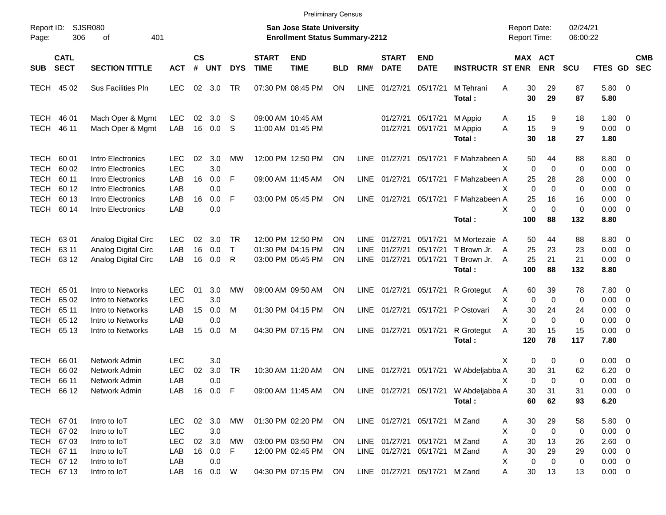|                                           |                                        |                                                                   |                                 |                |                         |                          |                             |                                                                           | <b>Preliminary Census</b> |                                    |                                  |                                                                |                                                 |                                                 |                         |                      |                                      |                                                              |                          |
|-------------------------------------------|----------------------------------------|-------------------------------------------------------------------|---------------------------------|----------------|-------------------------|--------------------------|-----------------------------|---------------------------------------------------------------------------|---------------------------|------------------------------------|----------------------------------|----------------------------------------------------------------|-------------------------------------------------|-------------------------------------------------|-------------------------|----------------------|--------------------------------------|--------------------------------------------------------------|--------------------------|
| Report ID:<br>Page:                       | 306                                    | <b>SJSR080</b><br>401<br>оf                                       |                                 |                |                         |                          |                             | <b>San Jose State University</b><br><b>Enrollment Status Summary-2212</b> |                           |                                    |                                  |                                                                |                                                 | <b>Report Date:</b><br>Report Time:             |                         | 02/24/21<br>06:00:22 |                                      |                                                              |                          |
| <b>SUB</b>                                | <b>CATL</b><br><b>SECT</b>             | <b>SECTION TITTLE</b>                                             | <b>ACT</b>                      | <b>CS</b><br># | <b>UNT</b>              | <b>DYS</b>               | <b>START</b><br><b>TIME</b> | <b>END</b><br><b>TIME</b>                                                 | <b>BLD</b>                | RM#                                | <b>START</b><br><b>DATE</b>      | <b>END</b><br><b>DATE</b>                                      | <b>INSTRUCTR ST ENR</b>                         |                                                 | MAX ACT<br><b>ENR</b>   | SCU                  | FTES GD                              |                                                              | <b>CMB</b><br><b>SEC</b> |
| <b>TECH</b>                               | 45 02                                  | <b>Sus Facilities Pln</b>                                         | <b>LEC</b>                      | 02             | 3.0                     | TR                       |                             | 07:30 PM 08:45 PM                                                         | ON                        | <b>LINE</b>                        | 01/27/21                         | 05/17/21                                                       | M Tehrani<br>Total:                             | 30<br>A<br>30                                   | 29<br>29                | 87<br>87             | 5.80 0<br>5.80                       |                                                              |                          |
| <b>TECH</b><br><b>TECH</b>                | 46 01<br>46 11                         | Mach Oper & Mgmt<br>Mach Oper & Mgmt                              | <b>LEC</b><br>LAB               | 02<br>16       | 3.0 <sub>2</sub><br>0.0 | S<br>S                   |                             | 09:00 AM 10:45 AM<br>11:00 AM 01:45 PM                                    |                           |                                    | 01/27/21<br>01/27/21             | 05/17/21<br>05/17/21                                           | M Appio<br>M Appio<br>Total:                    | 15<br>A<br>15<br>A<br>30                        | 9<br>9<br>18            | 18<br>9<br>27        | 1.80<br>0.00<br>1.80                 | $\overline{\mathbf{0}}$<br>$\overline{0}$                    |                          |
| <b>TECH</b><br><b>TECH</b>                | 60 01<br>60 02                         | Intro Electronics<br>Intro Electronics                            | LEC.<br><b>LEC</b>              | 02             | 3.0<br>3.0              | <b>MW</b>                |                             | 12:00 PM 12:50 PM                                                         | ON                        | <b>LINE</b>                        | 01/27/21                         | 05/17/21                                                       | F Mahzabeen A                                   | 50<br>X<br>0                                    | 44<br>$\mathbf 0$       | 88<br>0              | $8.80\ 0$<br>0.00                    | $\overline{\mathbf{0}}$                                      |                          |
| <b>TECH</b><br><b>TECH</b><br><b>TECH</b> | 60 11<br>60 12<br>60 13                | Intro Electronics<br>Intro Electronics<br>Intro Electronics       | LAB<br>LAB<br>LAB               | 16<br>16       | 0.0<br>0.0<br>0.0       | F<br>F                   |                             | 09:00 AM 11:45 AM<br>03:00 PM 05:45 PM                                    | ON<br>ON                  | <b>LINE</b><br>LINE                | 01/27/21<br>01/27/21             | 05/17/21<br>05/17/21                                           | F Mahzabeen A<br>F Mahzabeen A                  | 25<br>X<br>$\mathbf 0$<br>25                    | 28<br>$\mathbf 0$<br>16 | 28<br>0<br>16        | 0.00<br>0.00<br>0.00                 | 0<br>$\overline{0}$<br>$\overline{0}$                        |                          |
| <b>TECH</b>                               | 60 14                                  | Intro Electronics                                                 | LAB                             |                | 0.0                     |                          |                             |                                                                           |                           |                                    |                                  |                                                                | Total:                                          | X<br>0<br>100                                   | $\mathbf 0$<br>88       | 0<br>132             | 0.00<br>8.80                         | $\overline{0}$                                               |                          |
| <b>TECH</b><br><b>TECH</b><br><b>TECH</b> | 6301<br>63 11<br>63 12                 | Analog Digital Circ<br>Analog Digital Circ<br>Analog Digital Circ | <b>LEC</b><br>LAB<br>LAB        | 02<br>16<br>16 | 3.0<br>0.0<br>0.0       | <b>TR</b><br>$\top$<br>R |                             | 12:00 PM 12:50 PM<br>01:30 PM 04:15 PM<br>03:00 PM 05:45 PM               | ON<br>ON<br>ΟN            | <b>LINE</b><br><b>LINE</b><br>LINE | 01/27/21<br>01/27/21<br>01/27/21 | 05/17/21<br>05/17/21<br>05/17/21                               | M Mortezaie<br>T Brown Jr.<br>T Brown Jr.       | 50<br>A<br>25<br>A<br>25<br>A                   | 44<br>23<br>21          | 88<br>23<br>21       | 8.80<br>0.00<br>0.00                 | $\overline{\phantom{0}}$<br>$\overline{0}$<br>$\overline{0}$ |                          |
| <b>TECH</b>                               | 6501                                   | Intro to Networks                                                 | LEC.                            | 01             | 3.0                     | <b>MW</b>                |                             | 09:00 AM 09:50 AM                                                         | ON                        | LINE                               | 01/27/21                         | 05/17/21                                                       | Total:<br>R Grotegut                            | 100<br>60<br>A                                  | 88<br>39                | 132<br>78            | 8.80<br>7.80 0                       |                                                              |                          |
| <b>TECH</b><br><b>TECH</b><br><b>TECH</b> | 65 02<br>65 11<br>65 12                | Intro to Networks<br>Intro to Networks<br>Intro to Networks       | <b>LEC</b><br>LAB<br>LAB        | 15             | 3.0<br>0.0<br>0.0       | M                        |                             | 01:30 PM 04:15 PM                                                         | ON                        | <b>LINE</b>                        | 01/27/21                         | 05/17/21                                                       | P Ostovari                                      | X<br>$\mathbf 0$<br>30<br>A<br>X<br>$\mathbf 0$ | 0<br>24<br>$\mathbf 0$  | 0<br>24<br>0         | 0.00<br>0.00<br>0.00                 | $\overline{\mathbf{0}}$<br>$\overline{0}$<br>$\overline{0}$  |                          |
| <b>TECH</b>                               | 65 13                                  | Intro to Networks                                                 | LAB                             | 15             | 0.0                     | M                        |                             | 04:30 PM 07:15 PM                                                         | ON                        | <b>LINE</b>                        | 01/27/21                         | 05/17/21                                                       | R Grotegut<br>Total:                            | 30<br>A<br>120                                  | 15<br>78                | 15<br>117            | 0.00<br>7.80                         | $\overline{0}$                                               |                          |
| <b>TECH</b><br><b>TECH</b><br><b>TECH</b> | 66 01<br>66 02<br>66 11                | Network Admin<br>Network Admin<br>Network Admin                   | <b>LEC</b><br><b>LEC</b><br>LAB | 02             | 3.0<br>3.0<br>0.0       | <b>TR</b>                |                             | 10:30 AM 11:20 AM                                                         | ON                        | <b>LINE</b>                        | 01/27/21                         | 05/17/21                                                       | W Abdeljabba A                                  | X<br>0<br>30<br>Х<br>0                          | 0<br>31<br>$\Omega$     | 0<br>62<br>$\Omega$  | 0.00<br>6.20<br>0.00                 | $\overline{\phantom{0}}$<br>0<br>- 0                         |                          |
|                                           | TECH 66 12                             | Network Admin                                                     | LAB                             |                | 16  0.0  F              |                          |                             | 09:00 AM 11:45 AM ON                                                      |                           |                                    |                                  |                                                                | LINE 01/27/21 05/17/21 W Abdeljabba A<br>Total: | 30<br>60                                        | 31<br>62                | 31<br>93             | $0.00 \t 0$<br>6.20                  |                                                              |                          |
|                                           | TECH 67 01<br>TECH 67 02               | Intro to IoT<br>Intro to IoT                                      | <b>LEC</b><br><b>LEC</b>        |                | 02 3.0<br>3.0           | MW                       |                             | 01:30 PM 02:20 PM ON                                                      |                           |                                    |                                  | LINE 01/27/21 05/17/21 M Zand                                  |                                                 | 30<br>A<br>$\mathbf 0$<br>Х                     | 29<br>$\mathbf 0$       | 58<br>0              | 5.80 0<br>$0.00 \t 0$                |                                                              |                          |
|                                           | TECH 67 03<br>TECH 67 11<br>TECH 67 12 | Intro to IoT<br>Intro to IoT<br>Intro to IoT                      | <b>LEC</b><br>LAB<br>LAB        | 16             | 02 3.0<br>0.0<br>0.0    | <b>MW</b><br>F           |                             | 03:00 PM 03:50 PM<br>12:00 PM 02:45 PM                                    | ON<br>ON.                 |                                    |                                  | LINE 01/27/21 05/17/21 M Zand<br>LINE 01/27/21 05/17/21 M Zand |                                                 | 30<br>Α<br>30<br>A<br>0<br>Х                    | 13<br>29<br>$\mathbf 0$ | 26<br>29<br>0        | 2.60 0<br>$0.00 \t 0$<br>$0.00 \t 0$ |                                                              |                          |
|                                           | TECH 67 13                             | Intro to IoT                                                      | LAB                             |                | 16  0.0  W              |                          |                             | 04:30 PM 07:15 PM ON                                                      |                           |                                    |                                  | LINE 01/27/21 05/17/21 M Zand                                  |                                                 | 30<br>A                                         | 13                      | 13                   | $0.00 \t 0$                          |                                                              |                          |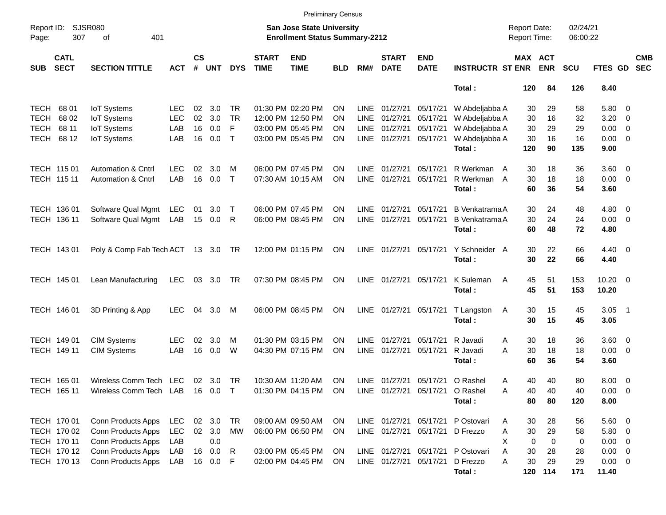|                     |                            |                                    |            |                    |            |            |                             | <b>Preliminary Census</b>                                          |            |             |                             |                                 |                                        |                                            |               |                      |                        |                          |
|---------------------|----------------------------|------------------------------------|------------|--------------------|------------|------------|-----------------------------|--------------------------------------------------------------------|------------|-------------|-----------------------------|---------------------------------|----------------------------------------|--------------------------------------------|---------------|----------------------|------------------------|--------------------------|
| Report ID:<br>Page: | <b>SJSR080</b><br>307      | 401<br>of                          |            |                    |            |            |                             | San Jose State University<br><b>Enrollment Status Summary-2212</b> |            |             |                             |                                 |                                        | <b>Report Date:</b><br><b>Report Time:</b> |               | 02/24/21<br>06:00:22 |                        |                          |
| <b>SUB</b>          | <b>CATL</b><br><b>SECT</b> | <b>SECTION TITTLE</b>              | <b>ACT</b> | $\mathsf{cs}$<br># | <b>UNT</b> | <b>DYS</b> | <b>START</b><br><b>TIME</b> | <b>END</b><br><b>TIME</b>                                          | <b>BLD</b> | RM#         | <b>START</b><br><b>DATE</b> | <b>END</b><br><b>DATE</b>       | <b>INSTRUCTR ST ENR</b>                | MAX ACT                                    | <b>ENR</b>    | <b>SCU</b>           | FTES GD                | <b>CMB</b><br><b>SEC</b> |
|                     |                            |                                    |            |                    |            |            |                             |                                                                    |            |             |                             |                                 | Total:                                 | 120                                        | 84            | 126                  | 8.40                   |                          |
| TECH                | 68 01                      | <b>IoT</b> Systems                 | LEC        | 02                 | 3.0        | TR.        |                             | 01:30 PM 02:20 PM                                                  | OΝ         | LINE        | 01/27/21                    | 05/17/21                        | W Abdeljabba A                         | 30                                         | 29            | 58                   | 5.80 0                 |                          |
| <b>TECH</b>         | 68 02                      | <b>IoT Systems</b>                 | <b>LEC</b> | 02                 | 3.0        | <b>TR</b>  |                             | 12:00 PM 12:50 PM                                                  | ON         | <b>LINE</b> | 01/27/21                    | 05/17/21                        | W Abdeljabba A                         | 30                                         | 16            | 32                   | $3.20 \ 0$             |                          |
| TECH                | 68 11                      | <b>IoT</b> Systems                 | LAB        | 16                 | 0.0        | F          |                             | 03:00 PM 05:45 PM                                                  | ΟN         | LINE        | 01/27/21                    | 05/17/21                        | W Abdeljabba A                         | 30                                         | 29            | 29                   | $0.00 \t 0$            |                          |
| TECH                | 68 12                      | <b>IoT</b> Systems                 | LAB        | 16                 | 0.0        | $\top$     |                             | 03:00 PM 05:45 PM                                                  | <b>ON</b>  |             | LINE 01/27/21               | 05/17/21                        | W Abdeljabba A                         | 30                                         | 16            | 16                   | $0.00 \t 0$            |                          |
|                     |                            |                                    |            |                    |            |            |                             |                                                                    |            |             |                             |                                 | Total:                                 | 120                                        | 90            | 135                  | 9.00                   |                          |
|                     | TECH 115 01                | <b>Automation &amp; Cntrl</b>      | LEC.       | 02                 | 3.0        | M          |                             | 06:00 PM 07:45 PM                                                  | ΟN         | LINE        | 01/27/21                    | 05/17/21                        | R Werkman A                            | 30                                         | 18            | 36                   | $3.60 \ 0$             |                          |
|                     | TECH 115 11                | <b>Automation &amp; Cntrl</b>      | LAB        | 16                 | 0.0        | $\top$     |                             | 07:30 AM 10:15 AM                                                  | ON         | LINE        | 01/27/21                    | 05/17/21                        | R Werkman A                            | 30                                         | 18            | 18                   | $0.00 \t 0$            |                          |
|                     |                            |                                    |            |                    |            |            |                             |                                                                    |            |             |                             |                                 | Total:                                 | 60                                         | 36            | 54                   | 3.60                   |                          |
|                     | TECH 136 01                | Software Qual Mgmt                 | <b>LEC</b> | 01                 | 3.0        | $\top$     |                             | 06:00 PM 07:45 PM                                                  | ΟN         | LINE        | 01/27/21                    | 05/17/21                        | <b>B</b> Venkatrama A                  | 30                                         | 24            | 48                   | $4.80\ 0$              |                          |
|                     | TECH 136 11                | Software Qual Mgmt                 | LAB        |                    | 15 0.0 R   |            |                             | 06:00 PM 08:45 PM                                                  | ON         | <b>LINE</b> | 01/27/21                    | 05/17/21                        | <b>B</b> Venkatrama A                  | 30                                         | 24            | 24                   | $0.00 \t 0$            |                          |
|                     |                            |                                    |            |                    |            |            |                             |                                                                    |            |             |                             |                                 | Total:                                 | 60                                         | 48            | 72                   | 4.80                   |                          |
|                     | TECH 143 01                | Poly & Comp Fab Tech ACT 13 3.0 TR |            |                    |            |            |                             | 12:00 PM 01:15 PM                                                  | ON         |             | LINE 01/27/21               | 05/17/21                        | Y Schneider A<br>Total:                | 30<br>30                                   | 22<br>22      | 66<br>66             | $4.40 \quad 0$<br>4.40 |                          |
|                     | TECH 145 01                | Lean Manufacturing                 | <b>LEC</b> |                    | 03 3.0 TR  |            |                             | 07:30 PM 08:45 PM                                                  | ON         |             | LINE 01/27/21               | 05/17/21                        | K Suleman<br>A<br>Total:               | 45<br>45                                   | 51<br>51      | 153<br>153           | $10.20 \t 0$<br>10.20  |                          |
|                     | TECH 146 01                | 3D Printing & App                  | <b>LEC</b> | 04                 | 3.0        | M          |                             | 06:00 PM 08:45 PM                                                  | <b>ON</b>  |             | LINE 01/27/21               | 05/17/21                        | T Langston<br>A<br>Total:              | 30<br>30                                   | 15<br>15      | 45<br>45             | $3.05$ 1<br>3.05       |                          |
|                     |                            |                                    |            |                    |            |            |                             |                                                                    |            |             |                             |                                 |                                        |                                            |               |                      |                        |                          |
|                     | TECH 149 01                | <b>CIM Systems</b>                 | LEC.       | 02                 | 3.0        | м          |                             | 01:30 PM 03:15 PM                                                  | ON         | LINE        | 01/27/21                    | 05/17/21                        | R Javadi                               | 30<br>Α                                    | 18            | 36                   | $3.60 \ 0$             |                          |
|                     | TECH 149 11                | <b>CIM Systems</b>                 | LAB        | 16                 | 0.0        | W          |                             | 04:30 PM 07:15 PM                                                  | ON         | LINE        | 01/27/21                    | 05/17/21                        | R Javadi<br>Total:                     | A<br>30<br>60                              | 18<br>36      | 18<br>54             | $0.00 \t 0$<br>3.60    |                          |
|                     |                            |                                    |            |                    |            |            |                             |                                                                    |            |             |                             |                                 |                                        |                                            |               |                      |                        |                          |
|                     | TECH 165 01                | Wireless Comm Tech LEC             |            |                    | 02 3.0 TR  |            |                             | 10:30 AM 11:20 AM                                                  | ON         |             | LINE 01/27/21               |                                 | 05/17/21 O Rashel                      | 40<br>Α                                    | 40            | 80                   | $8.00 \t 0$            |                          |
|                     | TECH 165 11                | Wireless Comm Tech LAB 16 0.0 T    |            |                    |            |            |                             | 01:30 PM 04:15 PM ON                                               |            |             |                             |                                 | LINE 01/27/21 05/17/21 O Rashel<br>Α   | 40                                         | 40            | 40                   | $0.00 \t 0$            |                          |
|                     |                            |                                    |            |                    |            |            |                             |                                                                    |            |             |                             |                                 | Total:                                 | 80                                         | 80            | 120                  | 8.00                   |                          |
|                     | TECH 170 01                | Conn Products Apps                 | <b>LEC</b> |                    | 02 3.0 TR  |            |                             | 09:00 AM 09:50 AM                                                  | <b>ON</b>  |             |                             |                                 | LINE 01/27/21 05/17/21 P Ostovari      | 30<br>Α                                    | 28            | 56                   | 5.60 0                 |                          |
|                     | TECH 170 02                | Conn Products Apps                 | <b>LEC</b> |                    | 02 3.0 MW  |            |                             | 06:00 PM 06:50 PM                                                  | ON         |             |                             | LINE 01/27/21 05/17/21 D Frezzo |                                        | 30<br>Α                                    | 29            | 58                   | 5.80 0                 |                          |
|                     | TECH 170 11                | Conn Products Apps                 | LAB        |                    | 0.0        |            |                             |                                                                    |            |             |                             |                                 |                                        | $\mathbf 0$<br>X                           | 0             | 0                    | $0.00 \t 0$            |                          |
|                     | TECH 170 12                | Conn Products Apps                 | LAB        |                    | 16 0.0     | R          |                             | 03:00 PM 05:45 PM                                                  | ON         |             |                             |                                 | LINE 01/27/21 05/17/21 P Ostovari<br>Α | 30                                         | 28            | 28                   | $0.00 \t 0$            |                          |
|                     | TECH 170 13                | Conn Products Apps                 | LAB        |                    | 16  0.0  F |            |                             | 02:00 PM 04:45 PM                                                  | ON         |             |                             | LINE 01/27/21 05/17/21          | D Frezzo<br>Total:                     | 30<br>Α                                    | 29<br>120 114 | 29<br>171            | $0.00 \t 0$<br>11.40   |                          |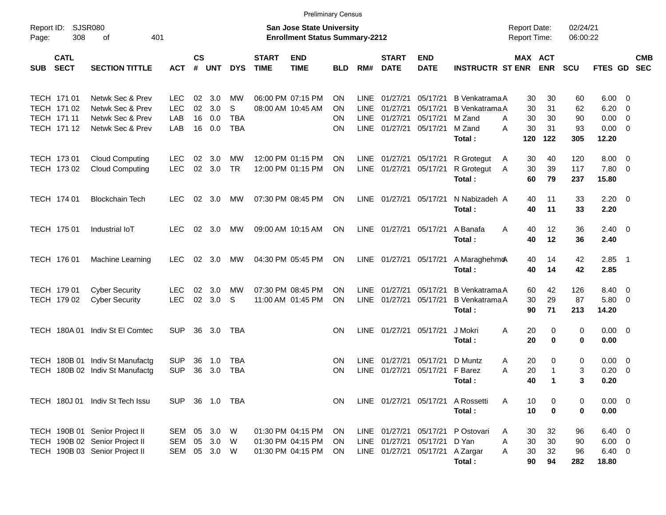|                     |                                                          |                                                                                                    |                                        |                      |                          |                                     |                             | <b>Preliminary Census</b>                                                 |                                           |                                    |                                                   |                                              |                                                                       |                                            |                             |                             |                                               |                                                      |                          |
|---------------------|----------------------------------------------------------|----------------------------------------------------------------------------------------------------|----------------------------------------|----------------------|--------------------------|-------------------------------------|-----------------------------|---------------------------------------------------------------------------|-------------------------------------------|------------------------------------|---------------------------------------------------|----------------------------------------------|-----------------------------------------------------------------------|--------------------------------------------|-----------------------------|-----------------------------|-----------------------------------------------|------------------------------------------------------|--------------------------|
| Report ID:<br>Page: | <b>SJSR080</b><br>308                                    | 401<br>οf                                                                                          |                                        |                      |                          |                                     |                             | <b>San Jose State University</b><br><b>Enrollment Status Summary-2212</b> |                                           |                                    |                                                   |                                              |                                                                       | <b>Report Date:</b><br><b>Report Time:</b> |                             | 02/24/21<br>06:00:22        |                                               |                                                      |                          |
| <b>SUB</b>          | <b>CATL</b><br><b>SECT</b>                               | <b>SECTION TITTLE</b>                                                                              | <b>ACT</b>                             | <b>CS</b><br>#       | <b>UNT</b>               | <b>DYS</b>                          | <b>START</b><br><b>TIME</b> | <b>END</b><br><b>TIME</b>                                                 | BLD                                       | RM#                                | <b>START</b><br><b>DATE</b>                       | <b>END</b><br><b>DATE</b>                    | <b>INSTRUCTR ST ENR</b>                                               | MAX ACT                                    | <b>ENR</b>                  | <b>SCU</b>                  | <b>FTES GD</b>                                |                                                      | <b>CMB</b><br><b>SEC</b> |
|                     | TECH 171 01<br>TECH 171 02<br>TECH 171 11<br>TECH 171 12 | Netwk Sec & Prev<br>Netwk Sec & Prev<br>Netwk Sec & Prev<br>Netwk Sec & Prev                       | <b>LEC</b><br><b>LEC</b><br>LAB<br>LAB | 02<br>02<br>16<br>16 | 3.0<br>3.0<br>0.0<br>0.0 | MW<br>S<br><b>TBA</b><br><b>TBA</b> |                             | 06:00 PM 07:15 PM<br>08:00 AM 10:45 AM                                    | <b>ON</b><br><b>ON</b><br><b>ON</b><br>ON | <b>LINE</b><br><b>LINE</b><br>LINE | 01/27/21<br>01/27/21<br>01/27/21<br>LINE 01/27/21 | 05/17/21<br>05/17/21<br>05/17/21<br>05/17/21 | B Venkatrama A<br><b>B</b> Venkatrama A<br>M Zand<br>M Zand<br>Total: | 30<br>30<br>30<br>A<br>30<br>A<br>120      | 30<br>31<br>30<br>31<br>122 | 60<br>62<br>90<br>93<br>305 | 6.00<br>6.20<br>0.00<br>0.00<br>12.20         | $\overline{0}$<br>0<br>$\mathbf 0$<br>$\overline{0}$ |                          |
|                     | TECH 173 01<br>TECH 173 02                               | <b>Cloud Computing</b><br><b>Cloud Computing</b>                                                   | LEC.<br><b>LEC</b>                     | 02<br>02             | 3.0<br>3.0               | MW<br><b>TR</b>                     |                             | 12:00 PM 01:15 PM<br>12:00 PM 01:15 PM                                    | ON<br><b>ON</b>                           | LINE                               | LINE 01/27/21<br>01/27/21                         | 05/17/21<br>05/17/21                         | R Grotegut<br>R Grotegut<br>Total:                                    | 30<br>A<br>30<br>A<br>60                   | 40<br>39<br>79              | 120<br>117<br>237           | 8.00<br>7.80<br>15.80                         | $\overline{0}$<br>$\overline{0}$                     |                          |
|                     | TECH 174 01                                              | <b>Blockchain Tech</b>                                                                             | <b>LEC</b>                             | 02                   | 3.0                      | MW                                  |                             | 07:30 PM 08:45 PM                                                         | ON                                        |                                    | LINE 01/27/21 05/17/21                            |                                              | N Nabizadeh A<br>Total:                                               | 40<br>40                                   | 11<br>11                    | 33<br>33                    | 2.20<br>2.20                                  | - 0                                                  |                          |
|                     | TECH 175 01                                              | Industrial IoT                                                                                     | <b>LEC</b>                             |                      | 02 3.0                   | МW                                  |                             | 09:00 AM 10:15 AM                                                         | ON                                        |                                    | LINE 01/27/21 05/17/21                            |                                              | A Banafa<br>Total:                                                    | A<br>40<br>40                              | 12<br>12                    | 36<br>36                    | 2.40<br>2.40                                  | - 0                                                  |                          |
|                     | TECH 176 01                                              | <b>Machine Learning</b>                                                                            | <b>LEC</b>                             | 02                   | 3.0                      | МW                                  |                             | 04:30 PM 05:45 PM                                                         | ON                                        |                                    | LINE 01/27/21 05/17/21                            |                                              | A Maraghehmo<br>Total:                                                | 40<br>40                                   | 14<br>14                    | 42<br>42                    | 2.85<br>2.85                                  | $\overline{\phantom{0}}$                             |                          |
|                     | TECH 179 01<br>TECH 179 02                               | <b>Cyber Security</b><br><b>Cyber Security</b>                                                     | <b>LEC</b><br><b>LEC</b>               | 02<br>02             | 3.0<br>3.0               | МW<br>S                             |                             | 07:30 PM 08:45 PM<br>11:00 AM 01:45 PM                                    | <b>ON</b><br><b>ON</b>                    | <b>LINE</b><br>LINE                | 01/27/21<br>01/27/21                              | 05/17/21<br>05/17/21                         | <b>B</b> Venkatrama A<br>B Venkatrama A<br>Total:                     | 60<br>30<br>90                             | 42<br>29<br>71              | 126<br>87<br>213            | 8.40<br>5.80<br>14.20                         | $\overline{0}$<br>0                                  |                          |
|                     | <b>TECH 180A01</b>                                       | Indiv St El Comtec                                                                                 | <b>SUP</b>                             | 36                   | 3.0                      | TBA                                 |                             |                                                                           | <b>ON</b>                                 | LINE                               | 01/27/21 05/17/21                                 |                                              | J Mokri<br>Total:                                                     | 20<br>A<br>20                              | 0<br>0                      | 0<br>$\mathbf 0$            | 0.00<br>0.00                                  | $\overline{\mathbf{0}}$                              |                          |
| <b>TECH</b>         |                                                          | TECH 180B 01 Indiv St Manufactg<br>180B 02 Indiv St Manufactg                                      | <b>SUP</b><br><b>SUP</b>               | 36<br>36             | 1.0<br>3.0               | <b>TBA</b><br><b>TBA</b>            |                             |                                                                           | <b>ON</b><br><b>ON</b>                    | <b>LINE</b><br><b>LINE</b>         | 01/27/21<br>01/27/21                              | 05/17/21<br>05/17/21                         | D Muntz<br>F Barez<br>Total:                                          | 20<br>A<br>20<br>Α<br>40                   | 0<br>-1<br>$\mathbf 1$      | 0<br>3<br>3                 | 0.00<br>0.20<br>0.20                          | 0<br>$\mathbf 0$                                     |                          |
|                     |                                                          | TECH 180J 01 Indiv St Tech Issu                                                                    | SUP.                                   |                      | 36 1.0                   | TBA                                 |                             |                                                                           | ΟN                                        |                                    | LINE 01/27/21 05/17/21                            |                                              | A Rossetti<br>Total:                                                  | A<br>10<br>10                              | 0<br>0                      | 0<br>$\mathbf 0$            | 0.00<br>0.00                                  | $\overline{\phantom{0}}$                             |                          |
|                     |                                                          | TECH 190B 01 Senior Project II<br>TECH 190B 02 Senior Project II<br>TECH 190B 03 Senior Project II | SEM<br>SEM<br>SEM                      | 05<br>05             | 3.0<br>3.0<br>05 3.0     | W<br>W<br>W                         |                             | 01:30 PM 04:15 PM<br>01:30 PM 04:15 PM<br>01:30 PM 04:15 PM               | ON<br>ON<br>ON                            |                                    | LINE 01/27/21<br>LINE 01/27/21<br>LINE 01/27/21   | 05/17/21<br>05/17/21<br>05/17/21             | P Ostovari<br>D Yan<br>A Zargar<br>Total:                             | 30<br>A<br>30<br>Α<br>30<br>A<br>90        | 32<br>30<br>32<br>94        | 96<br>90<br>96<br>282       | 6.40<br>$6.00 \t 0$<br>$6.40\quad 0$<br>18.80 | $\overline{\mathbf{0}}$                              |                          |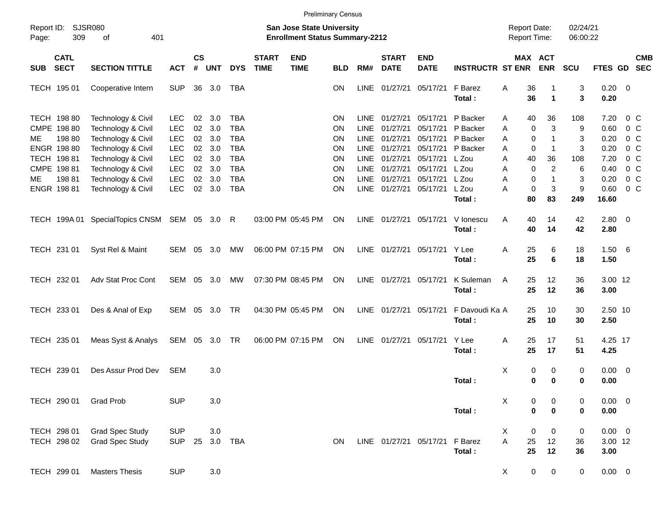|                                    |                                                  |                          |                             |            |                          |                             |                                                                           | <b>Preliminary Census</b> |                            |                             |                           |                          |                                            |                            |                      |                                |                                  |            |
|------------------------------------|--------------------------------------------------|--------------------------|-----------------------------|------------|--------------------------|-----------------------------|---------------------------------------------------------------------------|---------------------------|----------------------------|-----------------------------|---------------------------|--------------------------|--------------------------------------------|----------------------------|----------------------|--------------------------------|----------------------------------|------------|
| Report ID: SJSR080<br>309<br>Page: | 401<br>οf                                        |                          |                             |            |                          |                             | <b>San Jose State University</b><br><b>Enrollment Status Summary-2212</b> |                           |                            |                             |                           |                          | <b>Report Date:</b><br><b>Report Time:</b> |                            | 02/24/21<br>06:00:22 |                                |                                  |            |
| <b>CATL</b><br><b>SECT</b><br>SUB  | <b>SECTION TITTLE</b>                            | <b>ACT</b>               | $\mathsf{cs}$<br>$\pmb{\#}$ | <b>UNT</b> | <b>DYS</b>               | <b>START</b><br><b>TIME</b> | <b>END</b><br><b>TIME</b>                                                 | <b>BLD</b>                | RM#                        | <b>START</b><br><b>DATE</b> | <b>END</b><br><b>DATE</b> | <b>INSTRUCTR ST ENR</b>  | MAX ACT                                    | <b>ENR</b>                 | <b>SCU</b>           | FTES GD SEC                    |                                  | <b>CMB</b> |
| TECH 195 01                        | Cooperative Intern                               | <b>SUP</b>               | 36                          | 3.0        | TBA                      |                             |                                                                           | <b>ON</b>                 | <b>LINE</b>                | 01/27/21                    | 05/17/21                  | F Barez<br>Total:        | 36<br>Α<br>36                              | $\blacktriangleleft$       | 3<br>3               | $0.20 \ 0$<br>0.20             |                                  |            |
| TECH 198 80<br>CMPE 198 80         | Technology & Civil<br>Technology & Civil         | <b>LEC</b><br><b>LEC</b> | 02<br>02                    | 3.0<br>3.0 | TBA<br><b>TBA</b>        |                             |                                                                           | ΟN<br>ΟN                  | <b>LINE</b><br><b>LINE</b> | 01/27/21<br>01/27/21        | 05/17/21<br>05/17/21      | P Backer<br>P Backer     | 40<br>A<br>$\mathbf 0$<br>Α                | 36<br>3                    | 108<br>9             | 7.20<br>0.60                   | 0 <sup>o</sup><br>0 <sup>o</sup> |            |
| 198 80<br>ME.<br>ENGR 198 80       | Technology & Civil<br>Technology & Civil         | <b>LEC</b><br><b>LEC</b> | 02<br>$02\,$                | 3.0<br>3.0 | <b>TBA</b><br><b>TBA</b> |                             |                                                                           | ΟN<br>ΟN                  | <b>LINE</b><br><b>LINE</b> | 01/27/21<br>01/27/21        | 05/17/21<br>05/17/21      | P Backer<br>P Backer     | $\mathbf 0$<br>Α<br>$\mathbf 0$<br>Α       | $\mathbf 1$<br>$\mathbf 1$ | 3<br>3               | 0.20<br>0.20                   | 0 <sup>o</sup><br>0 <sup>o</sup> |            |
| TECH 198 81<br>CMPE 198 81         | Technology & Civil<br>Technology & Civil         | <b>LEC</b><br><b>LEC</b> | $02\,$<br>02                | 3.0<br>3.0 | <b>TBA</b><br><b>TBA</b> |                             |                                                                           | ΟN<br>ΟN                  | <b>LINE</b><br><b>LINE</b> | 01/27/21<br>01/27/21        | 05/17/21<br>05/17/21      | L Zou<br>L Zou           | 40<br>Α<br>$\mathbf 0$<br>A                | 36<br>$\overline{c}$       | 108<br>6             | 7.20<br>0.40                   | 0 <sup>o</sup><br>0 <sup>o</sup> |            |
| 19881<br>ME.<br>ENGR 198 81        | Technology & Civil<br>Technology & Civil         | <b>LEC</b><br><b>LEC</b> | 02<br>$02\,$                | 3.0<br>3.0 | <b>TBA</b><br><b>TBA</b> |                             |                                                                           | ΟN<br>ON                  | <b>LINE</b><br>LINE        | 01/27/21<br>01/27/21        | 05/17/21<br>05/17/21      | L Zou<br>L Zou<br>Total: | $\mathbf 0$<br>Α<br>$\mathbf 0$<br>Α<br>80 | 1<br>3<br>83               | 3<br>9<br>249        | 0.20<br>0.60<br>16.60          | 0 <sup>o</sup><br>$0\,C$         |            |
|                                    | TECH 199A 01 SpecialTopics CNSM SEM 05 3.0       |                          |                             |            | R                        |                             | 03:00 PM 05:45 PM                                                         | ON                        | LINE                       | 01/27/21 05/17/21           |                           | V lonescu<br>Total:      | Α<br>40<br>40                              | 14<br>14                   | 42<br>42             | $2.80 \t 0$<br>2.80            |                                  |            |
| TECH 231 01                        | Syst Rel & Maint                                 | SEM 05                   |                             | 3.0        | МW                       |                             | 06:00 PM 07:15 PM                                                         | ON                        |                            |                             | LINE 01/27/21 05/17/21    | Y Lee<br>Total:          | Α<br>25<br>25                              | 6<br>6                     | 18<br>18             | 1.506<br>1.50                  |                                  |            |
| TECH 232 01                        | Adv Stat Proc Cont                               | SEM 05                   |                             | 3.0        | МW                       |                             | 07:30 PM 08:45 PM                                                         | ON                        |                            | LINE 01/27/21 05/17/21      |                           | K Suleman<br>Total:      | A<br>25<br>25                              | 12<br>12                   | 36<br>36             | 3.00 12<br>3.00                |                                  |            |
| TECH 233 01                        | Des & Anal of Exp                                | SEM 05                   |                             | 3.0        | <b>TR</b>                |                             | 04:30 PM 05:45 PM                                                         | ON                        | LINE                       | 01/27/21 05/17/21           |                           | F Davoudi Ka A<br>Total: | 25<br>25                                   | 10<br>10                   | 30<br>30             | 2.50 10<br>2.50                |                                  |            |
| TECH 235 01                        | Meas Syst & Analys                               | SEM 05 3.0 TR            |                             |            |                          |                             | 06:00 PM 07:15 PM                                                         | ON                        | LINE                       | 01/27/21 05/17/21           |                           | Y Lee<br>Total:          | Α<br>25<br>25                              | 17<br>17                   | 51<br>51             | 4.25 17<br>4.25                |                                  |            |
| TECH 239 01                        | Des Assur Prod Dev                               | <b>SEM</b>               |                             | 3.0        |                          |                             |                                                                           |                           |                            |                             |                           | Total:                   | X<br>0<br>$\mathbf 0$                      | 0<br>$\bf{0}$              | 0<br>0               | $0.00 \t 0$<br>0.00            |                                  |            |
| TECH 290 01                        | <b>Grad Prob</b>                                 | <b>SUP</b>               |                             | 3.0        |                          |                             |                                                                           |                           |                            |                             |                           | Total:                   | X<br>0<br>$\mathbf 0$                      | 0<br>$\mathbf 0$           | 0<br>0               | $0.00 \t 0$<br>0.00            |                                  |            |
| TECH 298 01<br>TECH 298 02         | <b>Grad Spec Study</b><br><b>Grad Spec Study</b> | <b>SUP</b><br><b>SUP</b> | 25                          | $3.0\,$    | 3.0 TBA                  |                             |                                                                           | ON                        |                            | LINE 01/27/21 05/17/21      |                           | F Barez<br>Total:        | X<br>0<br>A<br>25<br>25                    | 0<br>12<br>12              | 0<br>36<br>36        | $0.00 \t 0$<br>3.00 12<br>3.00 |                                  |            |
| TECH 299 01                        | <b>Masters Thesis</b>                            | <b>SUP</b>               |                             | $3.0\,$    |                          |                             |                                                                           |                           |                            |                             |                           |                          | $\mathbf 0$<br>X                           | 0                          | $\mathbf 0$          | $0.00 \t 0$                    |                                  |            |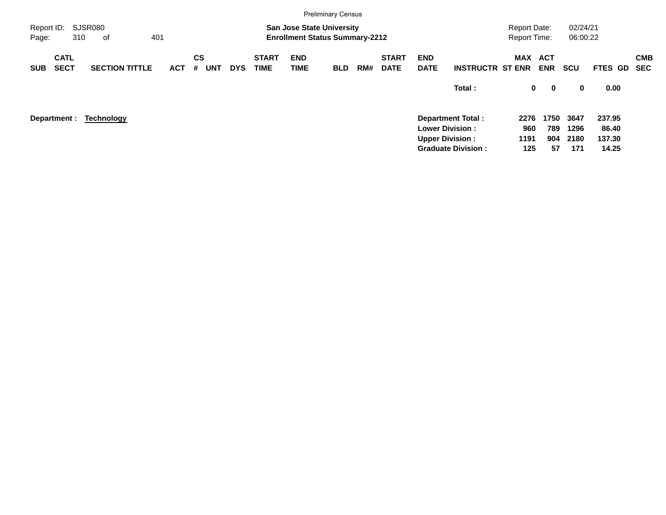|                     |                            |                       |     |            |                |            |            |                             |                           | <b>Preliminary Census</b>                                                 |     |                             |                           |                           |                                            |                            |                      |                |                          |
|---------------------|----------------------------|-----------------------|-----|------------|----------------|------------|------------|-----------------------------|---------------------------|---------------------------------------------------------------------------|-----|-----------------------------|---------------------------|---------------------------|--------------------------------------------|----------------------------|----------------------|----------------|--------------------------|
| Report ID:<br>Page: |                            | SJSR080<br>310<br>0f  | 401 |            |                |            |            |                             |                           | <b>San Jose State University</b><br><b>Enrollment Status Summary-2212</b> |     |                             |                           |                           | <b>Report Date:</b><br><b>Report Time:</b> |                            | 02/24/21<br>06:00:22 |                |                          |
| <b>SUB</b>          | <b>CATL</b><br><b>SECT</b> | <b>SECTION TITTLE</b> |     | <b>ACT</b> | <b>CS</b><br># | <b>UNT</b> | <b>DYS</b> | <b>START</b><br><b>TIME</b> | <b>END</b><br><b>TIME</b> | <b>BLD</b>                                                                | RM# | <b>START</b><br><b>DATE</b> | <b>END</b><br><b>DATE</b> | <b>INSTRUCTR ST ENR</b>   | MAX                                        | <b>ACT</b><br><b>ENR</b>   | <b>SCU</b>           | <b>FTES GD</b> | <b>CMB</b><br><b>SEC</b> |
|                     |                            |                       |     |            |                |            |            |                             |                           |                                                                           |     |                             |                           | Total:                    |                                            | $\mathbf 0$<br>$\mathbf 0$ | 0                    | 0.00           |                          |
|                     | Department :               | <b>Technology</b>     |     |            |                |            |            |                             |                           |                                                                           |     |                             |                           | <b>Department Total:</b>  | 2276                                       | 1750                       | 3647                 | 237.95         |                          |
|                     |                            |                       |     |            |                |            |            |                             |                           |                                                                           |     |                             |                           | <b>Lower Division:</b>    | 960                                        | 789                        | 1296                 | 86.40          |                          |
|                     |                            |                       |     |            |                |            |            |                             |                           |                                                                           |     |                             |                           | <b>Upper Division:</b>    | 1191                                       | 904                        | 2180                 | 137.30         |                          |
|                     |                            |                       |     |            |                |            |            |                             |                           |                                                                           |     |                             |                           | <b>Graduate Division:</b> | 125                                        | 57                         | 171                  | 14.25          |                          |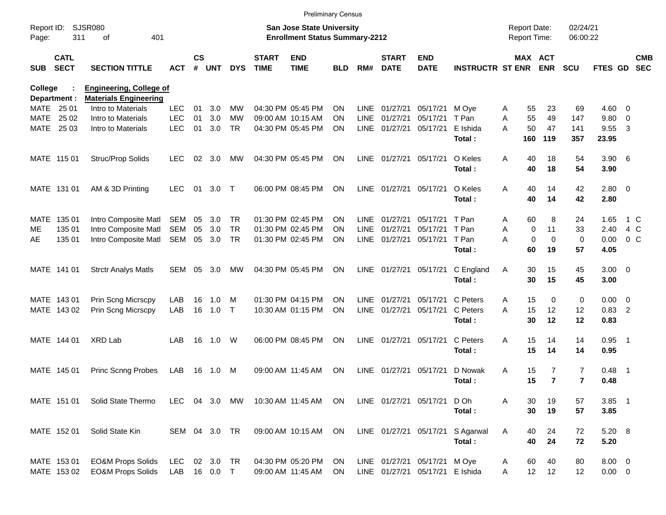|                     |                            |                                                                |               |                    |            |            |                             |                                                                    | <b>Preliminary Census</b> |             |                             |                                 |                         |                                     |                            |                      |                       |                |                          |
|---------------------|----------------------------|----------------------------------------------------------------|---------------|--------------------|------------|------------|-----------------------------|--------------------------------------------------------------------|---------------------------|-------------|-----------------------------|---------------------------------|-------------------------|-------------------------------------|----------------------------|----------------------|-----------------------|----------------|--------------------------|
| Report ID:<br>Page: | 311                        | <b>SJSR080</b><br>401<br>οf                                    |               |                    |            |            |                             | San Jose State University<br><b>Enrollment Status Summary-2212</b> |                           |             |                             |                                 |                         | <b>Report Date:</b><br>Report Time: |                            | 02/24/21<br>06:00:22 |                       |                |                          |
| <b>SUB</b>          | <b>CATL</b><br><b>SECT</b> | <b>SECTION TITTLE</b>                                          | <b>ACT</b>    | $\mathsf{cs}$<br># | <b>UNT</b> | <b>DYS</b> | <b>START</b><br><b>TIME</b> | <b>END</b><br><b>TIME</b>                                          | BLD                       | RM#         | <b>START</b><br><b>DATE</b> | <b>END</b><br><b>DATE</b>       | <b>INSTRUCTR ST ENR</b> |                                     | MAX ACT<br><b>ENR</b>      | <b>SCU</b>           | <b>FTES GD</b>        |                | <b>CMB</b><br><b>SEC</b> |
| College             | Department :               | <b>Engineering, College of</b><br><b>Materials Engineering</b> |               |                    |            |            |                             |                                                                    |                           |             |                             |                                 |                         |                                     |                            |                      |                       |                |                          |
|                     | MATE 25 01                 | Intro to Materials                                             | <b>LEC</b>    | 01                 | 3.0        | MW         |                             | 04:30 PM 05:45 PM                                                  | ON                        | <b>LINE</b> | 01/27/21                    | 05/17/21                        | M Ove                   | A                                   | 55<br>23                   | 69                   | $4.60$ 0              |                |                          |
| MATE                | 25 02                      | Intro to Materials                                             | <b>LEC</b>    | 01                 | 3.0        | <b>MW</b>  |                             | 09:00 AM 10:15 AM                                                  | ON                        | <b>LINE</b> | 01/27/21                    | 05/17/21                        | T Pan                   | A                                   | 55<br>49                   | 147                  | 9.80                  | - 0            |                          |
|                     | MATE 25 03                 | Intro to Materials                                             | <b>LEC</b>    | 01                 | 3.0        | <b>TR</b>  |                             | 04:30 PM 05:45 PM                                                  | <b>ON</b>                 | LINE        | 01/27/21                    | 05/17/21                        | E Ishida                | A                                   | 50<br>47                   | 141                  | 9.55                  | -3             |                          |
|                     |                            |                                                                |               |                    |            |            |                             |                                                                    |                           |             |                             |                                 | Total:                  | 160                                 | 119                        | 357                  | 23.95                 |                |                          |
|                     | MATE 115 01                | Struc/Prop Solids                                              | <b>LEC</b>    | 02                 | 3.0        | MW         |                             | 04:30 PM 05:45 PM                                                  | <b>ON</b>                 | LINE        | 01/27/21                    | 05/17/21                        | O Keles<br>Total:       | Α                                   | 18<br>40<br>40<br>18       | 54<br>54             | $3.90\quad 6$<br>3.90 |                |                          |
|                     | MATE 131 01                | AM & 3D Printing                                               | <b>LEC</b>    | 01                 | 3.0        | $\top$     |                             | 06:00 PM 08:45 PM                                                  | <b>ON</b>                 | LINE        | 01/27/21                    | 05/17/21                        | O Keles                 | Α                                   | 40<br>14                   | 42                   | 2.80 0                |                |                          |
|                     |                            |                                                                |               |                    |            |            |                             |                                                                    |                           |             |                             |                                 | Total:                  |                                     | 40<br>14                   | 42                   | 2.80                  |                |                          |
| MATE                | 135 01                     | Intro Composite Matl                                           | SEM           | 05                 | 3.0        | TR.        |                             | 01:30 PM 02:45 PM                                                  | ON                        | <b>LINE</b> | 01/27/21                    | 05/17/21                        | T Pan                   | A                                   | 60<br>8                    | 24                   | 1.65                  |                | 1 C                      |
| ME                  | 135 01                     | Intro Composite Matl                                           | <b>SEM</b>    | 05                 | 3.0        | <b>TR</b>  |                             | 01:30 PM 02:45 PM                                                  | ON                        | LINE        | 01/27/21                    | 05/17/21                        | T Pan                   | A                                   | $\mathbf 0$<br>11          | 33                   | 2.40                  | 4 C            |                          |
| AE                  | 135 01                     | Intro Composite Matl                                           | SEM           | 05                 | 3.0        | <b>TR</b>  |                             | 01:30 PM 02:45 PM                                                  | ΟN                        | LINE        | 01/27/21                    | 05/17/21                        | T Pan                   | A                                   | $\mathbf 0$<br>$\mathbf 0$ | $\mathbf 0$          | 0.00                  | 0 <sup>o</sup> |                          |
|                     |                            |                                                                |               |                    |            |            |                             |                                                                    |                           |             |                             |                                 | Total:                  |                                     | 60<br>19                   | 57                   | 4.05                  |                |                          |
|                     | MATE 141 01                | <b>Strctr Analys Matls</b>                                     | <b>SEM</b>    | 05                 | 3.0        | MW         |                             | 04:30 PM 05:45 PM                                                  | <b>ON</b>                 |             | LINE 01/27/21               | 05/17/21                        | C England               | Α                                   | 30<br>15                   | 45                   | $3.00 \ 0$            |                |                          |
|                     |                            |                                                                |               |                    |            |            |                             |                                                                    |                           |             |                             |                                 | Total:                  |                                     | 15<br>30                   | 45                   | 3.00                  |                |                          |
|                     | MATE 143 01                | Prin Scng Micrscpy                                             | LAB           | 16                 | 1.0        | м          |                             | 01:30 PM 04:15 PM                                                  | ON                        | <b>LINE</b> | 01/27/21                    | 05/17/21                        | C Peters                | A                                   | 15<br>$\mathbf 0$          | 0                    | $0.00 \t 0$           |                |                          |
|                     | MATE 143 02                | Prin Scng Micrscpy                                             | LAB           | 16                 | 1.0        | $\top$     |                             | 10:30 AM 01:15 PM                                                  | <b>ON</b>                 | LINE        | 01/27/21                    | 05/17/21                        | C Peters                | A                                   | 15<br>12                   | 12                   | $0.83$ 2              |                |                          |
|                     |                            |                                                                |               |                    |            |            |                             |                                                                    |                           |             |                             |                                 | Total:                  |                                     | 30<br>12                   | 12                   | 0.83                  |                |                          |
|                     | MATE 144 01                | <b>XRD Lab</b>                                                 | LAB           | 16                 | 1.0        | W          |                             | 06:00 PM 08:45 PM                                                  | <b>ON</b>                 | LINE        | 01/27/21                    | 05/17/21                        | C Peters                | A                                   | 15<br>14                   | 14                   | $0.95$ 1              |                |                          |
|                     |                            |                                                                |               |                    |            |            |                             |                                                                    |                           |             |                             |                                 | Total:                  |                                     | 15<br>14                   | 14                   | 0.95                  |                |                          |
|                     | MATE 145 01                | Princ Scnng Probes                                             | LAB           | 16                 | 1.0        | M          |                             | 09:00 AM 11:45 AM                                                  | <b>ON</b>                 | <b>LINE</b> | 01/27/21                    | 05/17/21                        | D Nowak                 | A                                   | 15<br>7                    | $\overline{7}$       | 0.48                  | - 1            |                          |
|                     |                            |                                                                |               |                    |            |            |                             |                                                                    |                           |             |                             |                                 | Total:                  |                                     | 15<br>$\overline{7}$       | $\overline{7}$       | 0.48                  |                |                          |
|                     | MATE 151 01                | Solid State Thermo                                             | LEC 04 3.0 MW |                    |            |            |                             | 10:30 AM 11:45 AM ON                                               |                           |             | LINE 01/27/21 05/17/21      |                                 | D Oh                    | Α                                   | 30<br>19                   | 57                   | $3.85$ 1              |                |                          |
|                     |                            |                                                                |               |                    |            |            |                             |                                                                    |                           |             |                             |                                 | Total:                  |                                     | 30<br>19                   | 57                   | 3.85                  |                |                          |
|                     | MATE 152 01                | Solid State Kin                                                | SEM 04 3.0 TR |                    |            |            |                             | 09:00 AM 10:15 AM                                                  | ON                        |             | LINE 01/27/21 05/17/21      |                                 | S Agarwal               | A                                   | 40<br>24                   | 72                   | 5.20 8                |                |                          |
|                     |                            |                                                                |               |                    |            |            |                             |                                                                    |                           |             |                             |                                 | Total:                  |                                     | 40<br>24                   | 72                   | 5.20                  |                |                          |
|                     | MATE 153 01                | <b>EO&amp;M Props Solids</b>                                   | <b>LEC</b>    |                    | 02 3.0     | TR         |                             | 04:30 PM 05:20 PM                                                  | ON                        |             |                             | LINE 01/27/21 05/17/21 M Oye    |                         | A                                   | 60<br>40                   | 80                   | $8.00 \t 0$           |                |                          |
|                     | MATE 153 02                | <b>EO&amp;M Props Solids</b>                                   | LAB           |                    | 16  0.0  T |            |                             | 09:00 AM 11:45 AM                                                  | ON                        |             |                             | LINE 01/27/21 05/17/21 E Ishida |                         | Α                                   | 12 <sub>2</sub><br>12      | 12                   | $0.00 \t 0$           |                |                          |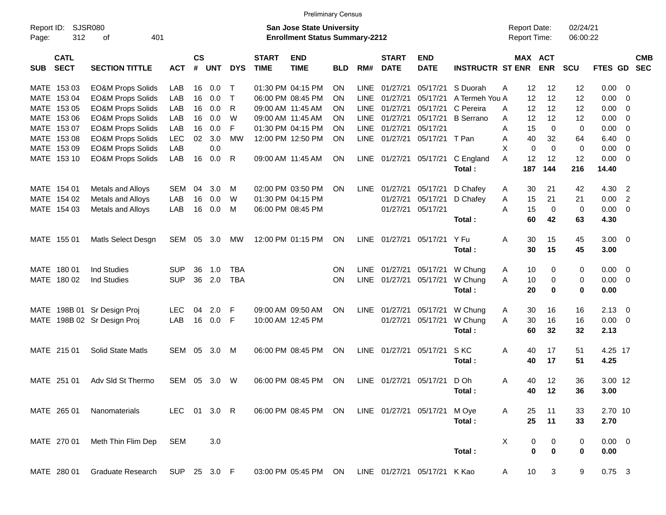|                     |                            |                              |              |                    |            |            |                             | <b>Preliminary Census</b>                                                 |            |             |                             |                              |                         |                                            |                       |                      |                |                         |                          |
|---------------------|----------------------------|------------------------------|--------------|--------------------|------------|------------|-----------------------------|---------------------------------------------------------------------------|------------|-------------|-----------------------------|------------------------------|-------------------------|--------------------------------------------|-----------------------|----------------------|----------------|-------------------------|--------------------------|
| Report ID:<br>Page: | 312                        | SJSR080<br>οf<br>401         |              |                    |            |            |                             | <b>San Jose State University</b><br><b>Enrollment Status Summary-2212</b> |            |             |                             |                              |                         | <b>Report Date:</b><br><b>Report Time:</b> |                       | 02/24/21<br>06:00:22 |                |                         |                          |
| <b>SUB</b>          | <b>CATL</b><br><b>SECT</b> | <b>SECTION TITTLE</b>        | <b>ACT</b>   | $\mathsf{cs}$<br># | <b>UNT</b> | <b>DYS</b> | <b>START</b><br><b>TIME</b> | <b>END</b><br><b>TIME</b>                                                 | <b>BLD</b> | RM#         | <b>START</b><br><b>DATE</b> | <b>END</b><br><b>DATE</b>    | <b>INSTRUCTR ST ENR</b> |                                            | MAX ACT<br><b>ENR</b> | SCU                  | <b>FTES GD</b> |                         | <b>CMB</b><br><b>SEC</b> |
|                     | MATE 153 03                | <b>EO&amp;M Props Solids</b> | LAB          | 16                 | 0.0        | т          |                             | 01:30 PM 04:15 PM                                                         | <b>ON</b>  | <b>LINE</b> | 01/27/21                    | 05/17/21                     | S Duorah                | 12<br>Α                                    | 12                    | 12                   | 0.00           | - 0                     |                          |
|                     | MATE 153 04                | <b>EO&amp;M Props Solids</b> | LAB          | 16                 | 0.0        | T          |                             | 06:00 PM 08:45 PM                                                         | <b>ON</b>  | LINE.       | 01/27/21                    | 05/17/21                     | A Termeh You A          | 12                                         | 12                    | 12                   | 0.00           | $\mathbf{0}$            |                          |
|                     | MATE 153 05                | <b>EO&amp;M Props Solids</b> | LAB          | 16                 | 0.0        | R          |                             | 09:00 AM 11:45 AM                                                         | <b>ON</b>  | <b>LINE</b> | 01/27/21                    | 05/17/21                     | C Pereira               | 12<br>A                                    | 12                    | 12                   | 0.00           | 0                       |                          |
|                     | MATE 153 06                | <b>EO&amp;M Props Solids</b> | LAB          | 16                 | 0.0        | W          |                             | 09:00 AM 11:45 AM                                                         | <b>ON</b>  | LINE        | 01/27/21                    | 05/17/21                     | <b>B</b> Serrano        | 12<br>A                                    | 12                    | 12                   | 0.00           | 0                       |                          |
|                     | MATE 153 07                | <b>EO&amp;M Props Solids</b> | LAB          | 16                 | 0.0        | F          |                             | 01:30 PM 04:15 PM                                                         | <b>ON</b>  | LINE        | 01/27/21                    | 05/17/21                     |                         | 15<br>A                                    | $\Omega$              | 0                    | 0.00           | $\overline{0}$          |                          |
|                     | MATE 153 08                | <b>EO&amp;M Props Solids</b> | <b>LEC</b>   | 02                 | 3.0        | <b>MW</b>  |                             | 12:00 PM 12:50 PM                                                         | ON         |             | LINE 01/27/21               | 05/17/21 T Pan               |                         | 40<br>A                                    | 32                    | 64                   | 6.40           | 0                       |                          |
|                     | MATE 153 09                | <b>EO&amp;M Props Solids</b> | LAB          |                    | 0.0        |            |                             |                                                                           |            |             |                             |                              |                         | X<br>0                                     | $\Omega$              | $\mathbf 0$          | 0.00           | $\mathbf{0}$            |                          |
|                     | MATE 153 10                | <b>EO&amp;M Props Solids</b> | LAB          | 16                 | 0.0        | R          |                             | 09:00 AM 11:45 AM                                                         | <b>ON</b>  |             | LINE 01/27/21               | 05/17/21                     | C England<br>Total:     | A<br>12<br>187                             | 12<br>144             | 12<br>216            | 0.00<br>14.40  | - 0                     |                          |
|                     | MATE 154 01                | Metals and Alloys            | <b>SEM</b>   | 04                 | 3.0        | м          |                             | 02:00 PM 03:50 PM                                                         | <b>ON</b>  |             | LINE 01/27/21               | 05/17/21                     | D Chafey                | 30<br>A                                    | 21                    | 42                   | 4.30           | $\overline{2}$          |                          |
|                     | MATE 154 02                | Metals and Alloys            | LAB          | 16                 | 0.0        | W          |                             | 01:30 PM 04:15 PM                                                         |            |             | 01/27/21                    | 05/17/21                     | D Chafey                | 15<br>Α                                    | 21                    | 21                   | 0.00           | $\overline{2}$          |                          |
|                     | MATE 154 03                | Metals and Alloys            | LAB          | 16                 | 0.0        | м          |                             | 06:00 PM 08:45 PM                                                         |            |             | 01/27/21                    | 05/17/21                     |                         | 15<br>A                                    | $\mathbf 0$           | 0                    | 0.00           | - 0                     |                          |
|                     |                            |                              |              |                    |            |            |                             |                                                                           |            |             |                             |                              | Total:                  | 60                                         | 42                    | 63                   | 4.30           |                         |                          |
|                     | MATE 155 01                | Matls Select Desgn           | <b>SEM</b>   | 05                 | 3.0        | MW         |                             | 12:00 PM 01:15 PM                                                         | ON         |             | LINE 01/27/21               | 05/17/21                     | Y Fu                    | 30<br>Α                                    | 15                    | 45                   | $3.00 \ 0$     |                         |                          |
|                     |                            |                              |              |                    |            |            |                             |                                                                           |            |             |                             |                              | Total:                  | 30                                         | 15                    | 45                   | 3.00           |                         |                          |
|                     | MATE 180 01                | <b>Ind Studies</b>           | <b>SUP</b>   | 36                 | 1.0        | TBA        |                             |                                                                           | <b>ON</b>  | LINE        | 01/27/21                    | 05/17/21                     | W Chung                 | 10<br>A                                    | 0                     | 0                    | 0.00           | $\overline{\mathbf{0}}$ |                          |
|                     | MATE 180 02                | <b>Ind Studies</b>           | <b>SUP</b>   | 36                 | 2.0        | <b>TBA</b> |                             |                                                                           | <b>ON</b>  |             | LINE 01/27/21               | 05/17/21                     | W Chung                 | A<br>10                                    | 0                     | 0                    | 0.00           | $\overline{\mathbf{0}}$ |                          |
|                     |                            |                              |              |                    |            |            |                             |                                                                           |            |             |                             |                              | Total:                  | 20                                         | 0                     | $\mathbf 0$          | 0.00           |                         |                          |
|                     |                            | MATE 198B 01 Sr Design Proj  | <b>LEC</b>   | 04                 | 2.0        | F          |                             | 09:00 AM 09:50 AM                                                         | <b>ON</b>  |             | LINE 01/27/21               | 05/17/21                     | W Chung                 | 30<br>A                                    | 16                    | 16                   | $2.13 \quad 0$ |                         |                          |
|                     |                            | MATE 198B 02 Sr Design Proj  | LAB          | 16                 | 0.0        | F          |                             | 10:00 AM 12:45 PM                                                         |            |             | 01/27/21                    | 05/17/21                     | W Chung                 | A<br>30                                    | 16                    | 16                   | 0.00           | $\overline{\mathbf{0}}$ |                          |
|                     |                            |                              |              |                    |            |            |                             |                                                                           |            |             |                             |                              | Total:                  | 60                                         | 32                    | 32                   | 2.13           |                         |                          |
|                     | MATE 215 01                | Solid State Matls            | SEM 05       |                    | 3.0        | M          |                             | 06:00 PM 08:45 PM                                                         | <b>ON</b>  |             | LINE 01/27/21               | 05/17/21                     | S KC                    | Α<br>40                                    | 17                    | 51                   | 4.25 17        |                         |                          |
|                     |                            |                              |              |                    |            |            |                             |                                                                           |            |             |                             |                              | Total:                  | 40                                         | 17                    | 51                   | 4.25           |                         |                          |
|                     | MATE 251 01                | Adv Sld St Thermo            | SEM 05 3.0   |                    |            | W          |                             | 06:00 PM 08:45 PM                                                         | ON         |             | LINE 01/27/21               | 05/17/21                     | D Oh                    | Α<br>40                                    | 12                    | 36                   | 3.00 12        |                         |                          |
|                     |                            |                              |              |                    |            |            |                             |                                                                           |            |             |                             |                              | Total :                 | 40                                         | $-12$                 | 36                   | 3.00           |                         |                          |
|                     | MATE 265 01                | Nanomaterials                | LEC 01 3.0 R |                    |            |            |                             | 06:00 PM 08:45 PM ON                                                      |            |             | LINE 01/27/21 05/17/21      |                              | M Oye                   | A<br>25                                    | 11                    | 33                   | 2.70 10        |                         |                          |
|                     |                            |                              |              |                    |            |            |                             |                                                                           |            |             |                             |                              | Total:                  | 25                                         | 11                    | 33                   | 2.70           |                         |                          |
|                     | MATE 270 01                | Meth Thin Flim Dep           | SEM          |                    | 3.0        |            |                             |                                                                           |            |             |                             |                              |                         | X<br>0                                     | 0                     | 0                    | $0.00 \t 0$    |                         |                          |
|                     |                            |                              |              |                    |            |            |                             |                                                                           |            |             |                             |                              | Total:                  | 0                                          | $\mathbf 0$           | 0                    | 0.00           |                         |                          |
|                     | MATE 280 01                | Graduate Research            | SUP 25 3.0 F |                    |            |            |                             | 03:00 PM 05:45 PM ON                                                      |            |             |                             | LINE 01/27/21 05/17/21 K Kao |                         | 10<br>A                                    | 3                     | 9                    | $0.75$ 3       |                         |                          |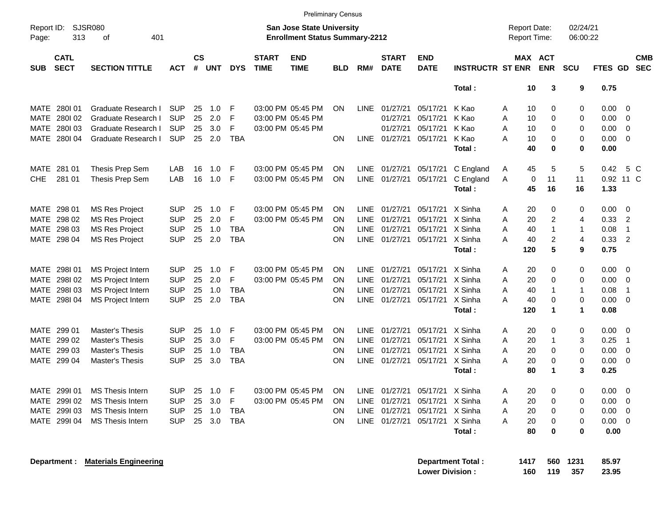|                                                                                                                                 |                            |                               |            |                    |            |            |                             | <b>Preliminary Census</b> |            |             |                             |                                            |                         |     |                       |                      |                      |                |                         |                          |
|---------------------------------------------------------------------------------------------------------------------------------|----------------------------|-------------------------------|------------|--------------------|------------|------------|-----------------------------|---------------------------|------------|-------------|-----------------------------|--------------------------------------------|-------------------------|-----|-----------------------|----------------------|----------------------|----------------|-------------------------|--------------------------|
| SJSR080<br>Report ID:<br><b>San Jose State University</b><br>313<br>401<br><b>Enrollment Status Summary-2212</b><br>Page:<br>οf |                            |                               |            |                    |            |            |                             |                           |            |             |                             | <b>Report Date:</b><br><b>Report Time:</b> |                         |     | 02/24/21<br>06:00:22  |                      |                      |                |                         |                          |
| <b>SUB</b>                                                                                                                      | <b>CATL</b><br><b>SECT</b> | <b>SECTION TITTLE</b>         | ACT        | $\mathsf{cs}$<br># | <b>UNT</b> | <b>DYS</b> | <b>START</b><br><b>TIME</b> | <b>END</b><br><b>TIME</b> | <b>BLD</b> | RM#         | <b>START</b><br><b>DATE</b> | <b>END</b><br><b>DATE</b>                  | <b>INSTRUCTR ST ENR</b> |     | MAX ACT<br><b>ENR</b> |                      | <b>SCU</b>           | FTES GD        |                         | <b>CMB</b><br><b>SEC</b> |
|                                                                                                                                 |                            |                               |            |                    |            |            |                             |                           |            |             |                             |                                            | Total:                  |     | 10                    | 3                    | 9                    | 0.75           |                         |                          |
| MATE                                                                                                                            | 280101                     | Graduate Research I           | <b>SUP</b> | 25                 | 1.0        | F          |                             | 03:00 PM 05:45 PM         | <b>ON</b>  |             | LINE 01/27/21               | 05/17/21                                   | K Kao                   | A   | 10                    | 0                    | 0                    | 0.00           | - 0                     |                          |
| MATE                                                                                                                            | 280102                     | Graduate Research I           | <b>SUP</b> | 25                 | 2.0        | F          |                             | 03:00 PM 05:45 PM         |            |             | 01/27/21                    | 05/17/21                                   | K Kao                   | A   | 10                    | 0                    | 0                    | 0.00           | $\overline{0}$          |                          |
| MATE                                                                                                                            | 280103                     | Graduate Research I           | <b>SUP</b> | 25                 | 3.0        | F          |                             | 03:00 PM 05:45 PM         |            |             | 01/27/21                    | 05/17/21                                   | K Kao                   | A   | 10                    | 0                    | 0                    | 0.00           | $\overline{0}$          |                          |
| MATE                                                                                                                            | 280I04                     | Graduate Research I           | <b>SUP</b> | 25                 | 2.0        | <b>TBA</b> |                             |                           | ON         |             | LINE 01/27/21               | 05/17/21                                   | K Kao                   | A   | 10                    | 0                    | 0                    | 0.00           | $\overline{0}$          |                          |
|                                                                                                                                 |                            |                               |            |                    |            |            |                             |                           |            |             |                             |                                            | Total:                  |     | 40                    | $\mathbf 0$          | 0                    | 0.00           |                         |                          |
| <b>MATE</b>                                                                                                                     | 281 01                     | Thesis Prep Sem               | LAB        | 16                 | 1.0        | F          |                             | 03:00 PM 05:45 PM         | <b>ON</b>  |             | LINE 01/27/21               | 05/17/21                                   | C England               | A   | 45                    | 5                    | 5                    | 0.42           |                         | 5 C                      |
| <b>CHE</b>                                                                                                                      | 281 01                     | Thesis Prep Sem               | LAB        | 16                 | 1.0        | F          |                             | 03:00 PM 05:45 PM         | <b>ON</b>  |             | LINE 01/27/21               | 05/17/21                                   | C England               | A   | 0                     | 11                   | 11                   | 0.92 11 C      |                         |                          |
|                                                                                                                                 |                            |                               |            |                    |            |            |                             |                           |            |             |                             |                                            | Total:                  |     | 45                    | 16                   | 16                   | 1.33           |                         |                          |
| MATE                                                                                                                            | 298 01                     | <b>MS Res Project</b>         | <b>SUP</b> | 25                 | 1.0        | F          |                             | 03:00 PM 05:45 PM         | <b>ON</b>  | LINE        | 01/27/21                    | 05/17/21                                   | X Sinha                 | A   | 20                    | 0                    | 0                    | 0.00           | - 0                     |                          |
| MATE                                                                                                                            | 298 02                     | <b>MS Res Project</b>         | <b>SUP</b> | 25                 | 2.0        | F          |                             | 03:00 PM 05:45 PM         | <b>ON</b>  | <b>LINE</b> | 01/27/21                    | 05/17/21                                   | X Sinha                 | A   | 20                    | $\overline{c}$       | $\overline{4}$       | 0.33           | $\overline{2}$          |                          |
| MATE                                                                                                                            | 298 03                     | <b>MS Res Project</b>         | <b>SUP</b> | 25                 | 1.0        | <b>TBA</b> |                             |                           | <b>ON</b>  | LINE        | 01/27/21                    | 05/17/21                                   | X Sinha                 | A   | 40                    | $\mathbf{1}$         | $\mathbf 1$          | 0.08           | $\overline{1}$          |                          |
| MATE                                                                                                                            | 298 04                     | <b>MS Res Project</b>         | <b>SUP</b> | 25                 | 2.0        | <b>TBA</b> |                             |                           | ON         |             | LINE 01/27/21               | 05/17/21                                   | X Sinha                 | Α   | 40                    | $\overline{c}$       | $\overline{4}$       | 0.33           | $\overline{2}$          |                          |
|                                                                                                                                 |                            |                               |            |                    |            |            |                             |                           |            |             |                             |                                            | Total:                  | 120 |                       | 5                    | 9                    | 0.75           |                         |                          |
| <b>MATE</b>                                                                                                                     | 298101                     | <b>MS Project Intern</b>      | SUP        | 25                 | 1.0        | F          |                             | 03:00 PM 05:45 PM         | <b>ON</b>  | <b>LINE</b> | 01/27/21                    | 05/17/21                                   | X Sinha                 | A   | 20                    | 0                    | 0                    | 0.00           | - 0                     |                          |
| <b>MATE</b>                                                                                                                     | 298I02                     | <b>MS Project Intern</b>      | <b>SUP</b> | 25                 | 2.0        | F          |                             | 03:00 PM 05:45 PM         | <b>ON</b>  | <b>LINE</b> | 01/27/21                    | 05/17/21                                   | X Sinha                 | A   | 20                    | 0                    | 0                    | 0.00           | $\overline{0}$          |                          |
| MATE                                                                                                                            | 298103                     | <b>MS Project Intern</b>      | <b>SUP</b> | 25                 | 1.0        | <b>TBA</b> |                             |                           | <b>ON</b>  | LINE        | 01/27/21                    | 05/17/21                                   | X Sinha                 | A   | 40                    | $\mathbf{1}$         | $\mathbf{1}$         | 0.08           | $\overline{\mathbf{1}}$ |                          |
| MATE                                                                                                                            | 298I04                     | <b>MS Project Intern</b>      | <b>SUP</b> | 25                 | 2.0        | <b>TBA</b> |                             |                           | ON         | LINE        | 01/27/21                    | 05/17/21                                   | X Sinha                 | A   | 40                    | 0                    | 0                    | 0.00           | 0                       |                          |
|                                                                                                                                 |                            |                               |            |                    |            |            |                             |                           |            |             |                             |                                            | Total:                  | 120 |                       | $\blacktriangleleft$ | $\blacktriangleleft$ | 0.08           |                         |                          |
| <b>MATE</b>                                                                                                                     | 299 01                     | <b>Master's Thesis</b>        | <b>SUP</b> | 25                 | 1.0        | F          |                             | 03:00 PM 05:45 PM         | <b>ON</b>  | <b>LINE</b> | 01/27/21                    | 05/17/21                                   | X Sinha                 | A   | 20                    | 0                    | 0                    | 0.00           | - 0                     |                          |
| <b>MATE</b>                                                                                                                     | 299 02                     | <b>Master's Thesis</b>        | <b>SUP</b> | 25                 | 3.0        | F          |                             | 03:00 PM 05:45 PM         | <b>ON</b>  | <b>LINE</b> | 01/27/21                    | 05/17/21                                   | X Sinha                 | A   | 20                    | $\mathbf 1$          | 3                    | 0.25           | $\overline{1}$          |                          |
| <b>MATE</b>                                                                                                                     | 299 03                     | <b>Master's Thesis</b>        | <b>SUP</b> | 25                 | 1.0        | <b>TBA</b> |                             |                           | <b>ON</b>  | LINE        | 01/27/21                    | 05/17/21                                   | X Sinha                 | A   | 20                    | 0                    | 0                    | 0.00           | $\overline{0}$          |                          |
| MATE                                                                                                                            | 299 04                     | <b>Master's Thesis</b>        | <b>SUP</b> | 25                 | 3.0        | <b>TBA</b> |                             |                           | <b>ON</b>  | <b>LINE</b> | 01/27/21                    | 05/17/21                                   | X Sinha                 | Α   | 20                    | 0                    | 0                    | 0.00           | $\overline{\mathbf{0}}$ |                          |
|                                                                                                                                 |                            |                               |            |                    |            |            |                             |                           |            |             |                             |                                            | Total:                  |     | 80                    | -1                   | 3                    | 0.25           |                         |                          |
|                                                                                                                                 | MATE 299I 01               | MS Thesis Intern              | <b>SUP</b> |                    | 25 1.0 F   |            |                             | 03:00 PM 05:45 PM         | - ON       |             |                             | LINE 01/27/21 05/17/21 X Sinha             |                         | Α   | 20                    |                      | 0                    | $0.00 \t 0$    |                         |                          |
|                                                                                                                                 | MATE 299I 02               | <b>MS Thesis Intern</b>       | SUP        |                    | 25 3.0     | F.         |                             | 03:00 PM 05:45 PM         | ON.        |             |                             | LINE 01/27/21 05/17/21 X Sinha             |                         | Α   | 20                    | 0                    | 0                    | $0.00 \t 0$    |                         |                          |
|                                                                                                                                 | MATE 299I 03               | <b>MS Thesis Intern</b>       | SUP        |                    | 25 1.0     | TBA        |                             |                           | ON.        |             |                             | LINE 01/27/21 05/17/21 X Sinha             |                         | A   | 20                    | 0                    | 0                    | $0.00 \t 0$    |                         |                          |
|                                                                                                                                 |                            | MATE 299I 04 MS Thesis Intern | <b>SUP</b> |                    | 25 3.0 TBA |            |                             |                           | <b>ON</b>  |             |                             | LINE 01/27/21 05/17/21 X Sinha             |                         | A   | 20                    | 0                    | 0                    | $0.00 \quad 0$ |                         |                          |
|                                                                                                                                 |                            |                               |            |                    |            |            |                             |                           |            |             |                             |                                            | Total:                  |     | 80                    | 0                    | 0                    | 0.00           |                         |                          |
|                                                                                                                                 |                            |                               |            |                    |            |            |                             |                           |            |             |                             |                                            |                         |     |                       |                      |                      |                |                         |                          |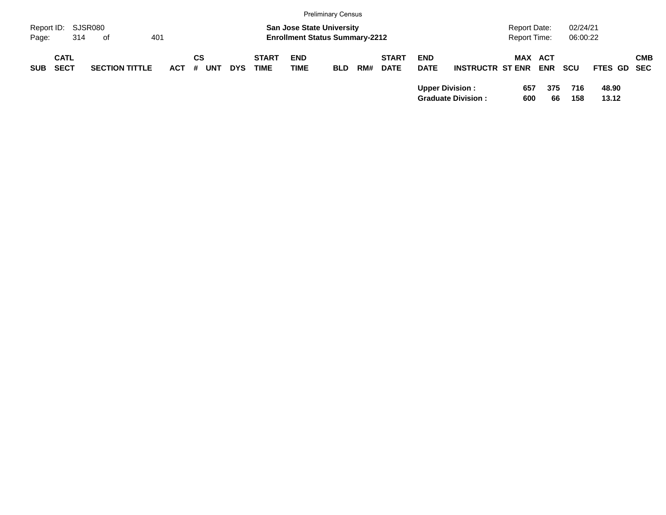|                     |             |                       |         |            |            |              |                                                                           | <b>Preliminary Census</b> |     |              |             |                           |                                            |            |                      |             |            |
|---------------------|-------------|-----------------------|---------|------------|------------|--------------|---------------------------------------------------------------------------|---------------------------|-----|--------------|-------------|---------------------------|--------------------------------------------|------------|----------------------|-------------|------------|
| Report ID:<br>Page: | 314         | SJSR080<br>of         | 401     |            |            |              | <b>San Jose State University</b><br><b>Enrollment Status Summary-2212</b> |                           |     |              |             |                           | <b>Report Date:</b><br><b>Report Time:</b> |            | 02/24/21<br>06:00:22 |             |            |
|                     |             |                       |         |            |            |              |                                                                           |                           |     |              |             |                           |                                            |            |                      |             |            |
|                     | <b>CATL</b> |                       |         | СS         |            | <b>START</b> | <b>END</b>                                                                |                           |     | <b>START</b> | <b>END</b>  |                           | <b>MAX ACT</b>                             |            |                      |             | <b>CMB</b> |
| <b>SUB</b>          | <b>SECT</b> | <b>SECTION TITTLE</b> | $ACT$ # | <b>UNT</b> | <b>DYS</b> | <b>TIME</b>  | <b>TIME</b>                                                               | <b>BLD</b>                | RM# | <b>DATE</b>  | <b>DATE</b> | <b>INSTRUCTR ST ENR</b>   |                                            | <b>ENR</b> | scu                  | FTES GD SEC |            |
|                     |             |                       |         |            |            |              |                                                                           |                           |     |              |             | <b>Upper Division:</b>    | 657                                        | 375        | 716                  | 48.90       |            |
|                     |             |                       |         |            |            |              |                                                                           |                           |     |              |             | <b>Graduate Division:</b> | 600                                        | 66         | 158                  | 13.12       |            |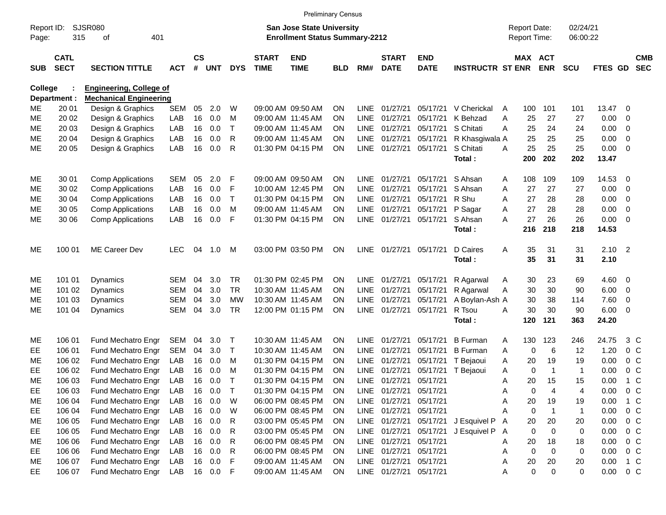|                     |                            |                                |              |                    |            |              |                             | <b>Preliminary Census</b>                                                 |            |             |                             |                           |                         |   |                                            |                  |                      |         |                |                          |
|---------------------|----------------------------|--------------------------------|--------------|--------------------|------------|--------------|-----------------------------|---------------------------------------------------------------------------|------------|-------------|-----------------------------|---------------------------|-------------------------|---|--------------------------------------------|------------------|----------------------|---------|----------------|--------------------------|
| Report ID:<br>Page: | 315                        | <b>SJSR080</b><br>401<br>οf    |              |                    |            |              |                             | <b>San Jose State University</b><br><b>Enrollment Status Summary-2212</b> |            |             |                             |                           |                         |   | <b>Report Date:</b><br><b>Report Time:</b> |                  | 02/24/21<br>06:00:22 |         |                |                          |
| <b>SUB</b>          | <b>CATL</b><br><b>SECT</b> | <b>SECTION TITTLE</b>          | ACT          | $\mathsf{cs}$<br># | <b>UNT</b> | <b>DYS</b>   | <b>START</b><br><b>TIME</b> | <b>END</b><br><b>TIME</b>                                                 | <b>BLD</b> | RM#         | <b>START</b><br><b>DATE</b> | <b>END</b><br><b>DATE</b> | <b>INSTRUCTR ST ENR</b> |   | MAX ACT                                    | <b>ENR</b>       | <b>SCU</b>           | FTES GD |                | <b>CMB</b><br><b>SEC</b> |
| <b>College</b>      |                            | <b>Engineering, College of</b> |              |                    |            |              |                             |                                                                           |            |             |                             |                           |                         |   |                                            |                  |                      |         |                |                          |
|                     | Department :               | <b>Mechanical Engineering</b>  |              |                    |            |              |                             |                                                                           |            |             |                             |                           |                         |   |                                            |                  |                      |         |                |                          |
| ME                  | 20 01                      | Design & Graphics              | SEM          | 05                 | 2.0        | W            |                             | 09:00 AM 09:50 AM                                                         | <b>ON</b>  | LINE        | 01/27/21                    | 05/17/21                  | V Cherickal             | A | 100                                        | 101              | 101                  | 13.47   | - 0            |                          |
| <b>ME</b>           | 20 02                      | Design & Graphics              | LAB          | 16                 | 0.0        | м            |                             | 09:00 AM 11:45 AM                                                         | <b>ON</b>  | <b>LINE</b> | 01/27/21                    | 05/17/21                  | K Behzad                | A | 25                                         | 27               | 27                   | 0.00    | $\mathbf 0$    |                          |
| <b>ME</b>           | 20 03                      | Design & Graphics              | LAB          | 16                 | 0.0        | Τ            |                             | 09:00 AM 11:45 AM                                                         | <b>ON</b>  | <b>LINE</b> | 01/27/21                    | 05/17/21                  | S Chitati               | A | 25                                         | 24               | 24                   | 0.00    | $\mathbf 0$    |                          |
| <b>ME</b>           | 20 04                      | Design & Graphics              | LAB          | 16                 | 0.0        | R            |                             | 09:00 AM 11:45 AM                                                         | <b>ON</b>  | <b>LINE</b> | 01/27/21                    | 05/17/21                  | R Khasgiwala A          |   | 25                                         | 25               | 25                   | 0.00    | $\overline{0}$ |                          |
| <b>ME</b>           | 20 05                      | Design & Graphics              | LAB          | 16                 | 0.0        | R            |                             | 01:30 PM 04:15 PM                                                         | <b>ON</b>  |             | LINE 01/27/21               | 05/17/21                  | S Chitati               | A | 25                                         | 25               | 25                   | 0.00    | $\overline{0}$ |                          |
|                     |                            |                                |              |                    |            |              |                             |                                                                           |            |             |                             |                           | Total:                  |   | 200                                        | 202              | 202                  | 13.47   |                |                          |
| ME                  | 30 01                      | <b>Comp Applications</b>       | <b>SEM</b>   | 05                 | 2.0        | F            |                             | 09:00 AM 09:50 AM                                                         | <b>ON</b>  |             | LINE 01/27/21               | 05/17/21                  | S Ahsan                 | A | 108                                        | 109              | 109                  | 14.53   | - 0            |                          |
| ME                  | 30 02                      | <b>Comp Applications</b>       | LAB          | 16                 | 0.0        | F            |                             | 10:00 AM 12:45 PM                                                         | <b>ON</b>  | <b>LINE</b> | 01/27/21                    | 05/17/21                  | S Ahsan                 | A | 27                                         | 27               | 27                   | 0.00    | $\mathbf 0$    |                          |
| ME                  | 30 04                      | <b>Comp Applications</b>       | LAB          | 16                 | 0.0        | $\mathsf{T}$ |                             | 01:30 PM 04:15 PM                                                         | <b>ON</b>  | <b>LINE</b> | 01/27/21                    | 05/17/21                  | R Shu                   | A | 27                                         | 28               | 28                   | 0.00    | $\mathbf 0$    |                          |
| MЕ                  | 30 05                      | <b>Comp Applications</b>       | LAB          | 16                 | 0.0        | M            |                             | 09:00 AM 11:45 AM                                                         | <b>ON</b>  | <b>LINE</b> | 01/27/21                    | 05/17/21                  | P Sagar                 | Α | 27                                         | 28               | 28                   | 0.00    | $\mathbf 0$    |                          |
| <b>ME</b>           | 30 06                      | <b>Comp Applications</b>       | LAB          | 16                 | 0.0        | F            |                             | 01:30 PM 04:15 PM                                                         | <b>ON</b>  |             | LINE 01/27/21               | 05/17/21                  | S Ahsan                 | A | 27                                         | 26               | 26                   | 0.00    | $\overline{0}$ |                          |
|                     |                            |                                |              |                    |            |              |                             |                                                                           |            |             |                             |                           | Total:                  |   | 216                                        | 218              | 218                  | 14.53   |                |                          |
| ME                  | 100 01                     | <b>ME Career Dev</b>           | <b>LEC</b>   | 04                 | 1.0        | M            |                             | 03:00 PM 03:50 PM                                                         | <b>ON</b>  |             | LINE 01/27/21               | 05/17/21                  | D Caires                | A | 35                                         | 31               | 31                   | 2.10    | $\overline{2}$ |                          |
|                     |                            |                                |              |                    |            |              |                             |                                                                           |            |             |                             |                           | Total:                  |   | 35                                         | 31               | 31                   | 2.10    |                |                          |
| ME                  | 101 01                     | Dynamics                       | <b>SEM</b>   | 04                 | 3.0        | <b>TR</b>    |                             | 01:30 PM 02:45 PM                                                         | <b>ON</b>  |             | LINE 01/27/21               | 05/17/21                  | R Agarwal               | A | 30                                         | 23               | 69                   | 4.60    | 0              |                          |
| ME                  | 101 02                     | Dynamics                       | <b>SEM</b>   | 04                 | 3.0        | <b>TR</b>    |                             | 10:30 AM 11:45 AM                                                         | ON.        | <b>LINE</b> | 01/27/21                    | 05/17/21                  | R Agarwal               | Α | 30                                         | 30               | 90                   | 6.00    | $\overline{0}$ |                          |
| МE                  | 101 03                     | Dynamics                       | <b>SEM</b>   | 04                 | 3.0        | <b>MW</b>    |                             | 10:30 AM 11:45 AM                                                         | <b>ON</b>  | <b>LINE</b> | 01/27/21                    | 05/17/21                  | A Boylan-Ash A          |   | 30                                         | 38               | 114                  | 7.60    | 0              |                          |
| МE                  | 101 04                     | Dynamics                       | <b>SEM</b>   | 04                 | 3.0        | <b>TR</b>    |                             | 12:00 PM 01:15 PM                                                         | <b>ON</b>  |             | LINE 01/27/21               | 05/17/21                  | R Tsou                  | A | 30                                         | 30               | 90                   | 6.00    | - 0            |                          |
|                     |                            |                                |              |                    |            |              |                             |                                                                           |            |             |                             |                           | Total:                  |   | 120                                        | 121              | 363                  | 24.20   |                |                          |
| ME                  | 106 01                     | Fund Mechatro Engr             | SEM          | 04                 | 3.0        | $\top$       |                             | 10:30 AM 11:45 AM                                                         | <b>ON</b>  | LINE        | 01/27/21                    | 05/17/21                  | <b>B</b> Furman         | A | 130                                        | 123              | 246                  | 24.75   |                | 3 C                      |
| EE                  | 106 01                     | Fund Mechatro Engr             | SEM          | 04                 | 3.0        | $\mathsf{T}$ |                             | 10:30 AM 11:45 AM                                                         | <b>ON</b>  | <b>LINE</b> | 01/27/21                    | 05/17/21                  | <b>B</b> Furman         | A | 0                                          | 6                | 12                   | 1.20    | 0 <sup>C</sup> |                          |
| MЕ                  | 106 02                     | Fund Mechatro Engr             | LAB          | 16                 | 0.0        | M            |                             | 01:30 PM 04:15 PM                                                         | ON         | LINE        | 01/27/21                    | 05/17/21                  | T Bejaoui               | Α | 20                                         | 19               | 19                   | 0.00    | 0 <sup>C</sup> |                          |
| EE                  | 106 02                     | Fund Mechatro Engr             | LAB          | 16                 | 0.0        | M            |                             | 01:30 PM 04:15 PM                                                         | ON         | <b>LINE</b> | 01/27/21                    | 05/17/21                  | T Bejaoui               | Α | 0                                          | $\overline{1}$   | 1                    | 0.00    | 0 <sup>C</sup> |                          |
| <b>ME</b>           | 106 03                     | Fund Mechatro Engr             | LAB          | 16                 | 0.0        | $\mathsf T$  |                             | 01:30 PM 04:15 PM                                                         | <b>ON</b>  |             | LINE 01/27/21               | 05/17/21                  |                         | A | 20                                         | 15               | 15                   | 0.00    | 1 C            |                          |
| EE                  | 106 03                     | Fund Mechatro Engr             | LAB          | 16                 | 0.0        | Τ            |                             | 01:30 PM 04:15 PM                                                         | ON         |             | LINE 01/27/21               | 05/17/21                  |                         | Α | 0                                          | 4                | 4                    | 0.00    | $0\,C$         |                          |
| ME                  | 106 04                     | Fund Mechatro Engr             | LAB          | 16                 | 0.0        | W            |                             | 06:00 PM 08:45 PM                                                         | <b>ON</b>  |             | LINE 01/27/21               | 05/17/21                  |                         | Α | 20                                         | 19               | 19                   | 0.00    | $1\,C$         |                          |
| EE                  | 106 04                     | Fund Mechatro Engr             | LAB          |                    | 16 0.0     | W            |                             | 06:00 PM 08:45 PM                                                         | <b>ON</b>  |             | LINE 01/27/21               | 05/17/21                  |                         | A | 0                                          | $\overline{1}$   | 1                    | 0.00    |                | $0\,C$                   |
| ME                  | 106 05                     | Fund Mechatro Engr             | LAB          |                    | 16 0.0     | R            |                             | 03:00 PM 05:45 PM                                                         | <b>ON</b>  |             | LINE 01/27/21               | 05/17/21                  | J Esquivel P A          |   | 20                                         | 20               | 20                   | 0.00    |                | $0\,C$                   |
| EE                  | 106 05                     | Fund Mechatro Engr             | LAB          |                    | 16 0.0     | R            |                             | 03:00 PM 05:45 PM                                                         | <b>ON</b>  |             | LINE 01/27/21               | 05/17/21                  | J Esquivel P A          |   | 0                                          | 0                | 0                    | 0.00    |                | $0\,C$                   |
| ME                  | 106 06                     | Fund Mechatro Engr             | LAB          |                    | 16 0.0     | R            |                             | 06:00 PM 08:45 PM                                                         | <b>ON</b>  |             | LINE 01/27/21               | 05/17/21                  |                         | A | 20                                         | 18               | 18                   | 0.00    |                | $0\,C$                   |
| EE                  | 106 06                     | Fund Mechatro Engr             | LAB          |                    | 16 0.0     | R            |                             | 06:00 PM 08:45 PM                                                         | <b>ON</b>  |             | LINE 01/27/21               | 05/17/21                  |                         | A | 0                                          | 0                | 0                    | 0.00    |                | $0\,C$                   |
| ME                  | 106 07                     | Fund Mechatro Engr             | LAB          |                    | 16 0.0     | F            |                             | 09:00 AM 11:45 AM                                                         | <b>ON</b>  |             | LINE 01/27/21               | 05/17/21                  |                         | A | 20                                         | 20               | 20                   | 0.00    |                | $1\,C$                   |
| EE                  | 106 07                     | Fund Mechatro Engr             | LAB 16 0.0 F |                    |            |              |                             | 09:00 AM 11:45 AM                                                         | ON         |             | LINE 01/27/21 05/17/21      |                           |                         | A | $\mathbf 0$                                | $\boldsymbol{0}$ | 0                    | 0.00    | 0 C            |                          |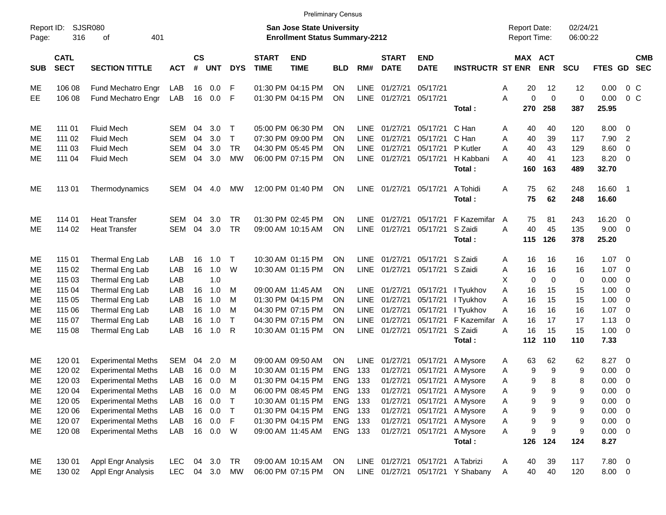|                     |                            |                           |            |                    |                  |              |                             | <b>Preliminary Census</b>                                                 |            |             |                             |                                  |                                  |                                            |             |                      |                  |                            |                          |
|---------------------|----------------------------|---------------------------|------------|--------------------|------------------|--------------|-----------------------------|---------------------------------------------------------------------------|------------|-------------|-----------------------------|----------------------------------|----------------------------------|--------------------------------------------|-------------|----------------------|------------------|----------------------------|--------------------------|
| Report ID:<br>Page: | 316                        | SJSR080<br>401<br>οf      |            |                    |                  |              |                             | <b>San Jose State University</b><br><b>Enrollment Status Summary-2212</b> |            |             |                             |                                  |                                  | <b>Report Date:</b><br><b>Report Time:</b> |             | 02/24/21<br>06:00:22 |                  |                            |                          |
| <b>SUB</b>          | <b>CATL</b><br><b>SECT</b> | <b>SECTION TITTLE</b>     | <b>ACT</b> | $\mathsf{cs}$<br># | <b>UNT</b>       | <b>DYS</b>   | <b>START</b><br><b>TIME</b> | <b>END</b><br><b>TIME</b>                                                 | <b>BLD</b> | RM#         | <b>START</b><br><b>DATE</b> | <b>END</b><br><b>DATE</b>        | <b>INSTRUCTR ST ENR</b>          | MAX ACT                                    | <b>ENR</b>  | <b>SCU</b>           | FTES GD          |                            | <b>CMB</b><br><b>SEC</b> |
| ME                  | 106 08                     | Fund Mechatro Engr        | LAB        | 16                 | 0.0              | F            |                             | 01:30 PM 04:15 PM                                                         | <b>ON</b>  | <b>LINE</b> | 01/27/21                    | 05/17/21                         |                                  | 20<br>Α                                    | 12          | 12                   | 0.00             | $0\,$ C                    |                          |
| EE                  | 106 08                     | Fund Mechatro Engr        | LAB        | 16                 | 0.0              | F            |                             | 01:30 PM 04:15 PM                                                         | <b>ON</b>  | LINE        | 01/27/21                    | 05/17/21                         |                                  | A<br>0                                     | $\mathbf 0$ | $\mathbf 0$          | 0.00             | $0\,C$                     |                          |
|                     |                            |                           |            |                    |                  |              |                             |                                                                           |            |             |                             |                                  | Total:                           | 270                                        | 258         | 387                  | 25.95            |                            |                          |
| ME                  | 111 01                     | <b>Fluid Mech</b>         | SEM        | 04                 | 3.0 <sub>2</sub> | $\top$       |                             | 05:00 PM 06:30 PM                                                         | <b>ON</b>  | LINE        | 01/27/21                    | 05/17/21                         | C Han                            | 40<br>Α                                    | 40          | 120                  | $8.00 \t 0$      |                            |                          |
| ME                  | 111 02                     | <b>Fluid Mech</b>         | <b>SEM</b> | 04                 | 3.0              | $\mathsf{T}$ |                             | 07:30 PM 09:00 PM                                                         | ON         | <b>LINE</b> | 01/27/21                    | 05/17/21                         | C Han                            | Α<br>40                                    | 39          | 117                  | 7.90             | $\overline{\phantom{0}}^2$ |                          |
| ME                  | 111 03                     | <b>Fluid Mech</b>         | SEM        | 04                 | 3.0              | <b>TR</b>    |                             | 04:30 PM 05:45 PM                                                         | ΟN         | <b>LINE</b> | 01/27/21                    | 05/17/21                         | P Kutler                         | 40<br>Α                                    | 43          | 129                  | 8.60             | $\overline{\mathbf{0}}$    |                          |
| ME                  | 111 04                     | <b>Fluid Mech</b>         | SEM        | 04                 | 3.0              | <b>MW</b>    |                             | 06:00 PM 07:15 PM                                                         | OΝ         | <b>LINE</b> | 01/27/21                    | 05/17/21                         | H Kabbani<br>Total:              | A<br>40<br>160                             | 41<br>163   | 123<br>489           | 8.20 0<br>32.70  |                            |                          |
| ME                  | 11301                      | Thermodynamics            | SEM        | 04                 | 4.0              | МW           |                             | 12:00 PM 01:40 PM                                                         | <b>ON</b>  | <b>LINE</b> | 01/27/21                    | 05/17/21                         | A Tohidi<br>Total:               | 75<br>Α<br>75                              | 62<br>62    | 248<br>248           | 16.60 1<br>16.60 |                            |                          |
| ME                  | 114 01                     | <b>Heat Transfer</b>      | SEM        | 04                 | 3.0              | TR           |                             | 01:30 PM 02:45 PM                                                         | ON         | LINE        | 01/27/21                    | 05/17/21                         | F Kazemifar                      | 75<br>A                                    | 81          | 243                  | $16.20 \t 0$     |                            |                          |
| ME                  | 114 02                     | <b>Heat Transfer</b>      | SEM        | 04                 | 3.0              | <b>TR</b>    |                             | 09:00 AM 10:15 AM                                                         | OΝ         | <b>LINE</b> | 01/27/21                    | 05/17/21                         | S Zaidi                          | 40<br>A                                    | 45          | 135                  | 9.00 0           |                            |                          |
|                     |                            |                           |            |                    |                  |              |                             |                                                                           |            |             |                             |                                  | Total:                           | 115                                        | 126         | 378                  | 25.20            |                            |                          |
| ME                  | 115 01                     | Thermal Eng Lab           | LAB        | 16                 | 1.0              | $\top$       |                             | 10:30 AM 01:15 PM                                                         | <b>ON</b>  | LINE        | 01/27/21                    | 05/17/21 S Zaidi                 |                                  | 16<br>Α                                    | 16          | 16                   | $1.07 \t 0$      |                            |                          |
| ME                  | 115 02                     | Thermal Eng Lab           | LAB        | 16                 | 1.0              | W            |                             | 10:30 AM 01:15 PM                                                         | <b>ON</b>  | <b>LINE</b> | 01/27/21                    | 05/17/21 S Zaidi                 |                                  | 16<br>Α                                    | 16          | 16                   | 1.07             | $\overline{\phantom{0}}$   |                          |
| ME                  | 115 03                     | Thermal Eng Lab           | LAB        |                    | 1.0              |              |                             |                                                                           |            |             |                             |                                  |                                  | X<br>0                                     | 0           | 0                    | 0.00             | $\overline{\mathbf{0}}$    |                          |
| ME                  | 115 04                     | Thermal Eng Lab           | LAB        | 16                 | 1.0              | M            |                             | 09:00 AM 11:45 AM                                                         | <b>ON</b>  | <b>LINE</b> | 01/27/21                    | 05/17/21                         | I Tyukhov                        | A<br>16                                    | 15          | 15                   | 1.00             | $\overline{\phantom{0}}$   |                          |
| ME                  | 115 05                     | Thermal Eng Lab           | LAB        | 16                 | 1.0              | M            |                             | 01:30 PM 04:15 PM                                                         | ON         | <b>LINE</b> | 01/27/21                    | 05/17/21                         | I Tyukhov                        | Α<br>16                                    | 15          | 15                   | 1.00             | $\overline{\mathbf{0}}$    |                          |
| ME                  | 115 06                     | Thermal Eng Lab           | LAB        | 16                 | 1.0              | M            |                             | 04:30 PM 07:15 PM                                                         | ON         | <b>LINE</b> | 01/27/21                    | 05/17/21                         | I Tyukhov                        | A<br>16                                    | 16          | 16                   | 1.07             | $\overline{\phantom{0}}$   |                          |
| ME                  | 115 07                     | Thermal Eng Lab           | LAB        | 16                 | 1.0              | $\mathsf{T}$ |                             | 04:30 PM 07:15 PM                                                         | ΟN         | <b>LINE</b> | 01/27/21                    | 05/17/21                         | F Kazemifar                      | 16<br>A                                    | 17          | 17                   | 1.13             | $\overline{\phantom{0}}$   |                          |
| ME                  | 115 08                     | Thermal Eng Lab           | LAB        | 16                 | 1.0              | R            |                             | 10:30 AM 01:15 PM                                                         | ΟN         | LINE        | 01/27/21                    | 05/17/21                         | S Zaidi                          | A<br>16                                    | 15          | 15                   | $1.00 \t 0$      |                            |                          |
|                     |                            |                           |            |                    |                  |              |                             |                                                                           |            |             |                             |                                  | Total:                           | 112                                        | 110         | 110                  | 7.33             |                            |                          |
| ME                  | 120 01                     | <b>Experimental Meths</b> | SEM        | 04                 | 2.0              | M            |                             | 09:00 AM 09:50 AM                                                         | ON.        | <b>LINE</b> | 01/27/21                    | 05/17/21                         | A Mysore                         | 63<br>A                                    | 62          | 62                   | 8.27 0           |                            |                          |
| ME                  | 120 02                     | <b>Experimental Meths</b> | LAB        | 16                 | 0.0              | M            |                             | 10:30 AM 01:15 PM                                                         | <b>ENG</b> | 133         | 01/27/21                    | 05/17/21                         | A Mysore                         | 9<br>A                                     | 9           | 9                    | 0.00             | $\overline{\phantom{0}}$   |                          |
| ME                  | 120 03                     | <b>Experimental Meths</b> | LAB        | 16                 | 0.0              | M            |                             | 01:30 PM 04:15 PM                                                         | <b>ENG</b> | 133         | 01/27/21                    | 05/17/21                         | A Mysore                         | 9<br>A                                     | 8           | 8                    | 0.00             | $\overline{\mathbf{0}}$    |                          |
| ME                  | 120 04                     | <b>Experimental Meths</b> | LAB        | 16                 | 0.0              | M            |                             | 06:00 PM 08:45 PM                                                         | <b>ENG</b> | 133         | 01/27/21                    | 05/17/21                         | A Mysore                         | 9<br>A                                     | 9           | 9                    | 0.00             | $\overline{\mathbf{0}}$    |                          |
| ME                  | 120 05                     | <b>Experimental Meths</b> | LAB        | 16                 | 0.0              | $\top$       |                             | 10:30 AM 01:15 PM                                                         | <b>ENG</b> | 133         | 01/27/21                    | 05/17/21                         | A Mysore                         | 9<br>Α                                     | 9           | 9                    | $0.00 \t 0$      |                            |                          |
| ME                  | 120 06                     | <b>Experimental Meths</b> | LAB        | 16                 | 0.0              | $\top$       |                             | 01:30 PM 04:15 PM                                                         | ENG 133    |             | 01/27/21                    | 05/17/21                         | A Mysore                         | 9<br>Α                                     | 9           | 9                    | $0.00 \t 0$      |                            |                          |
| ME                  | 120 07                     | <b>Experimental Meths</b> | LAB        | 16                 | 0.0              | F            |                             | 01:30 PM 04:15 PM                                                         | <b>ENG</b> | 133         | 01/27/21                    | 05/17/21                         | A Mysore                         | 9<br>Α                                     | 9           | 9                    | $0.00 \t 0$      |                            |                          |
| ME                  | 120 08                     | <b>Experimental Meths</b> | LAB        |                    | 16 0.0           | <b>W</b>     |                             | 09:00 AM 11:45 AM                                                         | ENG 133    |             | 01/27/21                    | 05/17/21                         | A Mysore                         | 9<br>A                                     | 9           | 9                    | $0.00 \t 0$      |                            |                          |
|                     |                            |                           |            |                    |                  |              |                             |                                                                           |            |             |                             |                                  | Total:                           | 126                                        | 124         | 124                  | 8.27             |                            |                          |
| ME                  | 130 01                     | Appl Engr Analysis        | <b>LEC</b> | 04                 | 3.0              | TR           |                             | 09:00 AM 10:15 AM                                                         | ON         |             |                             | LINE 01/27/21 05/17/21 A Tabrizi |                                  | 40<br>A                                    | 39          | 117                  | $7.80\ 0$        |                            |                          |
| ME                  | 130 02                     | <b>Appl Engr Analysis</b> | <b>LEC</b> |                    | 04 3.0           | MW           |                             | 06:00 PM 07:15 PM                                                         | ON         |             |                             |                                  | LINE 01/27/21 05/17/21 Y Shabany | 40<br>Α                                    | 40          | 120                  | 8.00 0           |                            |                          |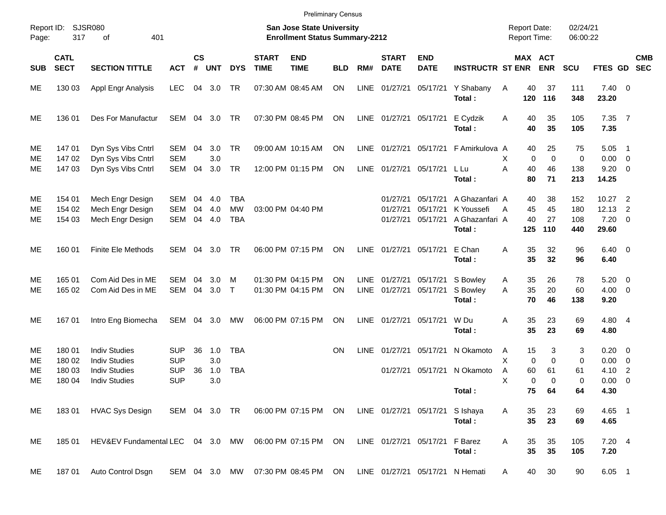|                     |                            |                                                                      |                                 |                |                   |                                       |                             | <b>Preliminary Census</b>                                                 |            |                            |                                  |                                  |                                                          |                                            |                        |                          |                                        |                                                      |            |
|---------------------|----------------------------|----------------------------------------------------------------------|---------------------------------|----------------|-------------------|---------------------------------------|-----------------------------|---------------------------------------------------------------------------|------------|----------------------------|----------------------------------|----------------------------------|----------------------------------------------------------|--------------------------------------------|------------------------|--------------------------|----------------------------------------|------------------------------------------------------|------------|
| Report ID:<br>Page: | 317                        | SJSR080<br>401<br>οf                                                 |                                 |                |                   |                                       |                             | <b>San Jose State University</b><br><b>Enrollment Status Summary-2212</b> |            |                            |                                  |                                  |                                                          | <b>Report Date:</b><br><b>Report Time:</b> |                        | 02/24/21<br>06:00:22     |                                        |                                                      |            |
| <b>SUB</b>          | <b>CATL</b><br><b>SECT</b> | <b>SECTION TITTLE</b>                                                | <b>ACT</b>                      | <b>CS</b><br># | <b>UNT</b>        | <b>DYS</b>                            | <b>START</b><br><b>TIME</b> | <b>END</b><br><b>TIME</b>                                                 | <b>BLD</b> | RM#                        | <b>START</b><br><b>DATE</b>      | <b>END</b><br><b>DATE</b>        | <b>INSTRUCTR ST ENR</b>                                  |                                            | MAX ACT<br><b>ENR</b>  | <b>SCU</b>               | FTES GD SEC                            |                                                      | <b>CMB</b> |
| ME                  | 130 03                     | Appl Engr Analysis                                                   | <b>LEC</b>                      | 04             | 3.0               | TR                                    |                             | 07:30 AM 08:45 AM                                                         | ON         | LINE                       | 01/27/21                         | 05/17/21                         | Y Shabany<br>Total:                                      | Α<br>40<br>120                             | 37<br>116              | 111<br>348               | $7.40 \quad 0$<br>23.20                |                                                      |            |
| ME                  | 136 01                     | Des For Manufactur                                                   | SEM                             | 04             | 3.0               | TR                                    |                             | 07:30 PM 08:45 PM                                                         | ON         |                            | LINE 01/27/21                    | 05/17/21                         | E Cydzik<br>Total:                                       | 40<br>A<br>40                              | 35<br>35               | 105<br>105               | 7.35 7<br>7.35                         |                                                      |            |
| ME<br>ME            | 14701<br>14702             | Dyn Sys Vibs Cntrl<br>Dyn Sys Vibs Cntrl                             | SEM<br><b>SEM</b>               | 04             | 3.0<br>3.0        | TR                                    |                             | 09:00 AM 10:15 AM                                                         | ON         | <b>LINE</b>                | 01/27/21                         | 05/17/21                         | F Amirkulova A                                           | 40<br>$\mathbf 0$<br>Х                     | 25<br>$\mathbf 0$      | 75<br>0                  | 5.05<br>0.00                           | $\overline{\phantom{1}}$<br>$\overline{\phantom{0}}$ |            |
| ME                  | 14703                      | Dyn Sys Vibs Cntrl                                                   | SEM                             | 04             | 3.0               | TR                                    |                             | 12:00 PM 01:15 PM                                                         | ON         | LINE                       | 01/27/21                         | 05/17/21                         | L Lu<br>Total:                                           | Α<br>40<br>80                              | 46<br>71               | 138<br>213               | $9.20 \ 0$<br>14.25                    |                                                      |            |
| ME<br>ME<br>ME      | 154 01<br>154 02<br>154 03 | Mech Engr Design<br>Mech Engr Design<br>Mech Engr Design             | SEM<br><b>SEM</b><br>SEM        | 04<br>04<br>04 | 4.0<br>4.0<br>4.0 | <b>TBA</b><br><b>MW</b><br><b>TBA</b> |                             | 03:00 PM 04:40 PM                                                         |            |                            | 01/27/21<br>01/27/21<br>01/27/21 | 05/17/21<br>05/17/21<br>05/17/21 | A Ghazanfari A<br>K Youssefi<br>A Ghazanfari A<br>Total: | 40<br>45<br>A<br>40<br>125                 | 38<br>45<br>27<br>110  | 152<br>180<br>108<br>440 | 10.27<br>12.13<br>$7.20 \t 0$<br>29.60 | $\overline{\phantom{0}}^2$<br>2                      |            |
| ME                  | 160 01                     | <b>Finite Ele Methods</b>                                            | SEM                             | 04             | 3.0               | TR                                    |                             | 06:00 PM 07:15 PM                                                         | ΟN         | LINE                       | 01/27/21                         | 05/17/21                         | E Chan<br>Total:                                         | 35<br>Α<br>35                              | 32<br>32               | 96<br>96                 | $6.40 \quad 0$<br>6.40                 |                                                      |            |
| ME<br>ME            | 165 01<br>165 02           | Com Aid Des in ME<br>Com Aid Des in ME                               | SEM<br>SEM                      | 04<br>04       | 3.0<br>3.0        | м<br>$\mathsf{T}$                     |                             | 01:30 PM 04:15 PM<br>01:30 PM 04:15 PM                                    | ΟN<br>ON   | <b>LINE</b><br><b>LINE</b> | 01/27/21<br>01/27/21             | 05/17/21<br>05/17/21             | S Bowley<br>S Bowley<br>Total:                           | 35<br>A<br>35<br>A<br>70                   | 26<br>20<br>46         | 78<br>60<br>138          | 5.20<br>$4.00 \ 0$<br>9.20             | $\overline{\phantom{0}}$                             |            |
| ME                  | 16701                      | Intro Eng Biomecha                                                   | SEM                             | 04             | 3.0               | MW                                    |                             | 06:00 PM 07:15 PM                                                         | ON         | LINE                       | 01/27/21                         | 05/17/21                         | W Du<br>Total:                                           | 35<br>Α<br>35                              | 23<br>23               | 69<br>69                 | 4.80 4<br>4.80                         |                                                      |            |
| ME<br>ME<br>ME      | 180 01<br>180 02<br>180 03 | <b>Indiv Studies</b><br><b>Indiv Studies</b><br><b>Indiv Studies</b> | SUP<br><b>SUP</b><br><b>SUP</b> | 36<br>36       | 1.0<br>3.0<br>1.0 | <b>TBA</b><br><b>TBA</b>              |                             |                                                                           | ΟN         | LINE                       | 01/27/21<br>01/27/21             | 05/17/21<br>05/17/21             | N Okamoto<br>N Okamoto                                   | 15<br>A<br>Χ<br>$\mathbf 0$<br>60<br>Α     | 3<br>$\mathbf 0$<br>61 | 3<br>0<br>61             | $0.20 \ 0$<br>0.00<br>4.10             | $\overline{\mathbf{0}}$<br>$\overline{2}$            |            |
| ME                  | 180 04                     | <b>Indiv Studies</b>                                                 | <b>SUP</b>                      |                | 3.0               |                                       |                             |                                                                           |            |                            |                                  |                                  | Total:                                                   | X<br>0                                     | $\Omega$<br>75<br>64   | 0<br>64                  | 0.00<br>4.30                           | $\overline{0}$                                       |            |
| ME                  |                            | 183 01 HVAC Sys Design                                               | SEM 04 3.0 TR                   |                |                   |                                       |                             | 06:00 PM 07:15 PM ON                                                      |            |                            |                                  | LINE 01/27/21 05/17/21           | S Ishaya<br>Total:                                       | Α<br>35<br>35                              | 23<br>23               | 69<br>69                 | 4.65 1<br>4.65                         |                                                      |            |
| ME                  | 185 01                     | HEV&EV Fundamental LEC 04 3.0 MW                                     |                                 |                |                   |                                       |                             | 06:00 PM 07:15 PM ON                                                      |            |                            | LINE 01/27/21 05/17/21           |                                  | F Barez<br>Total:                                        | 35<br>Α<br>35                              | 35<br>35               | 105<br>105               | 7.204<br>7.20                          |                                                      |            |
| ME                  | 18701                      | Auto Control Dsgn                                                    |                                 |                |                   |                                       |                             | SEM 04 3.0 MW 07:30 PM 08:45 PM ON                                        |            |                            |                                  |                                  | LINE 01/27/21 05/17/21 N Hemati                          | 40<br>A                                    | 30                     | 90                       | $6.05$ 1                               |                                                      |            |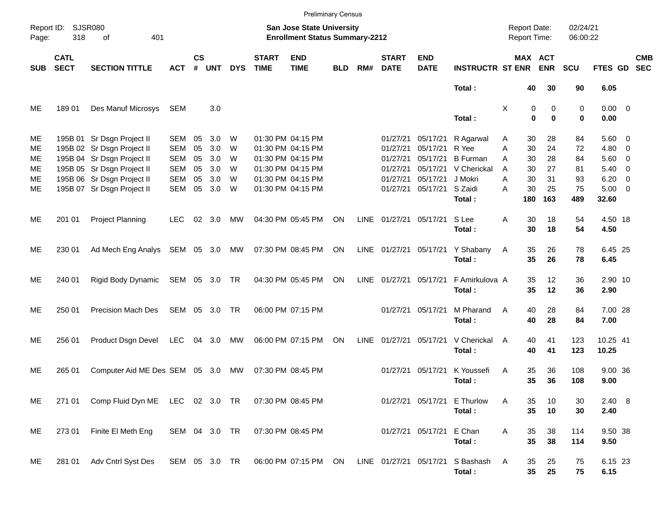|                                  |                            |                                                                                                                                                                                  |                                                                    |                                  |                                        |                            |                             |                                                                                                                            | <b>Preliminary Census</b> |      |                                                          |                                                                                       |                                                                 |                                                                |                                  |                                  |                                                                       |                                                      |                          |
|----------------------------------|----------------------------|----------------------------------------------------------------------------------------------------------------------------------------------------------------------------------|--------------------------------------------------------------------|----------------------------------|----------------------------------------|----------------------------|-----------------------------|----------------------------------------------------------------------------------------------------------------------------|---------------------------|------|----------------------------------------------------------|---------------------------------------------------------------------------------------|-----------------------------------------------------------------|----------------------------------------------------------------|----------------------------------|----------------------------------|-----------------------------------------------------------------------|------------------------------------------------------|--------------------------|
| Page:                            | Report ID: SJSR080<br>318  | 401<br>of                                                                                                                                                                        |                                                                    |                                  |                                        |                            |                             | <b>San Jose State University</b><br><b>Enrollment Status Summary-2212</b>                                                  |                           |      |                                                          |                                                                                       |                                                                 | <b>Report Date:</b><br>Report Time:                            |                                  | 02/24/21<br>06:00:22             |                                                                       |                                                      |                          |
| <b>SUB</b>                       | <b>CATL</b><br><b>SECT</b> | <b>SECTION TITTLE</b>                                                                                                                                                            | <b>ACT</b>                                                         | $\mathsf{cs}$<br>#               | <b>UNT</b>                             | <b>DYS</b>                 | <b>START</b><br><b>TIME</b> | <b>END</b><br><b>TIME</b>                                                                                                  | <b>BLD</b>                | RM#  | <b>START</b><br><b>DATE</b>                              | <b>END</b><br><b>DATE</b>                                                             | <b>INSTRUCTR ST ENR</b>                                         | MAX ACT                                                        | <b>ENR</b>                       | <b>SCU</b>                       | FTES GD                                                               |                                                      | <b>CMB</b><br><b>SEC</b> |
|                                  |                            |                                                                                                                                                                                  |                                                                    |                                  |                                        |                            |                             |                                                                                                                            |                           |      |                                                          |                                                                                       | Total:                                                          | 40                                                             | 30                               | 90                               | 6.05                                                                  |                                                      |                          |
| ME                               | 18901                      | Des Manuf Microsys                                                                                                                                                               | SEM                                                                |                                  | 3.0                                    |                            |                             |                                                                                                                            |                           |      |                                                          |                                                                                       | Total:                                                          | X<br>0<br>$\bf{0}$                                             | 0<br>$\bf{0}$                    | 0<br>0                           | $0.00 \t 0$<br>0.00                                                   |                                                      |                          |
| ME<br>ME<br>ME<br>ME<br>ME<br>ME |                            | 195B 01 Sr Dsgn Project II<br>195B 02 Sr Dsgn Project II<br>195B 04 Sr Dsgn Project II<br>195B 05 Sr Dsgn Project II<br>195B 06 Sr Dsgn Project II<br>195B 07 Sr Dsgn Project II | SEM<br><b>SEM</b><br><b>SEM</b><br><b>SEM</b><br><b>SEM</b><br>SEM | 05<br>05<br>05<br>05<br>05<br>05 | 3.0<br>3.0<br>3.0<br>3.0<br>3.0<br>3.0 | W<br>W<br>W<br>W<br>W<br>W |                             | 01:30 PM 04:15 PM<br>01:30 PM 04:15 PM<br>01:30 PM 04:15 PM<br>01:30 PM 04:15 PM<br>01:30 PM 04:15 PM<br>01:30 PM 04:15 PM |                           |      | 01/27/21<br>01/27/21<br>01/27/21<br>01/27/21<br>01/27/21 | 05/17/21<br>05/17/21<br>05/17/21<br>05/17/21<br>05/17/21<br>01/27/21 05/17/21 S Zaidi | R Agarwal<br>R Yee<br><b>B</b> Furman<br>V Cherickal<br>J Mokri | 30<br>Α<br>A<br>30<br>A<br>30<br>A<br>30<br>30<br>A<br>A<br>30 | 28<br>24<br>28<br>27<br>31<br>25 | 84<br>72<br>84<br>81<br>93<br>75 | $5.60 \quad 0$<br>$4.80$ 0<br>$5.60$ 0<br>5.40<br>6.20<br>$5.00 \t 0$ | $\overline{\phantom{0}}$<br>$\overline{\phantom{0}}$ |                          |
| ME                               | 201 01                     | <b>Project Planning</b>                                                                                                                                                          | <b>LEC</b>                                                         | 02                               | 3.0                                    | МW                         |                             | 04:30 PM 05:45 PM                                                                                                          | ON                        |      |                                                          | LINE 01/27/21 05/17/21                                                                | Total:<br>S Lee<br>Total:                                       | 180<br>A<br>30<br>30                                           | 163<br>18<br>18                  | 489<br>54<br>54                  | 32.60<br>4.50 18<br>4.50                                              |                                                      |                          |
| ME                               | 230 01                     | Ad Mech Eng Analys SEM 05 3.0                                                                                                                                                    |                                                                    |                                  |                                        | МW                         |                             | 07:30 PM 08:45 PM                                                                                                          | ON                        |      |                                                          |                                                                                       | LINE 01/27/21 05/17/21 Y Shabany<br>Total:                      | 35<br>A<br>35                                                  | 26<br>26                         | 78<br>78                         | 6.45 25<br>6.45                                                       |                                                      |                          |
| ME                               | 240 01                     | Rigid Body Dynamic                                                                                                                                                               | SEM 05 3.0 TR                                                      |                                  |                                        |                            |                             | 04:30 PM 05:45 PM                                                                                                          | ON                        |      | LINE 01/27/21 05/17/21                                   |                                                                                       | F Amirkulova A<br>Total:                                        | 35<br>35                                                       | 12<br>12                         | 36<br>36                         | 2.90 10<br>2.90                                                       |                                                      |                          |
| ME                               | 250 01                     | Precision Mach Des                                                                                                                                                               | SEM 05 3.0                                                         |                                  |                                        | - TR                       |                             | 06:00 PM 07:15 PM                                                                                                          |                           |      |                                                          | 01/27/21 05/17/21                                                                     | M Pharand<br>Total:                                             | A<br>40<br>40                                                  | 28<br>28                         | 84<br>84                         | 7.00 28<br>7.00                                                       |                                                      |                          |
| ME                               | 256 01                     | Product Dsgn Devel                                                                                                                                                               | LEC                                                                |                                  | 04 3.0                                 | MW                         |                             | 06:00 PM 07:15 PM                                                                                                          | ON                        | LINE | 01/27/21 05/17/21                                        |                                                                                       | V Cherickal<br>Total:                                           | 40<br>A<br>40                                                  | 41<br>41                         | 123<br>123                       | 10.25 41<br>10.25                                                     |                                                      |                          |
| ME                               | 265 01                     | Computer Aid ME Des SEM 05 3.0                                                                                                                                                   |                                                                    |                                  |                                        | MW                         |                             | 07:30 PM 08:45 PM                                                                                                          |                           |      |                                                          | 01/27/21 05/17/21                                                                     | K Youssefi<br>Total:                                            | Α<br>35<br>35                                                  | 36<br>36                         | 108<br>108                       | 9.00 36<br>9.00                                                       |                                                      |                          |
| ME                               | 271 01                     | Comp Fluid Dyn ME LEC 02 3.0 TR                                                                                                                                                  |                                                                    |                                  |                                        |                            |                             | 07:30 PM 08:45 PM                                                                                                          |                           |      |                                                          |                                                                                       | 01/27/21 05/17/21 E Thurlow<br>Total:                           | 35<br>Α<br>35                                                  | 10<br>10                         | 30<br>30                         | $2.40\ 8$<br>2.40                                                     |                                                      |                          |
| ME                               | 273 01                     | Finite El Meth Eng                                                                                                                                                               | SEM 04 3.0 TR                                                      |                                  |                                        |                            |                             | 07:30 PM 08:45 PM                                                                                                          |                           |      |                                                          | 01/27/21 05/17/21                                                                     | E Chan<br>Total:                                                | Α<br>35<br>35                                                  | 38<br>38                         | 114<br>114                       | 9.50 38<br>9.50                                                       |                                                      |                          |
| ME                               | 281 01                     | Adv Cntrl Syst Des                                                                                                                                                               | SEM 05 3.0 TR                                                      |                                  |                                        |                            |                             | 06:00 PM 07:15 PM ON                                                                                                       |                           |      |                                                          | LINE 01/27/21 05/17/21                                                                | S Bashash<br>Total:                                             | 35<br>A<br>35                                                  | 25<br>25                         | 75<br>75                         | 6.15 23<br>6.15                                                       |                                                      |                          |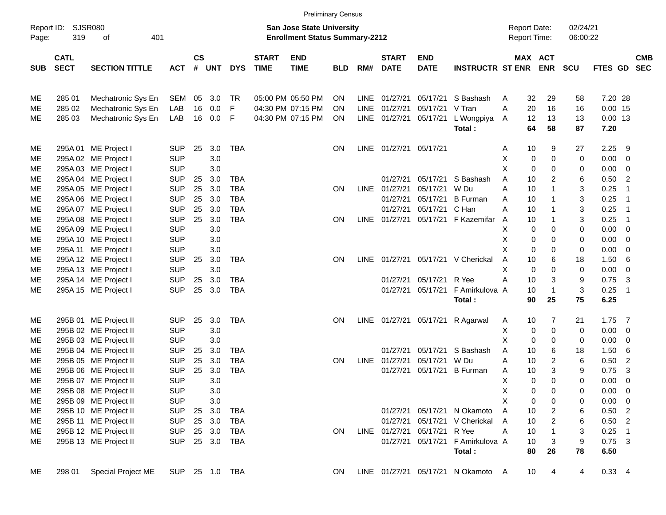|                     |                            |                       |            |           |        |                |                             |                                                                           | <b>Preliminary Census</b> |             |                          |                        |                                    |                                            |             |                       |                      |                   |                          |                          |
|---------------------|----------------------------|-----------------------|------------|-----------|--------|----------------|-----------------------------|---------------------------------------------------------------------------|---------------------------|-------------|--------------------------|------------------------|------------------------------------|--------------------------------------------|-------------|-----------------------|----------------------|-------------------|--------------------------|--------------------------|
| Report ID:<br>Page: | 319                        | SJSR080<br>of<br>401  |            |           |        |                |                             | <b>San Jose State University</b><br><b>Enrollment Status Summary-2212</b> |                           |             |                          |                        |                                    | <b>Report Date:</b><br><b>Report Time:</b> |             |                       | 02/24/21<br>06:00:22 |                   |                          |                          |
| <b>SUB</b>          | <b>CATL</b><br><b>SECT</b> | <b>SECTION TITTLE</b> | <b>ACT</b> | <b>CS</b> | # UNT  | <b>DYS</b>     | <b>START</b><br><b>TIME</b> | <b>END</b><br><b>TIME</b>                                                 | <b>BLD</b>                |             | <b>START</b><br>RM# DATE | END<br><b>DATE</b>     | <b>INSTRUCTR ST ENR</b>            |                                            |             | MAX ACT<br><b>ENR</b> | <b>SCU</b>           | FTES GD           |                          | <b>CMB</b><br><b>SEC</b> |
| ME                  | 285 01                     | Mechatronic Sys En    | SEM        | 05        | 3.0    | TR             |                             | 05:00 PM 05:50 PM                                                         | <b>ON</b>                 |             | LINE 01/27/21            | 05/17/21               | S Bashash                          | A                                          | 32          | 29                    | 58                   | 7.20 28           |                          |                          |
| ME                  | 285 02                     | Mechatronic Sys En    | LAB        | 16        | 0.0    | F              |                             | 04:30 PM 07:15 PM                                                         | <b>ON</b>                 |             | LINE 01/27/21            | 05/17/21               | V Tran                             | A                                          | 20          | 16                    | 16                   | $0.00$ 15         |                          |                          |
| ME                  | 285 03                     | Mechatronic Sys En    | LAB        | 16        | 0.0    | F              |                             | 04:30 PM 07:15 PM                                                         | ON                        |             | LINE 01/27/21            | 05/17/21               | L Wongpiya<br>Total:               | A                                          | 12<br>64    | 13<br>58              | 13<br>87             | $0.00$ 13<br>7.20 |                          |                          |
| ME                  |                            | 295A 01 ME Project I  | <b>SUP</b> | 25        | 3.0    | <b>TBA</b>     |                             |                                                                           | ON.                       |             | LINE 01/27/21 05/17/21   |                        |                                    | Α                                          | 10          | 9                     | 27                   | 2.25              | -9                       |                          |
| ME                  |                            | 295A 02 ME Project I  | <b>SUP</b> |           | 3.0    |                |                             |                                                                           |                           |             |                          |                        |                                    | х                                          | 0           | $\mathbf 0$           | 0                    | 0.00              | - 0                      |                          |
| ME                  |                            | 295A 03 ME Project I  | <b>SUP</b> |           | 3.0    |                |                             |                                                                           |                           |             |                          |                        |                                    | X                                          | 0           | 0                     | 0                    | 0.00              | 0                        |                          |
| ME                  |                            | 295A 04 ME Project I  | <b>SUP</b> | 25        | 3.0    | TBA            |                             |                                                                           |                           |             | 01/27/21                 | 05/17/21               | S Bashash                          | A                                          | 10          | 2                     | 6                    | 0.50              | $\overline{2}$           |                          |
| ME                  |                            | 295A 05 ME Project I  | <b>SUP</b> | 25        | 3.0    | <b>TBA</b>     |                             |                                                                           | OΝ                        | <b>LINE</b> | 01/27/21                 | 05/17/21               | W Du                               | A                                          | 10          | 1                     | 3                    | 0.25              | $\overline{1}$           |                          |
| ME                  |                            | 295A 06 ME Project I  | <b>SUP</b> | 25        | 3.0    | <b>TBA</b>     |                             |                                                                           |                           |             | 01/27/21                 | 05/17/21               | <b>B</b> Furman                    | A                                          | 10          | 1                     | 3                    | 0.25              | $\overline{1}$           |                          |
| ME                  |                            | 295A 07 ME Project I  | <b>SUP</b> | 25        | 3.0    | <b>TBA</b>     |                             |                                                                           |                           |             | 01/27/21                 | 05/17/21               | C Han                              | A                                          | 10          | 1                     | 3                    | 0.25              | $\overline{1}$           |                          |
| ME                  |                            | 295A 08 ME Project I  | <b>SUP</b> | 25        | 3.0    | <b>TBA</b>     |                             |                                                                           | ON                        |             | LINE 01/27/21            | 05/17/21               | F Kazemifar                        | A                                          | 10          | 1                     | 3                    | 0.25              | $\overline{1}$           |                          |
| ME                  |                            | 295A 09 ME Project I  | <b>SUP</b> |           | 3.0    |                |                             |                                                                           |                           |             |                          |                        |                                    | Χ                                          | 0           | 0                     | 0                    | 0.00              | 0                        |                          |
| ME                  |                            | 295A 10 ME Project I  | <b>SUP</b> |           | 3.0    |                |                             |                                                                           |                           |             |                          |                        |                                    | Χ                                          | 0           | $\Omega$              | 0                    | 0.00              | 0                        |                          |
| ME                  |                            | 295A 11 ME Project I  | <b>SUP</b> |           | 3.0    |                |                             |                                                                           |                           |             |                          |                        |                                    | X                                          | 0           | 0                     | 0                    | 0.00              | 0                        |                          |
| ME                  |                            | 295A 12 ME Project I  | <b>SUP</b> | 25        | 3.0    | TBA            |                             |                                                                           | <b>ON</b>                 | LINE        | 01/27/21                 |                        | 05/17/21 V Cherickal               | Α                                          | 10          | 6                     | 18                   | 1.50              | 6                        |                          |
| ME                  |                            | 295A 13 ME Project I  | <b>SUP</b> |           | 3.0    |                |                             |                                                                           |                           |             |                          |                        |                                    | Χ                                          | $\mathbf 0$ | $\Omega$              | 0                    | 0.00              | 0                        |                          |
| ME                  |                            | 295A 14 ME Project I  | <b>SUP</b> | 25        | 3.0    | <b>TBA</b>     |                             |                                                                           |                           |             | 01/27/21                 | 05/17/21               | R Yee                              | Α                                          | 10          | 3                     | 9                    | 0.75              | -3                       |                          |
| ME                  |                            | 295A 15 ME Project I  | <b>SUP</b> | 25        | 3.0    | <b>TBA</b>     |                             |                                                                           |                           |             | 01/27/21                 | 05/17/21               | F Amirkulova A                     |                                            | 10          | $\mathbf{1}$          | 3                    | 0.25              | $\overline{1}$           |                          |
|                     |                            |                       |            |           |        |                |                             |                                                                           |                           |             |                          |                        | Total:                             |                                            | 90          | 25                    | 75                   | 6.25              |                          |                          |
| ME                  |                            | 295B 01 ME Project II | <b>SUP</b> | 25        | 3.0    | <b>TBA</b>     |                             |                                                                           | ON.                       |             | LINE 01/27/21 05/17/21   |                        | R Agarwal                          | A                                          | 10          | 7                     | 21                   | 1.75              | $\overline{7}$           |                          |
| ME                  |                            | 295B 02 ME Project II | <b>SUP</b> |           | 3.0    |                |                             |                                                                           |                           |             |                          |                        |                                    | X                                          | 0           | $\mathbf 0$           | 0                    | 0.00              | 0                        |                          |
| ME                  |                            | 295B 03 ME Project II | <b>SUP</b> |           | 3.0    |                |                             |                                                                           |                           |             |                          |                        |                                    | X                                          | 0           | 0                     | 0                    | 0.00              | 0                        |                          |
| ME                  |                            | 295B 04 ME Project II | <b>SUP</b> | 25        | 3.0    | TBA            |                             |                                                                           |                           |             | 01/27/21                 | 05/17/21               | S Bashash                          | A                                          | 10          | 6                     | 18                   | 1.50              | 6                        |                          |
| ME                  |                            | 295B 05 ME Project II | <b>SUP</b> | 25        | 3.0    | <b>TBA</b>     |                             |                                                                           | <b>ON</b>                 | LINE        | 01/27/21                 | 05/17/21               | W Du                               | A                                          | 10          | $\overline{2}$        | 6                    | 0.50              | $\overline{2}$           |                          |
| ME                  |                            | 295B 06 ME Project II | <b>SUP</b> | 25        | 3.0    | <b>TBA</b>     |                             |                                                                           |                           |             | 01/27/21                 | 05/17/21               | <b>B</b> Furman                    | Α                                          | 10          | 3                     | 9                    | 0.75              | 3                        |                          |
| ME                  |                            | 295B 07 ME Project II | <b>SUP</b> |           | 3.0    |                |                             |                                                                           |                           |             |                          |                        |                                    | Χ                                          | 0           | $\Omega$              | $\mathbf 0$          | 0.00              | $\mathbf 0$              |                          |
| MЕ                  |                            | 295B 08 ME Project II | <b>SUP</b> |           | 3.0    |                |                             |                                                                           |                           |             |                          |                        |                                    | X                                          | 0           | 0                     | 0                    | 0.00              | $\overline{\mathbf{0}}$  |                          |
| ME                  |                            | 295B 09 ME Project II | <b>SUP</b> |           | 3.0    |                |                             |                                                                           |                           |             |                          |                        |                                    | X                                          | 0           | 0                     | 0                    | 0.00              | $\overline{\phantom{0}}$ |                          |
| ME                  |                            | 295B 10 ME Project II | <b>SUP</b> |           | 25 3.0 | TBA            |                             |                                                                           |                           |             |                          |                        | 01/27/21 05/17/21 N Okamoto        | Α                                          | 10          | $\overline{2}$        | 6                    | $0.50$ 2          |                          |                          |
| ME                  |                            | 295B 11 ME Project II | <b>SUP</b> |           | 25 3.0 | TBA            |                             |                                                                           |                           |             |                          |                        | 01/27/21 05/17/21 V Cherickal      | Α                                          | 10          | $\overline{a}$        | 6                    | $0.50$ 2          |                          |                          |
| ME                  |                            | 295B 12 ME Project II | <b>SUP</b> |           | 25 3.0 | TBA            |                             |                                                                           | ON.                       |             |                          | LINE 01/27/21 05/17/21 | R Yee                              | A                                          | 10          | $\mathbf 1$           | 3                    | 0.25              | $\overline{\phantom{1}}$ |                          |
| ME                  |                            | 295B 13 ME Project II | <b>SUP</b> |           | 25 3.0 | TBA            |                             |                                                                           |                           |             |                          | 01/27/21 05/17/21      | F Amirkulova A                     |                                            | 10          | 3                     | 9                    | $0.75$ 3          |                          |                          |
|                     |                            |                       |            |           |        |                |                             |                                                                           |                           |             |                          |                        | Total:                             |                                            | 80          | 26                    | 78                   | 6.50              |                          |                          |
| ME                  | 298 01                     | Special Project ME    |            |           |        | SUP 25 1.0 TBA |                             |                                                                           | ON.                       |             |                          |                        | LINE 01/27/21 05/17/21 N Okamoto A |                                            | 10          | 4                     | 4                    | 0.334             |                          |                          |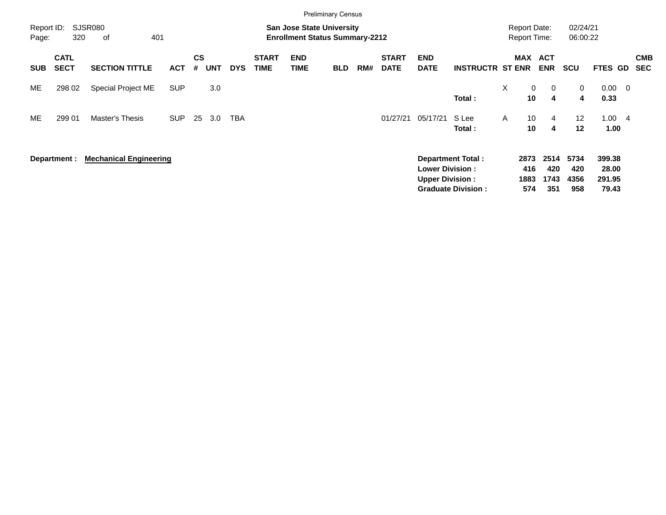|                     |                            |                               |            |                |            |            |                             |                                                                           | <b>Preliminary Census</b> |     |                             |                                                  |                                                       |          |                                            |                            |                            |                                    |                          |                          |
|---------------------|----------------------------|-------------------------------|------------|----------------|------------|------------|-----------------------------|---------------------------------------------------------------------------|---------------------------|-----|-----------------------------|--------------------------------------------------|-------------------------------------------------------|----------|--------------------------------------------|----------------------------|----------------------------|------------------------------------|--------------------------|--------------------------|
| Report ID:<br>Page: | 320                        | SJSR080<br>401<br>оf          |            |                |            |            |                             | <b>San Jose State University</b><br><b>Enrollment Status Summary-2212</b> |                           |     |                             |                                                  |                                                       |          | <b>Report Date:</b><br><b>Report Time:</b> |                            | 02/24/21<br>06:00:22       |                                    |                          |                          |
| <b>SUB</b>          | <b>CATL</b><br><b>SECT</b> | <b>SECTION TITTLE</b>         | <b>ACT</b> | <b>CS</b><br># | <b>UNT</b> | <b>DYS</b> | <b>START</b><br><b>TIME</b> | <b>END</b><br><b>TIME</b>                                                 | <b>BLD</b>                | RM# | <b>START</b><br><b>DATE</b> | <b>END</b><br><b>DATE</b>                        | <b>INSTRUCTR ST ENR</b>                               |          | MAX                                        | <b>ACT</b><br><b>ENR</b>   | <b>SCU</b>                 | <b>FTES GD</b>                     |                          | <b>CMB</b><br><b>SEC</b> |
| ME                  | 298 02                     | Special Project ME            | <b>SUP</b> |                | 3.0        |            |                             |                                                                           |                           |     |                             |                                                  | Total:                                                | $\times$ | $\mathbf 0$<br>10                          | $\overline{0}$<br>4        | 0<br>4                     | $0.00\,$<br>0.33                   | $\overline{\phantom{0}}$ |                          |
| ME.                 | 299 01                     | Master's Thesis               | <b>SUP</b> | 25             | 3.0        | TBA        |                             |                                                                           |                           |     | 01/27/21                    | 05/17/21                                         | S Lee<br>Total:                                       | A        | 10<br>10                                   | $\overline{4}$<br>4        | 12<br>12                   | 1.00<br>1.00                       | $\overline{4}$           |                          |
|                     | Department :               | <b>Mechanical Engineering</b> |            |                |            |            |                             |                                                                           |                           |     |                             | <b>Lower Division:</b><br><b>Upper Division:</b> | <b>Department Total:</b><br><b>Graduate Division:</b> |          | 2873<br>416<br>1883<br>574                 | 2514<br>420<br>1743<br>351 | 5734<br>420<br>4356<br>958 | 399.38<br>28.00<br>291.95<br>79.43 |                          |                          |